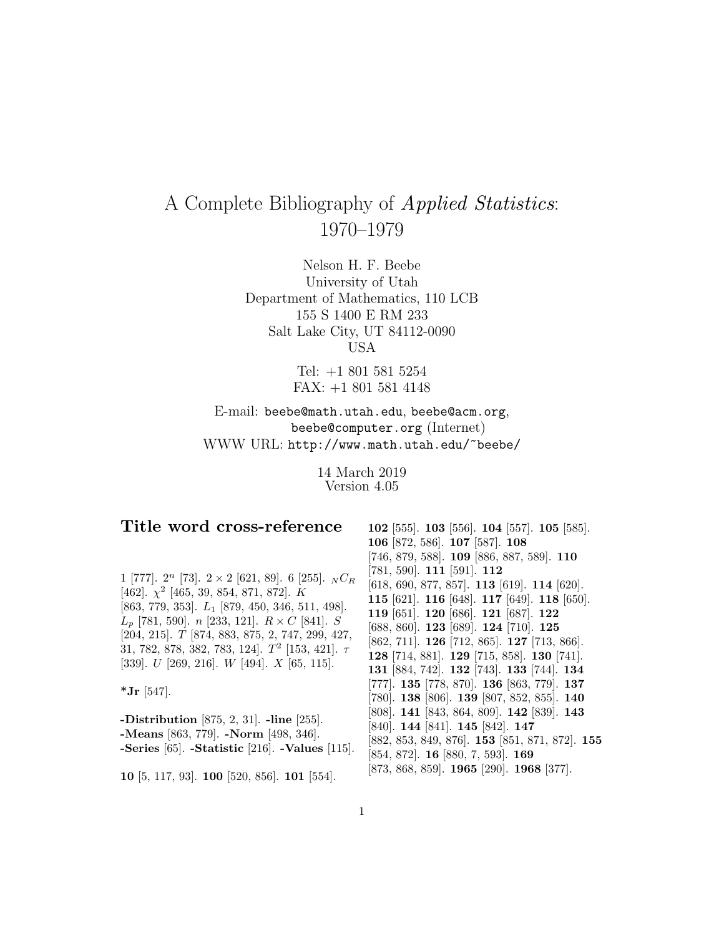# A Complete Bibliography of Applied Statistics: 1970–1979

Nelson H. F. Beebe University of Utah Department of Mathematics, 110 LCB 155 S 1400 E RM 233 Salt Lake City, UT 84112-0090 USA

> Tel: +1 801 581 5254 FAX: +1 801 581 4148

E-mail: beebe@math.utah.edu, beebe@acm.org, beebe@computer.org (Internet) WWW URL: http://www.math.utah.edu/~beebe/

> 14 March 2019 Version 4.05

| Title word cross-reference                                          | 102 [555]. 103 [556]. 104 [557]. 105 [585].                     |
|---------------------------------------------------------------------|-----------------------------------------------------------------|
|                                                                     | 106 [872, 586]. 107 [587]. 108                                  |
| 1 [777]. 2 <sup>n</sup> [73]. 2 × 2 [621, 89]. 6 [255]. $N C_R$     | $[746, 879, 588]$ . <b>109</b> [886, 887, 589]. <b>110</b>      |
|                                                                     | $[781, 590]$ . 111 $[591]$ . 112                                |
| [462]. $\chi^2$ [465, 39, 854, 871, 872]. K                         | [618, 690, 877, 857]. <b>113</b> [619]. <b>114</b> [620].       |
| [863, 779, 353]. $L_1$ [879, 450, 346, 511, 498].                   | 115 [621]. 116 [648]. 117 [649]. 118 [650].                     |
| $L_p$ [781, 590]. <i>n</i> [233, 121]. $R \times C$ [841]. <i>S</i> | 119 [651]. 120 [686]. 121 [687]. 122                            |
| $[204, 215]$ . T [874, 883, 875, 2, 747, 299, 427,                  | [688, 860]. 123 [689]. 124 [710]. 125                           |
| 31, 782, 878, 382, 783, 124]. $T^2$ [153, 421]. $\tau$              | [862, 711]. <b>126</b> [712, 865]. <b>127</b> [713, 866].       |
| [339]. $U$ [269, 216]. $W$ [494]. $X$ [65, 115].                    | 128 [714, 881]. 129 [715, 858]. 130 [741].                      |
|                                                                     | 131 [884, 742]. 132 [743]. 133 [744]. 134                       |
| *Jr [547].                                                          | $[777]$ . 135 $[778, 870]$ . 136 $[863, 779]$ . 137             |
|                                                                     | $[780]$ . 138 $[806]$ . 139 $[807, 852, 855]$ . 140             |
| -Distribution [875, 2, 31]. -line [255].                            | $[808]$ . 141 $[843, 864, 809]$ . 142 $[839]$ . 143             |
| -Means [863, 779]. -Norm [498, 346].                                | $[840]$ . 144 $[841]$ . 145 $[842]$ . 147                       |
|                                                                     | $[882, 853, 849, 876]$ . <b>153</b> [851, 871, 872]. <b>155</b> |
| -Series $[65]$ . -Statistic $[216]$ . -Values $[115]$ .             | $[854, 872]$ . <b>16</b> $[880, 7, 593]$ . <b>169</b>           |
| 10 [5, 117, 93]. 100 [520, 856]. 101 [554].                         | [873, 868, 859]. 1965 [290]. 1968 [377].                        |
|                                                                     |                                                                 |

# **Title word cross-reference**

1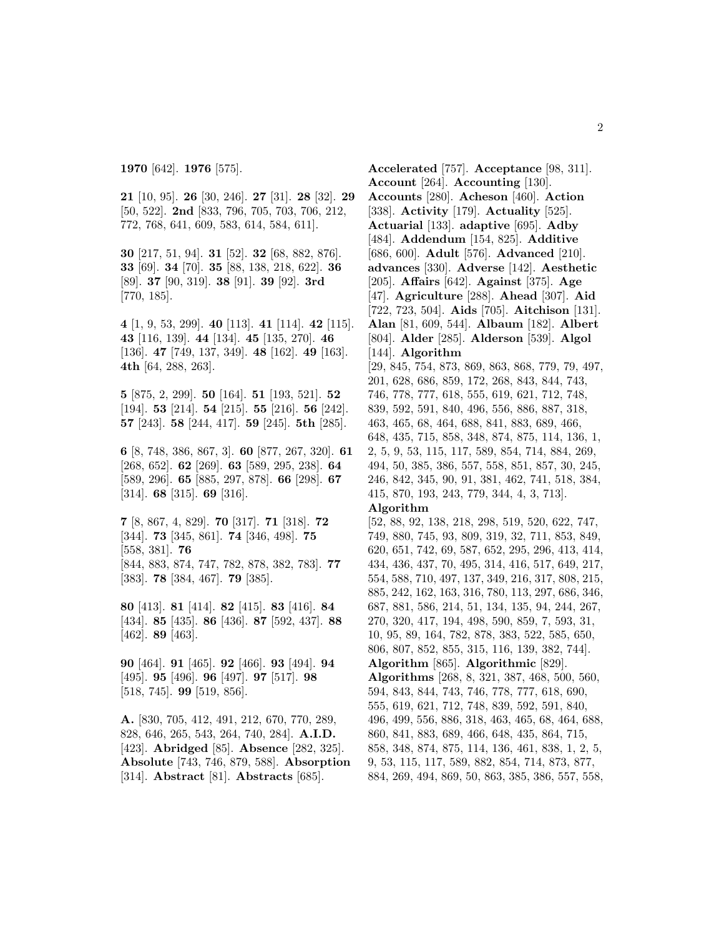**21** [10, 95]. **26** [30, 246]. **27** [31]. **28** [32]. **29** [50, 522]. **2nd** [833, 796, 705, 703, 706, 212, 772, 768, 641, 609, 583, 614, 584, 611].

**30** [217, 51, 94]. **31** [52]. **32** [68, 882, 876]. **33** [69]. **34** [70]. **35** [88, 138, 218, 622]. **36** [89]. **37** [90, 319]. **38** [91]. **39** [92]. **3rd** [770, 185].

**4** [1, 9, 53, 299]. **40** [113]. **41** [114]. **42** [115]. **43** [116, 139]. **44** [134]. **45** [135, 270]. **46** [136]. **47** [749, 137, 349]. **48** [162]. **49** [163]. **4th** [64, 288, 263].

**5** [875, 2, 299]. **50** [164]. **51** [193, 521]. **52** [194]. **53** [214]. **54** [215]. **55** [216]. **56** [242]. **57** [243]. **58** [244, 417]. **59** [245]. **5th** [285].

**6** [8, 748, 386, 867, 3]. **60** [877, 267, 320]. **61** [268, 652]. **62** [269]. **63** [589, 295, 238]. **64** [589, 296]. **65** [885, 297, 878]. **66** [298]. **67** [314]. **68** [315]. **69** [316].

**7** [8, 867, 4, 829]. **70** [317]. **71** [318]. **72** [344]. **73** [345, 861]. **74** [346, 498]. **75** [558, 381]. **76** [844, 883, 874, 747, 782, 878, 382, 783]. **77** [383]. **78** [384, 467]. **79** [385].

**80** [413]. **81** [414]. **82** [415]. **83** [416]. **84** [434]. **85** [435]. **86** [436]. **87** [592, 437]. **88** [462]. **89** [463].

**90** [464]. **91** [465]. **92** [466]. **93** [494]. **94** [495]. **95** [496]. **96** [497]. **97** [517]. **98** [518, 745]. **99** [519, 856].

**A.** [830, 705, 412, 491, 212, 670, 770, 289, 828, 646, 265, 543, 264, 740, 284]. **A.I.D.** [423]. **Abridged** [85]. **Absence** [282, 325]. **Absolute** [743, 746, 879, 588]. **Absorption** [314]. **Abstract** [81]. **Abstracts** [685].

**Accelerated** [757]. **Acceptance** [98, 311]. **Account** [264]. **Accounting** [130]. **Accounts** [280]. **Acheson** [460]. **Action** [338]. **Activity** [179]. **Actuality** [525]. **Actuarial** [133]. **adaptive** [695]. **Adby** [484]. **Addendum** [154, 825]. **Additive** [686, 600]. **Adult** [576]. **Advanced** [210]. **advances** [330]. **Adverse** [142]. **Aesthetic** [205]. **Affairs** [642]. **Against** [375]. **Age** [47]. **Agriculture** [288]. **Ahead** [307]. **Aid** [722, 723, 504]. **Aids** [705]. **Aitchison** [131]. **Alan** [81, 609, 544]. **Albaum** [182]. **Albert** [804]. **Alder** [285]. **Alderson** [539]. **Algol** [144]. **Algorithm** [29, 845, 754, 873, 869, 863, 868, 779, 79, 497, 201, 628, 686, 859, 172, 268, 843, 844, 743, 746, 778, 777, 618, 555, 619, 621, 712, 748, 839, 592, 591, 840, 496, 556, 886, 887, 318, 463, 465, 68, 464, 688, 841, 883, 689, 466, 648, 435, 715, 858, 348, 874, 875, 114, 136, 1, 2, 5, 9, 53, 115, 117, 589, 854, 714, 884, 269, 494, 50, 385, 386, 557, 558, 851, 857, 30, 245, 246, 842, 345, 90, 91, 381, 462, 741, 518, 384, 415, 870, 193, 243, 779, 344, 4, 3, 713]. **Algorithm** [52, 88, 92, 138, 218, 298, 519, 520, 622, 747, 749, 880, 745, 93, 809, 319, 32, 711, 853, 849,

620, 651, 742, 69, 587, 652, 295, 296, 413, 414, 434, 436, 437, 70, 495, 314, 416, 517, 649, 217, 554, 588, 710, 497, 137, 349, 216, 317, 808, 215, 885, 242, 162, 163, 316, 780, 113, 297, 686, 346, 687, 881, 586, 214, 51, 134, 135, 94, 244, 267, 270, 320, 417, 194, 498, 590, 859, 7, 593, 31, 10, 95, 89, 164, 782, 878, 383, 522, 585, 650, 806, 807, 852, 855, 315, 116, 139, 382, 744]. **Algorithm** [865]. **Algorithmic** [829]. **Algorithms** [268, 8, 321, 387, 468, 500, 560, 594, 843, 844, 743, 746, 778, 777, 618, 690, 555, 619, 621, 712, 748, 839, 592, 591, 840, 496, 499, 556, 886, 318, 463, 465, 68, 464, 688, 860, 841, 883, 689, 466, 648, 435, 864, 715, 858, 348, 874, 875, 114, 136, 461, 838, 1, 2, 5, 9, 53, 115, 117, 589, 882, 854, 714, 873, 877, 884, 269, 494, 869, 50, 863, 385, 386, 557, 558,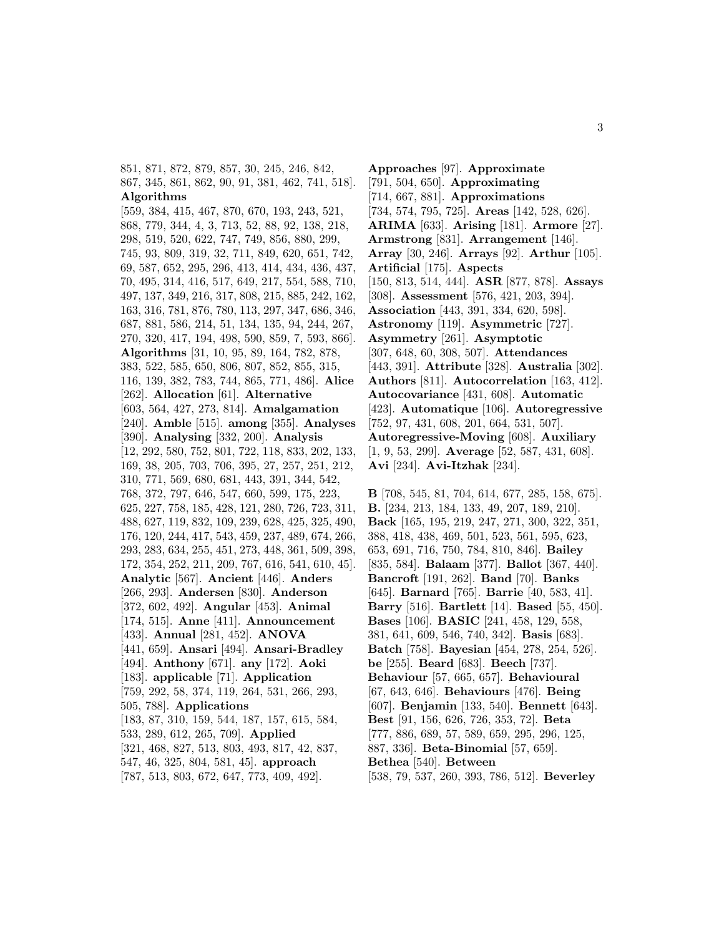851, 871, 872, 879, 857, 30, 245, 246, 842, 867, 345, 861, 862, 90, 91, 381, 462, 741, 518]. **Algorithms**

[559, 384, 415, 467, 870, 670, 193, 243, 521, 868, 779, 344, 4, 3, 713, 52, 88, 92, 138, 218, 298, 519, 520, 622, 747, 749, 856, 880, 299, 745, 93, 809, 319, 32, 711, 849, 620, 651, 742, 69, 587, 652, 295, 296, 413, 414, 434, 436, 437, 70, 495, 314, 416, 517, 649, 217, 554, 588, 710, 497, 137, 349, 216, 317, 808, 215, 885, 242, 162, 163, 316, 781, 876, 780, 113, 297, 347, 686, 346, 687, 881, 586, 214, 51, 134, 135, 94, 244, 267, 270, 320, 417, 194, 498, 590, 859, 7, 593, 866]. **Algorithms** [31, 10, 95, 89, 164, 782, 878, 383, 522, 585, 650, 806, 807, 852, 855, 315, 116, 139, 382, 783, 744, 865, 771, 486]. **Alice** [262]. **Allocation** [61]. **Alternative** [603, 564, 427, 273, 814]. **Amalgamation** [240]. **Amble** [515]. **among** [355]. **Analyses** [390]. **Analysing** [332, 200]. **Analysis** [12, 292, 580, 752, 801, 722, 118, 833, 202, 133, 169, 38, 205, 703, 706, 395, 27, 257, 251, 212, 310, 771, 569, 680, 681, 443, 391, 344, 542, 768, 372, 797, 646, 547, 660, 599, 175, 223, 625, 227, 758, 185, 428, 121, 280, 726, 723, 311, 488, 627, 119, 832, 109, 239, 628, 425, 325, 490, 176, 120, 244, 417, 543, 459, 237, 489, 674, 266, 293, 283, 634, 255, 451, 273, 448, 361, 509, 398, 172, 354, 252, 211, 209, 767, 616, 541, 610, 45]. **Analytic** [567]. **Ancient** [446]. **Anders** [266, 293]. **Andersen** [830]. **Anderson** [372, 602, 492]. **Angular** [453]. **Animal** [174, 515]. **Anne** [411]. **Announcement** [433]. **Annual** [281, 452]. **ANOVA** [441, 659]. **Ansari** [494]. **Ansari-Bradley** [494]. **Anthony** [671]. **any** [172]. **Aoki** [183]. **applicable** [71]. **Application** [759, 292, 58, 374, 119, 264, 531, 266, 293, 505, 788]. **Applications** [183, 87, 310, 159, 544, 187, 157, 615, 584, 533, 289, 612, 265, 709]. **Applied** [321, 468, 827, 513, 803, 493, 817, 42, 837, 547, 46, 325, 804, 581, 45]. **approach** [787, 513, 803, 672, 647, 773, 409, 492].

**Approaches** [97]. **Approximate** [791, 504, 650]. **Approximating** [714, 667, 881]. **Approximations** [734, 574, 795, 725]. **Areas** [142, 528, 626]. **ARIMA** [633]. **Arising** [181]. **Armore** [27]. **Armstrong** [831]. **Arrangement** [146]. **Array** [30, 246]. **Arrays** [92]. **Arthur** [105]. **Artificial** [175]. **Aspects** [150, 813, 514, 444]. **ASR** [877, 878]. **Assays** [308]. **Assessment** [576, 421, 203, 394]. **Association** [443, 391, 334, 620, 598]. **Astronomy** [119]. **Asymmetric** [727]. **Asymmetry** [261]. **Asymptotic** [307, 648, 60, 308, 507]. **Attendances** [443, 391]. **Attribute** [328]. **Australia** [302]. **Authors** [811]. **Autocorrelation** [163, 412]. **Autocovariance** [431, 608]. **Automatic** [423]. **Automatique** [106]. **Autoregressive** [752, 97, 431, 608, 201, 664, 531, 507]. **Autoregressive-Moving** [608]. **Auxiliary** [1, 9, 53, 299]. **Average** [52, 587, 431, 608]. **Avi** [234]. **Avi-Itzhak** [234].

**B** [708, 545, 81, 704, 614, 677, 285, 158, 675]. **B.** [234, 213, 184, 133, 49, 207, 189, 210]. **Back** [165, 195, 219, 247, 271, 300, 322, 351, 388, 418, 438, 469, 501, 523, 561, 595, 623, 653, 691, 716, 750, 784, 810, 846]. **Bailey** [835, 584]. **Balaam** [377]. **Ballot** [367, 440]. **Bancroft** [191, 262]. **Band** [70]. **Banks** [645]. **Barnard** [765]. **Barrie** [40, 583, 41]. **Barry** [516]. **Bartlett** [14]. **Based** [55, 450]. **Bases** [106]. **BASIC** [241, 458, 129, 558, 381, 641, 609, 546, 740, 342]. **Basis** [683]. **Batch** [758]. **Bayesian** [454, 278, 254, 526]. **be** [255]. **Beard** [683]. **Beech** [737]. **Behaviour** [57, 665, 657]. **Behavioural** [67, 643, 646]. **Behaviours** [476]. **Being** [607]. **Benjamin** [133, 540]. **Bennett** [643]. **Best** [91, 156, 626, 726, 353, 72]. **Beta** [777, 886, 689, 57, 589, 659, 295, 296, 125, 887, 336]. **Beta-Binomial** [57, 659]. **Bethea** [540]. **Between** [538, 79, 537, 260, 393, 786, 512]. **Beverley**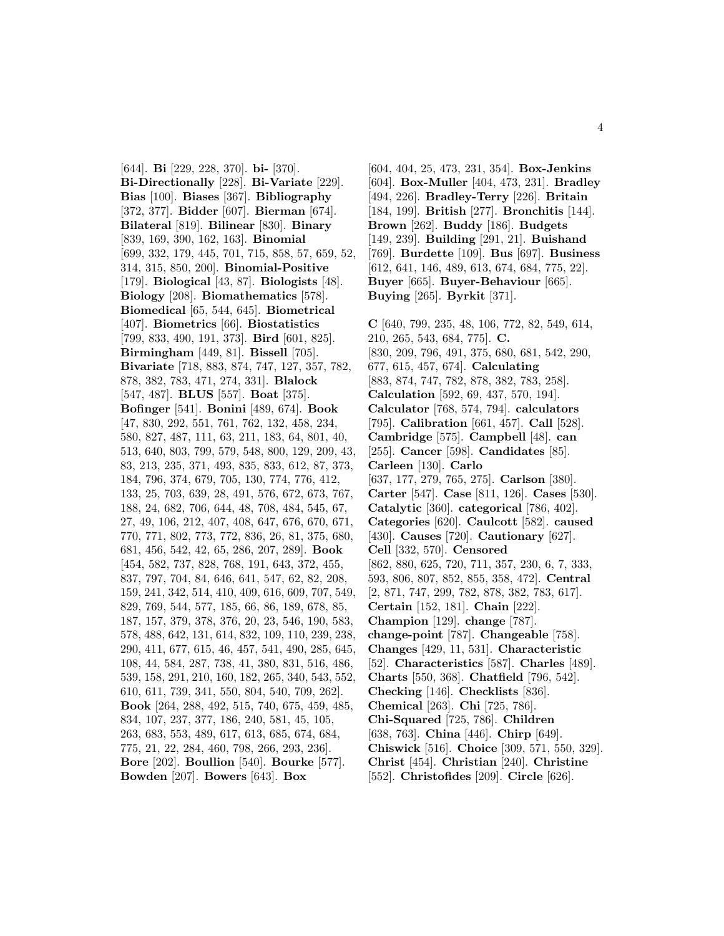[644]. **Bi** [229, 228, 370]. **bi-** [370]. **Bi-Directionally** [228]. **Bi-Variate** [229]. **Bias** [100]. **Biases** [367]. **Bibliography** [372, 377]. **Bidder** [607]. **Bierman** [674]. **Bilateral** [819]. **Bilinear** [830]. **Binary** [839, 169, 390, 162, 163]. **Binomial** [699, 332, 179, 445, 701, 715, 858, 57, 659, 52, 314, 315, 850, 200]. **Binomial-Positive** [179]. **Biological** [43, 87]. **Biologists** [48]. **Biology** [208]. **Biomathematics** [578]. **Biomedical** [65, 544, 645]. **Biometrical** [407]. **Biometrics** [66]. **Biostatistics** [799, 833, 490, 191, 373]. **Bird** [601, 825]. **Birmingham** [449, 81]. **Bissell** [705]. **Bivariate** [718, 883, 874, 747, 127, 357, 782, 878, 382, 783, 471, 274, 331]. **Blalock** [547, 487]. **BLUS** [557]. **Boat** [375]. **Bofinger** [541]. **Bonini** [489, 674]. **Book** [47, 830, 292, 551, 761, 762, 132, 458, 234, 580, 827, 487, 111, 63, 211, 183, 64, 801, 40, 513, 640, 803, 799, 579, 548, 800, 129, 209, 43, 83, 213, 235, 371, 493, 835, 833, 612, 87, 373, 184, 796, 374, 679, 705, 130, 774, 776, 412, 133, 25, 703, 639, 28, 491, 576, 672, 673, 767, 188, 24, 682, 706, 644, 48, 708, 484, 545, 67, 27, 49, 106, 212, 407, 408, 647, 676, 670, 671, 770, 771, 802, 773, 772, 836, 26, 81, 375, 680, 681, 456, 542, 42, 65, 286, 207, 289]. **Book** [454, 582, 737, 828, 768, 191, 643, 372, 455, 837, 797, 704, 84, 646, 641, 547, 62, 82, 208, 159, 241, 342, 514, 410, 409, 616, 609, 707, 549, 829, 769, 544, 577, 185, 66, 86, 189, 678, 85, 187, 157, 379, 378, 376, 20, 23, 546, 190, 583, 578, 488, 642, 131, 614, 832, 109, 110, 239, 238, 290, 411, 677, 615, 46, 457, 541, 490, 285, 645, 108, 44, 584, 287, 738, 41, 380, 831, 516, 486, 539, 158, 291, 210, 160, 182, 265, 340, 543, 552, 610, 611, 739, 341, 550, 804, 540, 709, 262]. **Book** [264, 288, 492, 515, 740, 675, 459, 485, 834, 107, 237, 377, 186, 240, 581, 45, 105, 263, 683, 553, 489, 617, 613, 685, 674, 684, 775, 21, 22, 284, 460, 798, 266, 293, 236]. **Bore** [202]. **Boullion** [540]. **Bourke** [577]. **Bowden** [207]. **Bowers** [643]. **Box**

[604, 404, 25, 473, 231, 354]. **Box-Jenkins** [604]. **Box-Muller** [404, 473, 231]. **Bradley** [494, 226]. **Bradley-Terry** [226]. **Britain** [184, 199]. **British** [277]. **Bronchitis** [144]. **Brown** [262]. **Buddy** [186]. **Budgets** [149, 239]. **Building** [291, 21]. **Buishand** [769]. **Burdette** [109]. **Bus** [697]. **Business** [612, 641, 146, 489, 613, 674, 684, 775, 22]. **Buyer** [665]. **Buyer-Behaviour** [665]. **Buying** [265]. **Byrkit** [371].

**C** [640, 799, 235, 48, 106, 772, 82, 549, 614, 210, 265, 543, 684, 775]. **C.** [830, 209, 796, 491, 375, 680, 681, 542, 290, 677, 615, 457, 674]. **Calculating** [883, 874, 747, 782, 878, 382, 783, 258]. **Calculation** [592, 69, 437, 570, 194]. **Calculator** [768, 574, 794]. **calculators** [795]. **Calibration** [661, 457]. **Call** [528]. **Cambridge** [575]. **Campbell** [48]. **can** [255]. **Cancer** [598]. **Candidates** [85]. **Carleen** [130]. **Carlo** [637, 177, 279, 765, 275]. **Carlson** [380]. **Carter** [547]. **Case** [811, 126]. **Cases** [530]. **Catalytic** [360]. **categorical** [786, 402]. **Categories** [620]. **Caulcott** [582]. **caused** [430]. **Causes** [720]. **Cautionary** [627]. **Cell** [332, 570]. **Censored** [862, 880, 625, 720, 711, 357, 230, 6, 7, 333, 593, 806, 807, 852, 855, 358, 472]. **Central** [2, 871, 747, 299, 782, 878, 382, 783, 617]. **Certain** [152, 181]. **Chain** [222]. **Champion** [129]. **change** [787]. **change-point** [787]. **Changeable** [758]. **Changes** [429, 11, 531]. **Characteristic** [52]. **Characteristics** [587]. **Charles** [489]. **Charts** [550, 368]. **Chatfield** [796, 542]. **Checking** [146]. **Checklists** [836]. **Chemical** [263]. **Chi** [725, 786]. **Chi-Squared** [725, 786]. **Children** [638, 763]. **China** [446]. **Chirp** [649]. **Chiswick** [516]. **Choice** [309, 571, 550, 329]. **Christ** [454]. **Christian** [240]. **Christine** [552]. **Christofides** [209]. **Circle** [626].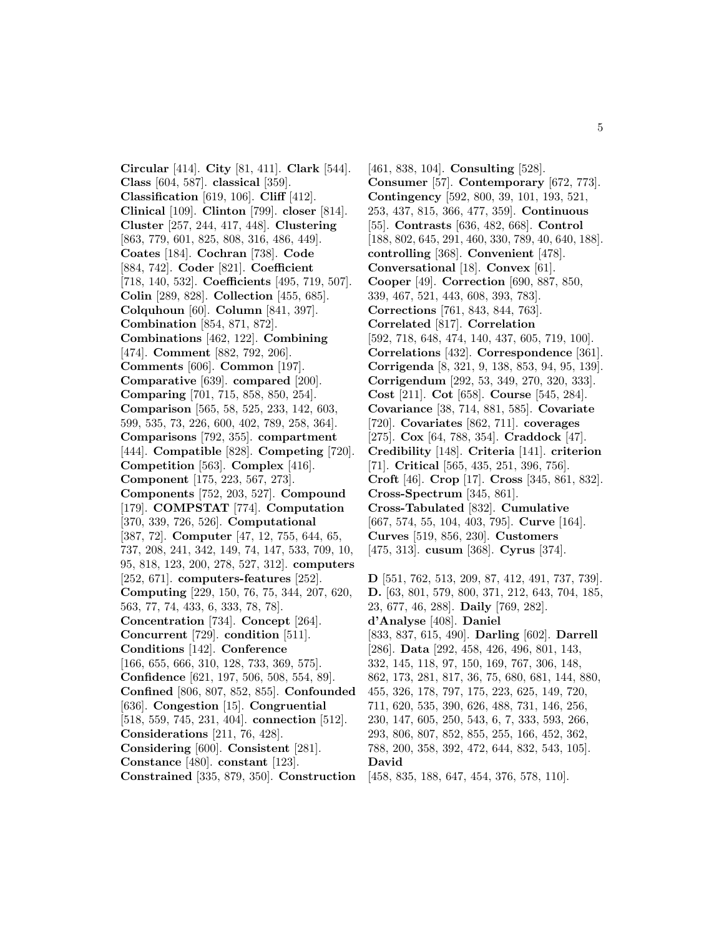**Circular** [414]. **City** [81, 411]. **Clark** [544]. **Class** [604, 587]. **classical** [359]. **Classification** [619, 106]. **Cliff** [412]. **Clinical** [109]. **Clinton** [799]. **closer** [814]. **Cluster** [257, 244, 417, 448]. **Clustering** [863, 779, 601, 825, 808, 316, 486, 449]. **Coates** [184]. **Cochran** [738]. **Code** [884, 742]. **Coder** [821]. **Coefficient** [718, 140, 532]. **Coefficients** [495, 719, 507]. **Colin** [289, 828]. **Collection** [455, 685]. **Colquhoun** [60]. **Column** [841, 397]. **Combination** [854, 871, 872]. **Combinations** [462, 122]. **Combining** [474]. **Comment** [882, 792, 206]. **Comments** [606]. **Common** [197]. **Comparative** [639]. **compared** [200]. **Comparing** [701, 715, 858, 850, 254]. **Comparison** [565, 58, 525, 233, 142, 603, 599, 535, 73, 226, 600, 402, 789, 258, 364]. **Comparisons** [792, 355]. **compartment** [444]. **Compatible** [828]. **Competing** [720]. **Competition** [563]. **Complex** [416]. **Component** [175, 223, 567, 273]. **Components** [752, 203, 527]. **Compound** [179]. **COMPSTAT** [774]. **Computation** [370, 339, 726, 526]. **Computational** [387, 72]. **Computer** [47, 12, 755, 644, 65, 737, 208, 241, 342, 149, 74, 147, 533, 709, 10, 95, 818, 123, 200, 278, 527, 312]. **computers** [252, 671]. **computers-features** [252]. **Computing** [229, 150, 76, 75, 344, 207, 620, 563, 77, 74, 433, 6, 333, 78, 78]. **Concentration** [734]. **Concept** [264]. **Concurrent** [729]. **condition** [511]. **Conditions** [142]. **Conference** [166, 655, 666, 310, 128, 733, 369, 575]. **Confidence** [621, 197, 506, 508, 554, 89]. **Confined** [806, 807, 852, 855]. **Confounded** [636]. **Congestion** [15]. **Congruential** [518, 559, 745, 231, 404]. **connection** [512]. **Considerations** [211, 76, 428]. **Considering** [600]. **Consistent** [281]. **Constance** [480]. **constant** [123]. **Constrained** [335, 879, 350]. **Construction**

[461, 838, 104]. **Consulting** [528]. **Consumer** [57]. **Contemporary** [672, 773]. **Contingency** [592, 800, 39, 101, 193, 521, 253, 437, 815, 366, 477, 359]. **Continuous** [55]. **Contrasts** [636, 482, 668]. **Control** [188, 802, 645, 291, 460, 330, 789, 40, 640, 188]. **controlling** [368]. **Convenient** [478]. **Conversational** [18]. **Convex** [61]. **Cooper** [49]. **Correction** [690, 887, 850, 339, 467, 521, 443, 608, 393, 783]. **Corrections** [761, 843, 844, 763]. **Correlated** [817]. **Correlation** [592, 718, 648, 474, 140, 437, 605, 719, 100]. **Correlations** [432]. **Correspondence** [361]. **Corrigenda** [8, 321, 9, 138, 853, 94, 95, 139]. **Corrigendum** [292, 53, 349, 270, 320, 333]. **Cost** [211]. **Cot** [658]. **Course** [545, 284]. **Covariance** [38, 714, 881, 585]. **Covariate** [720]. **Covariates** [862, 711]. **coverages** [275]. **Cox** [64, 788, 354]. **Craddock** [47]. **Credibility** [148]. **Criteria** [141]. **criterion** [71]. **Critical** [565, 435, 251, 396, 756]. **Croft** [46]. **Crop** [17]. **Cross** [345, 861, 832]. **Cross-Spectrum** [345, 861]. **Cross-Tabulated** [832]. **Cumulative** [667, 574, 55, 104, 403, 795]. **Curve** [164]. **Curves** [519, 856, 230]. **Customers** [475, 313]. **cusum** [368]. **Cyrus** [374].

**D** [551, 762, 513, 209, 87, 412, 491, 737, 739]. **D.** [63, 801, 579, 800, 371, 212, 643, 704, 185, 23, 677, 46, 288]. **Daily** [769, 282]. **d'Analyse** [408]. **Daniel** [833, 837, 615, 490]. **Darling** [602]. **Darrell** [286]. **Data** [292, 458, 426, 496, 801, 143, 332, 145, 118, 97, 150, 169, 767, 306, 148, 862, 173, 281, 817, 36, 75, 680, 681, 144, 880, 455, 326, 178, 797, 175, 223, 625, 149, 720, 711, 620, 535, 390, 626, 488, 731, 146, 256, 230, 147, 605, 250, 543, 6, 7, 333, 593, 266, 293, 806, 807, 852, 855, 255, 166, 452, 362, 788, 200, 358, 392, 472, 644, 832, 543, 105]. **David** [458, 835, 188, 647, 454, 376, 578, 110].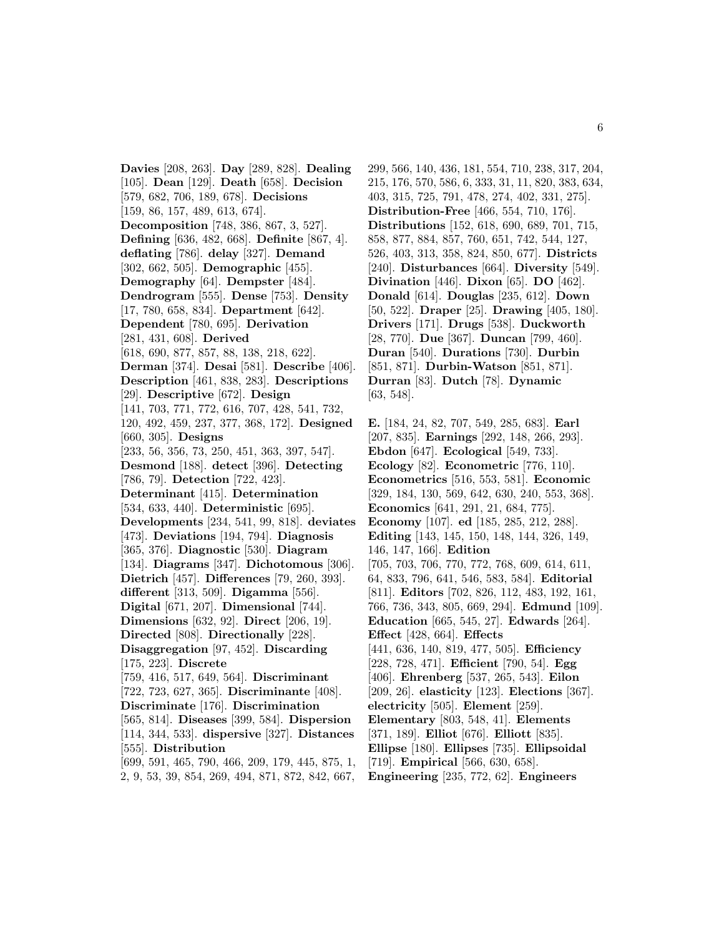**Davies** [208, 263]. **Day** [289, 828]. **Dealing** [105]. **Dean** [129]. **Death** [658]. **Decision** [579, 682, 706, 189, 678]. **Decisions** [159, 86, 157, 489, 613, 674]. **Decomposition** [748, 386, 867, 3, 527]. **Defining** [636, 482, 668]. **Definite** [867, 4]. **deflating** [786]. **delay** [327]. **Demand** [302, 662, 505]. **Demographic** [455]. **Demography** [64]. **Dempster** [484]. **Dendrogram** [555]. **Dense** [753]. **Density** [17, 780, 658, 834]. **Department** [642]. **Dependent** [780, 695]. **Derivation** [281, 431, 608]. **Derived** [618, 690, 877, 857, 88, 138, 218, 622]. **Derman** [374]. **Desai** [581]. **Describe** [406]. **Description** [461, 838, 283]. **Descriptions** [29]. **Descriptive** [672]. **Design** [141, 703, 771, 772, 616, 707, 428, 541, 732, 120, 492, 459, 237, 377, 368, 172]. **Designed** [660, 305]. **Designs** [233, 56, 356, 73, 250, 451, 363, 397, 547]. **Desmond** [188]. **detect** [396]. **Detecting** [786, 79]. **Detection** [722, 423]. **Determinant** [415]. **Determination** [534, 633, 440]. **Deterministic** [695]. **Developments** [234, 541, 99, 818]. **deviates** [473]. **Deviations** [194, 794]. **Diagnosis** [365, 376]. **Diagnostic** [530]. **Diagram** [134]. **Diagrams** [347]. **Dichotomous** [306]. **Dietrich** [457]. **Differences** [79, 260, 393]. **different** [313, 509]. **Digamma** [556]. **Digital** [671, 207]. **Dimensional** [744]. **Dimensions** [632, 92]. **Direct** [206, 19]. **Directed** [808]. **Directionally** [228]. **Disaggregation** [97, 452]. **Discarding** [175, 223]. **Discrete** [759, 416, 517, 649, 564]. **Discriminant** [722, 723, 627, 365]. **Discriminante** [408]. **Discriminate** [176]. **Discrimination** [565, 814]. **Diseases** [399, 584]. **Dispersion** [114, 344, 533]. **dispersive** [327]. **Distances** [555]. **Distribution** [699, 591, 465, 790, 466, 209, 179, 445, 875, 1, 2, 9, 53, 39, 854, 269, 494, 871, 872, 842, 667,

299, 566, 140, 436, 181, 554, 710, 238, 317, 204, 215, 176, 570, 586, 6, 333, 31, 11, 820, 383, 634, 403, 315, 725, 791, 478, 274, 402, 331, 275]. **Distribution-Free** [466, 554, 710, 176]. **Distributions** [152, 618, 690, 689, 701, 715, 858, 877, 884, 857, 760, 651, 742, 544, 127, 526, 403, 313, 358, 824, 850, 677]. **Districts** [240]. **Disturbances** [664]. **Diversity** [549]. **Divination** [446]. **Dixon** [65]. **DO** [462]. **Donald** [614]. **Douglas** [235, 612]. **Down** [50, 522]. **Draper** [25]. **Drawing** [405, 180]. **Drivers** [171]. **Drugs** [538]. **Duckworth** [28, 770]. **Due** [367]. **Duncan** [799, 460]. **Duran** [540]. **Durations** [730]. **Durbin** [851, 871]. **Durbin-Watson** [851, 871]. **Durran** [83]. **Dutch** [78]. **Dynamic** [63, 548].

**E.** [184, 24, 82, 707, 549, 285, 683]. **Earl** [207, 835]. **Earnings** [292, 148, 266, 293]. **Ebdon** [647]. **Ecological** [549, 733]. **Ecology** [82]. **Econometric** [776, 110]. **Econometrics** [516, 553, 581]. **Economic** [329, 184, 130, 569, 642, 630, 240, 553, 368]. **Economics** [641, 291, 21, 684, 775]. **Economy** [107]. **ed** [185, 285, 212, 288]. **Editing** [143, 145, 150, 148, 144, 326, 149, 146, 147, 166]. **Edition** [705, 703, 706, 770, 772, 768, 609, 614, 611, 64, 833, 796, 641, 546, 583, 584]. **Editorial** [811]. **Editors** [702, 826, 112, 483, 192, 161, 766, 736, 343, 805, 669, 294]. **Edmund** [109]. **Education** [665, 545, 27]. **Edwards** [264]. **Effect** [428, 664]. **Effects** [441, 636, 140, 819, 477, 505]. **Efficiency** [228, 728, 471]. **Efficient** [790, 54]. **Egg** [406]. **Ehrenberg** [537, 265, 543]. **Eilon** [209, 26]. **elasticity** [123]. **Elections** [367]. **electricity** [505]. **Element** [259]. **Elementary** [803, 548, 41]. **Elements** [371, 189]. **Elliot** [676]. **Elliott** [835]. **Ellipse** [180]. **Ellipses** [735]. **Ellipsoidal** [719]. **Empirical** [566, 630, 658]. **Engineering** [235, 772, 62]. **Engineers**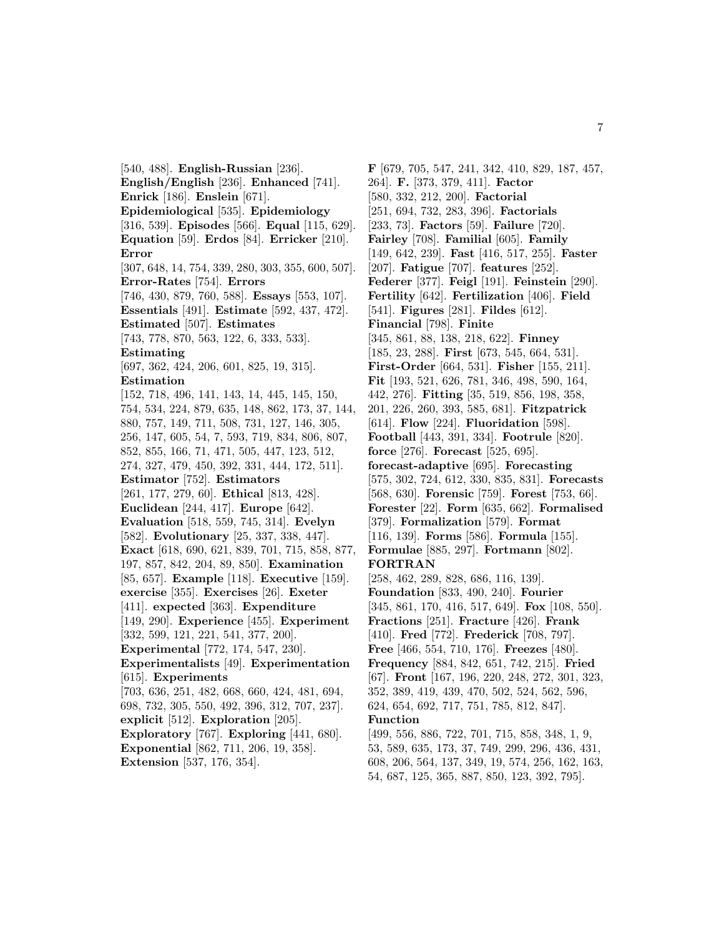[540, 488]. **English-Russian** [236]. **English/English** [236]. **Enhanced** [741]. **Enrick** [186]. **Enslein** [671]. **Epidemiological** [535]. **Epidemiology** [316, 539]. **Episodes** [566]. **Equal** [115, 629]. **Equation** [59]. **Erdos** [84]. **Erricker** [210]. **Error** [307, 648, 14, 754, 339, 280, 303, 355, 600, 507]. **Error-Rates** [754]. **Errors** [746, 430, 879, 760, 588]. **Essays** [553, 107]. **Essentials** [491]. **Estimate** [592, 437, 472]. **Estimated** [507]. **Estimates** [743, 778, 870, 563, 122, 6, 333, 533]. **Estimating** [697, 362, 424, 206, 601, 825, 19, 315]. **Estimation** [152, 718, 496, 141, 143, 14, 445, 145, 150, 754, 534, 224, 879, 635, 148, 862, 173, 37, 144, 880, 757, 149, 711, 508, 731, 127, 146, 305, 256, 147, 605, 54, 7, 593, 719, 834, 806, 807, 852, 855, 166, 71, 471, 505, 447, 123, 512, 274, 327, 479, 450, 392, 331, 444, 172, 511]. **Estimator** [752]. **Estimators** [261, 177, 279, 60]. **Ethical** [813, 428]. **Euclidean** [244, 417]. **Europe** [642]. **Evaluation** [518, 559, 745, 314]. **Evelyn** [582]. **Evolutionary** [25, 337, 338, 447]. **Exact** [618, 690, 621, 839, 701, 715, 858, 877, 197, 857, 842, 204, 89, 850]. **Examination** [85, 657]. **Example** [118]. **Executive** [159]. **exercise** [355]. **Exercises** [26]. **Exeter** [411]. **expected** [363]. **Expenditure** [149, 290]. **Experience** [455]. **Experiment** [332, 599, 121, 221, 541, 377, 200]. **Experimental** [772, 174, 547, 230]. **Experimentalists** [49]. **Experimentation** [615]. **Experiments** [703, 636, 251, 482, 668, 660, 424, 481, 694, 698, 732, 305, 550, 492, 396, 312, 707, 237]. **explicit** [512]. **Exploration** [205]. **Exploratory** [767]. **Exploring** [441, 680]. **Exponential** [862, 711, 206, 19, 358]. **Extension** [537, 176, 354].

**F** [679, 705, 547, 241, 342, 410, 829, 187, 457, 264]. **F.** [373, 379, 411]. **Factor** [580, 332, 212, 200]. **Factorial** [251, 694, 732, 283, 396]. **Factorials** [233, 73]. **Factors** [59]. **Failure** [720]. **Fairley** [708]. **Familial** [605]. **Family** [149, 642, 239]. **Fast** [416, 517, 255]. **Faster** [207]. **Fatigue** [707]. **features** [252]. **Federer** [377]. **Feigl** [191]. **Feinstein** [290]. **Fertility** [642]. **Fertilization** [406]. **Field** [541]. **Figures** [281]. **Fildes** [612]. **Financial** [798]. **Finite** [345, 861, 88, 138, 218, 622]. **Finney** [185, 23, 288]. **First** [673, 545, 664, 531]. **First-Order** [664, 531]. **Fisher** [155, 211]. **Fit** [193, 521, 626, 781, 346, 498, 590, 164, 442, 276]. **Fitting** [35, 519, 856, 198, 358, 201, 226, 260, 393, 585, 681]. **Fitzpatrick** [614]. **Flow** [224]. **Fluoridation** [598]. **Football** [443, 391, 334]. **Footrule** [820]. **force** [276]. **Forecast** [525, 695]. **forecast-adaptive** [695]. **Forecasting** [575, 302, 724, 612, 330, 835, 831]. **Forecasts** [568, 630]. **Forensic** [759]. **Forest** [753, 66]. **Forester** [22]. **Form** [635, 662]. **Formalised** [379]. **Formalization** [579]. **Format** [116, 139]. **Forms** [586]. **Formula** [155]. **Formulae** [885, 297]. **Fortmann** [802]. **FORTRAN** [258, 462, 289, 828, 686, 116, 139]. **Foundation** [833, 490, 240]. **Fourier** [345, 861, 170, 416, 517, 649]. **Fox** [108, 550]. **Fractions** [251]. **Fracture** [426]. **Frank** [410]. **Fred** [772]. **Frederick** [708, 797]. **Free** [466, 554, 710, 176]. **Freezes** [480]. **Frequency** [884, 842, 651, 742, 215]. **Fried** [67]. **Front** [167, 196, 220, 248, 272, 301, 323, 352, 389, 419, 439, 470, 502, 524, 562, 596, 624, 654, 692, 717, 751, 785, 812, 847]. **Function** [499, 556, 886, 722, 701, 715, 858, 348, 1, 9, 53, 589, 635, 173, 37, 749, 299, 296, 436, 431, 608, 206, 564, 137, 349, 19, 574, 256, 162, 163, 54, 687, 125, 365, 887, 850, 123, 392, 795].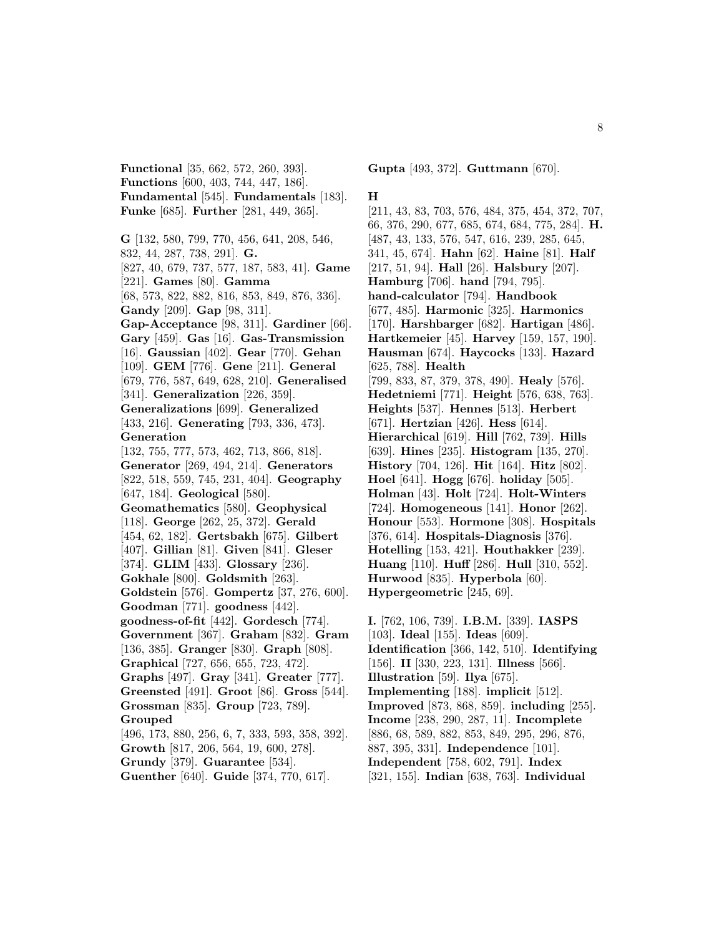**Functional** [35, 662, 572, 260, 393]. **Functions** [600, 403, 744, 447, 186]. **Fundamental** [545]. **Fundamentals** [183]. **Funke** [685]. **Further** [281, 449, 365].

**G** [132, 580, 799, 770, 456, 641, 208, 546, 832, 44, 287, 738, 291]. **G.** [827, 40, 679, 737, 577, 187, 583, 41]. **Game** [221]. **Games** [80]. **Gamma** [68, 573, 822, 882, 816, 853, 849, 876, 336]. **Gandy** [209]. **Gap** [98, 311]. **Gap-Acceptance** [98, 311]. **Gardiner** [66]. **Gary** [459]. **Gas** [16]. **Gas-Transmission** [16]. **Gaussian** [402]. **Gear** [770]. **Gehan** [109]. **GEM** [776]. **Gene** [211]. **General** [679, 776, 587, 649, 628, 210]. **Generalised** [341]. **Generalization** [226, 359]. **Generalizations** [699]. **Generalized** [433, 216]. **Generating** [793, 336, 473]. **Generation** [132, 755, 777, 573, 462, 713, 866, 818]. **Generator** [269, 494, 214]. **Generators** [822, 518, 559, 745, 231, 404]. **Geography** [647, 184]. **Geological** [580]. **Geomathematics** [580]. **Geophysical** [118]. **George** [262, 25, 372]. **Gerald** [454, 62, 182]. **Gertsbakh** [675]. **Gilbert** [407]. **Gillian** [81]. **Given** [841]. **Gleser** [374]. **GLIM** [433]. **Glossary** [236]. **Gokhale** [800]. **Goldsmith** [263]. **Goldstein** [576]. **Gompertz** [37, 276, 600]. **Goodman** [771]. **goodness** [442]. **goodness-of-fit** [442]. **Gordesch** [774]. **Government** [367]. **Graham** [832]. **Gram** [136, 385]. **Granger** [830]. **Graph** [808]. **Graphical** [727, 656, 655, 723, 472]. **Graphs** [497]. **Gray** [341]. **Greater** [777]. **Greensted** [491]. **Groot** [86]. **Gross** [544]. **Grossman** [835]. **Group** [723, 789]. **Grouped** [496, 173, 880, 256, 6, 7, 333, 593, 358, 392]. **Growth** [817, 206, 564, 19, 600, 278]. **Grundy** [379]. **Guarantee** [534]. **Guenther** [640]. **Guide** [374, 770, 617].

### **Gupta** [493, 372]. **Guttmann** [670].

#### **H**

[211, 43, 83, 703, 576, 484, 375, 454, 372, 707, 66, 376, 290, 677, 685, 674, 684, 775, 284]. **H.** [487, 43, 133, 576, 547, 616, 239, 285, 645, 341, 45, 674]. **Hahn** [62]. **Haine** [81]. **Half** [217, 51, 94]. **Hall** [26]. **Halsbury** [207]. **Hamburg** [706]. **hand** [794, 795]. **hand-calculator** [794]. **Handbook** [677, 485]. **Harmonic** [325]. **Harmonics** [170]. **Harshbarger** [682]. **Hartigan** [486]. **Hartkemeier** [45]. **Harvey** [159, 157, 190]. **Hausman** [674]. **Haycocks** [133]. **Hazard** [625, 788]. **Health** [799, 833, 87, 379, 378, 490]. **Healy** [576]. **Hedetniemi** [771]. **Height** [576, 638, 763]. **Heights** [537]. **Hennes** [513]. **Herbert** [671]. **Hertzian** [426]. **Hess** [614]. **Hierarchical** [619]. **Hill** [762, 739]. **Hills** [639]. **Hines** [235]. **Histogram** [135, 270]. **History** [704, 126]. **Hit** [164]. **Hitz** [802]. **Hoel** [641]. **Hogg** [676]. **holiday** [505]. **Holman** [43]. **Holt** [724]. **Holt-Winters** [724]. **Homogeneous** [141]. **Honor** [262]. **Honour** [553]. **Hormone** [308]. **Hospitals** [376, 614]. **Hospitals-Diagnosis** [376]. **Hotelling** [153, 421]. **Houthakker** [239]. **Huang** [110]. **Huff** [286]. **Hull** [310, 552]. **Hurwood** [835]. **Hyperbola** [60]. **Hypergeometric** [245, 69].

**I.** [762, 106, 739]. **I.B.M.** [339]. **IASPS** [103]. **Ideal** [155]. **Ideas** [609]. **Identification** [366, 142, 510]. **Identifying** [156]. **II** [330, 223, 131]. **Illness** [566]. **Illustration** [59]. **Ilya** [675]. **Implementing** [188]. **implicit** [512]. **Improved** [873, 868, 859]. **including** [255]. **Income** [238, 290, 287, 11]. **Incomplete** [886, 68, 589, 882, 853, 849, 295, 296, 876, 887, 395, 331]. **Independence** [101]. **Independent** [758, 602, 791]. **Index** [321, 155]. **Indian** [638, 763]. **Individual**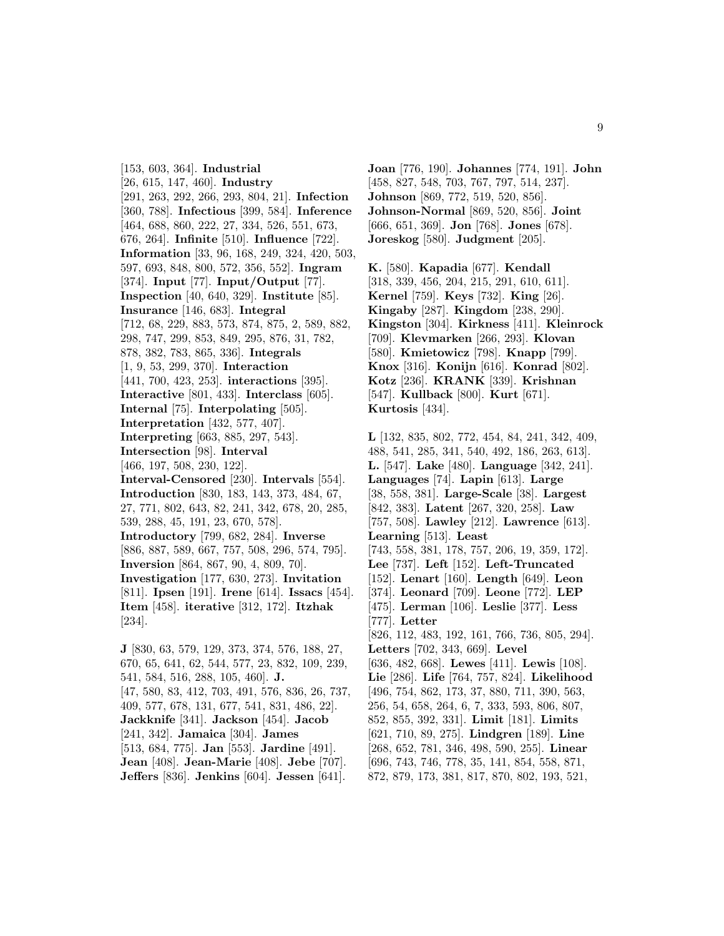[153, 603, 364]. **Industrial** [26, 615, 147, 460]. **Industry** [291, 263, 292, 266, 293, 804, 21]. **Infection** [360, 788]. **Infectious** [399, 584]. **Inference** [464, 688, 860, 222, 27, 334, 526, 551, 673, 676, 264]. **Infinite** [510]. **Influence** [722]. **Information** [33, 96, 168, 249, 324, 420, 503, 597, 693, 848, 800, 572, 356, 552]. **Ingram** [374]. **Input** [77]. **Input/Output** [77]. **Inspection** [40, 640, 329]. **Institute** [85]. **Insurance** [146, 683]. **Integral** [712, 68, 229, 883, 573, 874, 875, 2, 589, 882, 298, 747, 299, 853, 849, 295, 876, 31, 782, 878, 382, 783, 865, 336]. **Integrals** [1, 9, 53, 299, 370]. **Interaction** [441, 700, 423, 253]. **interactions** [395]. **Interactive** [801, 433]. **Interclass** [605]. **Internal** [75]. **Interpolating** [505]. **Interpretation** [432, 577, 407]. **Interpreting** [663, 885, 297, 543]. **Intersection** [98]. **Interval** [466, 197, 508, 230, 122]. **Interval-Censored** [230]. **Intervals** [554]. **Introduction** [830, 183, 143, 373, 484, 67, 27, 771, 802, 643, 82, 241, 342, 678, 20, 285, 539, 288, 45, 191, 23, 670, 578]. **Introductory** [799, 682, 284]. **Inverse** [886, 887, 589, 667, 757, 508, 296, 574, 795]. **Inversion** [864, 867, 90, 4, 809, 70]. **Investigation** [177, 630, 273]. **Invitation** [811]. **Ipsen** [191]. **Irene** [614]. **Issacs** [454]. **Item** [458]. **iterative** [312, 172]. **Itzhak** [234]. **J** [830, 63, 579, 129, 373, 374, 576, 188, 27, 670, 65, 641, 62, 544, 577, 23, 832, 109, 239, 541, 584, 516, 288, 105, 460]. **J.** [47, 580, 83, 412, 703, 491, 576, 836, 26, 737, 409, 577, 678, 131, 677, 541, 831, 486, 22].

**Jackknife** [341]. **Jackson** [454]. **Jacob** [241, 342]. **Jamaica** [304]. **James** [513, 684, 775]. **Jan** [553]. **Jardine** [491]. **Jean** [408]. **Jean-Marie** [408]. **Jebe** [707].

**Jeffers** [836]. **Jenkins** [604]. **Jessen** [641].

**Joan** [776, 190]. **Johannes** [774, 191]. **John** [458, 827, 548, 703, 767, 797, 514, 237]. **Johnson** [869, 772, 519, 520, 856]. **Johnson-Normal** [869, 520, 856]. **Joint** [666, 651, 369]. **Jon** [768]. **Jones** [678]. **Joreskog** [580]. **Judgment** [205].

**K.** [580]. **Kapadia** [677]. **Kendall** [318, 339, 456, 204, 215, 291, 610, 611]. **Kernel** [759]. **Keys** [732]. **King** [26]. **Kingaby** [287]. **Kingdom** [238, 290]. **Kingston** [304]. **Kirkness** [411]. **Kleinrock** [709]. **Klevmarken** [266, 293]. **Klovan** [580]. **Kmietowicz** [798]. **Knapp** [799]. **Knox** [316]. **Konijn** [616]. **Konrad** [802]. **Kotz** [236]. **KRANK** [339]. **Krishnan** [547]. **Kullback** [800]. **Kurt** [671]. **Kurtosis** [434].

**L** [132, 835, 802, 772, 454, 84, 241, 342, 409, 488, 541, 285, 341, 540, 492, 186, 263, 613]. **L.** [547]. **Lake** [480]. **Language** [342, 241]. **Languages** [74]. **Lapin** [613]. **Large** [38, 558, 381]. **Large-Scale** [38]. **Largest** [842, 383]. **Latent** [267, 320, 258]. **Law** [757, 508]. **Lawley** [212]. **Lawrence** [613]. **Learning** [513]. **Least** [743, 558, 381, 178, 757, 206, 19, 359, 172]. **Lee** [737]. **Left** [152]. **Left-Truncated** [152]. **Lenart** [160]. **Length** [649]. **Leon** [374]. **Leonard** [709]. **Leone** [772]. **LEP** [475]. **Lerman** [106]. **Leslie** [377]. **Less** [777]. **Letter** [826, 112, 483, 192, 161, 766, 736, 805, 294]. **Letters** [702, 343, 669]. **Level** [636, 482, 668]. **Lewes** [411]. **Lewis** [108]. **Lie** [286]. **Life** [764, 757, 824]. **Likelihood** [496, 754, 862, 173, 37, 880, 711, 390, 563, 256, 54, 658, 264, 6, 7, 333, 593, 806, 807, 852, 855, 392, 331]. **Limit** [181]. **Limits** [621, 710, 89, 275]. **Lindgren** [189]. **Line** [268, 652, 781, 346, 498, 590, 255]. **Linear** [696, 743, 746, 778, 35, 141, 854, 558, 871, 872, 879, 173, 381, 817, 870, 802, 193, 521,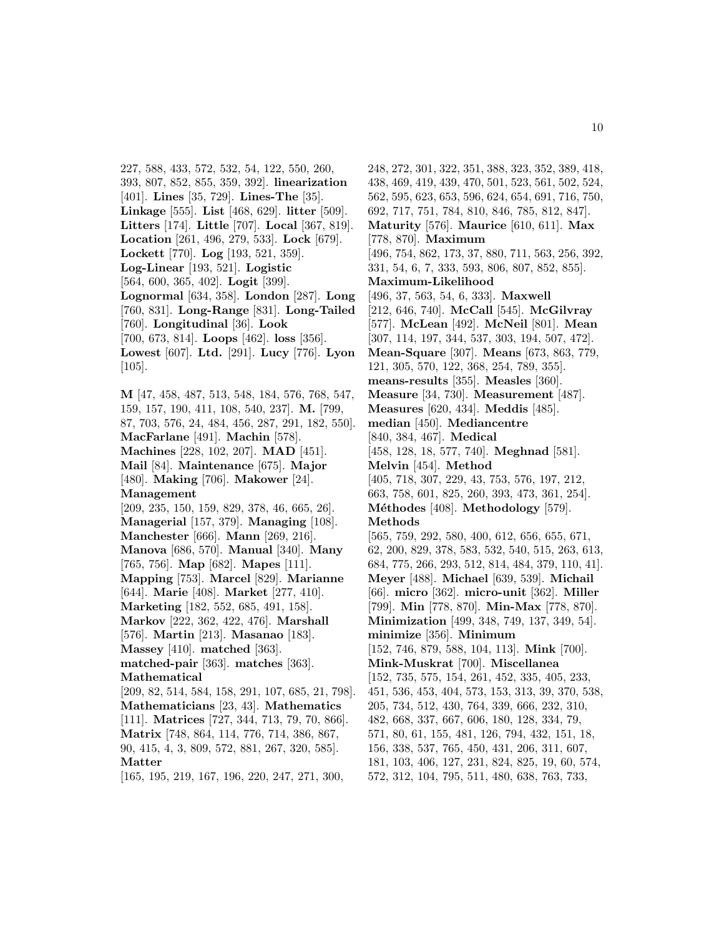227, 588, 433, 572, 532, 54, 122, 550, 260, 393, 807, 852, 855, 359, 392]. **linearization** [401]. **Lines** [35, 729]. **Lines-The** [35]. **Linkage** [555]. **List** [468, 629]. **litter** [509]. **Litters** [174]. **Little** [707]. **Local** [367, 819]. **Location** [261, 496, 279, 533]. **Lock** [679]. **Lockett** [770]. **Log** [193, 521, 359]. **Log-Linear** [193, 521]. **Logistic** [564, 600, 365, 402]. **Logit** [399]. **Lognormal** [634, 358]. **London** [287]. **Long** [760, 831]. **Long-Range** [831]. **Long-Tailed** [760]. **Longitudinal** [36]. **Look** [700, 673, 814]. **Loops** [462]. **loss** [356]. **Lowest** [607]. **Ltd.** [291]. **Lucy** [776]. **Lyon** [105]. **M** [47, 458, 487, 513, 548, 184, 576, 768, 547,

159, 157, 190, 411, 108, 540, 237]. **M.** [799, 87, 703, 576, 24, 484, 456, 287, 291, 182, 550]. **MacFarlane** [491]. **Machin** [578]. **Machines** [228, 102, 207]. **MAD** [451]. **Mail** [84]. **Maintenance** [675]. **Major** [480]. **Making** [706]. **Makower** [24]. **Management** [209, 235, 150, 159, 829, 378, 46, 665, 26]. **Managerial** [157, 379]. **Managing** [108]. **Manchester** [666]. **Mann** [269, 216]. **Manova** [686, 570]. **Manual** [340]. **Many** [765, 756]. **Map** [682]. **Mapes** [111]. **Mapping** [753]. **Marcel** [829]. **Marianne** [644]. **Marie** [408]. **Market** [277, 410]. **Marketing** [182, 552, 685, 491, 158]. **Markov** [222, 362, 422, 476]. **Marshall** [576]. **Martin** [213]. **Masanao** [183]. **Massey** [410]. **matched** [363]. **matched-pair** [363]. **matches** [363]. **Mathematical** [209, 82, 514, 584, 158, 291, 107, 685, 21, 798]. **Mathematicians** [23, 43]. **Mathematics** [111]. **Matrices** [727, 344, 713, 79, 70, 866]. **Matrix** [748, 864, 114, 776, 714, 386, 867,

90, 415, 4, 3, 809, 572, 881, 267, 320, 585]. **Matter**

[165, 195, 219, 167, 196, 220, 247, 271, 300,

248, 272, 301, 322, 351, 388, 323, 352, 389, 418, 438, 469, 419, 439, 470, 501, 523, 561, 502, 524, 562, 595, 623, 653, 596, 624, 654, 691, 716, 750, 692, 717, 751, 784, 810, 846, 785, 812, 847]. **Maturity** [576]. **Maurice** [610, 611]. **Max** [778, 870]. **Maximum** [496, 754, 862, 173, 37, 880, 711, 563, 256, 392, 331, 54, 6, 7, 333, 593, 806, 807, 852, 855]. **Maximum-Likelihood** [496, 37, 563, 54, 6, 333]. **Maxwell** [212, 646, 740]. **McCall** [545]. **McGilvray** [577]. **McLean** [492]. **McNeil** [801]. **Mean** [307, 114, 197, 344, 537, 303, 194, 507, 472]. **Mean-Square** [307]. **Means** [673, 863, 779, 121, 305, 570, 122, 368, 254, 789, 355]. **means-results** [355]. **Measles** [360]. **Measure** [34, 730]. **Measurement** [487]. **Measures** [620, 434]. **Meddis** [485]. **median** [450]. **Mediancentre** [840, 384, 467]. **Medical** [458, 128, 18, 577, 740]. **Meghnad** [581]. **Melvin** [454]. **Method** [405, 718, 307, 229, 43, 753, 576, 197, 212, 663, 758, 601, 825, 260, 393, 473, 361, 254]. **M´ethodes** [408]. **Methodology** [579]. **Methods** [565, 759, 292, 580, 400, 612, 656, 655, 671, 62, 200, 829, 378, 583, 532, 540, 515, 263, 613, 684, 775, 266, 293, 512, 814, 484, 379, 110, 41]. **Meyer** [488]. **Michael** [639, 539]. **Michail** [66]. **micro** [362]. **micro-unit** [362]. **Miller** [799]. **Min** [778, 870]. **Min-Max** [778, 870]. **Minimization** [499, 348, 749, 137, 349, 54]. **minimize** [356]. **Minimum** [152, 746, 879, 588, 104, 113]. **Mink** [700]. **Mink-Muskrat** [700]. **Miscellanea** [152, 735, 575, 154, 261, 452, 335, 405, 233, 451, 536, 453, 404, 573, 153, 313, 39, 370, 538, 205, 734, 512, 430, 764, 339, 666, 232, 310, 482, 668, 337, 667, 606, 180, 128, 334, 79, 571, 80, 61, 155, 481, 126, 794, 432, 151, 18, 156, 338, 537, 765, 450, 431, 206, 311, 607, 181, 103, 406, 127, 231, 824, 825, 19, 60, 574, 572, 312, 104, 795, 511, 480, 638, 763, 733,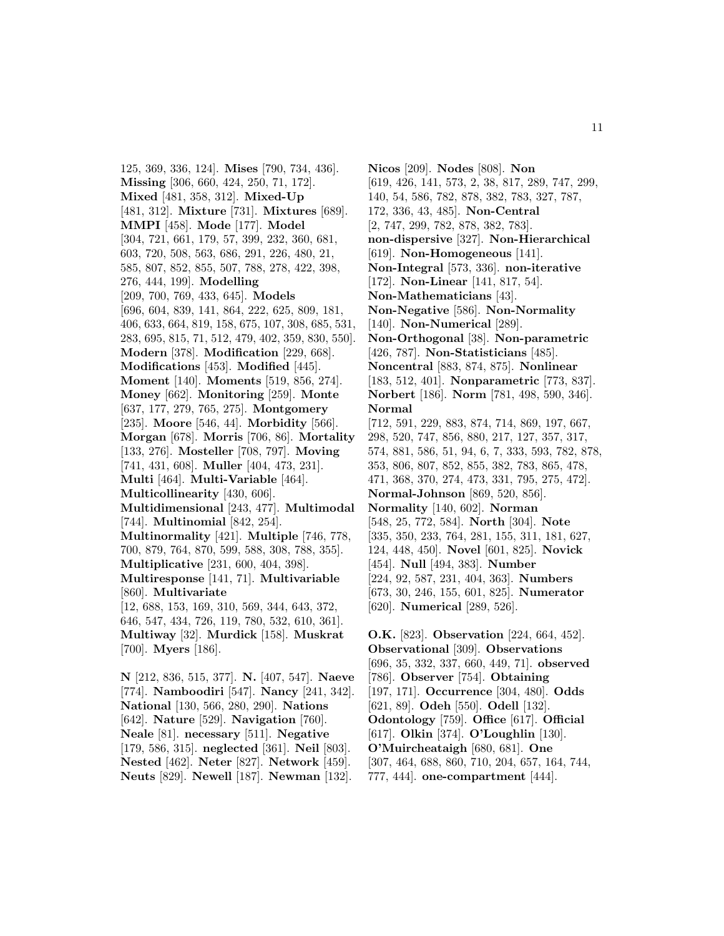125, 369, 336, 124]. **Mises** [790, 734, 436]. **Missing** [306, 660, 424, 250, 71, 172]. **Mixed** [481, 358, 312]. **Mixed-Up** [481, 312]. **Mixture** [731]. **Mixtures** [689]. **MMPI** [458]. **Mode** [177]. **Model** [304, 721, 661, 179, 57, 399, 232, 360, 681, 603, 720, 508, 563, 686, 291, 226, 480, 21, 585, 807, 852, 855, 507, 788, 278, 422, 398, 276, 444, 199]. **Modelling** [209, 700, 769, 433, 645]. **Models** [696, 604, 839, 141, 864, 222, 625, 809, 181, 406, 633, 664, 819, 158, 675, 107, 308, 685, 531, 283, 695, 815, 71, 512, 479, 402, 359, 830, 550]. **Modern** [378]. **Modification** [229, 668]. **Modifications** [453]. **Modified** [445]. **Moment** [140]. **Moments** [519, 856, 274]. **Money** [662]. **Monitoring** [259]. **Monte** [637, 177, 279, 765, 275]. **Montgomery** [235]. **Moore** [546, 44]. **Morbidity** [566]. **Morgan** [678]. **Morris** [706, 86]. **Mortality** [133, 276]. **Mosteller** [708, 797]. **Moving** [741, 431, 608]. **Muller** [404, 473, 231]. **Multi** [464]. **Multi-Variable** [464]. **Multicollinearity** [430, 606]. **Multidimensional** [243, 477]. **Multimodal** [744]. **Multinomial** [842, 254]. **Multinormality** [421]. **Multiple** [746, 778, 700, 879, 764, 870, 599, 588, 308, 788, 355]. **Multiplicative** [231, 600, 404, 398]. **Multiresponse** [141, 71]. **Multivariable** [860]. **Multivariate** [12, 688, 153, 169, 310, 569, 344, 643, 372, 646, 547, 434, 726, 119, 780, 532, 610, 361]. **Multiway** [32]. **Murdick** [158]. **Muskrat** [700]. **Myers** [186]. **N** [212, 836, 515, 377]. **N.** [407, 547]. **Naeve** [774]. **Namboodiri** [547]. **Nancy** [241, 342].

**National** [130, 566, 280, 290]. **Nations** [642]. **Nature** [529]. **Navigation** [760]. **Neale** [81]. **necessary** [511]. **Negative** [179, 586, 315]. **neglected** [361]. **Neil** [803]. **Nested** [462]. **Neter** [827]. **Network** [459]. **Neuts** [829]. **Newell** [187]. **Newman** [132].

**Nicos** [209]. **Nodes** [808]. **Non** [619, 426, 141, 573, 2, 38, 817, 289, 747, 299, 140, 54, 586, 782, 878, 382, 783, 327, 787, 172, 336, 43, 485]. **Non-Central** [2, 747, 299, 782, 878, 382, 783]. **non-dispersive** [327]. **Non-Hierarchical** [619]. **Non-Homogeneous** [141]. **Non-Integral** [573, 336]. **non-iterative** [172]. **Non-Linear** [141, 817, 54]. **Non-Mathematicians** [43]. **Non-Negative** [586]. **Non-Normality** [140]. **Non-Numerical** [289]. **Non-Orthogonal** [38]. **Non-parametric** [426, 787]. **Non-Statisticians** [485]. **Noncentral** [883, 874, 875]. **Nonlinear** [183, 512, 401]. **Nonparametric** [773, 837]. **Norbert** [186]. **Norm** [781, 498, 590, 346]. **Normal** [712, 591, 229, 883, 874, 714, 869, 197, 667, 298, 520, 747, 856, 880, 217, 127, 357, 317, 574, 881, 586, 51, 94, 6, 7, 333, 593, 782, 878, 353, 806, 807, 852, 855, 382, 783, 865, 478, 471, 368, 370, 274, 473, 331, 795, 275, 472]. **Normal-Johnson** [869, 520, 856]. **Normality** [140, 602]. **Norman** [548, 25, 772, 584]. **North** [304]. **Note** [335, 350, 233, 764, 281, 155, 311, 181, 627, 124, 448, 450]. **Novel** [601, 825]. **Novick** [454]. **Null** [494, 383]. **Number** [224, 92, 587, 231, 404, 363]. **Numbers** [673, 30, 246, 155, 601, 825]. **Numerator** [620]. **Numerical** [289, 526].

**O.K.** [823]. **Observation** [224, 664, 452]. **Observational** [309]. **Observations** [696, 35, 332, 337, 660, 449, 71]. **observed** [786]. **Observer** [754]. **Obtaining** [197, 171]. **Occurrence** [304, 480]. **Odds** [621, 89]. **Odeh** [550]. **Odell** [132]. **Odontology** [759]. **Office** [617]. **Official** [617]. **Olkin** [374]. **O'Loughlin** [130]. **O'Muircheataigh** [680, 681]. **One** [307, 464, 688, 860, 710, 204, 657, 164, 744, 777, 444]. **one-compartment** [444].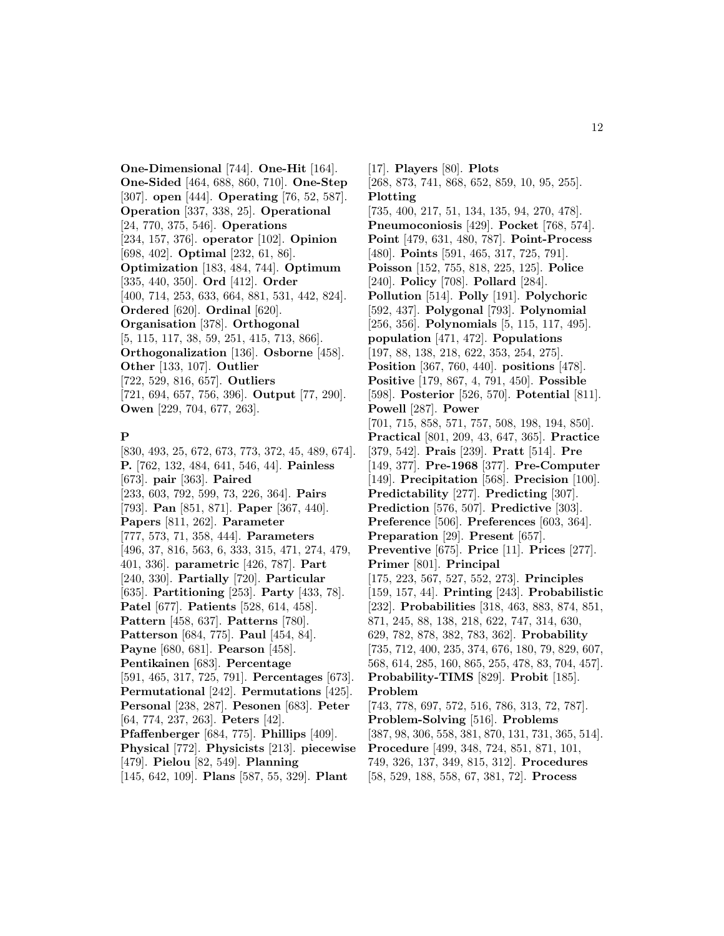**One-Dimensional** [744]. **One-Hit** [164]. **One-Sided** [464, 688, 860, 710]. **One-Step** [307]. **open** [444]. **Operating** [76, 52, 587]. **Operation** [337, 338, 25]. **Operational** [24, 770, 375, 546]. **Operations** [234, 157, 376]. **operator** [102]. **Opinion** [698, 402]. **Optimal** [232, 61, 86]. **Optimization** [183, 484, 744]. **Optimum** [335, 440, 350]. **Ord** [412]. **Order** [400, 714, 253, 633, 664, 881, 531, 442, 824]. **Ordered** [620]. **Ordinal** [620]. **Organisation** [378]. **Orthogonal** [5, 115, 117, 38, 59, 251, 415, 713, 866]. **Orthogonalization** [136]. **Osborne** [458]. **Other** [133, 107]. **Outlier** [722, 529, 816, 657]. **Outliers** [721, 694, 657, 756, 396]. **Output** [77, 290]. **Owen** [229, 704, 677, 263].

### **P**

[830, 493, 25, 672, 673, 773, 372, 45, 489, 674]. **P.** [762, 132, 484, 641, 546, 44]. **Painless** [673]. **pair** [363]. **Paired** [233, 603, 792, 599, 73, 226, 364]. **Pairs** [793]. **Pan** [851, 871]. **Paper** [367, 440]. **Papers** [811, 262]. **Parameter** [777, 573, 71, 358, 444]. **Parameters** [496, 37, 816, 563, 6, 333, 315, 471, 274, 479, 401, 336]. **parametric** [426, 787]. **Part** [240, 330]. **Partially** [720]. **Particular** [635]. **Partitioning** [253]. **Party** [433, 78]. **Patel** [677]. **Patients** [528, 614, 458]. **Pattern** [458, 637]. **Patterns** [780]. **Patterson** [684, 775]. **Paul** [454, 84]. **Payne** [680, 681]. **Pearson** [458]. **Pentikainen** [683]. **Percentage** [591, 465, 317, 725, 791]. **Percentages** [673]. **Permutational** [242]. **Permutations** [425]. **Personal** [238, 287]. **Pesonen** [683]. **Peter** [64, 774, 237, 263]. **Peters** [42]. **Pfaffenberger** [684, 775]. **Phillips** [409]. **Physical** [772]. **Physicists** [213]. **piecewise** [479]. **Pielou** [82, 549]. **Planning**

[145, 642, 109]. **Plans** [587, 55, 329]. **Plant**

[17]. **Players** [80]. **Plots** [268, 873, 741, 868, 652, 859, 10, 95, 255]. **Plotting** [735, 400, 217, 51, 134, 135, 94, 270, 478]. **Pneumoconiosis** [429]. **Pocket** [768, 574]. **Point** [479, 631, 480, 787]. **Point-Process** [480]. **Points** [591, 465, 317, 725, 791]. **Poisson** [152, 755, 818, 225, 125]. **Police** [240]. **Policy** [708]. **Pollard** [284]. **Pollution** [514]. **Polly** [191]. **Polychoric** [592, 437]. **Polygonal** [793]. **Polynomial** [256, 356]. **Polynomials** [5, 115, 117, 495]. **population** [471, 472]. **Populations** [197, 88, 138, 218, 622, 353, 254, 275]. **Position** [367, 760, 440]. **positions** [478]. **Positive** [179, 867, 4, 791, 450]. **Possible** [598]. **Posterior** [526, 570]. **Potential** [811]. **Powell** [287]. **Power** [701, 715, 858, 571, 757, 508, 198, 194, 850]. **Practical** [801, 209, 43, 647, 365]. **Practice** [379, 542]. **Prais** [239]. **Pratt** [514]. **Pre** [149, 377]. **Pre-1968** [377]. **Pre-Computer** [149]. **Precipitation** [568]. **Precision** [100]. **Predictability** [277]. **Predicting** [307]. **Prediction** [576, 507]. **Predictive** [303]. **Preference** [506]. **Preferences** [603, 364]. **Preparation** [29]. **Present** [657]. **Preventive** [675]. **Price** [11]. **Prices** [277]. **Primer** [801]. **Principal** [175, 223, 567, 527, 552, 273]. **Principles** [159, 157, 44]. **Printing** [243]. **Probabilistic** [232]. **Probabilities** [318, 463, 883, 874, 851, 871, 245, 88, 138, 218, 622, 747, 314, 630, 629, 782, 878, 382, 783, 362]. **Probability** [735, 712, 400, 235, 374, 676, 180, 79, 829, 607, 568, 614, 285, 160, 865, 255, 478, 83, 704, 457]. **Probability-TIMS** [829]. **Probit** [185]. **Problem** [743, 778, 697, 572, 516, 786, 313, 72, 787]. **Problem-Solving** [516]. **Problems** [387, 98, 306, 558, 381, 870, 131, 731, 365, 514]. **Procedure** [499, 348, 724, 851, 871, 101, 749, 326, 137, 349, 815, 312]. **Procedures** [58, 529, 188, 558, 67, 381, 72]. **Process**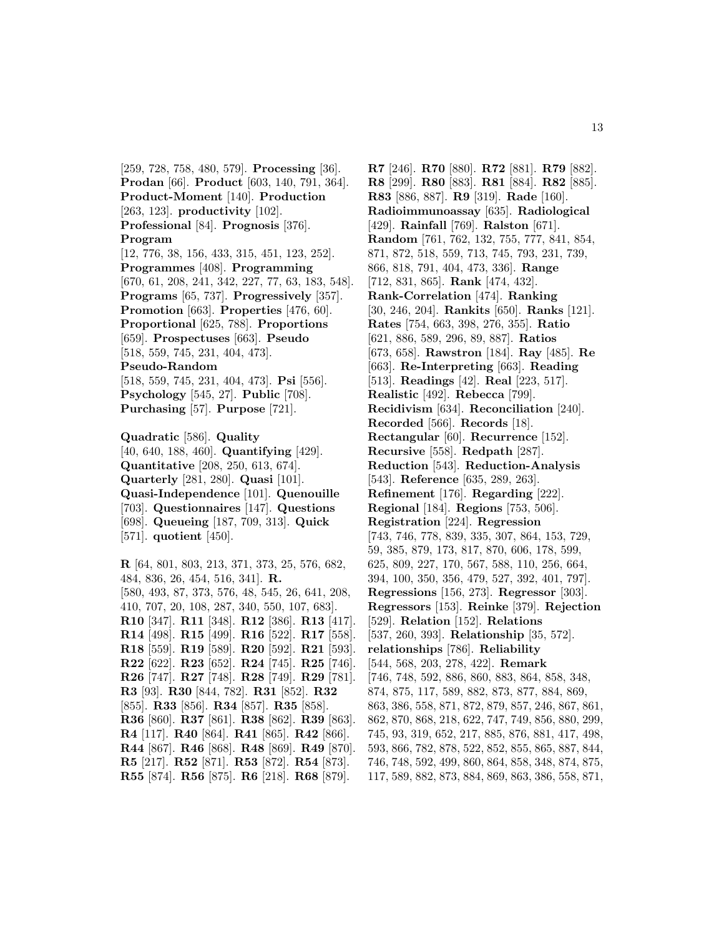[259, 728, 758, 480, 579]. **Processing** [36]. **Prodan** [66]. **Product** [603, 140, 791, 364]. **Product-Moment** [140]. **Production** [263, 123]. **productivity** [102]. **Professional** [84]. **Prognosis** [376]. **Program** [12, 776, 38, 156, 433, 315, 451, 123, 252]. **Programmes** [408]. **Programming** [670, 61, 208, 241, 342, 227, 77, 63, 183, 548]. **Programs** [65, 737]. **Progressively** [357]. **Promotion** [663]. **Properties** [476, 60]. **Proportional** [625, 788]. **Proportions** [659]. **Prospectuses** [663]. **Pseudo** [518, 559, 745, 231, 404, 473]. **Pseudo-Random** [518, 559, 745, 231, 404, 473]. **Psi** [556]. **Psychology** [545, 27]. **Public** [708]. **Purchasing** [57]. **Purpose** [721].

**Quadratic** [586]. **Quality** [40, 640, 188, 460]. **Quantifying** [429]. **Quantitative** [208, 250, 613, 674]. **Quarterly** [281, 280]. **Quasi** [101]. **Quasi-Independence** [101]. **Quenouille** [703]. **Questionnaires** [147]. **Questions** [698]. **Queueing** [187, 709, 313]. **Quick** [571]. **quotient** [450].

**R** [64, 801, 803, 213, 371, 373, 25, 576, 682, 484, 836, 26, 454, 516, 341]. **R.** [580, 493, 87, 373, 576, 48, 545, 26, 641, 208, 410, 707, 20, 108, 287, 340, 550, 107, 683]. **R10** [347]. **R11** [348]. **R12** [386]. **R13** [417]. **R14** [498]. **R15** [499]. **R16** [522]. **R17** [558]. **R18** [559]. **R19** [589]. **R20** [592]. **R21** [593]. **R22** [622]. **R23** [652]. **R24** [745]. **R25** [746]. **R26** [747]. **R27** [748]. **R28** [749]. **R29** [781]. **R3** [93]. **R30** [844, 782]. **R31** [852]. **R32** [855]. **R33** [856]. **R34** [857]. **R35** [858]. **R36** [860]. **R37** [861]. **R38** [862]. **R39** [863]. **R4** [117]. **R40** [864]. **R41** [865]. **R42** [866]. **R44** [867]. **R46** [868]. **R48** [869]. **R49** [870]. **R5** [217]. **R52** [871]. **R53** [872]. **R54** [873]. **R55** [874]. **R56** [875]. **R6** [218]. **R68** [879].

**R7** [246]. **R70** [880]. **R72** [881]. **R79** [882]. **R8** [299]. **R80** [883]. **R81** [884]. **R82** [885]. **R83** [886, 887]. **R9** [319]. **Rade** [160]. **Radioimmunoassay** [635]. **Radiological** [429]. **Rainfall** [769]. **Ralston** [671]. **Random** [761, 762, 132, 755, 777, 841, 854, 871, 872, 518, 559, 713, 745, 793, 231, 739, 866, 818, 791, 404, 473, 336]. **Range** [712, 831, 865]. **Rank** [474, 432]. **Rank-Correlation** [474]. **Ranking** [30, 246, 204]. **Rankits** [650]. **Ranks** [121]. **Rates** [754, 663, 398, 276, 355]. **Ratio** [621, 886, 589, 296, 89, 887]. **Ratios** [673, 658]. **Rawstron** [184]. **Ray** [485]. **Re** [663]. **Re-Interpreting** [663]. **Reading** [513]. **Readings** [42]. **Real** [223, 517]. **Realistic** [492]. **Rebecca** [799]. **Recidivism** [634]. **Reconciliation** [240]. **Recorded** [566]. **Records** [18]. **Rectangular** [60]. **Recurrence** [152]. **Recursive** [558]. **Redpath** [287]. **Reduction** [543]. **Reduction-Analysis** [543]. **Reference** [635, 289, 263]. **Refinement** [176]. **Regarding** [222]. **Regional** [184]. **Regions** [753, 506]. **Registration** [224]. **Regression** [743, 746, 778, 839, 335, 307, 864, 153, 729, 59, 385, 879, 173, 817, 870, 606, 178, 599, 625, 809, 227, 170, 567, 588, 110, 256, 664, 394, 100, 350, 356, 479, 527, 392, 401, 797]. **Regressions** [156, 273]. **Regressor** [303]. **Regressors** [153]. **Reinke** [379]. **Rejection** [529]. **Relation** [152]. **Relations** [537, 260, 393]. **Relationship** [35, 572]. **relationships** [786]. **Reliability** [544, 568, 203, 278, 422]. **Remark** [746, 748, 592, 886, 860, 883, 864, 858, 348, 874, 875, 117, 589, 882, 873, 877, 884, 869, 863, 386, 558, 871, 872, 879, 857, 246, 867, 861, 862, 870, 868, 218, 622, 747, 749, 856, 880, 299, 745, 93, 319, 652, 217, 885, 876, 881, 417, 498, 593, 866, 782, 878, 522, 852, 855, 865, 887, 844, 746, 748, 592, 499, 860, 864, 858, 348, 874, 875, 117, 589, 882, 873, 884, 869, 863, 386, 558, 871,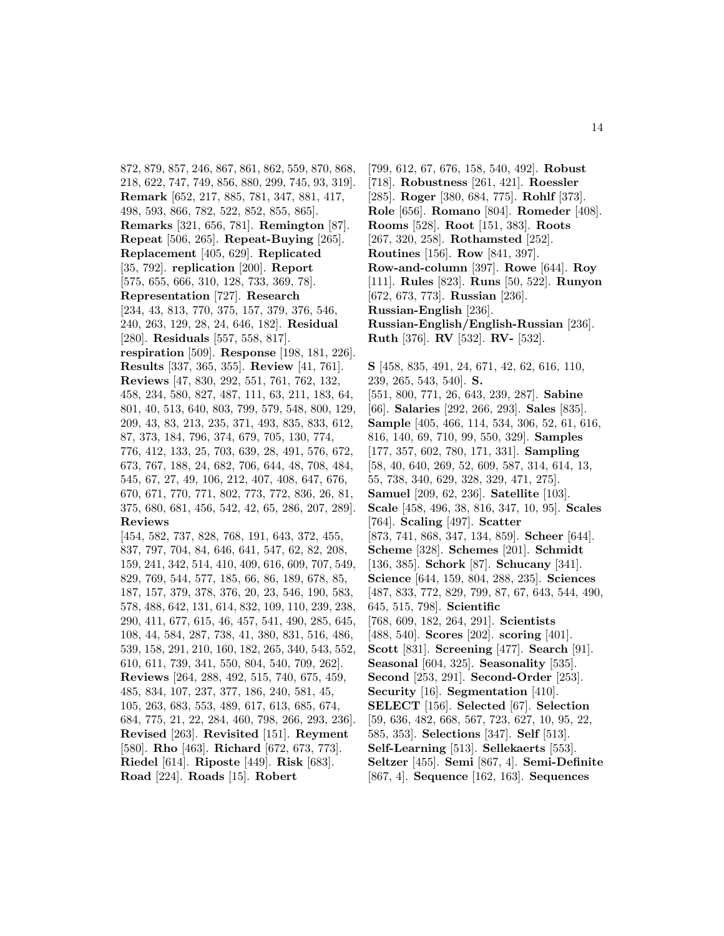872, 879, 857, 246, 867, 861, 862, 559, 870, 868, 218, 622, 747, 749, 856, 880, 299, 745, 93, 319]. **Remark** [652, 217, 885, 781, 347, 881, 417, 498, 593, 866, 782, 522, 852, 855, 865]. **Remarks** [321, 656, 781]. **Remington** [87]. **Repeat** [506, 265]. **Repeat-Buying** [265]. **Replacement** [405, 629]. **Replicated** [35, 792]. **replication** [200]. **Report** [575, 655, 666, 310, 128, 733, 369, 78]. **Representation** [727]. **Research** [234, 43, 813, 770, 375, 157, 379, 376, 546, 240, 263, 129, 28, 24, 646, 182]. **Residual** [280]. **Residuals** [557, 558, 817]. **respiration** [509]. **Response** [198, 181, 226]. **Results** [337, 365, 355]. **Review** [41, 761]. **Reviews** [47, 830, 292, 551, 761, 762, 132, 458, 234, 580, 827, 487, 111, 63, 211, 183, 64, 801, 40, 513, 640, 803, 799, 579, 548, 800, 129, 209, 43, 83, 213, 235, 371, 493, 835, 833, 612, 87, 373, 184, 796, 374, 679, 705, 130, 774, 776, 412, 133, 25, 703, 639, 28, 491, 576, 672, 673, 767, 188, 24, 682, 706, 644, 48, 708, 484, 545, 67, 27, 49, 106, 212, 407, 408, 647, 676, 670, 671, 770, 771, 802, 773, 772, 836, 26, 81, 375, 680, 681, 456, 542, 42, 65, 286, 207, 289]. **Reviews** [454, 582, 737, 828, 768, 191, 643, 372, 455, 837, 797, 704, 84, 646, 641, 547, 62, 82, 208, 159, 241, 342, 514, 410, 409, 616, 609, 707, 549, 829, 769, 544, 577, 185, 66, 86, 189, 678, 85, 187, 157, 379, 378, 376, 20, 23, 546, 190, 583, 578, 488, 642, 131, 614, 832, 109, 110, 239, 238, 290, 411, 677, 615, 46, 457, 541, 490, 285, 645, 108, 44, 584, 287, 738, 41, 380, 831, 516, 486, 539, 158, 291, 210, 160, 182, 265, 340, 543, 552, 610, 611, 739, 341, 550, 804, 540, 709, 262]. **Reviews** [264, 288, 492, 515, 740, 675, 459, 485, 834, 107, 237, 377, 186, 240, 581, 45, 105, 263, 683, 553, 489, 617, 613, 685, 674, 684, 775, 21, 22, 284, 460, 798, 266, 293, 236]. **Revised** [263]. **Revisited** [151]. **Reyment** [580]. **Rho** [463]. **Richard** [672, 673, 773]. **Riedel** [614]. **Riposte** [449]. **Risk** [683].

**Road** [224]. **Roads** [15]. **Robert**

[799, 612, 67, 676, 158, 540, 492]. **Robust** [718]. **Robustness** [261, 421]. **Roessler** [285]. **Roger** [380, 684, 775]. **Rohlf** [373]. **Role** [656]. **Romano** [804]. **Romeder** [408]. **Rooms** [528]. **Root** [151, 383]. **Roots** [267, 320, 258]. **Rothamsted** [252]. **Routines** [156]. **Row** [841, 397]. **Row-and-column** [397]. **Rowe** [644]. **Roy** [111]. **Rules** [823]. **Runs** [50, 522]. **Runyon** [672, 673, 773]. **Russian** [236]. **Russian-English** [236]. **Russian-English/English-Russian** [236]. **Ruth** [376]. **RV** [532]. **RV-** [532].

**S** [458, 835, 491, 24, 671, 42, 62, 616, 110, 239, 265, 543, 540]. **S.** [551, 800, 771, 26, 643, 239, 287]. **Sabine** [66]. **Salaries** [292, 266, 293]. **Sales** [835]. **Sample** [405, 466, 114, 534, 306, 52, 61, 616, 816, 140, 69, 710, 99, 550, 329]. **Samples** [177, 357, 602, 780, 171, 331]. **Sampling** [58, 40, 640, 269, 52, 609, 587, 314, 614, 13, 55, 738, 340, 629, 328, 329, 471, 275]. **Samuel** [209, 62, 236]. **Satellite** [103]. **Scale** [458, 496, 38, 816, 347, 10, 95]. **Scales** [764]. **Scaling** [497]. **Scatter** [873, 741, 868, 347, 134, 859]. **Scheer** [644]. **Scheme** [328]. **Schemes** [201]. **Schmidt** [136, 385]. **Schork** [87]. **Schucany** [341]. **Science** [644, 159, 804, 288, 235]. **Sciences** [487, 833, 772, 829, 799, 87, 67, 643, 544, 490, 645, 515, 798]. **Scientific** [768, 609, 182, 264, 291]. **Scientists** [488, 540]. **Scores** [202]. **scoring** [401]. **Scott** [831]. **Screening** [477]. **Search** [91]. **Seasonal** [604, 325]. **Seasonality** [535]. **Second** [253, 291]. **Second-Order** [253]. **Security** [16]. **Segmentation** [410]. **SELECT** [156]. **Selected** [67]. **Selection** [59, 636, 482, 668, 567, 723, 627, 10, 95, 22, 585, 353]. **Selections** [347]. **Self** [513]. **Self-Learning** [513]. **Sellekaerts** [553]. **Seltzer** [455]. **Semi** [867, 4]. **Semi-Definite** [867, 4]. **Sequence** [162, 163]. **Sequences**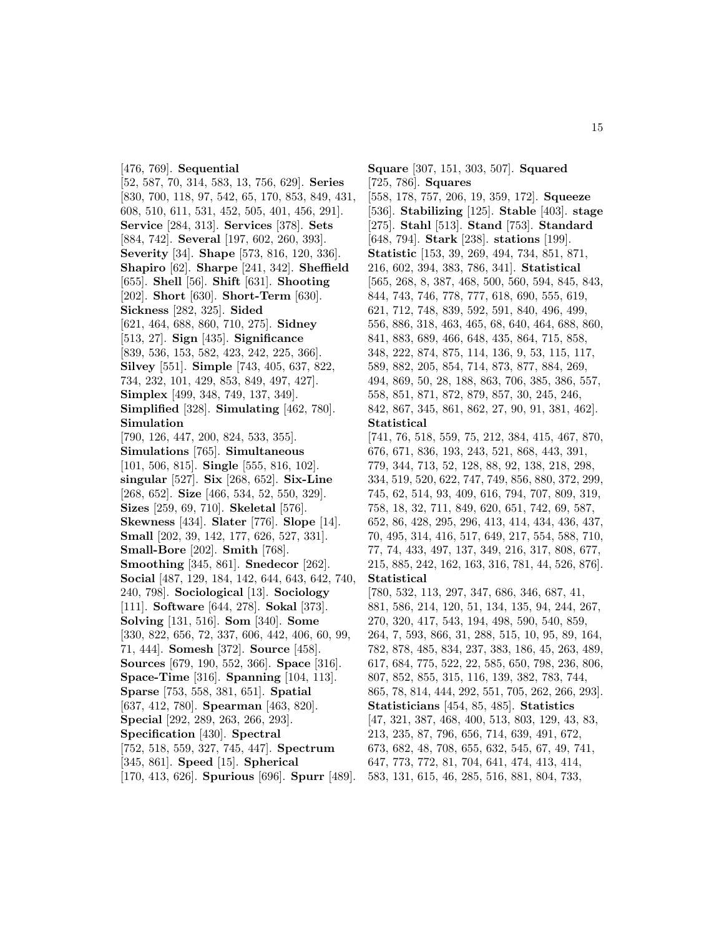[476, 769]. **Sequential** [52, 587, 70, 314, 583, 13, 756, 629]. **Series** [830, 700, 118, 97, 542, 65, 170, 853, 849, 431, 608, 510, 611, 531, 452, 505, 401, 456, 291]. **Service** [284, 313]. **Services** [378]. **Sets** [884, 742]. **Several** [197, 602, 260, 393]. **Severity** [34]. **Shape** [573, 816, 120, 336]. **Shapiro** [62]. **Sharpe** [241, 342]. **Sheffield** [655]. **Shell** [56]. **Shift** [631]. **Shooting** [202]. **Short** [630]. **Short-Term** [630]. **Sickness** [282, 325]. **Sided** [621, 464, 688, 860, 710, 275]. **Sidney** [513, 27]. **Sign** [435]. **Significance** [839, 536, 153, 582, 423, 242, 225, 366]. **Silvey** [551]. **Simple** [743, 405, 637, 822, 734, 232, 101, 429, 853, 849, 497, 427]. **Simplex** [499, 348, 749, 137, 349]. **Simplified** [328]. **Simulating** [462, 780]. **Simulation** [790, 126, 447, 200, 824, 533, 355]. **Simulations** [765]. **Simultaneous** [101, 506, 815]. **Single** [555, 816, 102]. **singular** [527]. **Six** [268, 652]. **Six-Line** [268, 652]. **Size** [466, 534, 52, 550, 329]. **Sizes** [259, 69, 710]. **Skeletal** [576]. **Skewness** [434]. **Slater** [776]. **Slope** [14]. **Small** [202, 39, 142, 177, 626, 527, 331]. **Small-Bore** [202]. **Smith** [768]. **Smoothing** [345, 861]. **Snedecor** [262]. **Social** [487, 129, 184, 142, 644, 643, 642, 740, 240, 798]. **Sociological** [13]. **Sociology** [111]. **Software** [644, 278]. **Sokal** [373]. **Solving** [131, 516]. **Som** [340]. **Some** [330, 822, 656, 72, 337, 606, 442, 406, 60, 99, 71, 444]. **Somesh** [372]. **Source** [458]. **Sources** [679, 190, 552, 366]. **Space** [316]. **Space-Time** [316]. **Spanning** [104, 113]. **Sparse** [753, 558, 381, 651]. **Spatial** [637, 412, 780]. **Spearman** [463, 820]. **Special** [292, 289, 263, 266, 293]. **Specification** [430]. **Spectral** [752, 518, 559, 327, 745, 447]. **Spectrum** [345, 861]. **Speed** [15]. **Spherical**

[170, 413, 626]. **Spurious** [696]. **Spurr** [489].

**Square** [307, 151, 303, 507]. **Squared** [725, 786]. **Squares** [558, 178, 757, 206, 19, 359, 172]. **Squeeze** [536]. **Stabilizing** [125]. **Stable** [403]. **stage** [275]. **Stahl** [513]. **Stand** [753]. **Standard** [648, 794]. **Stark** [238]. **stations** [199]. **Statistic** [153, 39, 269, 494, 734, 851, 871, 216, 602, 394, 383, 786, 341]. **Statistical** [565, 268, 8, 387, 468, 500, 560, 594, 845, 843, 844, 743, 746, 778, 777, 618, 690, 555, 619, 621, 712, 748, 839, 592, 591, 840, 496, 499, 556, 886, 318, 463, 465, 68, 640, 464, 688, 860, 841, 883, 689, 466, 648, 435, 864, 715, 858, 348, 222, 874, 875, 114, 136, 9, 53, 115, 117, 589, 882, 205, 854, 714, 873, 877, 884, 269, 494, 869, 50, 28, 188, 863, 706, 385, 386, 557, 558, 851, 871, 872, 879, 857, 30, 245, 246, 842, 867, 345, 861, 862, 27, 90, 91, 381, 462]. **Statistical** [741, 76, 518, 559, 75, 212, 384, 415, 467, 870, 676, 671, 836, 193, 243, 521, 868, 443, 391, 779, 344, 713, 52, 128, 88, 92, 138, 218, 298, 334, 519, 520, 622, 747, 749, 856, 880, 372, 299, 745, 62, 514, 93, 409, 616, 794, 707, 809, 319, 758, 18, 32, 711, 849, 620, 651, 742, 69, 587, 652, 86, 428, 295, 296, 413, 414, 434, 436, 437, 70, 495, 314, 416, 517, 649, 217, 554, 588, 710, 77, 74, 433, 497, 137, 349, 216, 317, 808, 677, 215, 885, 242, 162, 163, 316, 781, 44, 526, 876]. **Statistical** [780, 532, 113, 297, 347, 686, 346, 687, 41, 881, 586, 214, 120, 51, 134, 135, 94, 244, 267, 270, 320, 417, 543, 194, 498, 590, 540, 859, 264, 7, 593, 866, 31, 288, 515, 10, 95, 89, 164, 782, 878, 485, 834, 237, 383, 186, 45, 263, 489, 617, 684, 775, 522, 22, 585, 650, 798, 236, 806, 807, 852, 855, 315, 116, 139, 382, 783, 744, 865, 78, 814, 444, 292, 551, 705, 262, 266, 293]. **Statisticians** [454, 85, 485]. **Statistics** [47, 321, 387, 468, 400, 513, 803, 129, 43, 83, 213, 235, 87, 796, 656, 714, 639, 491, 672, 673, 682, 48, 708, 655, 632, 545, 67, 49, 741, 647, 773, 772, 81, 704, 641, 474, 413, 414,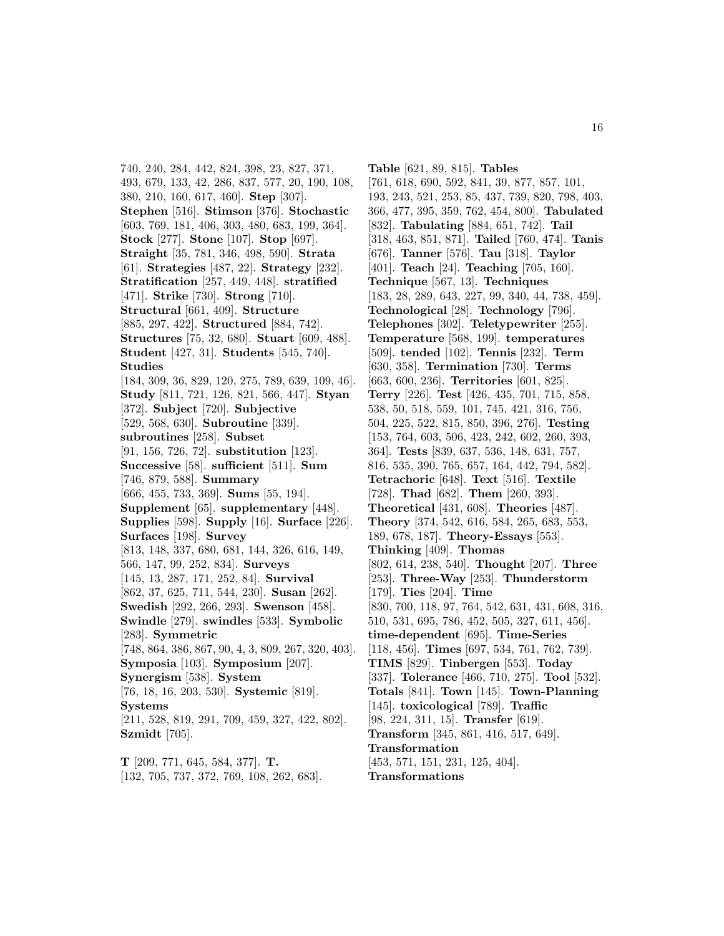740, 240, 284, 442, 824, 398, 23, 827, 371, 493, 679, 133, 42, 286, 837, 577, 20, 190, 108, 380, 210, 160, 617, 460]. **Step** [307]. **Stephen** [516]. **Stimson** [376]. **Stochastic** [603, 769, 181, 406, 303, 480, 683, 199, 364]. **Stock** [277]. **Stone** [107]. **Stop** [697]. **Straight** [35, 781, 346, 498, 590]. **Strata** [61]. **Strategies** [487, 22]. **Strategy** [232]. **Stratification** [257, 449, 448]. **stratified** [471]. **Strike** [730]. **Strong** [710]. **Structural** [661, 409]. **Structure** [885, 297, 422]. **Structured** [884, 742]. **Structures** [75, 32, 680]. **Stuart** [609, 488]. **Student** [427, 31]. **Students** [545, 740]. **Studies** [184, 309, 36, 829, 120, 275, 789, 639, 109, 46]. **Study** [811, 721, 126, 821, 566, 447]. **Styan** [372]. **Subject** [720]. **Subjective** [529, 568, 630]. **Subroutine** [339]. **subroutines** [258]. **Subset** [91, 156, 726, 72]. **substitution** [123]. **Successive** [58]. **sufficient** [511]. **Sum** [746, 879, 588]. **Summary** [666, 455, 733, 369]. **Sums** [55, 194]. **Supplement** [65]. **supplementary** [448]. **Supplies** [598]. **Supply** [16]. **Surface** [226]. **Surfaces** [198]. **Survey** [813, 148, 337, 680, 681, 144, 326, 616, 149, 566, 147, 99, 252, 834]. **Surveys** [145, 13, 287, 171, 252, 84]. **Survival** [862, 37, 625, 711, 544, 230]. **Susan** [262]. **Swedish** [292, 266, 293]. **Swenson** [458]. **Swindle** [279]. **swindles** [533]. **Symbolic** [283]. **Symmetric** [748, 864, 386, 867, 90, 4, 3, 809, 267, 320, 403]. **Symposia** [103]. **Symposium** [207]. **Synergism** [538]. **System** [76, 18, 16, 203, 530]. **Systemic** [819]. **Systems** [211, 528, 819, 291, 709, 459, 327, 422, 802]. **Szmidt** [705].

**T** [209, 771, 645, 584, 377]. **T.** [132, 705, 737, 372, 769, 108, 262, 683].

**Table** [621, 89, 815]. **Tables** [761, 618, 690, 592, 841, 39, 877, 857, 101, 193, 243, 521, 253, 85, 437, 739, 820, 798, 403, 366, 477, 395, 359, 762, 454, 800]. **Tabulated** [832]. **Tabulating** [884, 651, 742]. **Tail** [318, 463, 851, 871]. **Tailed** [760, 474]. **Tanis** [676]. **Tanner** [576]. **Tau** [318]. **Taylor** [401]. **Teach** [24]. **Teaching** [705, 160]. **Technique** [567, 13]. **Techniques** [183, 28, 289, 643, 227, 99, 340, 44, 738, 459]. **Technological** [28]. **Technology** [796]. **Telephones** [302]. **Teletypewriter** [255]. **Temperature** [568, 199]. **temperatures** [509]. **tended** [102]. **Tennis** [232]. **Term** [630, 358]. **Termination** [730]. **Terms** [663, 600, 236]. **Territories** [601, 825]. **Terry** [226]. **Test** [426, 435, 701, 715, 858, 538, 50, 518, 559, 101, 745, 421, 316, 756, 504, 225, 522, 815, 850, 396, 276]. **Testing** [153, 764, 603, 506, 423, 242, 602, 260, 393, 364]. **Tests** [839, 637, 536, 148, 631, 757, 816, 535, 390, 765, 657, 164, 442, 794, 582]. **Tetrachoric** [648]. **Text** [516]. **Textile** [728]. **Thad** [682]. **Them** [260, 393]. **Theoretical** [431, 608]. **Theories** [487]. **Theory** [374, 542, 616, 584, 265, 683, 553, 189, 678, 187]. **Theory-Essays** [553]. **Thinking** [409]. **Thomas** [802, 614, 238, 540]. **Thought** [207]. **Three** [253]. **Three-Way** [253]. **Thunderstorm** [179]. **Ties** [204]. **Time** [830, 700, 118, 97, 764, 542, 631, 431, 608, 316, 510, 531, 695, 786, 452, 505, 327, 611, 456]. **time-dependent** [695]. **Time-Series** [118, 456]. **Times** [697, 534, 761, 762, 739]. **TIMS** [829]. **Tinbergen** [553]. **Today** [337]. **Tolerance** [466, 710, 275]. **Tool** [532]. **Totals** [841]. **Town** [145]. **Town-Planning** [145]. **toxicological** [789]. **Traffic** [98, 224, 311, 15]. **Transfer** [619]. **Transform** [345, 861, 416, 517, 649]. **Transformation** [453, 571, 151, 231, 125, 404]. **Transformations**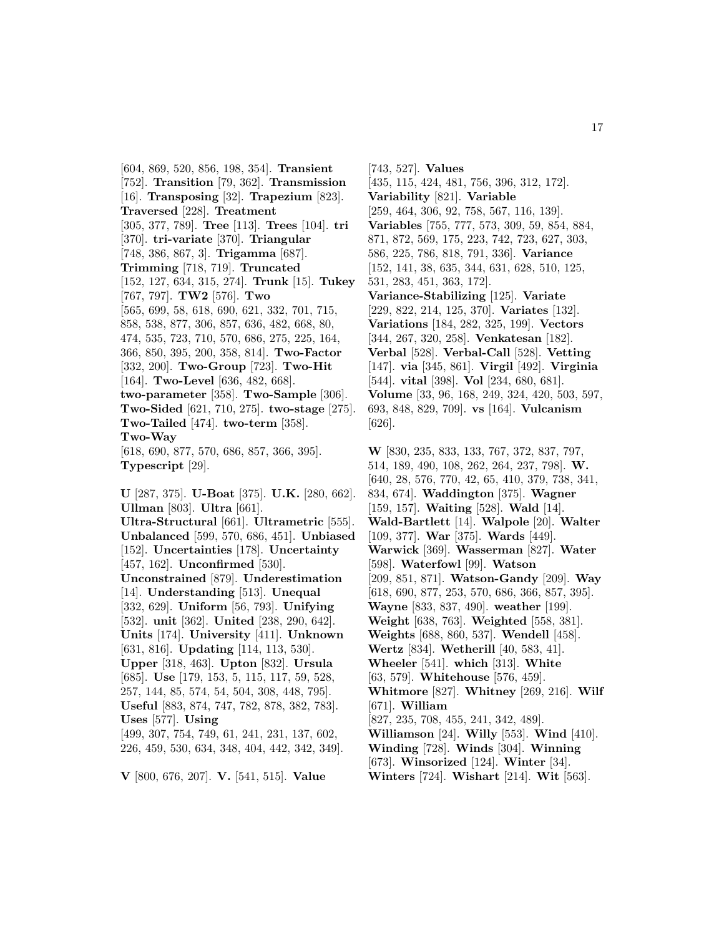[604, 869, 520, 856, 198, 354]. **Transient** [752]. **Transition** [79, 362]. **Transmission** [16]. **Transposing** [32]. **Trapezium** [823]. **Traversed** [228]. **Treatment** [305, 377, 789]. **Tree** [113]. **Trees** [104]. **tri** [370]. **tri-variate** [370]. **Triangular** [748, 386, 867, 3]. **Trigamma** [687]. **Trimming** [718, 719]. **Truncated** [152, 127, 634, 315, 274]. **Trunk** [15]. **Tukey** [767, 797]. **TW2** [576]. **Two** [565, 699, 58, 618, 690, 621, 332, 701, 715, 858, 538, 877, 306, 857, 636, 482, 668, 80, 474, 535, 723, 710, 570, 686, 275, 225, 164, 366, 850, 395, 200, 358, 814]. **Two-Factor** [332, 200]. **Two-Group** [723]. **Two-Hit** [164]. **Two-Level** [636, 482, 668]. **two-parameter** [358]. **Two-Sample** [306]. **Two-Sided** [621, 710, 275]. **two-stage** [275]. **Two-Tailed** [474]. **two-term** [358]. **Two-Way** [618, 690, 877, 570, 686, 857, 366, 395]. **Typescript** [29]. **U** [287, 375]. **U-Boat** [375]. **U.K.** [280, 662]. **Ullman** [803]. **Ultra** [661]. **Ultra-Structural** [661]. **Ultrametric** [555]. **Unbalanced** [599, 570, 686, 451]. **Unbiased** [152]. **Uncertainties** [178]. **Uncertainty** [457, 162]. **Unconfirmed** [530]. **Unconstrained** [879]. **Underestimation** [14]. **Understanding** [513]. **Unequal** [332, 629]. **Uniform** [56, 793]. **Unifying** [532]. **unit** [362]. **United** [238, 290, 642]. **Units** [174]. **University** [411]. **Unknown** [631, 816]. **Updating** [114, 113, 530]. **Upper** [318, 463]. **Upton** [832]. **Ursula** [685]. **Use** [179, 153, 5, 115, 117, 59, 528, 257, 144, 85, 574, 54, 504, 308, 448, 795]. **Useful** [883, 874, 747, 782, 878, 382, 783].

**Uses** [577]. **Using** [499, 307, 754, 749, 61, 241, 231, 137, 602, 226, 459, 530, 634, 348, 404, 442, 342, 349].

**V** [800, 676, 207]. **V.** [541, 515]. **Value**

[743, 527]. **Values** [435, 115, 424, 481, 756, 396, 312, 172]. **Variability** [821]. **Variable** [259, 464, 306, 92, 758, 567, 116, 139]. **Variables** [755, 777, 573, 309, 59, 854, 884, 871, 872, 569, 175, 223, 742, 723, 627, 303, 586, 225, 786, 818, 791, 336]. **Variance** [152, 141, 38, 635, 344, 631, 628, 510, 125, 531, 283, 451, 363, 172]. **Variance-Stabilizing** [125]. **Variate** [229, 822, 214, 125, 370]. **Variates** [132]. **Variations** [184, 282, 325, 199]. **Vectors** [344, 267, 320, 258]. **Venkatesan** [182]. **Verbal** [528]. **Verbal-Call** [528]. **Vetting** [147]. **via** [345, 861]. **Virgil** [492]. **Virginia** [544]. **vital** [398]. **Vol** [234, 680, 681]. **Volume** [33, 96, 168, 249, 324, 420, 503, 597, 693, 848, 829, 709]. **vs** [164]. **Vulcanism** [626].

**W** [830, 235, 833, 133, 767, 372, 837, 797, 514, 189, 490, 108, 262, 264, 237, 798]. **W.** [640, 28, 576, 770, 42, 65, 410, 379, 738, 341, 834, 674]. **Waddington** [375]. **Wagner** [159, 157]. **Waiting** [528]. **Wald** [14]. **Wald-Bartlett** [14]. **Walpole** [20]. **Walter** [109, 377]. **War** [375]. **Wards** [449]. **Warwick** [369]. **Wasserman** [827]. **Water** [598]. **Waterfowl** [99]. **Watson** [209, 851, 871]. **Watson-Gandy** [209]. **Way** [618, 690, 877, 253, 570, 686, 366, 857, 395]. **Wayne** [833, 837, 490]. **weather** [199]. **Weight** [638, 763]. **Weighted** [558, 381]. **Weights** [688, 860, 537]. **Wendell** [458]. **Wertz** [834]. **Wetherill** [40, 583, 41]. **Wheeler** [541]. **which** [313]. **White** [63, 579]. **Whitehouse** [576, 459]. **Whitmore** [827]. **Whitney** [269, 216]. **Wilf** [671]. **William** [827, 235, 708, 455, 241, 342, 489]. **Williamson** [24]. **Willy** [553]. **Wind** [410]. **Winding** [728]. **Winds** [304]. **Winning** [673]. **Winsorized** [124]. **Winter** [34]. **Winters** [724]. **Wishart** [214]. **Wit** [563].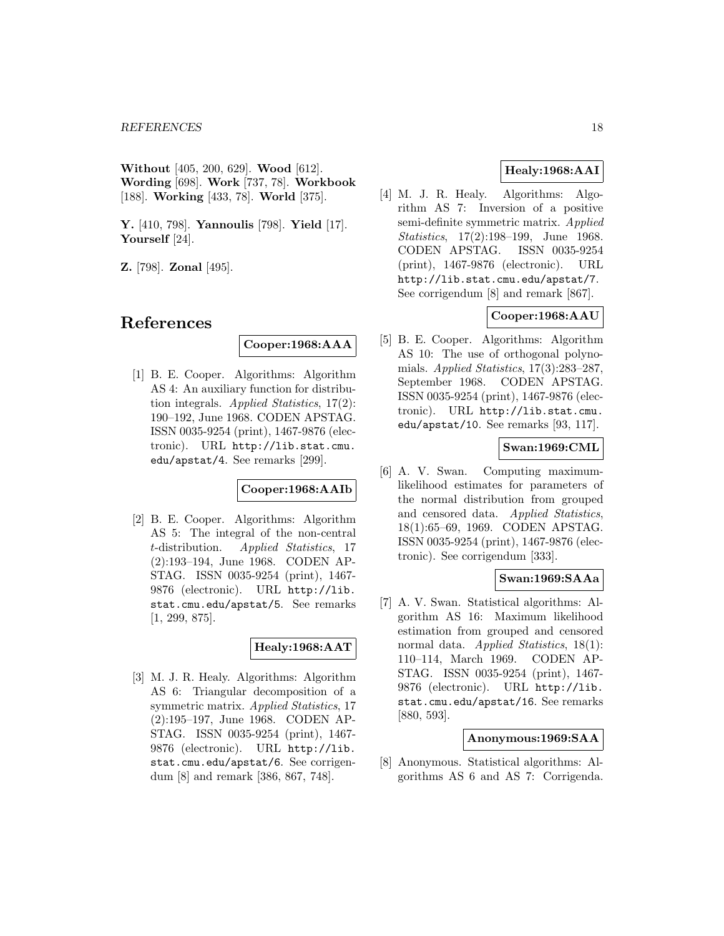**Without** [405, 200, 629]. **Wood** [612]. **Wording** [698]. **Work** [737, 78]. **Workbook** [188]. **Working** [433, 78]. **World** [375].

**Y.** [410, 798]. **Yannoulis** [798]. **Yield** [17]. **Yourself** [24].

**Z.** [798]. **Zonal** [495].

# **References**

# **Cooper:1968:AAA**

[1] B. E. Cooper. Algorithms: Algorithm AS 4: An auxiliary function for distribution integrals. Applied Statistics, 17(2): 190–192, June 1968. CODEN APSTAG. ISSN 0035-9254 (print), 1467-9876 (electronic). URL http://lib.stat.cmu. edu/apstat/4. See remarks [299].

# **Cooper:1968:AAIb**

[2] B. E. Cooper. Algorithms: Algorithm AS 5: The integral of the non-central t-distribution. Applied Statistics, 17 (2):193–194, June 1968. CODEN AP-STAG. ISSN 0035-9254 (print), 1467- 9876 (electronic). URL http://lib. stat.cmu.edu/apstat/5. See remarks [1, 299, 875].

# **Healy:1968:AAT**

[3] M. J. R. Healy. Algorithms: Algorithm AS 6: Triangular decomposition of a symmetric matrix. Applied Statistics, 17 (2):195–197, June 1968. CODEN AP-STAG. ISSN 0035-9254 (print), 1467- 9876 (electronic). URL http://lib. stat.cmu.edu/apstat/6. See corrigendum [8] and remark [386, 867, 748].

# **Healy:1968:AAI**

[4] M. J. R. Healy. Algorithms: Algorithm AS 7: Inversion of a positive semi-definite symmetric matrix. Applied Statistics, 17(2):198–199, June 1968. CODEN APSTAG. ISSN 0035-9254 (print), 1467-9876 (electronic). URL http://lib.stat.cmu.edu/apstat/7. See corrigendum [8] and remark [867].

# **Cooper:1968:AAU**

[5] B. E. Cooper. Algorithms: Algorithm AS 10: The use of orthogonal polynomials. Applied Statistics,  $17(3):283-287$ , September 1968. CODEN APSTAG. ISSN 0035-9254 (print), 1467-9876 (electronic). URL http://lib.stat.cmu. edu/apstat/10. See remarks [93, 117].

# **Swan:1969:CML**

[6] A. V. Swan. Computing maximumlikelihood estimates for parameters of the normal distribution from grouped and censored data. Applied Statistics, 18(1):65–69, 1969. CODEN APSTAG. ISSN 0035-9254 (print), 1467-9876 (electronic). See corrigendum [333].

# **Swan:1969:SAAa**

[7] A. V. Swan. Statistical algorithms: Algorithm AS 16: Maximum likelihood estimation from grouped and censored normal data. *Applied Statistics*, 18(1): 110–114, March 1969. CODEN AP-STAG. ISSN 0035-9254 (print), 1467- 9876 (electronic). URL http://lib. stat.cmu.edu/apstat/16. See remarks [880, 593].

# **Anonymous:1969:SAA**

[8] Anonymous. Statistical algorithms: Algorithms AS 6 and AS 7: Corrigenda.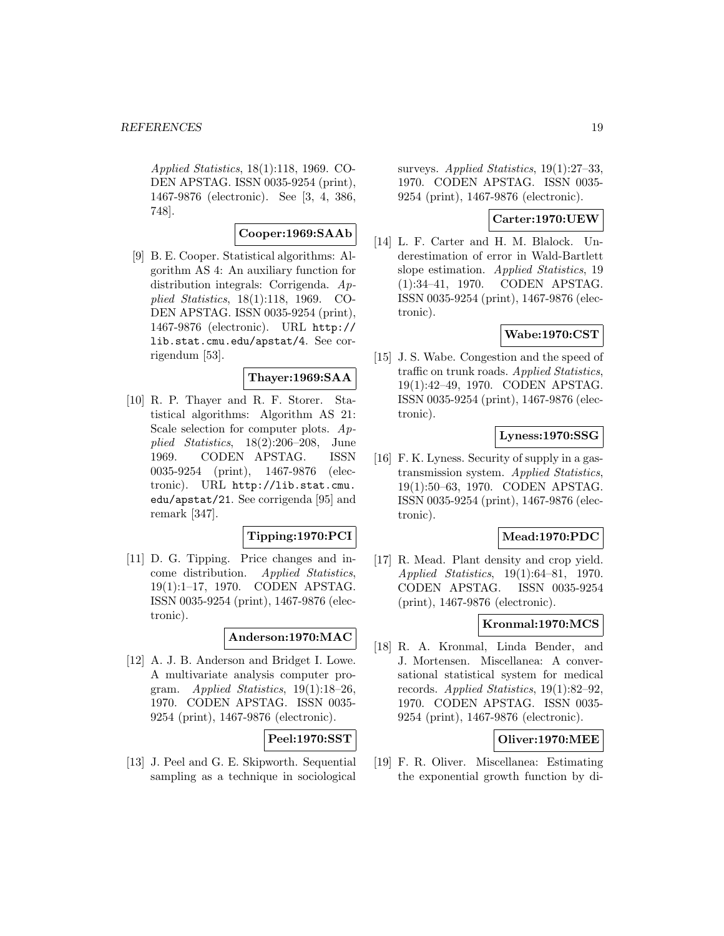Applied Statistics, 18(1):118, 1969. CO-DEN APSTAG. ISSN 0035-9254 (print), 1467-9876 (electronic). See [3, 4, 386, 748].

# **Cooper:1969:SAAb**

[9] B. E. Cooper. Statistical algorithms: Algorithm AS 4: An auxiliary function for distribution integrals: Corrigenda. Applied Statistics, 18(1):118, 1969. CO-DEN APSTAG. ISSN 0035-9254 (print), 1467-9876 (electronic). URL http:// lib.stat.cmu.edu/apstat/4. See corrigendum [53].

# **Thayer:1969:SAA**

[10] R. P. Thayer and R. F. Storer. Statistical algorithms: Algorithm AS 21: Scale selection for computer plots.  $Ap$ plied Statistics, 18(2):206–208, June 1969. CODEN APSTAG. ISSN 0035-9254 (print), 1467-9876 (electronic). URL http://lib.stat.cmu. edu/apstat/21. See corrigenda [95] and remark [347].

# **Tipping:1970:PCI**

[11] D. G. Tipping. Price changes and income distribution. Applied Statistics, 19(1):1–17, 1970. CODEN APSTAG. ISSN 0035-9254 (print), 1467-9876 (electronic).

# **Anderson:1970:MAC**

[12] A. J. B. Anderson and Bridget I. Lowe. A multivariate analysis computer program. Applied Statistics, 19(1):18–26, 1970. CODEN APSTAG. ISSN 0035- 9254 (print), 1467-9876 (electronic).

# **Peel:1970:SST**

[13] J. Peel and G. E. Skipworth. Sequential sampling as a technique in sociological

surveys. Applied Statistics, 19(1):27–33, 1970. CODEN APSTAG. ISSN 0035- 9254 (print), 1467-9876 (electronic).

# **Carter:1970:UEW**

[14] L. F. Carter and H. M. Blalock. Underestimation of error in Wald-Bartlett slope estimation. Applied Statistics, 19 (1):34–41, 1970. CODEN APSTAG. ISSN 0035-9254 (print), 1467-9876 (electronic).

# **Wabe:1970:CST**

[15] J. S. Wabe. Congestion and the speed of traffic on trunk roads. Applied Statistics, 19(1):42–49, 1970. CODEN APSTAG. ISSN 0035-9254 (print), 1467-9876 (electronic).

# **Lyness:1970:SSG**

[16] F. K. Lyness. Security of supply in a gastransmission system. Applied Statistics, 19(1):50–63, 1970. CODEN APSTAG. ISSN 0035-9254 (print), 1467-9876 (electronic).

#### **Mead:1970:PDC**

[17] R. Mead. Plant density and crop yield. Applied Statistics, 19(1):64–81, 1970. CODEN APSTAG. ISSN 0035-9254 (print), 1467-9876 (electronic).

# **Kronmal:1970:MCS**

[18] R. A. Kronmal, Linda Bender, and J. Mortensen. Miscellanea: A conversational statistical system for medical records. Applied Statistics, 19(1):82–92, 1970. CODEN APSTAG. ISSN 0035- 9254 (print), 1467-9876 (electronic).

# **Oliver:1970:MEE**

[19] F. R. Oliver. Miscellanea: Estimating the exponential growth function by di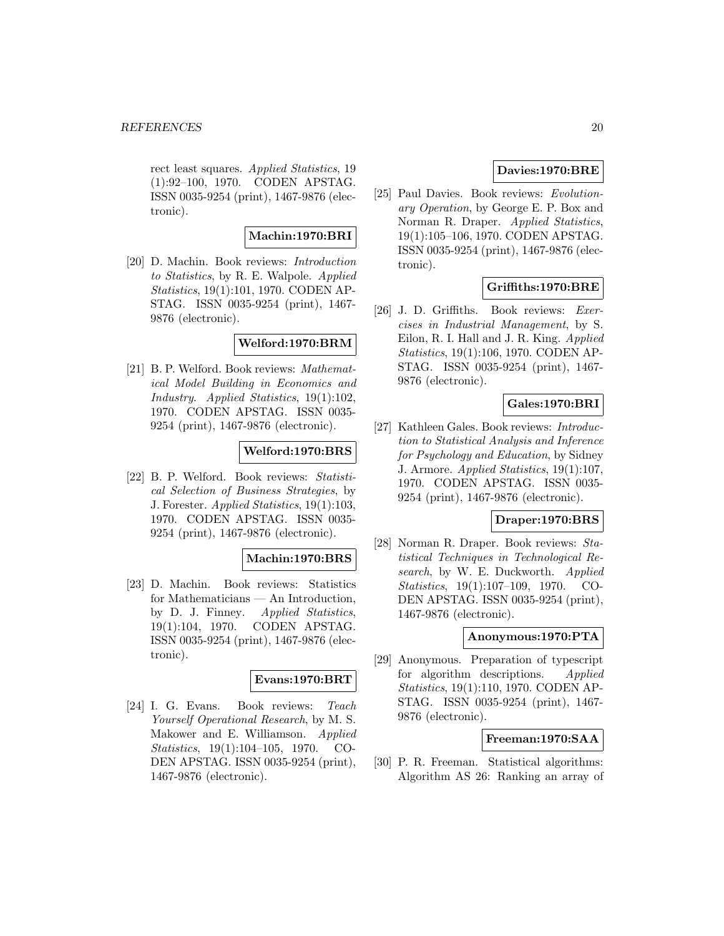rect least squares. Applied Statistics, 19 (1):92–100, 1970. CODEN APSTAG. ISSN 0035-9254 (print), 1467-9876 (electronic).

# **Machin:1970:BRI**

[20] D. Machin. Book reviews: Introduction to Statistics, by R. E. Walpole. Applied Statistics, 19(1):101, 1970. CODEN AP-STAG. ISSN 0035-9254 (print), 1467- 9876 (electronic).

# **Welford:1970:BRM**

[21] B. P. Welford. Book reviews: Mathematical Model Building in Economics and Industry. Applied Statistics, 19(1):102, 1970. CODEN APSTAG. ISSN 0035- 9254 (print), 1467-9876 (electronic).

# **Welford:1970:BRS**

[22] B. P. Welford. Book reviews: Statistical Selection of Business Strategies, by J. Forester. Applied Statistics, 19(1):103, 1970. CODEN APSTAG. ISSN 0035- 9254 (print), 1467-9876 (electronic).

# **Machin:1970:BRS**

[23] D. Machin. Book reviews: Statistics for Mathematicians — An Introduction, by D. J. Finney. Applied Statistics, 19(1):104, 1970. CODEN APSTAG. ISSN 0035-9254 (print), 1467-9876 (electronic).

# **Evans:1970:BRT**

[24] I. G. Evans. Book reviews: Teach Yourself Operational Research, by M. S. Makower and E. Williamson. Applied Statistics, 19(1):104–105, 1970. CO-DEN APSTAG. ISSN 0035-9254 (print), 1467-9876 (electronic).

# **Davies:1970:BRE**

[25] Paul Davies. Book reviews: Evolutionary Operation, by George E. P. Box and Norman R. Draper. Applied Statistics, 19(1):105–106, 1970. CODEN APSTAG. ISSN 0035-9254 (print), 1467-9876 (electronic).

# **Griffiths:1970:BRE**

[26] J. D. Griffiths. Book reviews: Exercises in Industrial Management, by S. Eilon, R. I. Hall and J. R. King. Applied Statistics, 19(1):106, 1970. CODEN AP-STAG. ISSN 0035-9254 (print), 1467- 9876 (electronic).

# **Gales:1970:BRI**

[27] Kathleen Gales. Book reviews: Introduction to Statistical Analysis and Inference for Psychology and Education, by Sidney J. Armore. Applied Statistics, 19(1):107, 1970. CODEN APSTAG. ISSN 0035- 9254 (print), 1467-9876 (electronic).

# **Draper:1970:BRS**

[28] Norman R. Draper. Book reviews: Statistical Techniques in Technological Research, by W. E. Duckworth. Applied Statistics, 19(1):107–109, 1970. CO-DEN APSTAG. ISSN 0035-9254 (print), 1467-9876 (electronic).

# **Anonymous:1970:PTA**

[29] Anonymous. Preparation of typescript for algorithm descriptions. Applied Statistics, 19(1):110, 1970. CODEN AP-STAG. ISSN 0035-9254 (print), 1467- 9876 (electronic).

# **Freeman:1970:SAA**

[30] P. R. Freeman. Statistical algorithms: Algorithm AS 26: Ranking an array of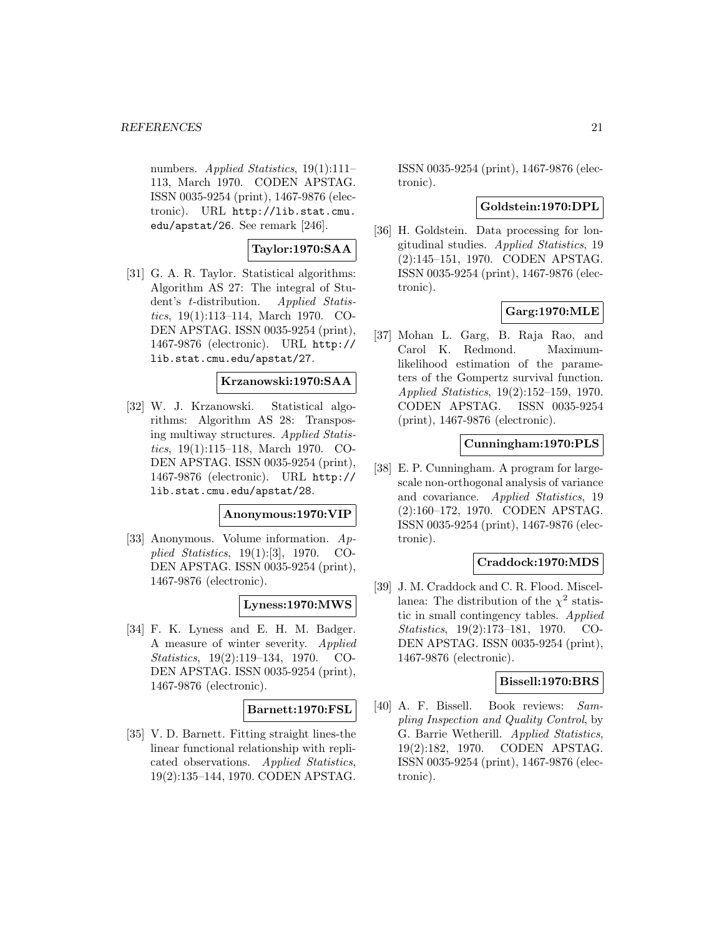numbers. Applied Statistics, 19(1):111– 113, March 1970. CODEN APSTAG. ISSN 0035-9254 (print), 1467-9876 (electronic). URL http://lib.stat.cmu. edu/apstat/26. See remark [246].

# **Taylor:1970:SAA**

[31] G. A. R. Taylor. Statistical algorithms: Algorithm AS 27: The integral of Student's t-distribution. Applied Statistics, 19(1):113–114, March 1970. CO-DEN APSTAG. ISSN 0035-9254 (print), 1467-9876 (electronic). URL http:// lib.stat.cmu.edu/apstat/27.

# **Krzanowski:1970:SAA**

[32] W. J. Krzanowski. Statistical algorithms: Algorithm AS 28: Transposing multiway structures. Applied Statistics, 19(1):115–118, March 1970. CO-DEN APSTAG. ISSN 0035-9254 (print), 1467-9876 (electronic). URL http:// lib.stat.cmu.edu/apstat/28.

#### **Anonymous:1970:VIP**

[33] Anonymous. Volume information. Applied Statistics, 19(1):[3], 1970. CO-DEN APSTAG. ISSN 0035-9254 (print), 1467-9876 (electronic).

# **Lyness:1970:MWS**

[34] F. K. Lyness and E. H. M. Badger. A measure of winter severity. Applied Statistics, 19(2):119–134, 1970. CO-DEN APSTAG. ISSN 0035-9254 (print), 1467-9876 (electronic).

#### **Barnett:1970:FSL**

[35] V. D. Barnett. Fitting straight lines-the linear functional relationship with replicated observations. Applied Statistics, 19(2):135–144, 1970. CODEN APSTAG. ISSN 0035-9254 (print), 1467-9876 (electronic).

# **Goldstein:1970:DPL**

[36] H. Goldstein. Data processing for longitudinal studies. Applied Statistics, 19 (2):145–151, 1970. CODEN APSTAG. ISSN 0035-9254 (print), 1467-9876 (electronic).

# **Garg:1970:MLE**

[37] Mohan L. Garg, B. Raja Rao, and Carol K. Redmond. Maximumlikelihood estimation of the parameters of the Gompertz survival function. Applied Statistics, 19(2):152–159, 1970. CODEN APSTAG. ISSN 0035-9254 (print), 1467-9876 (electronic).

# **Cunningham:1970:PLS**

[38] E. P. Cunningham. A program for largescale non-orthogonal analysis of variance and covariance. Applied Statistics, 19 (2):160–172, 1970. CODEN APSTAG. ISSN 0035-9254 (print), 1467-9876 (electronic).

# **Craddock:1970:MDS**

[39] J. M. Craddock and C. R. Flood. Miscellanea: The distribution of the  $\chi^2$  statistic in small contingency tables. Applied Statistics, 19(2):173–181, 1970. CO-DEN APSTAG. ISSN 0035-9254 (print), 1467-9876 (electronic).

# **Bissell:1970:BRS**

[40] A. F. Bissell. Book reviews: Sampling Inspection and Quality Control, by G. Barrie Wetherill. Applied Statistics, 19(2):182, 1970. CODEN APSTAG. ISSN 0035-9254 (print), 1467-9876 (electronic).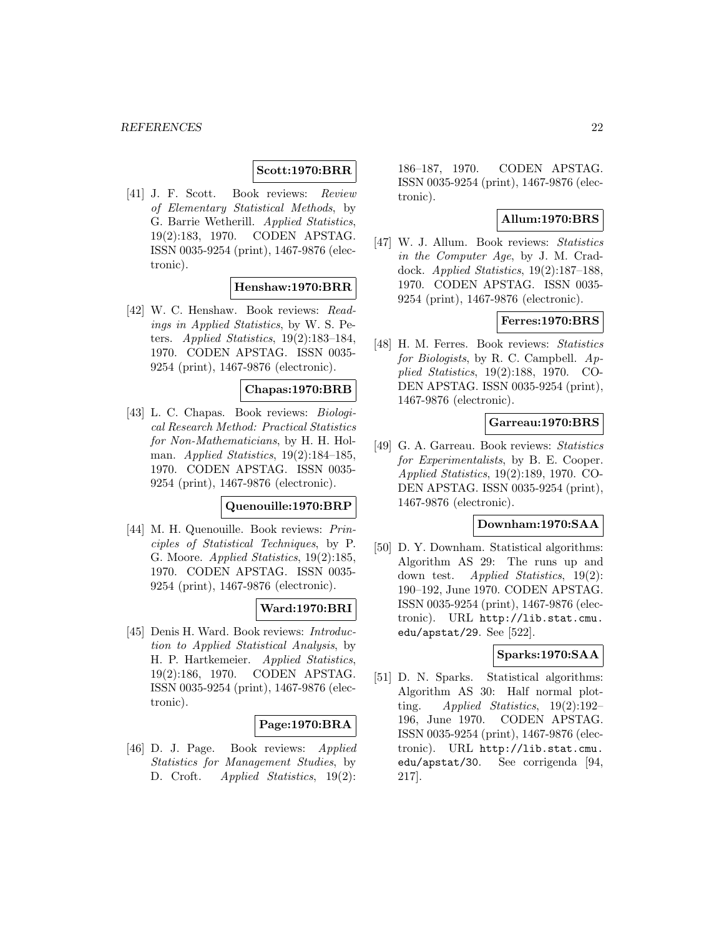### **Scott:1970:BRR**

[41] J. F. Scott. Book reviews: Review of Elementary Statistical Methods, by G. Barrie Wetherill. Applied Statistics, 19(2):183, 1970. CODEN APSTAG. ISSN 0035-9254 (print), 1467-9876 (electronic).

# **Henshaw:1970:BRR**

[42] W. C. Henshaw. Book reviews: Readings in Applied Statistics, by W. S. Peters. Applied Statistics, 19(2):183–184, 1970. CODEN APSTAG. ISSN 0035- 9254 (print), 1467-9876 (electronic).

### **Chapas:1970:BRB**

[43] L. C. Chapas. Book reviews: Biological Research Method: Practical Statistics for Non-Mathematicians, by H. H. Holman. Applied Statistics, 19(2):184–185, 1970. CODEN APSTAG. ISSN 0035- 9254 (print), 1467-9876 (electronic).

# **Quenouille:1970:BRP**

[44] M. H. Quenouille. Book reviews: Principles of Statistical Techniques, by P. G. Moore. Applied Statistics, 19(2):185, 1970. CODEN APSTAG. ISSN 0035- 9254 (print), 1467-9876 (electronic).

# **Ward:1970:BRI**

[45] Denis H. Ward. Book reviews: Introduction to Applied Statistical Analysis, by H. P. Hartkemeier. Applied Statistics, 19(2):186, 1970. CODEN APSTAG. ISSN 0035-9254 (print), 1467-9876 (electronic).

# **Page:1970:BRA**

[46] D. J. Page. Book reviews: Applied Statistics for Management Studies, by D. Croft. *Applied Statistics*, 19(2):

186–187, 1970. CODEN APSTAG. ISSN 0035-9254 (print), 1467-9876 (electronic).

# **Allum:1970:BRS**

[47] W. J. Allum. Book reviews: Statistics in the Computer Age, by J. M. Craddock. Applied Statistics, 19(2):187–188, 1970. CODEN APSTAG. ISSN 0035- 9254 (print), 1467-9876 (electronic).

#### **Ferres:1970:BRS**

[48] H. M. Ferres. Book reviews: Statistics for Biologists, by R. C. Campbell. Applied Statistics, 19(2):188, 1970. CO-DEN APSTAG. ISSN 0035-9254 (print), 1467-9876 (electronic).

# **Garreau:1970:BRS**

[49] G. A. Garreau. Book reviews: Statistics for Experimentalists, by B. E. Cooper. Applied Statistics, 19(2):189, 1970. CO-DEN APSTAG. ISSN 0035-9254 (print), 1467-9876 (electronic).

# **Downham:1970:SAA**

[50] D. Y. Downham. Statistical algorithms: Algorithm AS 29: The runs up and down test. Applied Statistics, 19(2): 190–192, June 1970. CODEN APSTAG. ISSN 0035-9254 (print), 1467-9876 (electronic). URL http://lib.stat.cmu. edu/apstat/29. See [522].

# **Sparks:1970:SAA**

[51] D. N. Sparks. Statistical algorithms: Algorithm AS 30: Half normal plotting. Applied Statistics, 19(2):192– 196, June 1970. CODEN APSTAG. ISSN 0035-9254 (print), 1467-9876 (electronic). URL http://lib.stat.cmu. edu/apstat/30. See corrigenda [94, 217].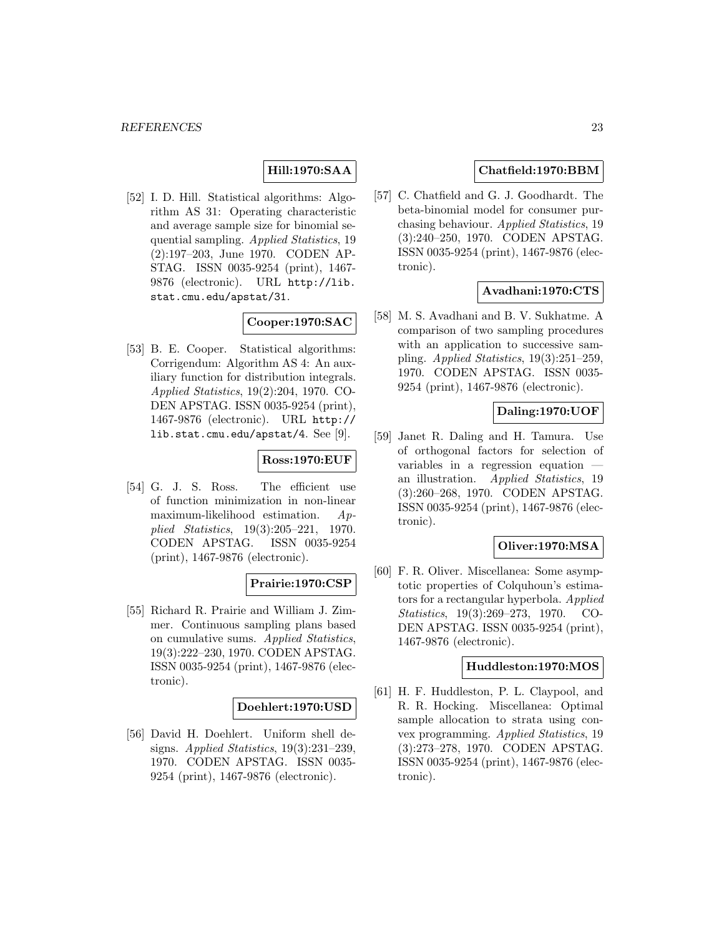# **Hill:1970:SAA**

[52] I. D. Hill. Statistical algorithms: Algorithm AS 31: Operating characteristic and average sample size for binomial sequential sampling. Applied Statistics, 19 (2):197–203, June 1970. CODEN AP-STAG. ISSN 0035-9254 (print), 1467- 9876 (electronic). URL http://lib. stat.cmu.edu/apstat/31.

# **Cooper:1970:SAC**

[53] B. E. Cooper. Statistical algorithms: Corrigendum: Algorithm AS 4: An auxiliary function for distribution integrals. Applied Statistics, 19(2):204, 1970. CO-DEN APSTAG. ISSN 0035-9254 (print), 1467-9876 (electronic). URL http:// lib.stat.cmu.edu/apstat/4. See [9].

# **Ross:1970:EUF**

[54] G. J. S. Ross. The efficient use of function minimization in non-linear maximum-likelihood estimation. Applied Statistics, 19(3):205–221, 1970. CODEN APSTAG. ISSN 0035-9254 (print), 1467-9876 (electronic).

# **Prairie:1970:CSP**

[55] Richard R. Prairie and William J. Zimmer. Continuous sampling plans based on cumulative sums. Applied Statistics, 19(3):222–230, 1970. CODEN APSTAG. ISSN 0035-9254 (print), 1467-9876 (electronic).

# **Doehlert:1970:USD**

[56] David H. Doehlert. Uniform shell designs. Applied Statistics, 19(3):231–239, 1970. CODEN APSTAG. ISSN 0035- 9254 (print), 1467-9876 (electronic).

# **Chatfield:1970:BBM**

[57] C. Chatfield and G. J. Goodhardt. The beta-binomial model for consumer purchasing behaviour. Applied Statistics, 19 (3):240–250, 1970. CODEN APSTAG. ISSN 0035-9254 (print), 1467-9876 (electronic).

# **Avadhani:1970:CTS**

[58] M. S. Avadhani and B. V. Sukhatme. A comparison of two sampling procedures with an application to successive sampling. Applied Statistics,  $19(3):251-259$ , 1970. CODEN APSTAG. ISSN 0035- 9254 (print), 1467-9876 (electronic).

# **Daling:1970:UOF**

[59] Janet R. Daling and H. Tamura. Use of orthogonal factors for selection of variables in a regression equation an illustration. Applied Statistics, 19 (3):260–268, 1970. CODEN APSTAG. ISSN 0035-9254 (print), 1467-9876 (electronic).

# **Oliver:1970:MSA**

[60] F. R. Oliver. Miscellanea: Some asymptotic properties of Colquhoun's estimators for a rectangular hyperbola. Applied Statistics, 19(3):269–273, 1970. CO-DEN APSTAG. ISSN 0035-9254 (print), 1467-9876 (electronic).

#### **Huddleston:1970:MOS**

[61] H. F. Huddleston, P. L. Claypool, and R. R. Hocking. Miscellanea: Optimal sample allocation to strata using convex programming. Applied Statistics, 19 (3):273–278, 1970. CODEN APSTAG. ISSN 0035-9254 (print), 1467-9876 (electronic).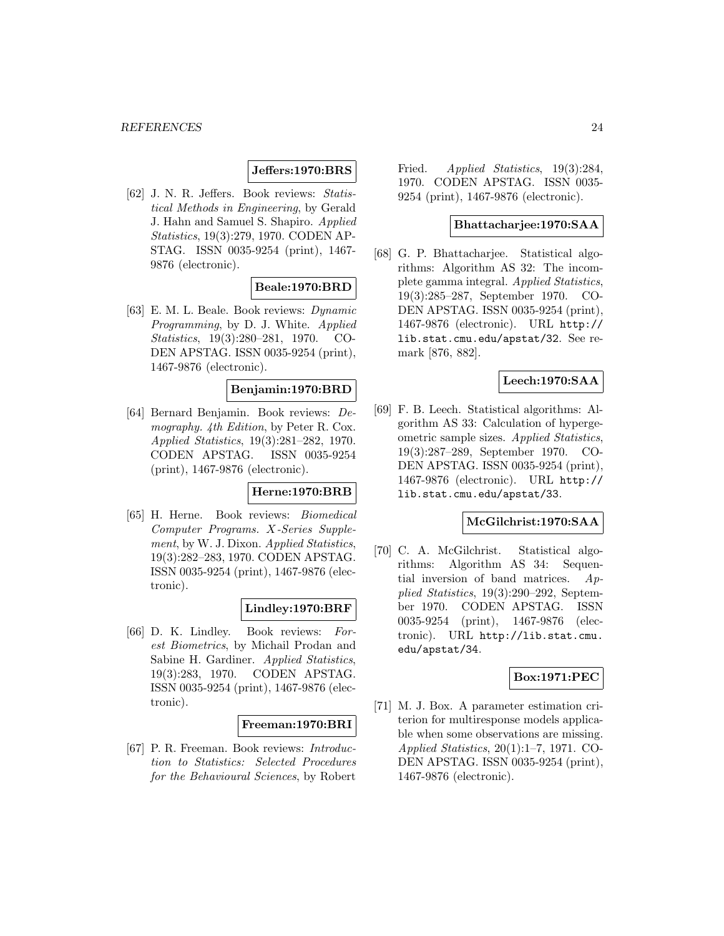# **Jeffers:1970:BRS**

[62] J. N. R. Jeffers. Book reviews: Statistical Methods in Engineering, by Gerald J. Hahn and Samuel S. Shapiro. Applied Statistics, 19(3):279, 1970. CODEN AP-STAG. ISSN 0035-9254 (print), 1467- 9876 (electronic).

# **Beale:1970:BRD**

[63] E. M. L. Beale. Book reviews: Dynamic Programming, by D. J. White. Applied Statistics, 19(3):280–281, 1970. CO-DEN APSTAG. ISSN 0035-9254 (print), 1467-9876 (electronic).

# **Benjamin:1970:BRD**

[64] Bernard Benjamin. Book reviews: Demography. 4th Edition, by Peter R. Cox. Applied Statistics, 19(3):281–282, 1970. CODEN APSTAG. ISSN 0035-9254 (print), 1467-9876 (electronic).

# **Herne:1970:BRB**

[65] H. Herne. Book reviews: Biomedical Computer Programs. X-Series Supplement, by W. J. Dixon. Applied Statistics, 19(3):282–283, 1970. CODEN APSTAG. ISSN 0035-9254 (print), 1467-9876 (electronic).

# **Lindley:1970:BRF**

[66] D. K. Lindley. Book reviews: Forest Biometrics, by Michail Prodan and Sabine H. Gardiner. Applied Statistics, 19(3):283, 1970. CODEN APSTAG. ISSN 0035-9254 (print), 1467-9876 (electronic).

# **Freeman:1970:BRI**

[67] P. R. Freeman. Book reviews: Introduction to Statistics: Selected Procedures for the Behavioural Sciences, by Robert

Fried. *Applied Statistics*, 19(3):284, 1970. CODEN APSTAG. ISSN 0035- 9254 (print), 1467-9876 (electronic).

### **Bhattacharjee:1970:SAA**

[68] G. P. Bhattacharjee. Statistical algorithms: Algorithm AS 32: The incomplete gamma integral. Applied Statistics, 19(3):285–287, September 1970. CO-DEN APSTAG. ISSN 0035-9254 (print), 1467-9876 (electronic). URL http:// lib.stat.cmu.edu/apstat/32. See remark [876, 882].

# **Leech:1970:SAA**

[69] F. B. Leech. Statistical algorithms: Algorithm AS 33: Calculation of hypergeometric sample sizes. Applied Statistics, 19(3):287–289, September 1970. CO-DEN APSTAG. ISSN 0035-9254 (print), 1467-9876 (electronic). URL http:// lib.stat.cmu.edu/apstat/33.

# **McGilchrist:1970:SAA**

[70] C. A. McGilchrist. Statistical algorithms: Algorithm AS 34: Sequential inversion of band matrices.  $Ap$ plied Statistics, 19(3):290–292, September 1970. CODEN APSTAG. ISSN 0035-9254 (print), 1467-9876 (electronic). URL http://lib.stat.cmu. edu/apstat/34.

#### **Box:1971:PEC**

[71] M. J. Box. A parameter estimation criterion for multiresponse models applicable when some observations are missing. Applied Statistics, 20(1):1–7, 1971. CO-DEN APSTAG. ISSN 0035-9254 (print), 1467-9876 (electronic).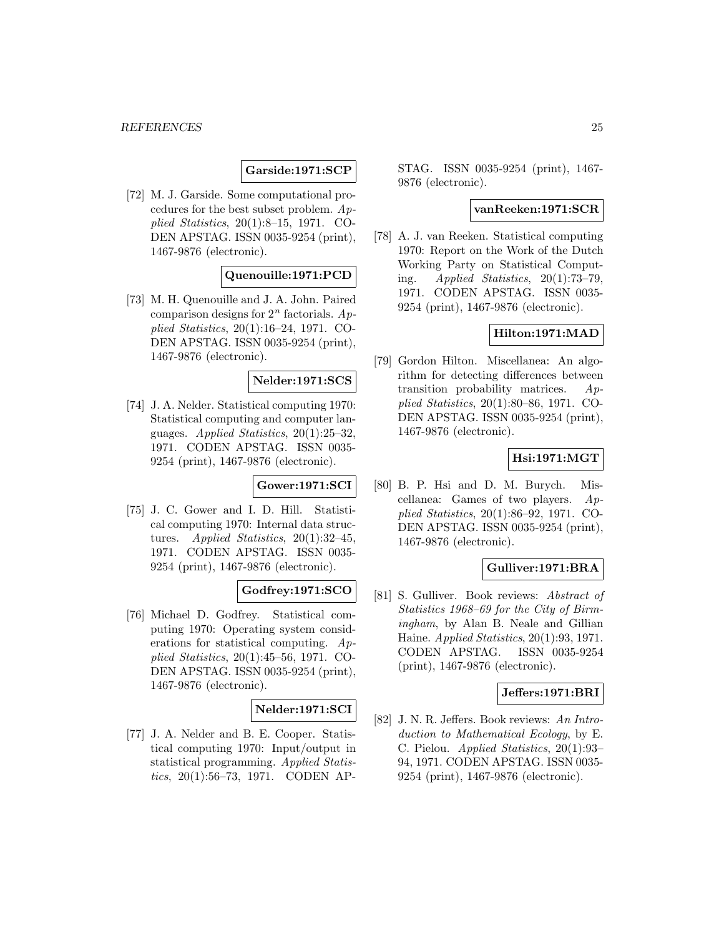# **Garside:1971:SCP**

[72] M. J. Garside. Some computational procedures for the best subset problem. Applied Statistics, 20(1):8–15, 1971. CO-DEN APSTAG. ISSN 0035-9254 (print), 1467-9876 (electronic).

# **Quenouille:1971:PCD**

[73] M. H. Quenouille and J. A. John. Paired comparison designs for  $2^n$  factorials. Applied Statistics, 20(1):16–24, 1971. CO-DEN APSTAG. ISSN 0035-9254 (print), 1467-9876 (electronic).

### **Nelder:1971:SCS**

[74] J. A. Nelder. Statistical computing 1970: Statistical computing and computer languages. Applied Statistics, 20(1):25–32, 1971. CODEN APSTAG. ISSN 0035- 9254 (print), 1467-9876 (electronic).

# **Gower:1971:SCI**

[75] J. C. Gower and I. D. Hill. Statistical computing 1970: Internal data structures. Applied Statistics, 20(1):32–45, 1971. CODEN APSTAG. ISSN 0035- 9254 (print), 1467-9876 (electronic).

# **Godfrey:1971:SCO**

[76] Michael D. Godfrey. Statistical computing 1970: Operating system considerations for statistical computing. Applied Statistics, 20(1):45–56, 1971. CO-DEN APSTAG. ISSN 0035-9254 (print), 1467-9876 (electronic).

# **Nelder:1971:SCI**

[77] J. A. Nelder and B. E. Cooper. Statistical computing 1970: Input/output in statistical programming. Applied Statistics, 20(1):56–73, 1971. CODEN AP- STAG. ISSN 0035-9254 (print), 1467- 9876 (electronic).

### **vanReeken:1971:SCR**

[78] A. J. van Reeken. Statistical computing 1970: Report on the Work of the Dutch Working Party on Statistical Computing. Applied Statistics, 20(1):73–79, 1971. CODEN APSTAG. ISSN 0035- 9254 (print), 1467-9876 (electronic).

# **Hilton:1971:MAD**

[79] Gordon Hilton. Miscellanea: An algorithm for detecting differences between transition probability matrices.  $Ap$ plied Statistics, 20(1):80–86, 1971. CO-DEN APSTAG. ISSN 0035-9254 (print), 1467-9876 (electronic).

# **Hsi:1971:MGT**

[80] B. P. Hsi and D. M. Burych. Miscellanea: Games of two players. Applied Statistics, 20(1):86–92, 1971. CO-DEN APSTAG. ISSN 0035-9254 (print), 1467-9876 (electronic).

# **Gulliver:1971:BRA**

[81] S. Gulliver. Book reviews: Abstract of Statistics 1968–69 for the City of Birmingham, by Alan B. Neale and Gillian Haine. Applied Statistics, 20(1):93, 1971. CODEN APSTAG. ISSN 0035-9254 (print), 1467-9876 (electronic).

# **Jeffers:1971:BRI**

[82] J. N. R. Jeffers. Book reviews: An Introduction to Mathematical Ecology, by E. C. Pielou. Applied Statistics, 20(1):93– 94, 1971. CODEN APSTAG. ISSN 0035- 9254 (print), 1467-9876 (electronic).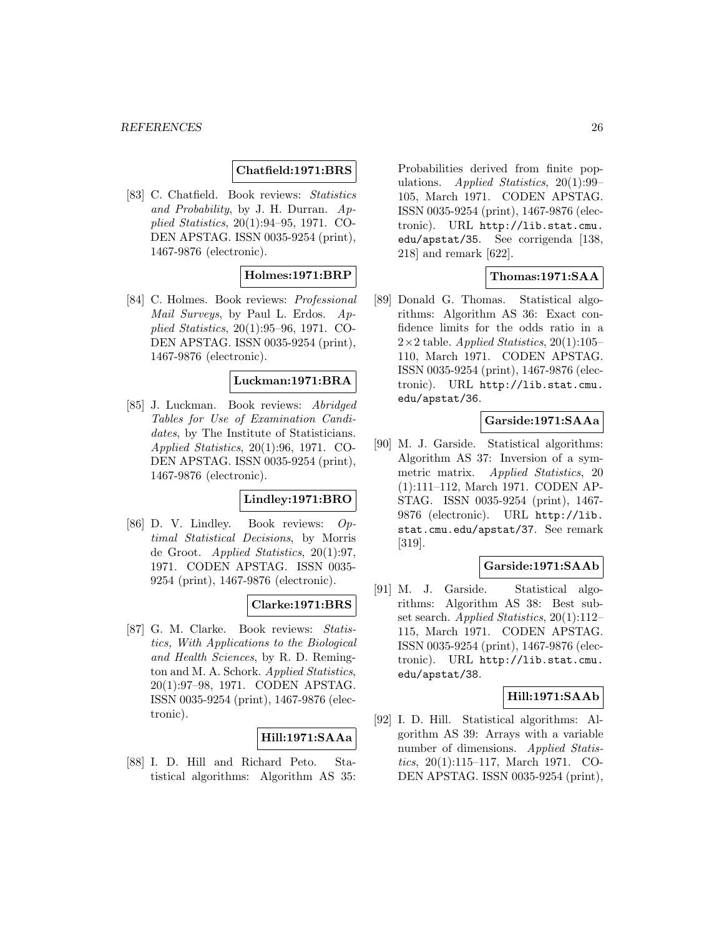# **Chatfield:1971:BRS**

[83] C. Chatfield. Book reviews: Statistics and Probability, by J. H. Durran. Applied Statistics, 20(1):94–95, 1971. CO-DEN APSTAG. ISSN 0035-9254 (print), 1467-9876 (electronic).

### **Holmes:1971:BRP**

[84] C. Holmes. Book reviews: Professional Mail Surveys, by Paul L. Erdos. Applied Statistics, 20(1):95–96, 1971. CO-DEN APSTAG. ISSN 0035-9254 (print), 1467-9876 (electronic).

### **Luckman:1971:BRA**

[85] J. Luckman. Book reviews: Abridged Tables for Use of Examination Candidates, by The Institute of Statisticians. Applied Statistics, 20(1):96, 1971. CO-DEN APSTAG. ISSN 0035-9254 (print), 1467-9876 (electronic).

# **Lindley:1971:BRO**

[86] D. V. Lindley. Book reviews: Optimal Statistical Decisions, by Morris de Groot. Applied Statistics, 20(1):97, 1971. CODEN APSTAG. ISSN 0035- 9254 (print), 1467-9876 (electronic).

# **Clarke:1971:BRS**

[87] G. M. Clarke. Book reviews: Statistics, With Applications to the Biological and Health Sciences, by R. D. Remington and M. A. Schork. Applied Statistics, 20(1):97–98, 1971. CODEN APSTAG. ISSN 0035-9254 (print), 1467-9876 (electronic).

#### **Hill:1971:SAAa**

[88] I. D. Hill and Richard Peto. Statistical algorithms: Algorithm AS 35: Probabilities derived from finite populations. Applied Statistics, 20(1):99– 105, March 1971. CODEN APSTAG. ISSN 0035-9254 (print), 1467-9876 (electronic). URL http://lib.stat.cmu. edu/apstat/35. See corrigenda [138, 218] and remark [622].

# **Thomas:1971:SAA**

[89] Donald G. Thomas. Statistical algorithms: Algorithm AS 36: Exact confidence limits for the odds ratio in a  $2\times2$  table. Applied Statistics, 20(1):105– 110, March 1971. CODEN APSTAG. ISSN 0035-9254 (print), 1467-9876 (electronic). URL http://lib.stat.cmu. edu/apstat/36.

# **Garside:1971:SAAa**

[90] M. J. Garside. Statistical algorithms: Algorithm AS 37: Inversion of a symmetric matrix. Applied Statistics, 20 (1):111–112, March 1971. CODEN AP-STAG. ISSN 0035-9254 (print), 1467- 9876 (electronic). URL http://lib. stat.cmu.edu/apstat/37. See remark [319].

### **Garside:1971:SAAb**

[91] M. J. Garside. Statistical algorithms: Algorithm AS 38: Best subset search. Applied Statistics, 20(1):112-115, March 1971. CODEN APSTAG. ISSN 0035-9254 (print), 1467-9876 (electronic). URL http://lib.stat.cmu. edu/apstat/38.

# **Hill:1971:SAAb**

[92] I. D. Hill. Statistical algorithms: Algorithm AS 39: Arrays with a variable number of dimensions. Applied Statistics, 20(1):115–117, March 1971. CO-DEN APSTAG. ISSN 0035-9254 (print),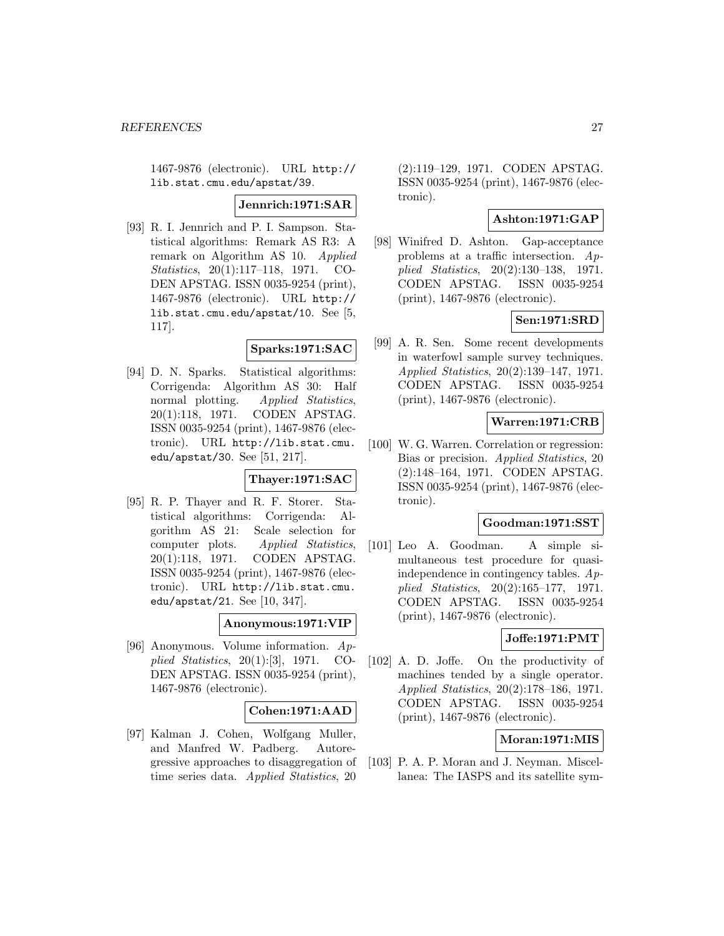1467-9876 (electronic). URL http:// lib.stat.cmu.edu/apstat/39.

#### **Jennrich:1971:SAR**

[93] R. I. Jennrich and P. I. Sampson. Statistical algorithms: Remark AS R3: A remark on Algorithm AS 10. Applied Statistics, 20(1):117–118, 1971. CO-DEN APSTAG. ISSN 0035-9254 (print), 1467-9876 (electronic). URL http:// lib.stat.cmu.edu/apstat/10. See [5, 117].

# **Sparks:1971:SAC**

[94] D. N. Sparks. Statistical algorithms: Corrigenda: Algorithm AS 30: Half normal plotting. Applied Statistics, 20(1):118, 1971. CODEN APSTAG. ISSN 0035-9254 (print), 1467-9876 (electronic). URL http://lib.stat.cmu. edu/apstat/30. See [51, 217].

#### **Thayer:1971:SAC**

[95] R. P. Thayer and R. F. Storer. Statistical algorithms: Corrigenda: Algorithm AS 21: Scale selection for computer plots. Applied Statistics, 20(1):118, 1971. CODEN APSTAG. ISSN 0035-9254 (print), 1467-9876 (electronic). URL http://lib.stat.cmu. edu/apstat/21. See [10, 347].

#### **Anonymous:1971:VIP**

[96] Anonymous. Volume information. Applied Statistics, 20(1):[3], 1971. CO-DEN APSTAG. ISSN 0035-9254 (print), 1467-9876 (electronic).

# **Cohen:1971:AAD**

[97] Kalman J. Cohen, Wolfgang Muller, and Manfred W. Padberg. Autoregressive approaches to disaggregation of time series data. Applied Statistics, 20

(2):119–129, 1971. CODEN APSTAG. ISSN 0035-9254 (print), 1467-9876 (electronic).

# **Ashton:1971:GAP**

[98] Winifred D. Ashton. Gap-acceptance problems at a traffic intersection. Applied Statistics, 20(2):130–138, 1971. CODEN APSTAG. ISSN 0035-9254 (print), 1467-9876 (electronic).

### **Sen:1971:SRD**

[99] A. R. Sen. Some recent developments in waterfowl sample survey techniques. Applied Statistics, 20(2):139–147, 1971. CODEN APSTAG. ISSN 0035-9254 (print), 1467-9876 (electronic).

# **Warren:1971:CRB**

[100] W. G. Warren. Correlation or regression: Bias or precision. Applied Statistics, 20 (2):148–164, 1971. CODEN APSTAG. ISSN 0035-9254 (print), 1467-9876 (electronic).

#### **Goodman:1971:SST**

[101] Leo A. Goodman. A simple simultaneous test procedure for quasiindependence in contingency tables. Applied Statistics, 20(2):165–177, 1971. CODEN APSTAG. ISSN 0035-9254 (print), 1467-9876 (electronic).

# **Joffe:1971:PMT**

[102] A. D. Joffe. On the productivity of machines tended by a single operator. Applied Statistics, 20(2):178–186, 1971. CODEN APSTAG. ISSN 0035-9254 (print), 1467-9876 (electronic).

### **Moran:1971:MIS**

[103] P. A. P. Moran and J. Neyman. Miscellanea: The IASPS and its satellite sym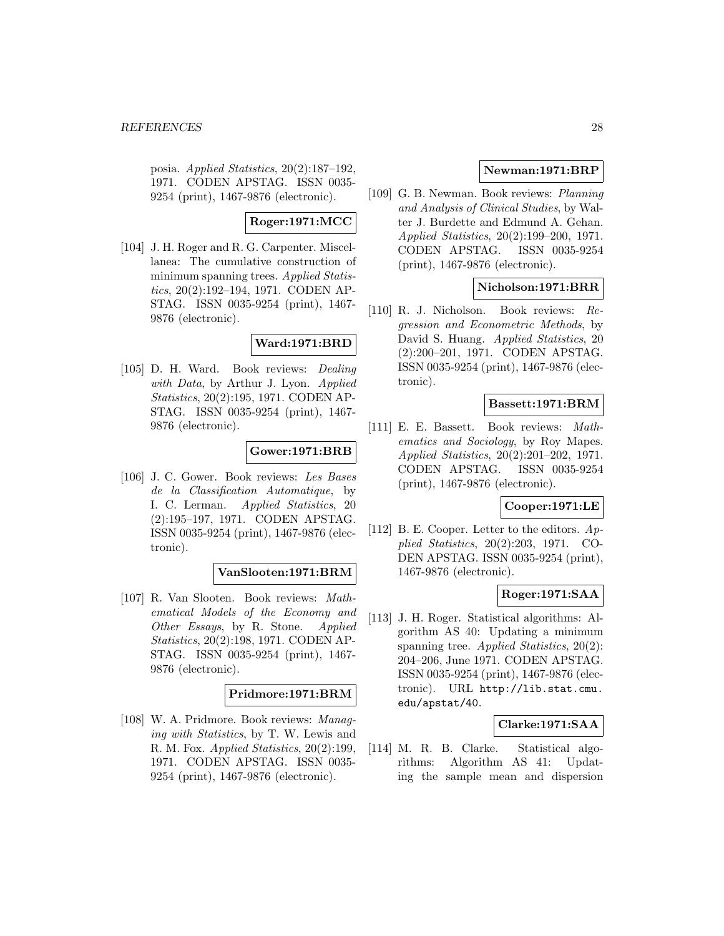posia. Applied Statistics, 20(2):187–192, 1971. CODEN APSTAG. ISSN 0035- 9254 (print), 1467-9876 (electronic).

# **Roger:1971:MCC**

[104] J. H. Roger and R. G. Carpenter. Miscellanea: The cumulative construction of minimum spanning trees. Applied Statistics, 20(2):192–194, 1971. CODEN AP-STAG. ISSN 0035-9254 (print), 1467- 9876 (electronic).

# **Ward:1971:BRD**

[105] D. H. Ward. Book reviews: Dealing with Data, by Arthur J. Lyon. Applied Statistics, 20(2):195, 1971. CODEN AP-STAG. ISSN 0035-9254 (print), 1467- 9876 (electronic).

# **Gower:1971:BRB**

[106] J. C. Gower. Book reviews: Les Bases de la Classification Automatique, by I. C. Lerman. Applied Statistics, 20 (2):195–197, 1971. CODEN APSTAG. ISSN 0035-9254 (print), 1467-9876 (electronic).

#### **VanSlooten:1971:BRM**

[107] R. Van Slooten. Book reviews: Mathematical Models of the Economy and Other Essays, by R. Stone. Applied Statistics, 20(2):198, 1971. CODEN AP-STAG. ISSN 0035-9254 (print), 1467- 9876 (electronic).

# **Pridmore:1971:BRM**

[108] W. A. Pridmore. Book reviews: Managing with Statistics, by T. W. Lewis and R. M. Fox. Applied Statistics, 20(2):199, 1971. CODEN APSTAG. ISSN 0035- 9254 (print), 1467-9876 (electronic).

# **Newman:1971:BRP**

[109] G. B. Newman. Book reviews: Planning and Analysis of Clinical Studies, by Walter J. Burdette and Edmund A. Gehan. Applied Statistics, 20(2):199–200, 1971. CODEN APSTAG. ISSN 0035-9254 (print), 1467-9876 (electronic).

# **Nicholson:1971:BRR**

[110] R. J. Nicholson. Book reviews: Regression and Econometric Methods, by David S. Huang. *Applied Statistics*, 20 (2):200–201, 1971. CODEN APSTAG. ISSN 0035-9254 (print), 1467-9876 (electronic).

### **Bassett:1971:BRM**

[111] E. E. Bassett. Book reviews: Mathematics and Sociology, by Roy Mapes. Applied Statistics, 20(2):201–202, 1971. CODEN APSTAG. ISSN 0035-9254 (print), 1467-9876 (electronic).

#### **Cooper:1971:LE**

[112] B. E. Cooper. Letter to the editors. Applied Statistics, 20(2):203, 1971. CO-DEN APSTAG. ISSN 0035-9254 (print), 1467-9876 (electronic).

# **Roger:1971:SAA**

[113] J. H. Roger. Statistical algorithms: Algorithm AS 40: Updating a minimum spanning tree. Applied Statistics,  $20(2)$ : 204–206, June 1971. CODEN APSTAG. ISSN 0035-9254 (print), 1467-9876 (electronic). URL http://lib.stat.cmu. edu/apstat/40.

# **Clarke:1971:SAA**

[114] M. R. B. Clarke. Statistical algorithms: Algorithm AS 41: Updating the sample mean and dispersion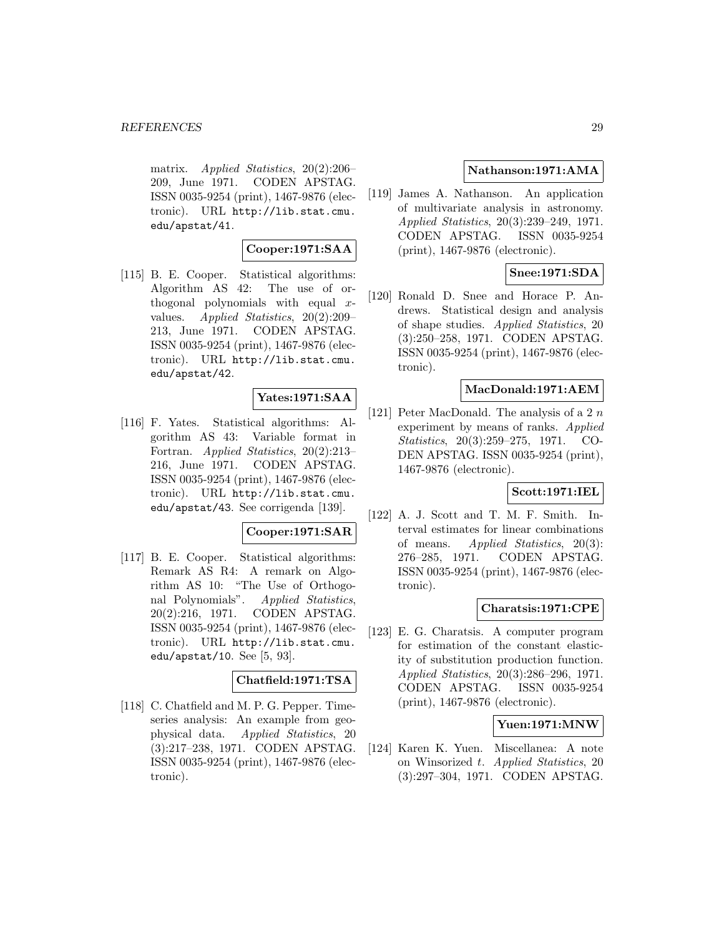matrix. Applied Statistics, 20(2):206– 209, June 1971. CODEN APSTAG. ISSN 0035-9254 (print), 1467-9876 (electronic). URL http://lib.stat.cmu. edu/apstat/41.

# **Cooper:1971:SAA**

[115] B. E. Cooper. Statistical algorithms: Algorithm AS 42: The use of orthogonal polynomials with equal xvalues. Applied Statistics, 20(2):209– 213, June 1971. CODEN APSTAG. ISSN 0035-9254 (print), 1467-9876 (electronic). URL http://lib.stat.cmu. edu/apstat/42.

# **Yates:1971:SAA**

[116] F. Yates. Statistical algorithms: Algorithm AS 43: Variable format in Fortran. Applied Statistics, 20(2):213– 216, June 1971. CODEN APSTAG. ISSN 0035-9254 (print), 1467-9876 (electronic). URL http://lib.stat.cmu. edu/apstat/43. See corrigenda [139].

#### **Cooper:1971:SAR**

[117] B. E. Cooper. Statistical algorithms: Remark AS R4: A remark on Algorithm AS 10: "The Use of Orthogonal Polynomials". Applied Statistics, 20(2):216, 1971. CODEN APSTAG. ISSN 0035-9254 (print), 1467-9876 (electronic). URL http://lib.stat.cmu. edu/apstat/10. See [5, 93].

### **Chatfield:1971:TSA**

[118] C. Chatfield and M. P. G. Pepper. Timeseries analysis: An example from geophysical data. Applied Statistics, 20 (3):217–238, 1971. CODEN APSTAG. ISSN 0035-9254 (print), 1467-9876 (electronic).

### **Nathanson:1971:AMA**

[119] James A. Nathanson. An application of multivariate analysis in astronomy. Applied Statistics, 20(3):239–249, 1971. CODEN APSTAG. ISSN 0035-9254 (print), 1467-9876 (electronic).

# **Snee:1971:SDA**

[120] Ronald D. Snee and Horace P. Andrews. Statistical design and analysis of shape studies. Applied Statistics, 20 (3):250–258, 1971. CODEN APSTAG. ISSN 0035-9254 (print), 1467-9876 (electronic).

### **MacDonald:1971:AEM**

[121] Peter MacDonald. The analysis of a 2  $n$ experiment by means of ranks. Applied Statistics, 20(3):259–275, 1971. CO-DEN APSTAG. ISSN 0035-9254 (print), 1467-9876 (electronic).

# **Scott:1971:IEL**

[122] A. J. Scott and T. M. F. Smith. Interval estimates for linear combinations of means. Applied Statistics,  $20(3)$ : 276–285, 1971. CODEN APSTAG. ISSN 0035-9254 (print), 1467-9876 (electronic).

# **Charatsis:1971:CPE**

[123] E. G. Charatsis. A computer program for estimation of the constant elasticity of substitution production function. Applied Statistics, 20(3):286–296, 1971. CODEN APSTAG. ISSN 0035-9254 (print), 1467-9876 (electronic).

# **Yuen:1971:MNW**

[124] Karen K. Yuen. Miscellanea: A note on Winsorized t. Applied Statistics, 20 (3):297–304, 1971. CODEN APSTAG.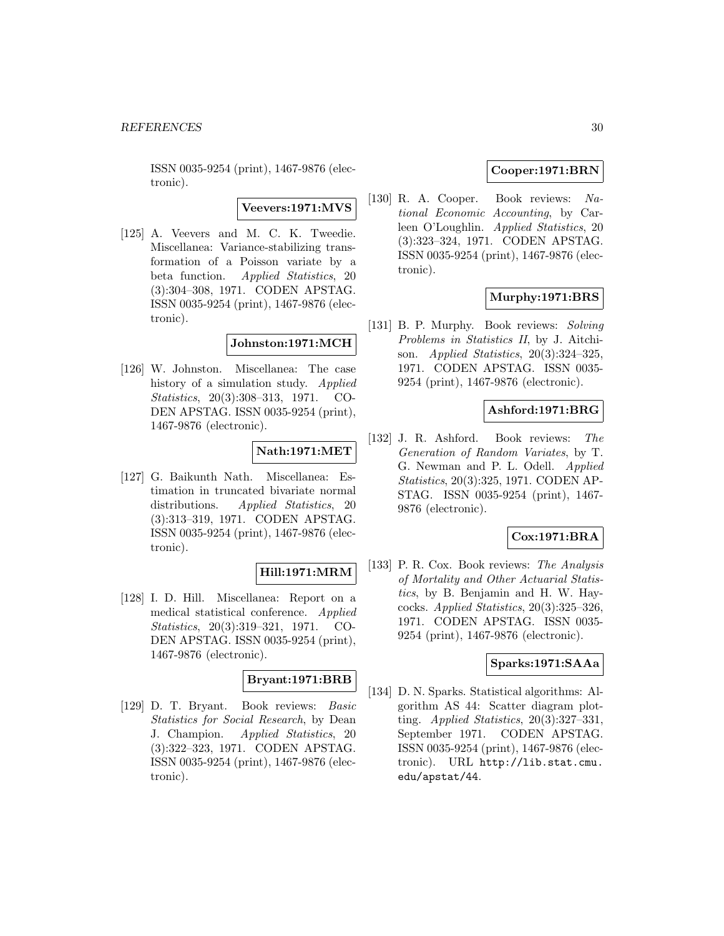ISSN 0035-9254 (print), 1467-9876 (electronic).

# **Veevers:1971:MVS**

[125] A. Veevers and M. C. K. Tweedie. Miscellanea: Variance-stabilizing transformation of a Poisson variate by a beta function. Applied Statistics, 20 (3):304–308, 1971. CODEN APSTAG. ISSN 0035-9254 (print), 1467-9876 (electronic).

# **Johnston:1971:MCH**

[126] W. Johnston. Miscellanea: The case history of a simulation study. Applied Statistics, 20(3):308–313, 1971. CO-DEN APSTAG. ISSN 0035-9254 (print), 1467-9876 (electronic).

# **Nath:1971:MET**

[127] G. Baikunth Nath. Miscellanea: Estimation in truncated bivariate normal distributions. Applied Statistics, 20 (3):313–319, 1971. CODEN APSTAG. ISSN 0035-9254 (print), 1467-9876 (electronic).

# **Hill:1971:MRM**

[128] I. D. Hill. Miscellanea: Report on a medical statistical conference. Applied Statistics, 20(3):319–321, 1971. CO-DEN APSTAG. ISSN 0035-9254 (print), 1467-9876 (electronic).

### **Bryant:1971:BRB**

[129] D. T. Bryant. Book reviews: Basic Statistics for Social Research, by Dean J. Champion. Applied Statistics, 20 (3):322–323, 1971. CODEN APSTAG. ISSN 0035-9254 (print), 1467-9876 (electronic).

# **Cooper:1971:BRN**

[130] R. A. Cooper. Book reviews: National Economic Accounting, by Carleen O'Loughlin. Applied Statistics, 20 (3):323–324, 1971. CODEN APSTAG. ISSN 0035-9254 (print), 1467-9876 (electronic).

# **Murphy:1971:BRS**

[131] B. P. Murphy. Book reviews: Solving Problems in Statistics II, by J. Aitchison. Applied Statistics, 20(3):324–325, 1971. CODEN APSTAG. ISSN 0035- 9254 (print), 1467-9876 (electronic).

# **Ashford:1971:BRG**

[132] J. R. Ashford. Book reviews: The Generation of Random Variates, by T. G. Newman and P. L. Odell. Applied Statistics, 20(3):325, 1971. CODEN AP-STAG. ISSN 0035-9254 (print), 1467- 9876 (electronic).

# **Cox:1971:BRA**

[133] P. R. Cox. Book reviews: The Analysis of Mortality and Other Actuarial Statistics, by B. Benjamin and H. W. Haycocks. Applied Statistics,  $20(3):325-326$ , 1971. CODEN APSTAG. ISSN 0035- 9254 (print), 1467-9876 (electronic).

# **Sparks:1971:SAAa**

[134] D. N. Sparks. Statistical algorithms: Algorithm AS 44: Scatter diagram plotting. Applied Statistics,  $20(3):327-331$ , September 1971. CODEN APSTAG. ISSN 0035-9254 (print), 1467-9876 (electronic). URL http://lib.stat.cmu. edu/apstat/44.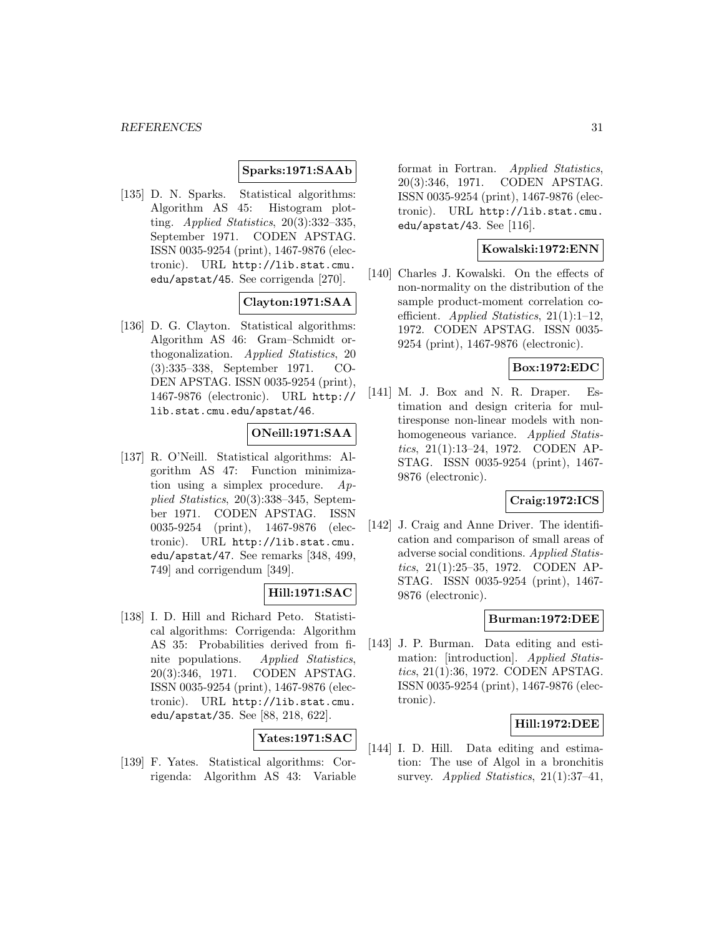### **Sparks:1971:SAAb**

[135] D. N. Sparks. Statistical algorithms: Algorithm AS 45: Histogram plotting. Applied Statistics, 20(3):332–335, September 1971. CODEN APSTAG. ISSN 0035-9254 (print), 1467-9876 (electronic). URL http://lib.stat.cmu. edu/apstat/45. See corrigenda [270].

# **Clayton:1971:SAA**

[136] D. G. Clayton. Statistical algorithms: Algorithm AS 46: Gram–Schmidt orthogonalization. Applied Statistics, 20 (3):335–338, September 1971. CO-DEN APSTAG. ISSN 0035-9254 (print), 1467-9876 (electronic). URL http:// lib.stat.cmu.edu/apstat/46.

# **ONeill:1971:SAA**

[137] R. O'Neill. Statistical algorithms: Algorithm AS 47: Function minimization using a simplex procedure. Applied Statistics, 20(3):338–345, September 1971. CODEN APSTAG. ISSN 0035-9254 (print), 1467-9876 (electronic). URL http://lib.stat.cmu. edu/apstat/47. See remarks [348, 499, 749] and corrigendum [349].

#### **Hill:1971:SAC**

[138] I. D. Hill and Richard Peto. Statistical algorithms: Corrigenda: Algorithm AS 35: Probabilities derived from finite populations. Applied Statistics, 20(3):346, 1971. CODEN APSTAG. ISSN 0035-9254 (print), 1467-9876 (electronic). URL http://lib.stat.cmu. edu/apstat/35. See [88, 218, 622].

**Yates:1971:SAC**

[139] F. Yates. Statistical algorithms: Corrigenda: Algorithm AS 43: Variable format in Fortran. Applied Statistics, 20(3):346, 1971. CODEN APSTAG. ISSN 0035-9254 (print), 1467-9876 (electronic). URL http://lib.stat.cmu. edu/apstat/43. See [116].

### **Kowalski:1972:ENN**

[140] Charles J. Kowalski. On the effects of non-normality on the distribution of the sample product-moment correlation coefficient. Applied Statistics,  $21(1):1-12$ , 1972. CODEN APSTAG. ISSN 0035- 9254 (print), 1467-9876 (electronic).

### **Box:1972:EDC**

[141] M. J. Box and N. R. Draper. Estimation and design criteria for multiresponse non-linear models with nonhomogeneous variance. Applied Statistics, 21(1):13–24, 1972. CODEN AP-STAG. ISSN 0035-9254 (print), 1467- 9876 (electronic).

# **Craig:1972:ICS**

[142] J. Craig and Anne Driver. The identification and comparison of small areas of adverse social conditions. Applied Statistics, 21(1):25–35, 1972. CODEN AP-STAG. ISSN 0035-9254 (print), 1467- 9876 (electronic).

# **Burman:1972:DEE**

[143] J. P. Burman. Data editing and estimation: [introduction]. *Applied Statis*tics, 21(1):36, 1972. CODEN APSTAG. ISSN 0035-9254 (print), 1467-9876 (electronic).

# **Hill:1972:DEE**

[144] I. D. Hill. Data editing and estimation: The use of Algol in a bronchitis survey. Applied Statistics,  $21(1):37-41$ ,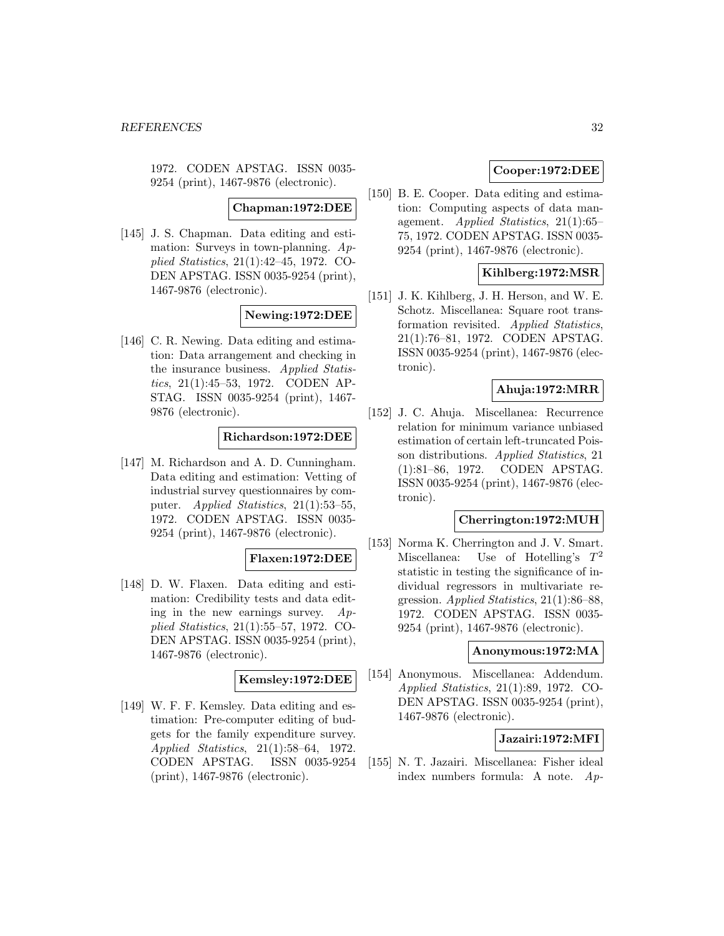1972. CODEN APSTAG. ISSN 0035- 9254 (print), 1467-9876 (electronic).

**Chapman:1972:DEE**

[145] J. S. Chapman. Data editing and estimation: Surveys in town-planning. Applied Statistics, 21(1):42–45, 1972. CO-DEN APSTAG. ISSN 0035-9254 (print), 1467-9876 (electronic).

# **Newing:1972:DEE**

[146] C. R. Newing. Data editing and estimation: Data arrangement and checking in the insurance business. Applied Statistics, 21(1):45–53, 1972. CODEN AP-STAG. ISSN 0035-9254 (print), 1467- 9876 (electronic).

# **Richardson:1972:DEE**

[147] M. Richardson and A. D. Cunningham. Data editing and estimation: Vetting of industrial survey questionnaires by computer. Applied Statistics, 21(1):53–55, 1972. CODEN APSTAG. ISSN 0035- 9254 (print), 1467-9876 (electronic).

# **Flaxen:1972:DEE**

[148] D. W. Flaxen. Data editing and estimation: Credibility tests and data editing in the new earnings survey.  $Ap$ plied Statistics, 21(1):55–57, 1972. CO-DEN APSTAG. ISSN 0035-9254 (print), 1467-9876 (electronic).

### **Kemsley:1972:DEE**

[149] W. F. F. Kemsley. Data editing and estimation: Pre-computer editing of budgets for the family expenditure survey. Applied Statistics, 21(1):58–64, 1972. CODEN APSTAG. ISSN 0035-9254 (print), 1467-9876 (electronic).

# **Cooper:1972:DEE**

[150] B. E. Cooper. Data editing and estimation: Computing aspects of data management. Applied Statistics, 21(1):65– 75, 1972. CODEN APSTAG. ISSN 0035- 9254 (print), 1467-9876 (electronic).

# **Kihlberg:1972:MSR**

[151] J. K. Kihlberg, J. H. Herson, and W. E. Schotz. Miscellanea: Square root transformation revisited. Applied Statistics, 21(1):76–81, 1972. CODEN APSTAG. ISSN 0035-9254 (print), 1467-9876 (electronic).

# **Ahuja:1972:MRR**

[152] J. C. Ahuja. Miscellanea: Recurrence relation for minimum variance unbiased estimation of certain left-truncated Poisson distributions. Applied Statistics, 21 (1):81–86, 1972. CODEN APSTAG. ISSN 0035-9254 (print), 1467-9876 (electronic).

# **Cherrington:1972:MUH**

[153] Norma K. Cherrington and J. V. Smart. Miscellanea: Use of Hotelling's  $T^2$ statistic in testing the significance of individual regressors in multivariate regression. Applied Statistics, 21(1):86–88, 1972. CODEN APSTAG. ISSN 0035- 9254 (print), 1467-9876 (electronic).

# **Anonymous:1972:MA**

[154] Anonymous. Miscellanea: Addendum. Applied Statistics, 21(1):89, 1972. CO-DEN APSTAG. ISSN 0035-9254 (print), 1467-9876 (electronic).

# **Jazairi:1972:MFI**

[155] N. T. Jazairi. Miscellanea: Fisher ideal index numbers formula: A note. Ap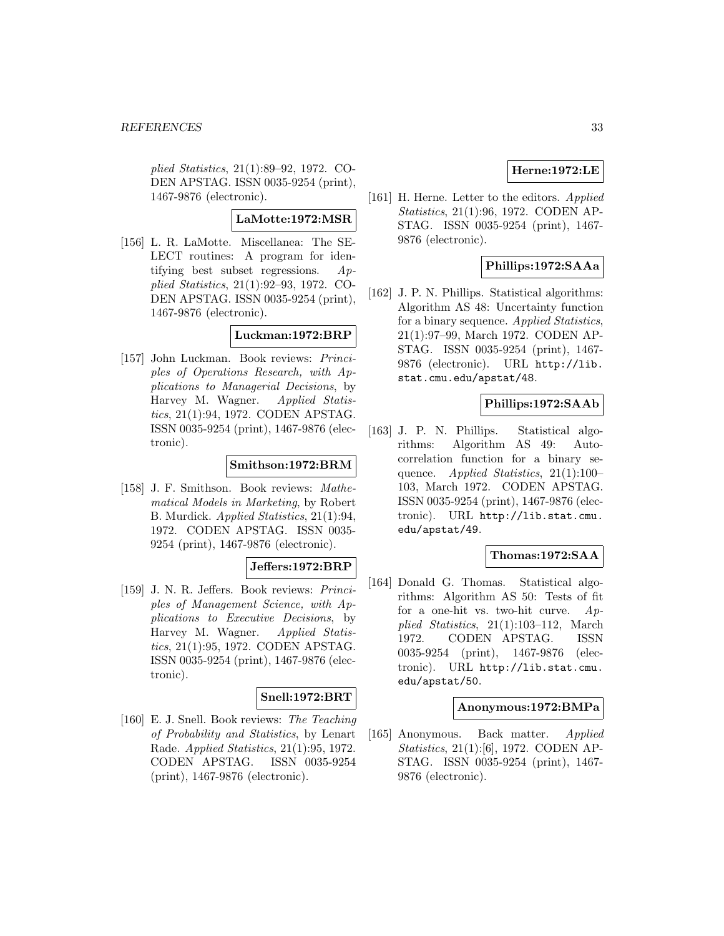plied Statistics, 21(1):89–92, 1972. CO-DEN APSTAG. ISSN 0035-9254 (print), 1467-9876 (electronic).

# **LaMotte:1972:MSR**

[156] L. R. LaMotte. Miscellanea: The SE-LECT routines: A program for identifying best subset regressions. Applied Statistics, 21(1):92–93, 1972. CO-DEN APSTAG. ISSN 0035-9254 (print), 1467-9876 (electronic).

# **Luckman:1972:BRP**

[157] John Luckman. Book reviews: Principles of Operations Research, with Applications to Managerial Decisions, by Harvey M. Wagner. Applied Statistics, 21(1):94, 1972. CODEN APSTAG. ISSN 0035-9254 (print), 1467-9876 (electronic).

# **Smithson:1972:BRM**

[158] J. F. Smithson. Book reviews: Mathematical Models in Marketing, by Robert B. Murdick. Applied Statistics, 21(1):94, 1972. CODEN APSTAG. ISSN 0035- 9254 (print), 1467-9876 (electronic).

# **Jeffers:1972:BRP**

[159] J. N. R. Jeffers. Book reviews: Principles of Management Science, with Applications to Executive Decisions, by Harvey M. Wagner. Applied Statistics, 21(1):95, 1972. CODEN APSTAG. ISSN 0035-9254 (print), 1467-9876 (electronic).

# **Snell:1972:BRT**

[160] E. J. Snell. Book reviews: The Teaching of Probability and Statistics, by Lenart Rade. Applied Statistics, 21(1):95, 1972. CODEN APSTAG. ISSN 0035-9254 (print), 1467-9876 (electronic).

# **Herne:1972:LE**

[161] H. Herne. Letter to the editors. Applied Statistics, 21(1):96, 1972. CODEN AP-STAG. ISSN 0035-9254 (print), 1467- 9876 (electronic).

# **Phillips:1972:SAAa**

[162] J. P. N. Phillips. Statistical algorithms: Algorithm AS 48: Uncertainty function for a binary sequence. Applied Statistics, 21(1):97–99, March 1972. CODEN AP-STAG. ISSN 0035-9254 (print), 1467- 9876 (electronic). URL http://lib. stat.cmu.edu/apstat/48.

# **Phillips:1972:SAAb**

[163] J. P. N. Phillips. Statistical algorithms: Algorithm AS 49: Autocorrelation function for a binary sequence. Applied Statistics, 21(1):100– 103, March 1972. CODEN APSTAG. ISSN 0035-9254 (print), 1467-9876 (electronic). URL http://lib.stat.cmu. edu/apstat/49.

### **Thomas:1972:SAA**

[164] Donald G. Thomas. Statistical algorithms: Algorithm AS 50: Tests of fit for a one-hit vs. two-hit curve. Applied Statistics, 21(1):103–112, March 1972. CODEN APSTAG. ISSN 0035-9254 (print), 1467-9876 (electronic). URL http://lib.stat.cmu. edu/apstat/50.

### **Anonymous:1972:BMPa**

[165] Anonymous. Back matter. Applied Statistics, 21(1):[6], 1972. CODEN AP-STAG. ISSN 0035-9254 (print), 1467- 9876 (electronic).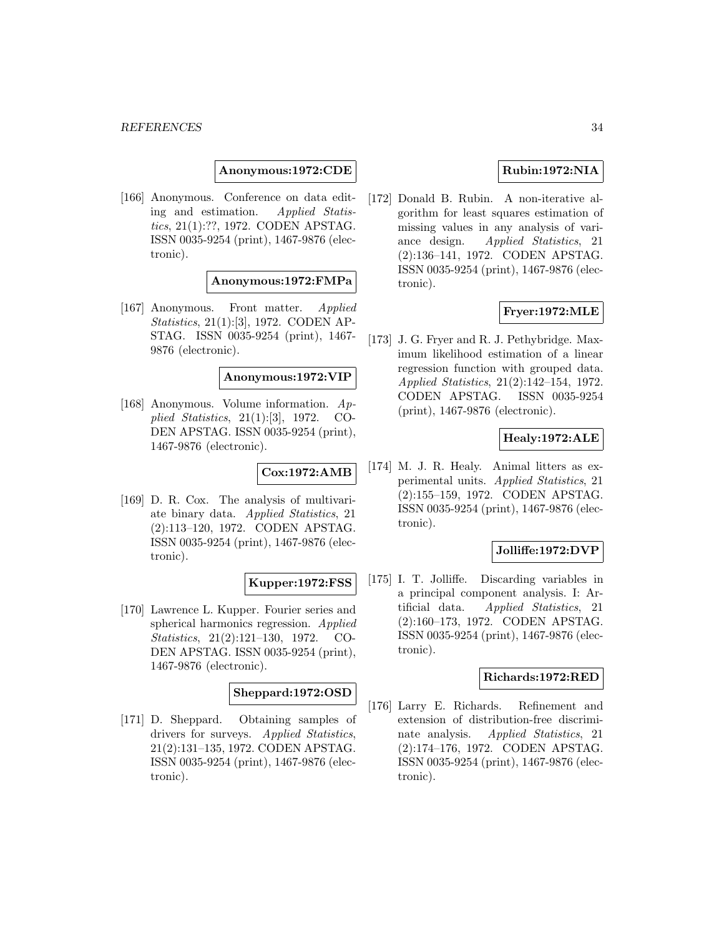**Anonymous:1972:CDE**

[166] Anonymous. Conference on data editing and estimation. Applied Statistics, 21(1):??, 1972. CODEN APSTAG. ISSN 0035-9254 (print), 1467-9876 (electronic).

### **Anonymous:1972:FMPa**

[167] Anonymous. Front matter. Applied Statistics, 21(1):[3], 1972. CODEN AP-STAG. ISSN 0035-9254 (print), 1467- 9876 (electronic).

# **Anonymous:1972:VIP**

[168] Anonymous. Volume information. Applied Statistics, 21(1):[3], 1972. CO-DEN APSTAG. ISSN 0035-9254 (print), 1467-9876 (electronic).

# **Cox:1972:AMB**

[169] D. R. Cox. The analysis of multivariate binary data. Applied Statistics, 21 (2):113–120, 1972. CODEN APSTAG. ISSN 0035-9254 (print), 1467-9876 (electronic).

#### **Kupper:1972:FSS**

[170] Lawrence L. Kupper. Fourier series and spherical harmonics regression. Applied Statistics, 21(2):121–130, 1972. CO-DEN APSTAG. ISSN 0035-9254 (print), 1467-9876 (electronic).

# **Sheppard:1972:OSD**

[171] D. Sheppard. Obtaining samples of drivers for surveys. Applied Statistics, 21(2):131–135, 1972. CODEN APSTAG. ISSN 0035-9254 (print), 1467-9876 (electronic).

# **Rubin:1972:NIA**

[172] Donald B. Rubin. A non-iterative algorithm for least squares estimation of missing values in any analysis of variance design. Applied Statistics, 21 (2):136–141, 1972. CODEN APSTAG. ISSN 0035-9254 (print), 1467-9876 (electronic).

# **Fryer:1972:MLE**

[173] J. G. Fryer and R. J. Pethybridge. Maximum likelihood estimation of a linear regression function with grouped data. Applied Statistics, 21(2):142–154, 1972. CODEN APSTAG. ISSN 0035-9254 (print), 1467-9876 (electronic).

# **Healy:1972:ALE**

[174] M. J. R. Healy. Animal litters as experimental units. Applied Statistics, 21 (2):155–159, 1972. CODEN APSTAG. ISSN 0035-9254 (print), 1467-9876 (electronic).

# **Jolliffe:1972:DVP**

[175] I. T. Jolliffe. Discarding variables in a principal component analysis. I: Artificial data. Applied Statistics, 21 (2):160–173, 1972. CODEN APSTAG. ISSN 0035-9254 (print), 1467-9876 (electronic).

#### **Richards:1972:RED**

[176] Larry E. Richards. Refinement and extension of distribution-free discriminate analysis. Applied Statistics, 21 (2):174–176, 1972. CODEN APSTAG. ISSN 0035-9254 (print), 1467-9876 (electronic).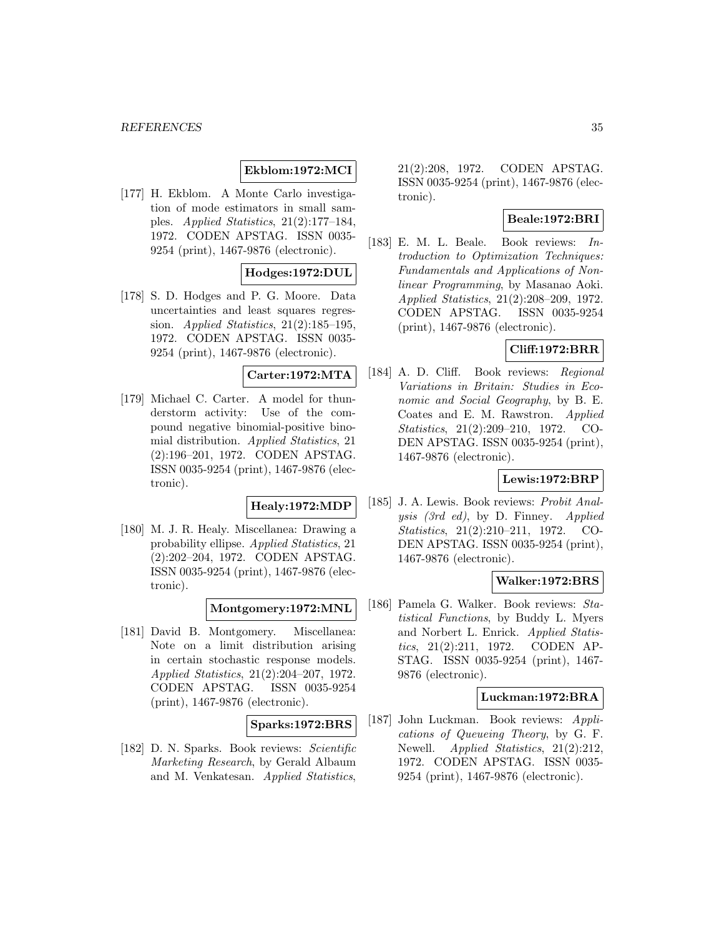#### *REFERENCES* 35

### **Ekblom:1972:MCI**

[177] H. Ekblom. A Monte Carlo investigation of mode estimators in small samples. Applied Statistics, 21(2):177–184, 1972. CODEN APSTAG. ISSN 0035- 9254 (print), 1467-9876 (electronic).

### **Hodges:1972:DUL**

[178] S. D. Hodges and P. G. Moore. Data uncertainties and least squares regression. Applied Statistics, 21(2):185–195, 1972. CODEN APSTAG. ISSN 0035- 9254 (print), 1467-9876 (electronic).

# **Carter:1972:MTA**

[179] Michael C. Carter. A model for thunderstorm activity: Use of the compound negative binomial-positive binomial distribution. Applied Statistics, 21 (2):196–201, 1972. CODEN APSTAG. ISSN 0035-9254 (print), 1467-9876 (electronic).

# **Healy:1972:MDP**

[180] M. J. R. Healy. Miscellanea: Drawing a probability ellipse. Applied Statistics, 21 (2):202–204, 1972. CODEN APSTAG. ISSN 0035-9254 (print), 1467-9876 (electronic).

#### **Montgomery:1972:MNL**

[181] David B. Montgomery. Miscellanea: Note on a limit distribution arising in certain stochastic response models. Applied Statistics, 21(2):204–207, 1972. CODEN APSTAG. ISSN 0035-9254 (print), 1467-9876 (electronic).

# **Sparks:1972:BRS**

[182] D. N. Sparks. Book reviews: Scientific Marketing Research, by Gerald Albaum and M. Venkatesan. Applied Statistics,

21(2):208, 1972. CODEN APSTAG. ISSN 0035-9254 (print), 1467-9876 (electronic).

# **Beale:1972:BRI**

[183] E. M. L. Beale. Book reviews: Introduction to Optimization Techniques: Fundamentals and Applications of Nonlinear Programming, by Masanao Aoki. Applied Statistics, 21(2):208–209, 1972. CODEN APSTAG. ISSN 0035-9254 (print), 1467-9876 (electronic).

# **Cliff:1972:BRR**

[184] A. D. Cliff. Book reviews: Regional Variations in Britain: Studies in Economic and Social Geography, by B. E. Coates and E. M. Rawstron. Applied Statistics, 21(2):209–210, 1972. CO-DEN APSTAG. ISSN 0035-9254 (print), 1467-9876 (electronic).

# **Lewis:1972:BRP**

[185] J. A. Lewis. Book reviews: Probit Analysis (3rd ed), by D. Finney. Applied Statistics, 21(2):210–211, 1972. CO-DEN APSTAG. ISSN 0035-9254 (print), 1467-9876 (electronic).

# **Walker:1972:BRS**

[186] Pamela G. Walker. Book reviews: Statistical Functions, by Buddy L. Myers and Norbert L. Enrick. Applied Statistics, 21(2):211, 1972. CODEN AP-STAG. ISSN 0035-9254 (print), 1467- 9876 (electronic).

#### **Luckman:1972:BRA**

[187] John Luckman. Book reviews: Applications of Queueing Theory, by G. F. Newell. *Applied Statistics*, 21(2):212. 1972. CODEN APSTAG. ISSN 0035- 9254 (print), 1467-9876 (electronic).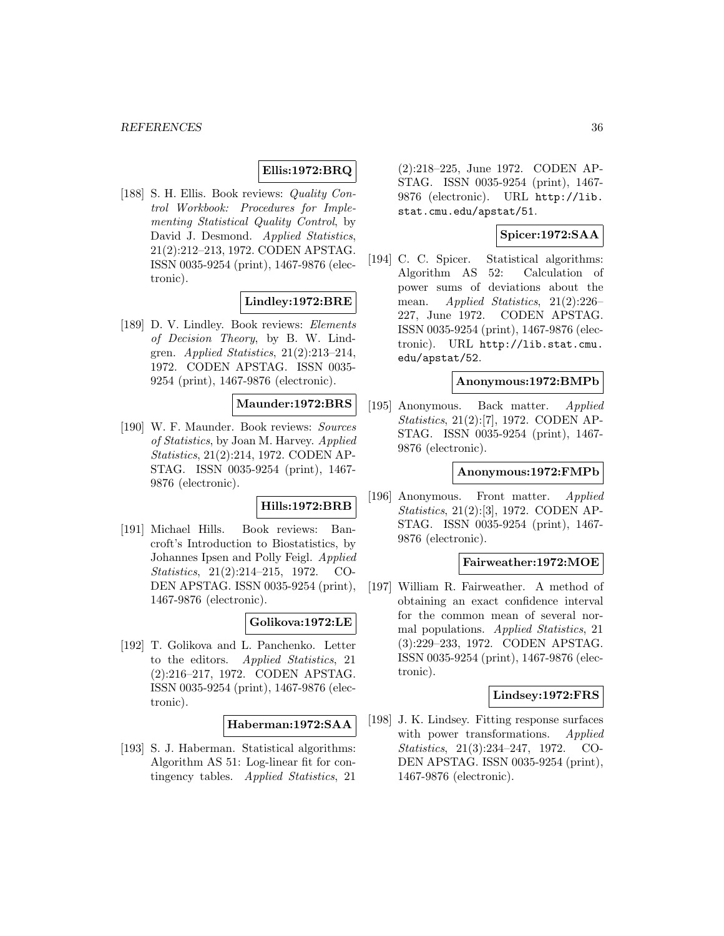# **Ellis:1972:BRQ**

[188] S. H. Ellis. Book reviews: Quality Control Workbook: Procedures for Implementing Statistical Quality Control, by David J. Desmond. Applied Statistics, 21(2):212–213, 1972. CODEN APSTAG. ISSN 0035-9254 (print), 1467-9876 (electronic).

### **Lindley:1972:BRE**

[189] D. V. Lindley. Book reviews: Elements of Decision Theory, by B. W. Lindgren. Applied Statistics,  $21(2):213-214$ , 1972. CODEN APSTAG. ISSN 0035- 9254 (print), 1467-9876 (electronic).

# **Maunder:1972:BRS**

[190] W. F. Maunder. Book reviews: Sources of Statistics, by Joan M. Harvey. Applied Statistics, 21(2):214, 1972. CODEN AP-STAG. ISSN 0035-9254 (print), 1467- 9876 (electronic).

# **Hills:1972:BRB**

[191] Michael Hills. Book reviews: Bancroft's Introduction to Biostatistics, by Johannes Ipsen and Polly Feigl. Applied Statistics, 21(2):214–215, 1972. CO-DEN APSTAG. ISSN 0035-9254 (print), 1467-9876 (electronic).

#### **Golikova:1972:LE**

[192] T. Golikova and L. Panchenko. Letter to the editors. Applied Statistics, 21 (2):216–217, 1972. CODEN APSTAG. ISSN 0035-9254 (print), 1467-9876 (electronic).

#### **Haberman:1972:SAA**

[193] S. J. Haberman. Statistical algorithms: Algorithm AS 51: Log-linear fit for contingency tables. Applied Statistics, 21

(2):218–225, June 1972. CODEN AP-STAG. ISSN 0035-9254 (print), 1467- 9876 (electronic). URL http://lib. stat.cmu.edu/apstat/51.

# **Spicer:1972:SAA**

[194] C. C. Spicer. Statistical algorithms: Algorithm AS 52: Calculation of power sums of deviations about the mean. Applied Statistics, 21(2):226– 227, June 1972. CODEN APSTAG. ISSN 0035-9254 (print), 1467-9876 (electronic). URL http://lib.stat.cmu. edu/apstat/52.

### **Anonymous:1972:BMPb**

[195] Anonymous. Back matter. Applied Statistics, 21(2):[7], 1972. CODEN AP-STAG. ISSN 0035-9254 (print), 1467- 9876 (electronic).

#### **Anonymous:1972:FMPb**

[196] Anonymous. Front matter. Applied Statistics, 21(2):[3], 1972. CODEN AP-STAG. ISSN 0035-9254 (print), 1467- 9876 (electronic).

#### **Fairweather:1972:MOE**

[197] William R. Fairweather. A method of obtaining an exact confidence interval for the common mean of several normal populations. Applied Statistics, 21 (3):229–233, 1972. CODEN APSTAG. ISSN 0035-9254 (print), 1467-9876 (electronic).

#### **Lindsey:1972:FRS**

[198] J. K. Lindsey. Fitting response surfaces with power transformations. Applied Statistics, 21(3):234–247, 1972. CO-DEN APSTAG. ISSN 0035-9254 (print), 1467-9876 (electronic).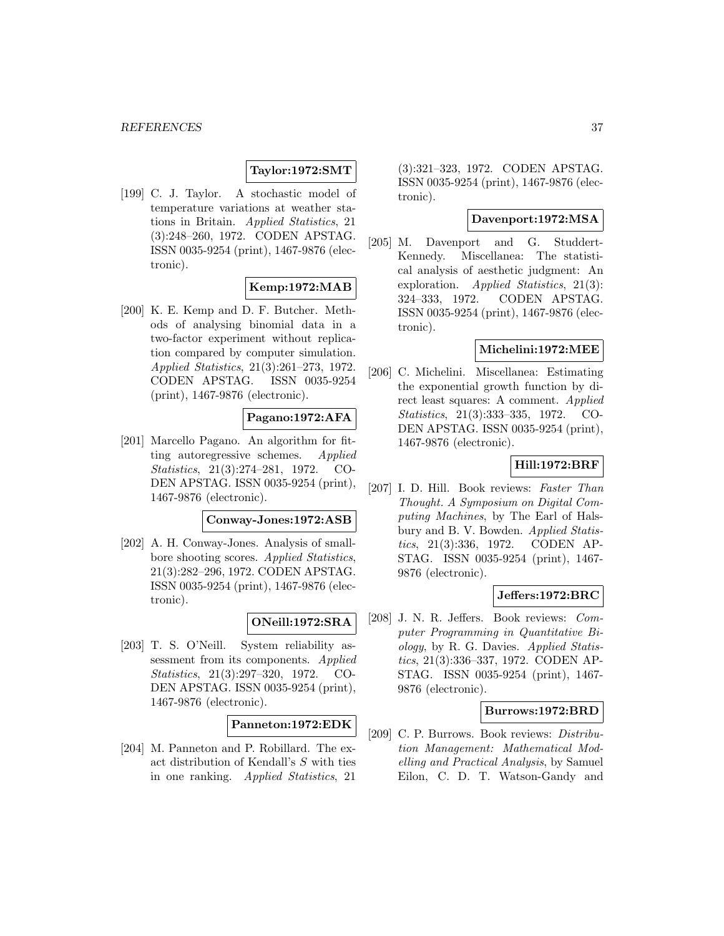# **Taylor:1972:SMT**

[199] C. J. Taylor. A stochastic model of temperature variations at weather stations in Britain. Applied Statistics, 21 (3):248–260, 1972. CODEN APSTAG. ISSN 0035-9254 (print), 1467-9876 (electronic).

### **Kemp:1972:MAB**

[200] K. E. Kemp and D. F. Butcher. Methods of analysing binomial data in a two-factor experiment without replication compared by computer simulation. Applied Statistics, 21(3):261–273, 1972. CODEN APSTAG. ISSN 0035-9254 (print), 1467-9876 (electronic).

### **Pagano:1972:AFA**

[201] Marcello Pagano. An algorithm for fitting autoregressive schemes. Applied Statistics, 21(3):274–281, 1972. CO-DEN APSTAG. ISSN 0035-9254 (print), 1467-9876 (electronic).

#### **Conway-Jones:1972:ASB**

[202] A. H. Conway-Jones. Analysis of smallbore shooting scores. Applied Statistics, 21(3):282–296, 1972. CODEN APSTAG. ISSN 0035-9254 (print), 1467-9876 (electronic).

### **ONeill:1972:SRA**

[203] T. S. O'Neill. System reliability assessment from its components. Applied Statistics, 21(3):297–320, 1972. CO-DEN APSTAG. ISSN 0035-9254 (print), 1467-9876 (electronic).

# **Panneton:1972:EDK**

[204] M. Panneton and P. Robillard. The exact distribution of Kendall's S with ties in one ranking. Applied Statistics, 21

(3):321–323, 1972. CODEN APSTAG. ISSN 0035-9254 (print), 1467-9876 (electronic).

## **Davenport:1972:MSA**

[205] M. Davenport and G. Studdert-Kennedy. Miscellanea: The statistical analysis of aesthetic judgment: An exploration. Applied Statistics, 21(3): 324–333, 1972. CODEN APSTAG. ISSN 0035-9254 (print), 1467-9876 (electronic).

## **Michelini:1972:MEE**

[206] C. Michelini. Miscellanea: Estimating the exponential growth function by direct least squares: A comment. Applied Statistics, 21(3):333–335, 1972. CO-DEN APSTAG. ISSN 0035-9254 (print), 1467-9876 (electronic).

#### **Hill:1972:BRF**

[207] I. D. Hill. Book reviews: Faster Than Thought. A Symposium on Digital Computing Machines, by The Earl of Halsbury and B. V. Bowden. Applied Statistics, 21(3):336, 1972. CODEN AP-STAG. ISSN 0035-9254 (print), 1467- 9876 (electronic).

#### **Jeffers:1972:BRC**

[208] J. N. R. Jeffers. Book reviews: Computer Programming in Quantitative Biology, by R. G. Davies. Applied Statistics, 21(3):336–337, 1972. CODEN AP-STAG. ISSN 0035-9254 (print), 1467- 9876 (electronic).

### **Burrows:1972:BRD**

[209] C. P. Burrows. Book reviews: Distribution Management: Mathematical Modelling and Practical Analysis, by Samuel Eilon, C. D. T. Watson-Gandy and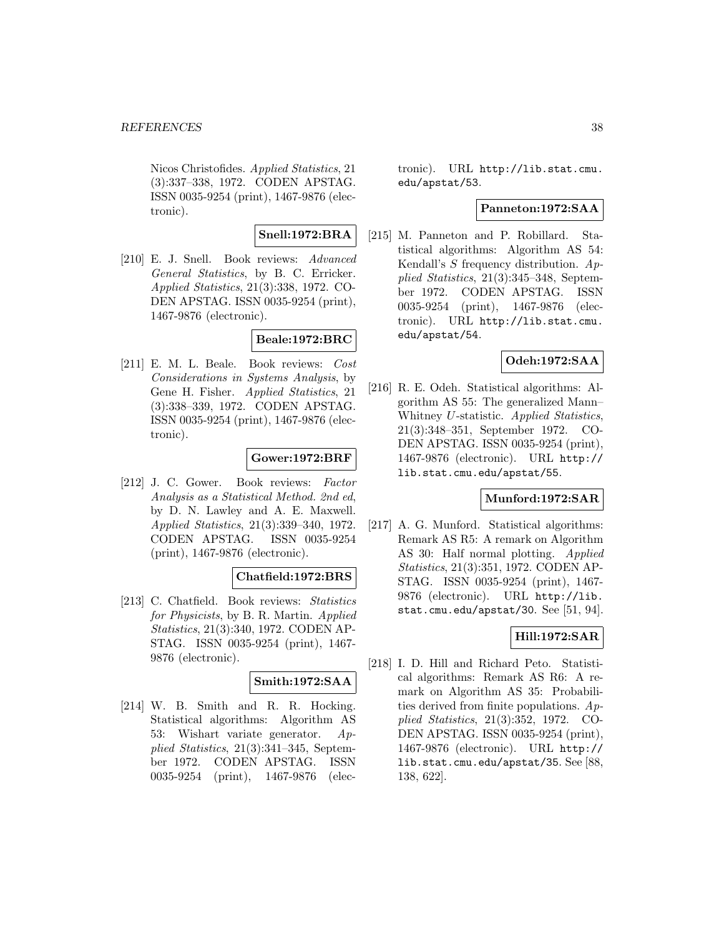Nicos Christofides. Applied Statistics, 21 (3):337–338, 1972. CODEN APSTAG. ISSN 0035-9254 (print), 1467-9876 (electronic).

## **Snell:1972:BRA**

[210] E. J. Snell. Book reviews: Advanced General Statistics, by B. C. Erricker. Applied Statistics, 21(3):338, 1972. CO-DEN APSTAG. ISSN 0035-9254 (print), 1467-9876 (electronic).

### **Beale:1972:BRC**

[211] E. M. L. Beale. Book reviews: Cost Considerations in Systems Analysis, by Gene H. Fisher. Applied Statistics, 21 (3):338–339, 1972. CODEN APSTAG. ISSN 0035-9254 (print), 1467-9876 (electronic).

### **Gower:1972:BRF**

[212] J. C. Gower. Book reviews: Factor Analysis as a Statistical Method. 2nd ed, by D. N. Lawley and A. E. Maxwell. Applied Statistics, 21(3):339–340, 1972. CODEN APSTAG. ISSN 0035-9254 (print), 1467-9876 (electronic).

### **Chatfield:1972:BRS**

[213] C. Chatfield. Book reviews: Statistics for Physicists, by B. R. Martin. Applied Statistics, 21(3):340, 1972. CODEN AP-STAG. ISSN 0035-9254 (print), 1467- 9876 (electronic).

# **Smith:1972:SAA**

[214] W. B. Smith and R. R. Hocking. Statistical algorithms: Algorithm AS 53: Wishart variate generator. Applied Statistics, 21(3):341–345, September 1972. CODEN APSTAG. ISSN 0035-9254 (print), 1467-9876 (electronic). URL http://lib.stat.cmu. edu/apstat/53.

## **Panneton:1972:SAA**

[215] M. Panneton and P. Robillard. Statistical algorithms: Algorithm AS 54: Kendall's S frequency distribution. Applied Statistics, 21(3):345–348, September 1972. CODEN APSTAG. ISSN 0035-9254 (print), 1467-9876 (electronic). URL http://lib.stat.cmu. edu/apstat/54.

# **Odeh:1972:SAA**

[216] R. E. Odeh. Statistical algorithms: Algorithm AS 55: The generalized Mann– Whitney U-statistic. Applied Statistics, 21(3):348–351, September 1972. CO-DEN APSTAG. ISSN 0035-9254 (print), 1467-9876 (electronic). URL http:// lib.stat.cmu.edu/apstat/55.

### **Munford:1972:SAR**

[217] A. G. Munford. Statistical algorithms: Remark AS R5: A remark on Algorithm AS 30: Half normal plotting. Applied Statistics, 21(3):351, 1972. CODEN AP-STAG. ISSN 0035-9254 (print), 1467- 9876 (electronic). URL http://lib. stat.cmu.edu/apstat/30. See  $[51, 94]$ .

### **Hill:1972:SAR**

[218] I. D. Hill and Richard Peto. Statistical algorithms: Remark AS R6: A remark on Algorithm AS 35: Probabilities derived from finite populations.  $Ap$ plied Statistics, 21(3):352, 1972. CO-DEN APSTAG. ISSN 0035-9254 (print), 1467-9876 (electronic). URL http:// lib.stat.cmu.edu/apstat/35. See [88, 138, 622].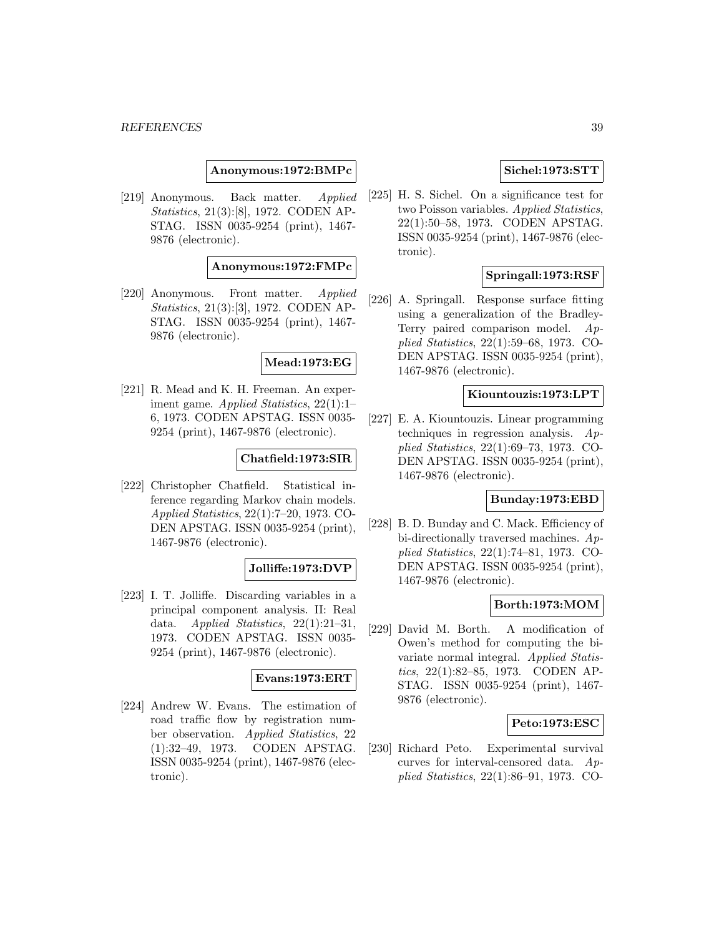**Anonymous:1972:BMPc**

[219] Anonymous. Back matter. Applied Statistics, 21(3):[8], 1972. CODEN AP-STAG. ISSN 0035-9254 (print), 1467- 9876 (electronic).

**Anonymous:1972:FMPc**

[220] Anonymous. Front matter. Applied Statistics, 21(3):[3], 1972. CODEN AP-STAG. ISSN 0035-9254 (print), 1467- 9876 (electronic).

### **Mead:1973:EG**

[221] R. Mead and K. H. Freeman. An experiment game. Applied Statistics, 22(1):1– 6, 1973. CODEN APSTAG. ISSN 0035- 9254 (print), 1467-9876 (electronic).

### **Chatfield:1973:SIR**

[222] Christopher Chatfield. Statistical inference regarding Markov chain models. Applied Statistics, 22(1):7–20, 1973. CO-DEN APSTAG. ISSN 0035-9254 (print), 1467-9876 (electronic).

### **Jolliffe:1973:DVP**

[223] I. T. Jolliffe. Discarding variables in a principal component analysis. II: Real data. Applied Statistics, 22(1):21–31, 1973. CODEN APSTAG. ISSN 0035- 9254 (print), 1467-9876 (electronic).

#### **Evans:1973:ERT**

[224] Andrew W. Evans. The estimation of road traffic flow by registration number observation. Applied Statistics, 22 (1):32–49, 1973. CODEN APSTAG. ISSN 0035-9254 (print), 1467-9876 (electronic).

## **Sichel:1973:STT**

[225] H. S. Sichel. On a significance test for two Poisson variables. Applied Statistics, 22(1):50–58, 1973. CODEN APSTAG. ISSN 0035-9254 (print), 1467-9876 (electronic).

# **Springall:1973:RSF**

[226] A. Springall. Response surface fitting using a generalization of the Bradley-Terry paired comparison model. Applied Statistics, 22(1):59–68, 1973. CO-DEN APSTAG. ISSN 0035-9254 (print), 1467-9876 (electronic).

### **Kiountouzis:1973:LPT**

[227] E. A. Kiountouzis. Linear programming techniques in regression analysis.  $Ap$ plied Statistics, 22(1):69–73, 1973. CO-DEN APSTAG. ISSN 0035-9254 (print), 1467-9876 (electronic).

### **Bunday:1973:EBD**

[228] B. D. Bunday and C. Mack. Efficiency of bi-directionally traversed machines. Applied Statistics, 22(1):74–81, 1973. CO-DEN APSTAG. ISSN 0035-9254 (print), 1467-9876 (electronic).

# **Borth:1973:MOM**

[229] David M. Borth. A modification of Owen's method for computing the bivariate normal integral. Applied Statistics, 22(1):82–85, 1973. CODEN AP-STAG. ISSN 0035-9254 (print), 1467- 9876 (electronic).

### **Peto:1973:ESC**

[230] Richard Peto. Experimental survival curves for interval-censored data. Applied Statistics, 22(1):86–91, 1973. CO-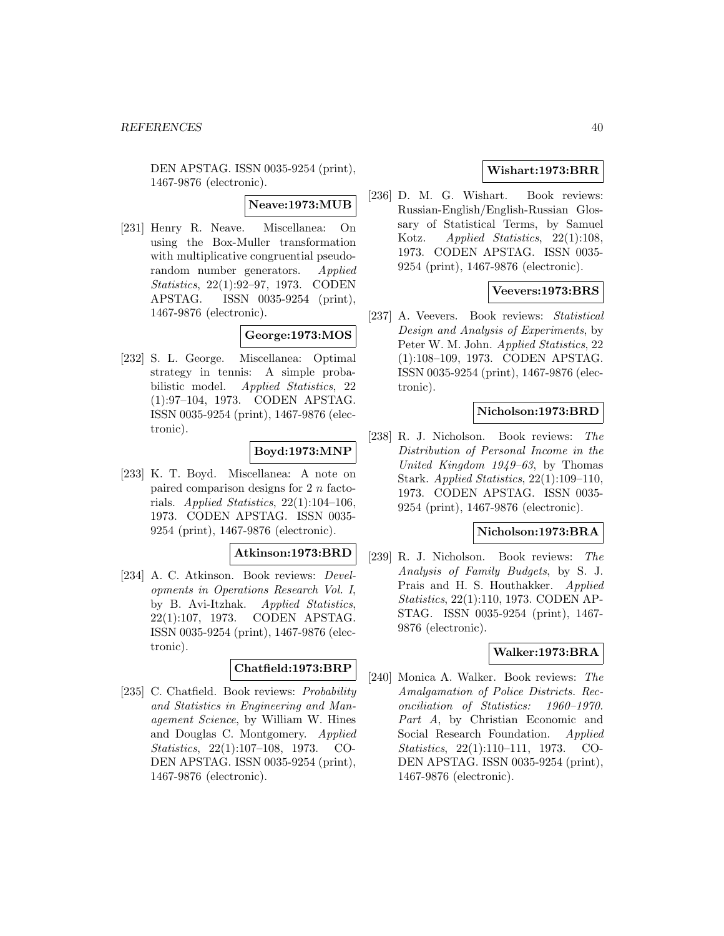DEN APSTAG. ISSN 0035-9254 (print), 1467-9876 (electronic).

**Neave:1973:MUB**

[231] Henry R. Neave. Miscellanea: On using the Box-Muller transformation with multiplicative congruential pseudorandom number generators. Applied Statistics, 22(1):92–97, 1973. CODEN APSTAG. ISSN 0035-9254 (print), 1467-9876 (electronic).

### **George:1973:MOS**

[232] S. L. George. Miscellanea: Optimal strategy in tennis: A simple probabilistic model. Applied Statistics, 22 (1):97–104, 1973. CODEN APSTAG. ISSN 0035-9254 (print), 1467-9876 (electronic).

# **Boyd:1973:MNP**

[233] K. T. Boyd. Miscellanea: A note on paired comparison designs for 2 n factorials. Applied Statistics, 22(1):104–106, 1973. CODEN APSTAG. ISSN 0035- 9254 (print), 1467-9876 (electronic).

## **Atkinson:1973:BRD**

[234] A. C. Atkinson. Book reviews: Developments in Operations Research Vol. I, by B. Avi-Itzhak. Applied Statistics, 22(1):107, 1973. CODEN APSTAG. ISSN 0035-9254 (print), 1467-9876 (electronic).

# **Chatfield:1973:BRP**

[235] C. Chatfield. Book reviews: *Probability* and Statistics in Engineering and Management Science, by William W. Hines and Douglas C. Montgomery. Applied Statistics, 22(1):107–108, 1973. CO-DEN APSTAG. ISSN 0035-9254 (print), 1467-9876 (electronic).

# **Wishart:1973:BRR**

[236] D. M. G. Wishart. Book reviews: Russian-English/English-Russian Glossary of Statistical Terms, by Samuel Kotz. Applied Statistics, 22(1):108, 1973. CODEN APSTAG. ISSN 0035- 9254 (print), 1467-9876 (electronic).

# **Veevers:1973:BRS**

[237] A. Veevers. Book reviews: Statistical Design and Analysis of Experiments, by Peter W. M. John. Applied Statistics, 22 (1):108–109, 1973. CODEN APSTAG. ISSN 0035-9254 (print), 1467-9876 (electronic).

### **Nicholson:1973:BRD**

[238] R. J. Nicholson. Book reviews: The Distribution of Personal Income in the United Kingdom 1949–63, by Thomas Stark. Applied Statistics, 22(1):109–110, 1973. CODEN APSTAG. ISSN 0035- 9254 (print), 1467-9876 (electronic).

#### **Nicholson:1973:BRA**

[239] R. J. Nicholson. Book reviews: The Analysis of Family Budgets, by S. J. Prais and H. S. Houthakker. Applied Statistics, 22(1):110, 1973. CODEN AP-STAG. ISSN 0035-9254 (print), 1467- 9876 (electronic).

### **Walker:1973:BRA**

[240] Monica A. Walker. Book reviews: The Amalgamation of Police Districts. Reconciliation of Statistics: 1960–1970. Part A, by Christian Economic and Social Research Foundation. Applied Statistics, 22(1):110–111, 1973. CO-DEN APSTAG. ISSN 0035-9254 (print), 1467-9876 (electronic).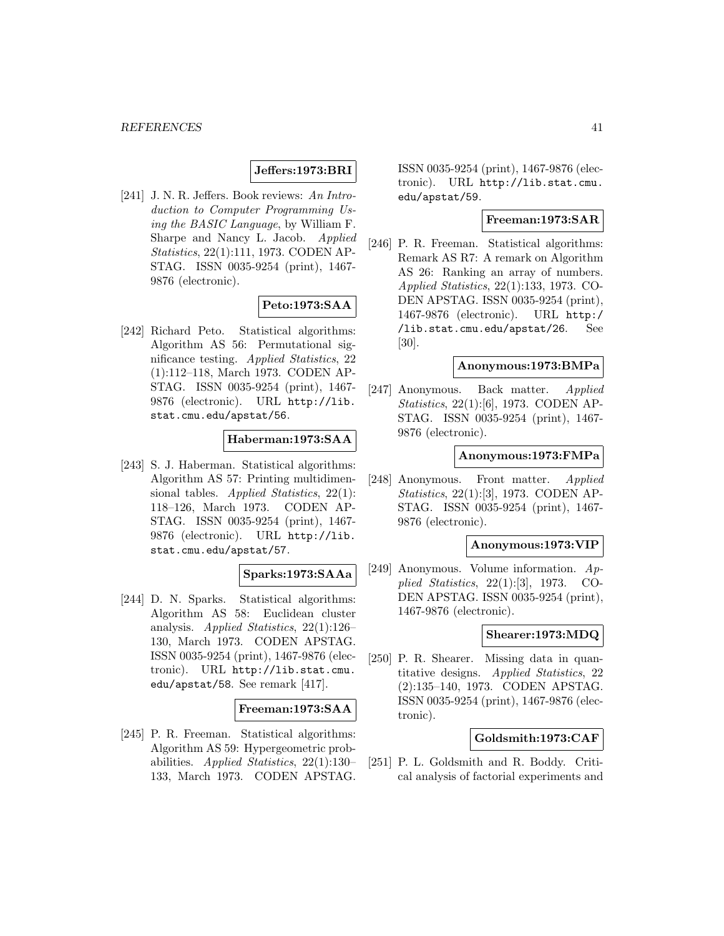# **Jeffers:1973:BRI**

[241] J. N. R. Jeffers. Book reviews: An Introduction to Computer Programming Using the BASIC Language, by William F. Sharpe and Nancy L. Jacob. Applied Statistics, 22(1):111, 1973. CODEN AP-STAG. ISSN 0035-9254 (print), 1467- 9876 (electronic).

# **Peto:1973:SAA**

[242] Richard Peto. Statistical algorithms: Algorithm AS 56: Permutational significance testing. Applied Statistics, 22 (1):112–118, March 1973. CODEN AP-STAG. ISSN 0035-9254 (print), 1467- 9876 (electronic). URL http://lib. stat.cmu.edu/apstat/56.

### **Haberman:1973:SAA**

[243] S. J. Haberman. Statistical algorithms: Algorithm AS 57: Printing multidimensional tables. Applied Statistics, 22(1): 118–126, March 1973. CODEN AP-STAG. ISSN 0035-9254 (print), 1467- 9876 (electronic). URL http://lib. stat.cmu.edu/apstat/57.

#### **Sparks:1973:SAAa**

[244] D. N. Sparks. Statistical algorithms: Algorithm AS 58: Euclidean cluster analysis. Applied Statistics, 22(1):126– 130, March 1973. CODEN APSTAG. ISSN 0035-9254 (print), 1467-9876 (electronic). URL http://lib.stat.cmu. edu/apstat/58. See remark [417].

### **Freeman:1973:SAA**

[245] P. R. Freeman. Statistical algorithms: Algorithm AS 59: Hypergeometric probabilities. Applied Statistics, 22(1):130– 133, March 1973. CODEN APSTAG.

ISSN 0035-9254 (print), 1467-9876 (electronic). URL http://lib.stat.cmu. edu/apstat/59.

# **Freeman:1973:SAR**

[246] P. R. Freeman. Statistical algorithms: Remark AS R7: A remark on Algorithm AS 26: Ranking an array of numbers. Applied Statistics, 22(1):133, 1973. CO-DEN APSTAG. ISSN 0035-9254 (print), 1467-9876 (electronic). URL http:/ /lib.stat.cmu.edu/apstat/26. See [30].

### **Anonymous:1973:BMPa**

[247] Anonymous. Back matter. Applied Statistics, 22(1):[6], 1973. CODEN AP-STAG. ISSN 0035-9254 (print), 1467- 9876 (electronic).

### **Anonymous:1973:FMPa**

[248] Anonymous. Front matter. Applied Statistics, 22(1):[3], 1973. CODEN AP-STAG. ISSN 0035-9254 (print), 1467- 9876 (electronic).

### **Anonymous:1973:VIP**

[249] Anonymous. Volume information. Applied Statistics, 22(1):[3], 1973. CO-DEN APSTAG. ISSN 0035-9254 (print), 1467-9876 (electronic).

#### **Shearer:1973:MDQ**

[250] P. R. Shearer. Missing data in quantitative designs. Applied Statistics, 22 (2):135–140, 1973. CODEN APSTAG. ISSN 0035-9254 (print), 1467-9876 (electronic).

#### **Goldsmith:1973:CAF**

[251] P. L. Goldsmith and R. Boddy. Critical analysis of factorial experiments and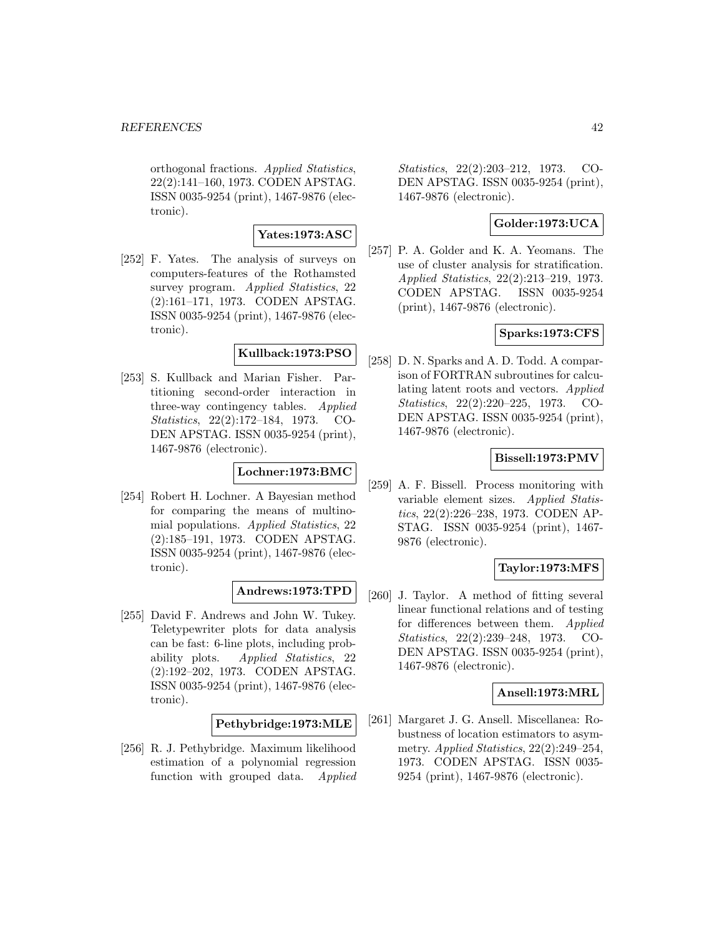orthogonal fractions. Applied Statistics, 22(2):141–160, 1973. CODEN APSTAG. ISSN 0035-9254 (print), 1467-9876 (electronic).

### **Yates:1973:ASC**

[252] F. Yates. The analysis of surveys on computers-features of the Rothamsted survey program. Applied Statistics, 22 (2):161–171, 1973. CODEN APSTAG. ISSN 0035-9254 (print), 1467-9876 (electronic).

### **Kullback:1973:PSO**

[253] S. Kullback and Marian Fisher. Partitioning second-order interaction in three-way contingency tables. Applied Statistics, 22(2):172–184, 1973. CO-DEN APSTAG. ISSN 0035-9254 (print), 1467-9876 (electronic).

# **Lochner:1973:BMC**

[254] Robert H. Lochner. A Bayesian method for comparing the means of multinomial populations. Applied Statistics, 22 (2):185–191, 1973. CODEN APSTAG. ISSN 0035-9254 (print), 1467-9876 (electronic).

# **Andrews:1973:TPD**

[255] David F. Andrews and John W. Tukey. Teletypewriter plots for data analysis can be fast: 6-line plots, including probability plots. Applied Statistics, 22 (2):192–202, 1973. CODEN APSTAG. ISSN 0035-9254 (print), 1467-9876 (electronic).

### **Pethybridge:1973:MLE**

[256] R. J. Pethybridge. Maximum likelihood estimation of a polynomial regression function with grouped data. Applied Statistics, 22(2):203–212, 1973. CO-DEN APSTAG. ISSN 0035-9254 (print), 1467-9876 (electronic).

# **Golder:1973:UCA**

[257] P. A. Golder and K. A. Yeomans. The use of cluster analysis for stratification. Applied Statistics, 22(2):213–219, 1973. CODEN APSTAG. ISSN 0035-9254 (print), 1467-9876 (electronic).

# **Sparks:1973:CFS**

[258] D. N. Sparks and A. D. Todd. A comparison of FORTRAN subroutines for calculating latent roots and vectors. Applied Statistics, 22(2):220–225, 1973. CO-DEN APSTAG. ISSN 0035-9254 (print), 1467-9876 (electronic).

# **Bissell:1973:PMV**

[259] A. F. Bissell. Process monitoring with variable element sizes. Applied Statistics, 22(2):226–238, 1973. CODEN AP-STAG. ISSN 0035-9254 (print), 1467- 9876 (electronic).

# **Taylor:1973:MFS**

[260] J. Taylor. A method of fitting several linear functional relations and of testing for differences between them. Applied Statistics, 22(2):239–248, 1973. CO-DEN APSTAG. ISSN 0035-9254 (print), 1467-9876 (electronic).

### **Ansell:1973:MRL**

[261] Margaret J. G. Ansell. Miscellanea: Robustness of location estimators to asymmetry. Applied Statistics, 22(2):249–254, 1973. CODEN APSTAG. ISSN 0035- 9254 (print), 1467-9876 (electronic).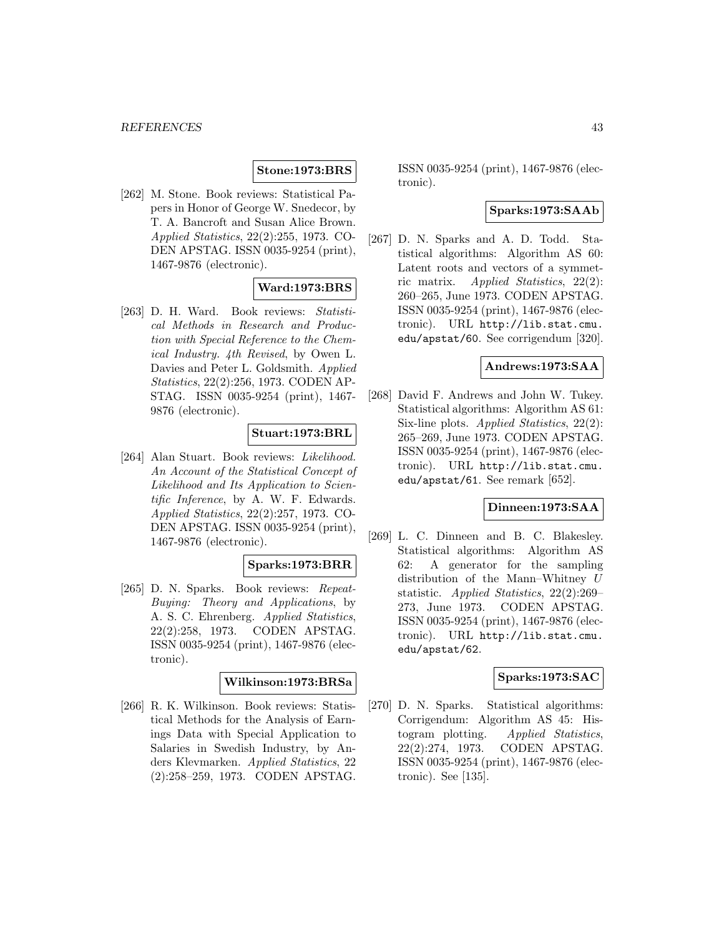### **Stone:1973:BRS**

[262] M. Stone. Book reviews: Statistical Papers in Honor of George W. Snedecor, by T. A. Bancroft and Susan Alice Brown. Applied Statistics, 22(2):255, 1973. CO-DEN APSTAG. ISSN 0035-9254 (print), 1467-9876 (electronic).

# **Ward:1973:BRS**

[263] D. H. Ward. Book reviews: Statistical Methods in Research and Production with Special Reference to the Chemical Industry. 4th Revised, by Owen L. Davies and Peter L. Goldsmith. Applied Statistics, 22(2):256, 1973. CODEN AP-STAG. ISSN 0035-9254 (print), 1467- 9876 (electronic).

### **Stuart:1973:BRL**

[264] Alan Stuart. Book reviews: Likelihood. An Account of the Statistical Concept of Likelihood and Its Application to Scientific Inference, by A. W. F. Edwards. Applied Statistics, 22(2):257, 1973. CO-DEN APSTAG. ISSN 0035-9254 (print), 1467-9876 (electronic).

# **Sparks:1973:BRR**

[265] D. N. Sparks. Book reviews: Repeat-Buying: Theory and Applications, by A. S. C. Ehrenberg. Applied Statistics, 22(2):258, 1973. CODEN APSTAG. ISSN 0035-9254 (print), 1467-9876 (electronic).

### **Wilkinson:1973:BRSa**

[266] R. K. Wilkinson. Book reviews: Statistical Methods for the Analysis of Earnings Data with Special Application to Salaries in Swedish Industry, by Anders Klevmarken. Applied Statistics, 22 (2):258–259, 1973. CODEN APSTAG.

ISSN 0035-9254 (print), 1467-9876 (electronic).

# **Sparks:1973:SAAb**

[267] D. N. Sparks and A. D. Todd. Statistical algorithms: Algorithm AS 60: Latent roots and vectors of a symmetric matrix. Applied Statistics, 22(2): 260–265, June 1973. CODEN APSTAG. ISSN 0035-9254 (print), 1467-9876 (electronic). URL http://lib.stat.cmu. edu/apstat/60. See corrigendum [320].

#### **Andrews:1973:SAA**

[268] David F. Andrews and John W. Tukey. Statistical algorithms: Algorithm AS 61: Six-line plots. Applied Statistics, 22(2): 265–269, June 1973. CODEN APSTAG. ISSN 0035-9254 (print), 1467-9876 (electronic). URL http://lib.stat.cmu. edu/apstat/61. See remark [652].

### **Dinneen:1973:SAA**

[269] L. C. Dinneen and B. C. Blakesley. Statistical algorithms: Algorithm AS 62: A generator for the sampling distribution of the Mann–Whitney U statistic. Applied Statistics, 22(2):269– 273, June 1973. CODEN APSTAG. ISSN 0035-9254 (print), 1467-9876 (electronic). URL http://lib.stat.cmu. edu/apstat/62.

#### **Sparks:1973:SAC**

[270] D. N. Sparks. Statistical algorithms: Corrigendum: Algorithm AS 45: Histogram plotting. Applied Statistics, 22(2):274, 1973. CODEN APSTAG. ISSN 0035-9254 (print), 1467-9876 (electronic). See [135].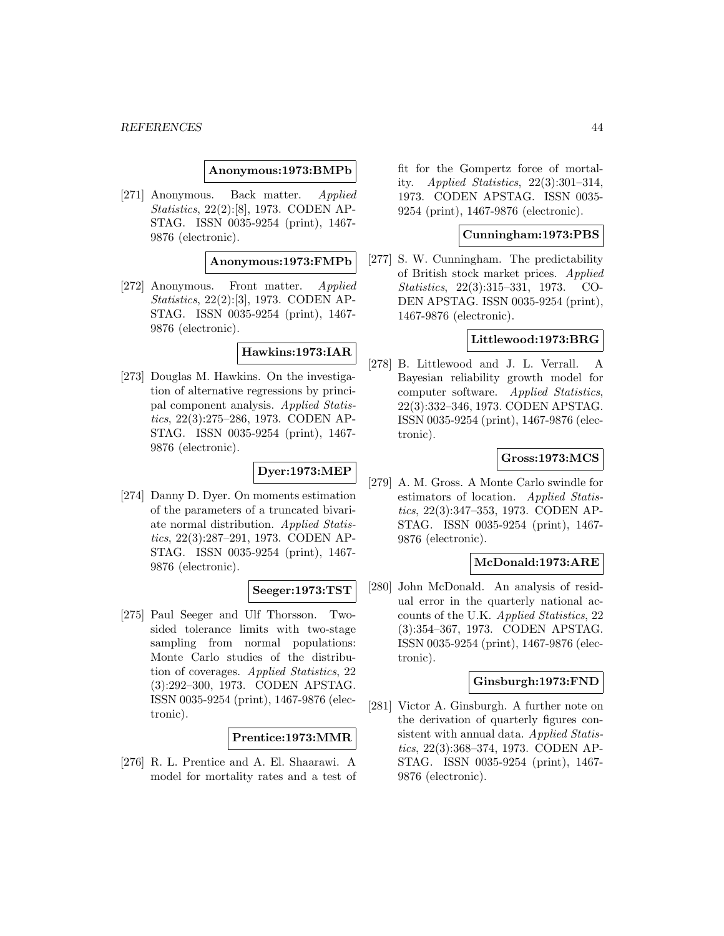#### **Anonymous:1973:BMPb**

[271] Anonymous. Back matter. Applied Statistics, 22(2):[8], 1973. CODEN AP-STAG. ISSN 0035-9254 (print), 1467- 9876 (electronic).

### **Anonymous:1973:FMPb**

[272] Anonymous. Front matter. Applied Statistics, 22(2):[3], 1973. CODEN AP-STAG. ISSN 0035-9254 (print), 1467- 9876 (electronic).

## **Hawkins:1973:IAR**

[273] Douglas M. Hawkins. On the investigation of alternative regressions by principal component analysis. Applied Statistics, 22(3):275–286, 1973. CODEN AP-STAG. ISSN 0035-9254 (print), 1467- 9876 (electronic).

# **Dyer:1973:MEP**

[274] Danny D. Dyer. On moments estimation of the parameters of a truncated bivariate normal distribution. Applied Statistics, 22(3):287–291, 1973. CODEN AP-STAG. ISSN 0035-9254 (print), 1467- 9876 (electronic).

# **Seeger:1973:TST**

[275] Paul Seeger and Ulf Thorsson. Twosided tolerance limits with two-stage sampling from normal populations: Monte Carlo studies of the distribution of coverages. Applied Statistics, 22 (3):292–300, 1973. CODEN APSTAG. ISSN 0035-9254 (print), 1467-9876 (electronic).

**Prentice:1973:MMR**

[276] R. L. Prentice and A. El. Shaarawi. A model for mortality rates and a test of fit for the Gompertz force of mortality. Applied Statistics, 22(3):301–314, 1973. CODEN APSTAG. ISSN 0035- 9254 (print), 1467-9876 (electronic).

### **Cunningham:1973:PBS**

[277] S. W. Cunningham. The predictability of British stock market prices. Applied Statistics, 22(3):315–331, 1973. CO-DEN APSTAG. ISSN 0035-9254 (print), 1467-9876 (electronic).

### **Littlewood:1973:BRG**

[278] B. Littlewood and J. L. Verrall. A Bayesian reliability growth model for computer software. Applied Statistics, 22(3):332–346, 1973. CODEN APSTAG. ISSN 0035-9254 (print), 1467-9876 (electronic).

### **Gross:1973:MCS**

[279] A. M. Gross. A Monte Carlo swindle for estimators of location. Applied Statistics, 22(3):347–353, 1973. CODEN AP-STAG. ISSN 0035-9254 (print), 1467- 9876 (electronic).

# **McDonald:1973:ARE**

[280] John McDonald. An analysis of residual error in the quarterly national accounts of the U.K. Applied Statistics, 22 (3):354–367, 1973. CODEN APSTAG. ISSN 0035-9254 (print), 1467-9876 (electronic).

# **Ginsburgh:1973:FND**

[281] Victor A. Ginsburgh. A further note on the derivation of quarterly figures consistent with annual data. Applied Statistics, 22(3):368–374, 1973. CODEN AP-STAG. ISSN 0035-9254 (print), 1467- 9876 (electronic).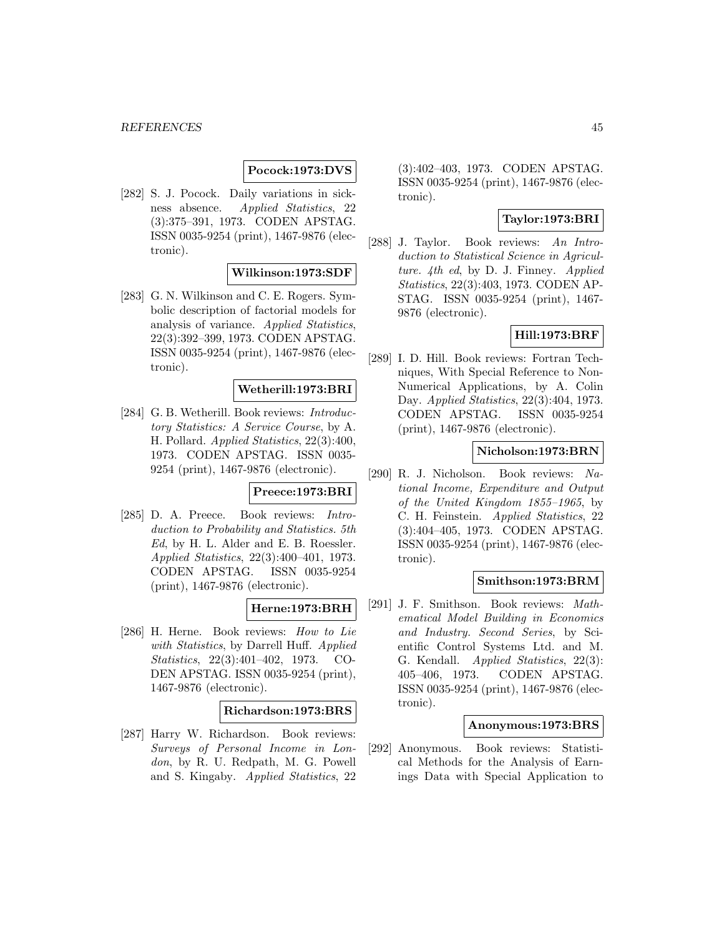# **Pocock:1973:DVS**

[282] S. J. Pocock. Daily variations in sickness absence. Applied Statistics, 22 (3):375–391, 1973. CODEN APSTAG. ISSN 0035-9254 (print), 1467-9876 (electronic).

### **Wilkinson:1973:SDF**

[283] G. N. Wilkinson and C. E. Rogers. Symbolic description of factorial models for analysis of variance. Applied Statistics, 22(3):392–399, 1973. CODEN APSTAG. ISSN 0035-9254 (print), 1467-9876 (electronic).

### **Wetherill:1973:BRI**

[284] G. B. Wetherill. Book reviews: *Introduc*tory Statistics: A Service Course, by A. H. Pollard. Applied Statistics, 22(3):400, 1973. CODEN APSTAG. ISSN 0035- 9254 (print), 1467-9876 (electronic).

#### **Preece:1973:BRI**

[285] D. A. Preece. Book reviews: Introduction to Probability and Statistics. 5th Ed, by H. L. Alder and E. B. Roessler. Applied Statistics, 22(3):400–401, 1973. CODEN APSTAG. ISSN 0035-9254 (print), 1467-9876 (electronic).

# **Herne:1973:BRH**

[286] H. Herne. Book reviews: How to Lie with Statistics, by Darrell Huff. Applied Statistics, 22(3):401–402, 1973. CO-DEN APSTAG. ISSN 0035-9254 (print), 1467-9876 (electronic).

#### **Richardson:1973:BRS**

[287] Harry W. Richardson. Book reviews: Surveys of Personal Income in London, by R. U. Redpath, M. G. Powell and S. Kingaby. Applied Statistics, 22

(3):402–403, 1973. CODEN APSTAG. ISSN 0035-9254 (print), 1467-9876 (electronic).

## **Taylor:1973:BRI**

[288] J. Taylor. Book reviews: An Introduction to Statistical Science in Agriculture. 4th ed, by D. J. Finney. Applied Statistics, 22(3):403, 1973. CODEN AP-STAG. ISSN 0035-9254 (print), 1467- 9876 (electronic).

### **Hill:1973:BRF**

[289] I. D. Hill. Book reviews: Fortran Techniques, With Special Reference to Non-Numerical Applications, by A. Colin Day. Applied Statistics, 22(3):404, 1973. CODEN APSTAG. ISSN 0035-9254 (print), 1467-9876 (electronic).

### **Nicholson:1973:BRN**

[290] R. J. Nicholson. Book reviews: National Income, Expenditure and Output of the United Kingdom 1855–1965, by C. H. Feinstein. Applied Statistics, 22 (3):404–405, 1973. CODEN APSTAG. ISSN 0035-9254 (print), 1467-9876 (electronic).

# **Smithson:1973:BRM**

[291] J. F. Smithson. Book reviews: Mathematical Model Building in Economics and Industry. Second Series, by Scientific Control Systems Ltd. and M. G. Kendall. Applied Statistics, 22(3): 405–406, 1973. CODEN APSTAG. ISSN 0035-9254 (print), 1467-9876 (electronic).

#### **Anonymous:1973:BRS**

[292] Anonymous. Book reviews: Statistical Methods for the Analysis of Earnings Data with Special Application to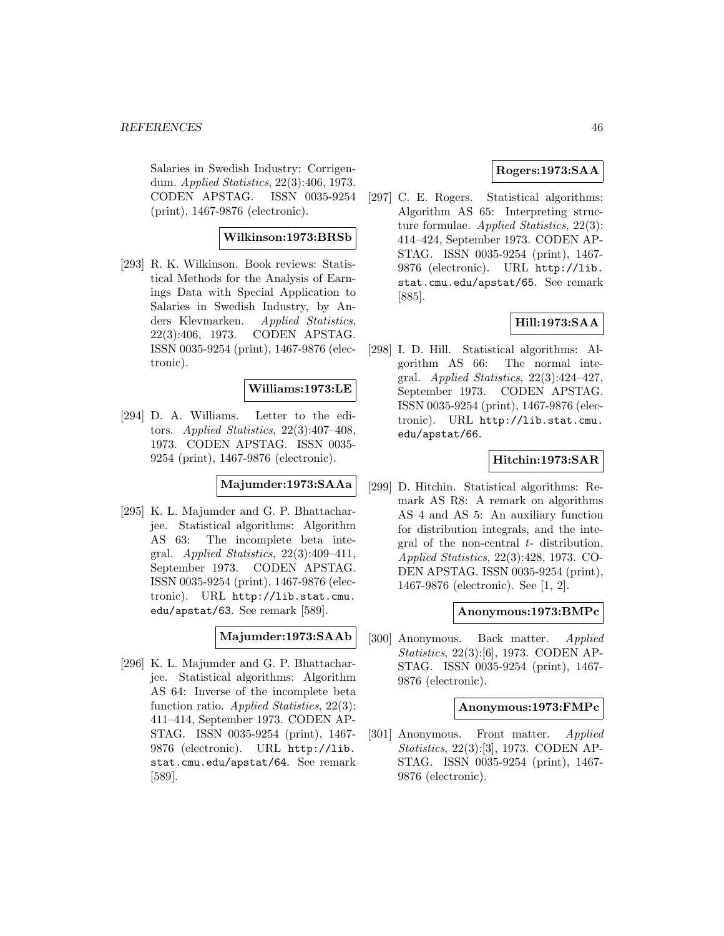Salaries in Swedish Industry: Corrigendum. Applied Statistics, 22(3):406, 1973. CODEN APSTAG. ISSN 0035-9254 (print), 1467-9876 (electronic).

# **Wilkinson:1973:BRSb**

[293] R. K. Wilkinson. Book reviews: Statistical Methods for the Analysis of Earnings Data with Special Application to Salaries in Swedish Industry, by Anders Klevmarken. Applied Statistics, 22(3):406, 1973. CODEN APSTAG. ISSN 0035-9254 (print), 1467-9876 (electronic).

# **Williams:1973:LE**

[294] D. A. Williams. Letter to the editors. Applied Statistics, 22(3):407–408, 1973. CODEN APSTAG. ISSN 0035- 9254 (print), 1467-9876 (electronic).

# **Majumder:1973:SAAa**

[295] K. L. Majumder and G. P. Bhattacharjee. Statistical algorithms: Algorithm AS 63: The incomplete beta integral. Applied Statistics,  $22(3):409-411$ , September 1973. CODEN APSTAG. ISSN 0035-9254 (print), 1467-9876 (electronic). URL http://lib.stat.cmu. edu/apstat/63. See remark [589].

# **Majumder:1973:SAAb**

[296] K. L. Majumder and G. P. Bhattacharjee. Statistical algorithms: Algorithm AS 64: Inverse of the incomplete beta function ratio. Applied Statistics, 22(3): 411–414, September 1973. CODEN AP-STAG. ISSN 0035-9254 (print), 1467- 9876 (electronic). URL http://lib. stat.cmu.edu/apstat/64. See remark [589].

## **Rogers:1973:SAA**

[297] C. E. Rogers. Statistical algorithms: Algorithm AS 65: Interpreting structure formulae. Applied Statistics, 22(3): 414–424, September 1973. CODEN AP-STAG. ISSN 0035-9254 (print), 1467- 9876 (electronic). URL http://lib. stat.cmu.edu/apstat/65. See remark [885].

### **Hill:1973:SAA**

[298] I. D. Hill. Statistical algorithms: Algorithm AS 66: The normal integral. Applied Statistics, 22(3):424–427, September 1973. CODEN APSTAG. ISSN 0035-9254 (print), 1467-9876 (electronic). URL http://lib.stat.cmu. edu/apstat/66.

# **Hitchin:1973:SAR**

[299] D. Hitchin. Statistical algorithms: Remark AS R8: A remark on algorithms AS 4 and AS 5: An auxiliary function for distribution integrals, and the integral of the non-central  $t$ - distribution. Applied Statistics, 22(3):428, 1973. CO-DEN APSTAG. ISSN 0035-9254 (print), 1467-9876 (electronic). See [1, 2].

#### **Anonymous:1973:BMPc**

[300] Anonymous. Back matter. Applied Statistics, 22(3):[6], 1973. CODEN AP-STAG. ISSN 0035-9254 (print), 1467- 9876 (electronic).

#### **Anonymous:1973:FMPc**

[301] Anonymous. Front matter. Applied Statistics, 22(3):[3], 1973. CODEN AP-STAG. ISSN 0035-9254 (print), 1467- 9876 (electronic).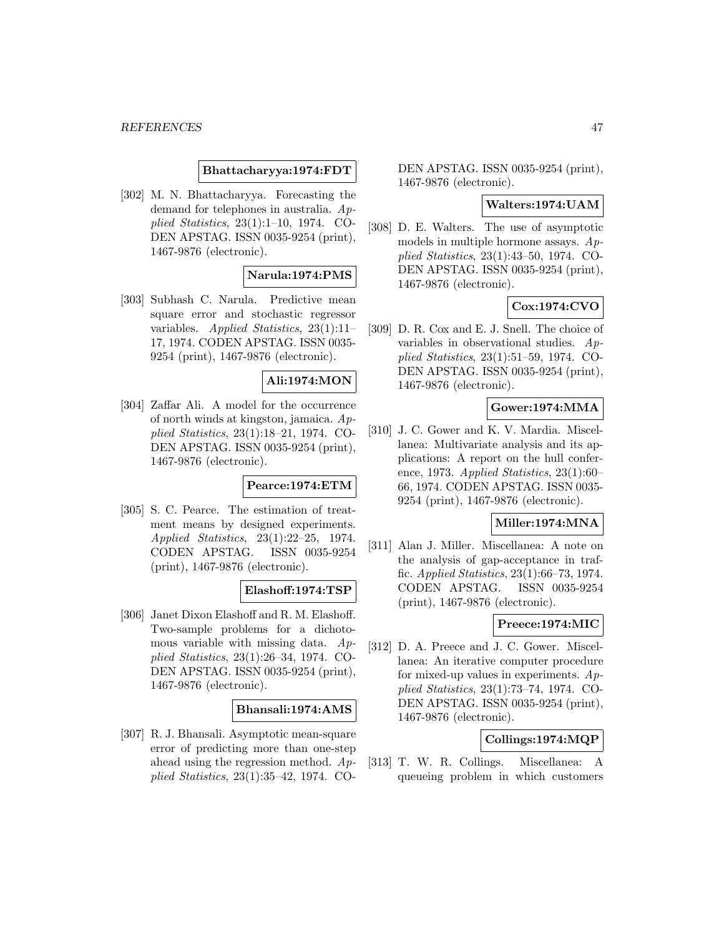### **Bhattacharyya:1974:FDT**

[302] M. N. Bhattacharyya. Forecasting the demand for telephones in australia. Applied Statistics, 23(1):1–10, 1974. CO-DEN APSTAG. ISSN 0035-9254 (print), 1467-9876 (electronic).

### **Narula:1974:PMS**

[303] Subhash C. Narula. Predictive mean square error and stochastic regressor variables. Applied Statistics, 23(1):11– 17, 1974. CODEN APSTAG. ISSN 0035- 9254 (print), 1467-9876 (electronic).

### **Ali:1974:MON**

[304] Zaffar Ali. A model for the occurrence of north winds at kingston, jamaica. Applied Statistics, 23(1):18–21, 1974. CO-DEN APSTAG. ISSN 0035-9254 (print), 1467-9876 (electronic).

### **Pearce:1974:ETM**

[305] S. C. Pearce. The estimation of treatment means by designed experiments. Applied Statistics, 23(1):22–25, 1974. CODEN APSTAG. ISSN 0035-9254 (print), 1467-9876 (electronic).

#### **Elashoff:1974:TSP**

[306] Janet Dixon Elashoff and R. M. Elashoff. Two-sample problems for a dichotomous variable with missing data. Applied Statistics, 23(1):26–34, 1974. CO-DEN APSTAG. ISSN 0035-9254 (print), 1467-9876 (electronic).

### **Bhansali:1974:AMS**

[307] R. J. Bhansali. Asymptotic mean-square error of predicting more than one-step ahead using the regression method. Applied Statistics, 23(1):35–42, 1974. CO-

DEN APSTAG. ISSN 0035-9254 (print), 1467-9876 (electronic).

### **Walters:1974:UAM**

[308] D. E. Walters. The use of asymptotic models in multiple hormone assays.  $Ap$ plied Statistics, 23(1):43–50, 1974. CO-DEN APSTAG. ISSN 0035-9254 (print), 1467-9876 (electronic).

# **Cox:1974:CVO**

[309] D. R. Cox and E. J. Snell. The choice of variables in observational studies. Applied Statistics, 23(1):51–59, 1974. CO-DEN APSTAG. ISSN 0035-9254 (print), 1467-9876 (electronic).

# **Gower:1974:MMA**

[310] J. C. Gower and K. V. Mardia. Miscellanea: Multivariate analysis and its applications: A report on the hull conference, 1973. Applied Statistics, 23(1):60– 66, 1974. CODEN APSTAG. ISSN 0035- 9254 (print), 1467-9876 (electronic).

#### **Miller:1974:MNA**

[311] Alan J. Miller. Miscellanea: A note on the analysis of gap-acceptance in traffic. Applied Statistics, 23(1):66–73, 1974. CODEN APSTAG. ISSN 0035-9254 (print), 1467-9876 (electronic).

# **Preece:1974:MIC**

[312] D. A. Preece and J. C. Gower. Miscellanea: An iterative computer procedure for mixed-up values in experiments.  $Ap$ plied Statistics, 23(1):73–74, 1974. CO-DEN APSTAG. ISSN 0035-9254 (print), 1467-9876 (electronic).

# **Collings:1974:MQP**

[313] T. W. R. Collings. Miscellanea: A queueing problem in which customers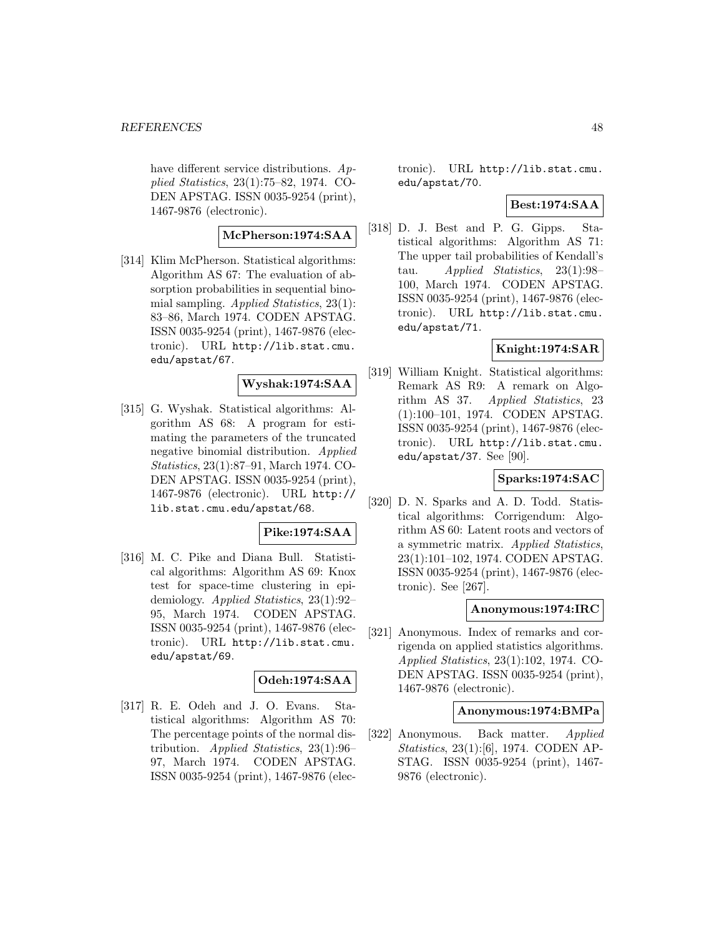have different service distributions.  $Ap$ plied Statistics, 23(1):75–82, 1974. CO-DEN APSTAG. ISSN 0035-9254 (print), 1467-9876 (electronic).

# **McPherson:1974:SAA**

[314] Klim McPherson. Statistical algorithms: Algorithm AS 67: The evaluation of absorption probabilities in sequential binomial sampling. Applied Statistics, 23(1): 83–86, March 1974. CODEN APSTAG. ISSN 0035-9254 (print), 1467-9876 (electronic). URL http://lib.stat.cmu. edu/apstat/67.

### **Wyshak:1974:SAA**

[315] G. Wyshak. Statistical algorithms: Algorithm AS 68: A program for estimating the parameters of the truncated negative binomial distribution. Applied Statistics, 23(1):87–91, March 1974. CO-DEN APSTAG. ISSN 0035-9254 (print), 1467-9876 (electronic). URL http:// lib.stat.cmu.edu/apstat/68.

### **Pike:1974:SAA**

[316] M. C. Pike and Diana Bull. Statistical algorithms: Algorithm AS 69: Knox test for space-time clustering in epidemiology. Applied Statistics, 23(1):92– 95, March 1974. CODEN APSTAG. ISSN 0035-9254 (print), 1467-9876 (electronic). URL http://lib.stat.cmu. edu/apstat/69.

# **Odeh:1974:SAA**

[317] R. E. Odeh and J. O. Evans. Statistical algorithms: Algorithm AS 70: The percentage points of the normal distribution. Applied Statistics, 23(1):96– 97, March 1974. CODEN APSTAG. ISSN 0035-9254 (print), 1467-9876 (electronic). URL http://lib.stat.cmu. edu/apstat/70.

### **Best:1974:SAA**

[318] D. J. Best and P. G. Gipps. Statistical algorithms: Algorithm AS 71: The upper tail probabilities of Kendall's tau. Applied Statistics, 23(1):98– 100, March 1974. CODEN APSTAG. ISSN 0035-9254 (print), 1467-9876 (electronic). URL http://lib.stat.cmu. edu/apstat/71.

# **Knight:1974:SAR**

[319] William Knight. Statistical algorithms: Remark AS R9: A remark on Algorithm AS 37. Applied Statistics, 23 (1):100–101, 1974. CODEN APSTAG. ISSN 0035-9254 (print), 1467-9876 (electronic). URL http://lib.stat.cmu. edu/apstat/37. See [90].

#### **Sparks:1974:SAC**

[320] D. N. Sparks and A. D. Todd. Statistical algorithms: Corrigendum: Algorithm AS 60: Latent roots and vectors of a symmetric matrix. Applied Statistics, 23(1):101–102, 1974. CODEN APSTAG. ISSN 0035-9254 (print), 1467-9876 (electronic). See [267].

### **Anonymous:1974:IRC**

[321] Anonymous. Index of remarks and corrigenda on applied statistics algorithms. Applied Statistics, 23(1):102, 1974. CO-DEN APSTAG. ISSN 0035-9254 (print), 1467-9876 (electronic).

#### **Anonymous:1974:BMPa**

[322] Anonymous. Back matter. Applied Statistics, 23(1):[6], 1974. CODEN AP-STAG. ISSN 0035-9254 (print), 1467- 9876 (electronic).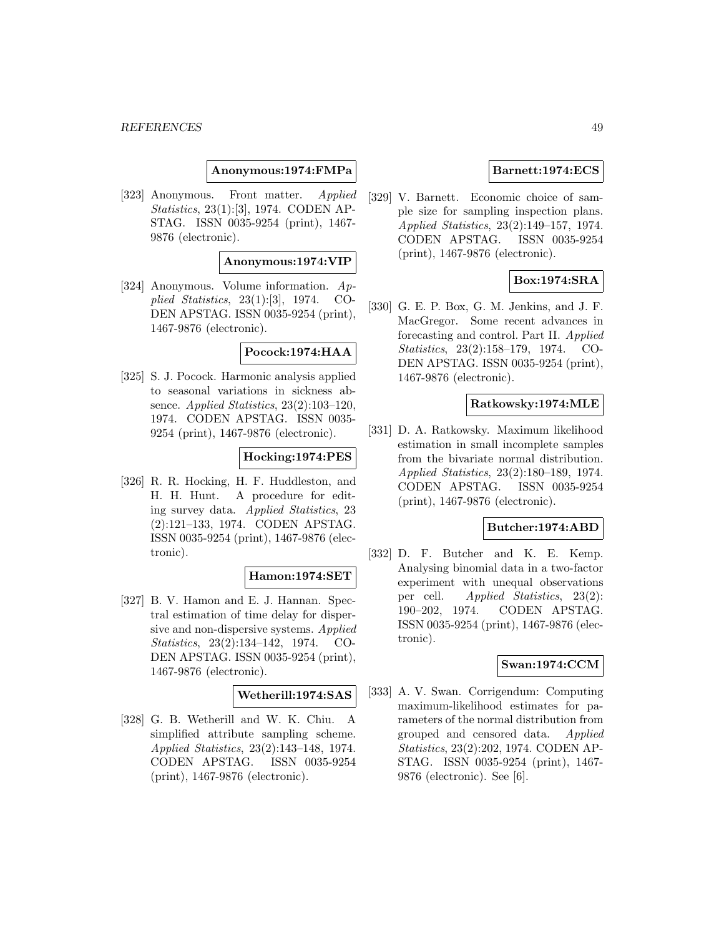### **Anonymous:1974:FMPa**

[323] Anonymous. Front matter. Applied Statistics, 23(1):[3], 1974. CODEN AP-STAG. ISSN 0035-9254 (print), 1467- 9876 (electronic).

### **Anonymous:1974:VIP**

[324] Anonymous. Volume information. Applied Statistics, 23(1):[3], 1974. CO-DEN APSTAG. ISSN 0035-9254 (print), 1467-9876 (electronic).

#### **Pocock:1974:HAA**

[325] S. J. Pocock. Harmonic analysis applied to seasonal variations in sickness absence. Applied Statistics, 23(2):103–120, 1974. CODEN APSTAG. ISSN 0035- 9254 (print), 1467-9876 (electronic).

### **Hocking:1974:PES**

[326] R. R. Hocking, H. F. Huddleston, and H. H. Hunt. A procedure for editing survey data. Applied Statistics, 23 (2):121–133, 1974. CODEN APSTAG. ISSN 0035-9254 (print), 1467-9876 (electronic).

#### **Hamon:1974:SET**

[327] B. V. Hamon and E. J. Hannan. Spectral estimation of time delay for dispersive and non-dispersive systems. Applied Statistics, 23(2):134–142, 1974. CO-DEN APSTAG. ISSN 0035-9254 (print), 1467-9876 (electronic).

#### **Wetherill:1974:SAS**

[328] G. B. Wetherill and W. K. Chiu. A simplified attribute sampling scheme. Applied Statistics, 23(2):143–148, 1974. CODEN APSTAG. ISSN 0035-9254 (print), 1467-9876 (electronic).

### **Barnett:1974:ECS**

[329] V. Barnett. Economic choice of sample size for sampling inspection plans. Applied Statistics, 23(2):149–157, 1974. CODEN APSTAG. ISSN 0035-9254 (print), 1467-9876 (electronic).

### **Box:1974:SRA**

[330] G. E. P. Box, G. M. Jenkins, and J. F. MacGregor. Some recent advances in forecasting and control. Part II. Applied Statistics, 23(2):158–179, 1974. CO-DEN APSTAG. ISSN 0035-9254 (print), 1467-9876 (electronic).

### **Ratkowsky:1974:MLE**

[331] D. A. Ratkowsky. Maximum likelihood estimation in small incomplete samples from the bivariate normal distribution. Applied Statistics, 23(2):180–189, 1974. CODEN APSTAG. ISSN 0035-9254 (print), 1467-9876 (electronic).

## **Butcher:1974:ABD**

[332] D. F. Butcher and K. E. Kemp. Analysing binomial data in a two-factor experiment with unequal observations per cell. Applied Statistics, 23(2): 190–202, 1974. CODEN APSTAG. ISSN 0035-9254 (print), 1467-9876 (electronic).

### **Swan:1974:CCM**

[333] A. V. Swan. Corrigendum: Computing maximum-likelihood estimates for parameters of the normal distribution from grouped and censored data. Applied Statistics, 23(2):202, 1974. CODEN AP-STAG. ISSN 0035-9254 (print), 1467- 9876 (electronic). See [6].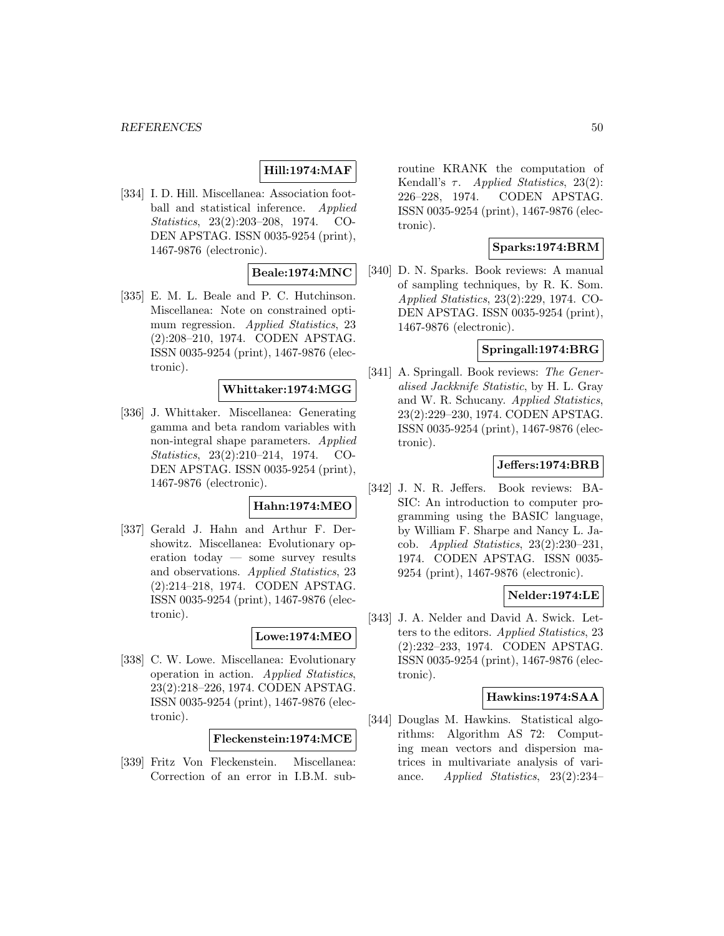# **Hill:1974:MAF**

[334] I. D. Hill. Miscellanea: Association football and statistical inference. Applied Statistics, 23(2):203–208, 1974. CO-DEN APSTAG. ISSN 0035-9254 (print), 1467-9876 (electronic).

# **Beale:1974:MNC**

[335] E. M. L. Beale and P. C. Hutchinson. Miscellanea: Note on constrained optimum regression. Applied Statistics, 23 (2):208–210, 1974. CODEN APSTAG. ISSN 0035-9254 (print), 1467-9876 (electronic).

# **Whittaker:1974:MGG**

[336] J. Whittaker. Miscellanea: Generating gamma and beta random variables with non-integral shape parameters. Applied Statistics, 23(2):210–214, 1974. CO-DEN APSTAG. ISSN 0035-9254 (print), 1467-9876 (electronic).

# **Hahn:1974:MEO**

[337] Gerald J. Hahn and Arthur F. Dershowitz. Miscellanea: Evolutionary operation today — some survey results and observations. Applied Statistics, 23 (2):214–218, 1974. CODEN APSTAG. ISSN 0035-9254 (print), 1467-9876 (electronic).

### **Lowe:1974:MEO**

[338] C. W. Lowe. Miscellanea: Evolutionary operation in action. Applied Statistics, 23(2):218–226, 1974. CODEN APSTAG. ISSN 0035-9254 (print), 1467-9876 (electronic).

**Fleckenstein:1974:MCE**

[339] Fritz Von Fleckenstein. Miscellanea: Correction of an error in I.B.M. subroutine KRANK the computation of Kendall's  $\tau$ . *Applied Statistics*, 23(2): 226–228, 1974. CODEN APSTAG. ISSN 0035-9254 (print), 1467-9876 (electronic).

### **Sparks:1974:BRM**

[340] D. N. Sparks. Book reviews: A manual of sampling techniques, by R. K. Som. Applied Statistics, 23(2):229, 1974. CO-DEN APSTAG. ISSN 0035-9254 (print), 1467-9876 (electronic).

# **Springall:1974:BRG**

[341] A. Springall. Book reviews: The Generalised Jackknife Statistic, by H. L. Gray and W. R. Schucany. Applied Statistics, 23(2):229–230, 1974. CODEN APSTAG. ISSN 0035-9254 (print), 1467-9876 (electronic).

### **Jeffers:1974:BRB**

[342] J. N. R. Jeffers. Book reviews: BA-SIC: An introduction to computer programming using the BASIC language, by William F. Sharpe and Nancy L. Jacob. Applied Statistics, 23(2):230–231, 1974. CODEN APSTAG. ISSN 0035- 9254 (print), 1467-9876 (electronic).

#### **Nelder:1974:LE**

[343] J. A. Nelder and David A. Swick. Letters to the editors. Applied Statistics, 23 (2):232–233, 1974. CODEN APSTAG. ISSN 0035-9254 (print), 1467-9876 (electronic).

#### **Hawkins:1974:SAA**

[344] Douglas M. Hawkins. Statistical algorithms: Algorithm AS 72: Computing mean vectors and dispersion matrices in multivariate analysis of variance. Applied Statistics, 23(2):234–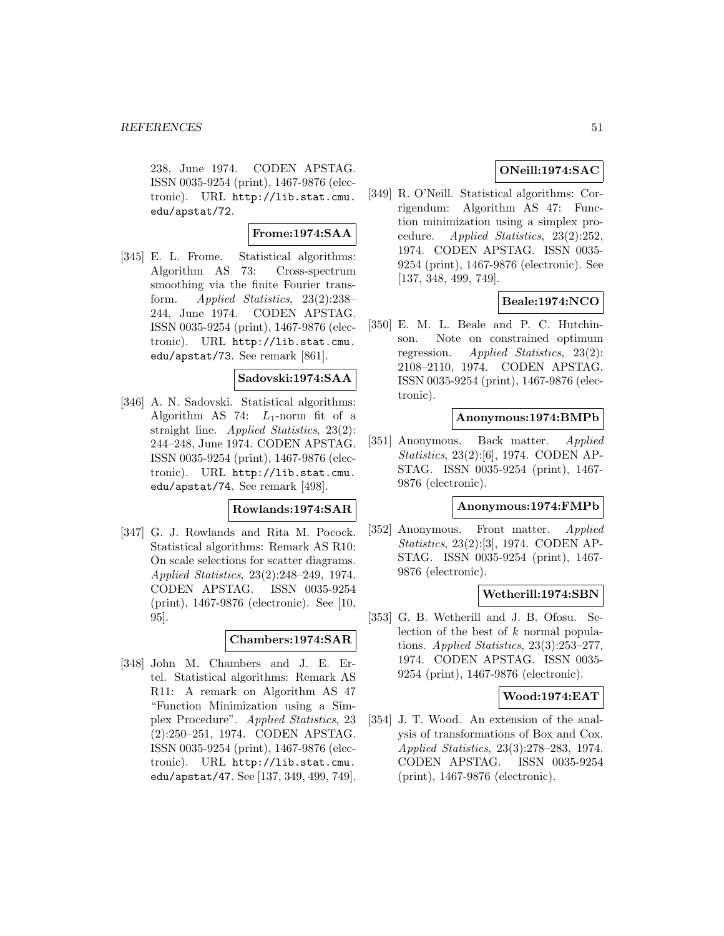238, June 1974. CODEN APSTAG. ISSN 0035-9254 (print), 1467-9876 (electronic). URL http://lib.stat.cmu. edu/apstat/72.

# **Frome:1974:SAA**

[345] E. L. Frome. Statistical algorithms: Algorithm AS 73: Cross-spectrum smoothing via the finite Fourier transform. Applied Statistics, 23(2):238– 244, June 1974. CODEN APSTAG. ISSN 0035-9254 (print), 1467-9876 (electronic). URL http://lib.stat.cmu. edu/apstat/73. See remark [861].

### **Sadovski:1974:SAA**

[346] A. N. Sadovski. Statistical algorithms: Algorithm AS 74:  $L_1$ -norm fit of a straight line. Applied Statistics, 23(2): 244–248, June 1974. CODEN APSTAG. ISSN 0035-9254 (print), 1467-9876 (electronic). URL http://lib.stat.cmu. edu/apstat/74. See remark [498].

### **Rowlands:1974:SAR**

[347] G. J. Rowlands and Rita M. Pocock. Statistical algorithms: Remark AS R10: On scale selections for scatter diagrams. Applied Statistics, 23(2):248–249, 1974. CODEN APSTAG. ISSN 0035-9254 (print), 1467-9876 (electronic). See [10, 95].

# **Chambers:1974:SAR**

[348] John M. Chambers and J. E. Ertel. Statistical algorithms: Remark AS R11: A remark on Algorithm AS 47 "Function Minimization using a Simplex Procedure". Applied Statistics, 23 (2):250–251, 1974. CODEN APSTAG. ISSN 0035-9254 (print), 1467-9876 (electronic). URL http://lib.stat.cmu. edu/apstat/47. See [137, 349, 499, 749].

# **ONeill:1974:SAC**

[349] R. O'Neill. Statistical algorithms: Corrigendum: Algorithm AS 47: Function minimization using a simplex procedure. Applied Statistics, 23(2):252, 1974. CODEN APSTAG. ISSN 0035- 9254 (print), 1467-9876 (electronic). See [137, 348, 499, 749].

# **Beale:1974:NCO**

[350] E. M. L. Beale and P. C. Hutchinson. Note on constrained optimum regression. Applied Statistics, 23(2): 2108–2110, 1974. CODEN APSTAG. ISSN 0035-9254 (print), 1467-9876 (electronic).

#### **Anonymous:1974:BMPb**

[351] Anonymous. Back matter. Applied Statistics, 23(2):[6], 1974. CODEN AP-STAG. ISSN 0035-9254 (print), 1467- 9876 (electronic).

### **Anonymous:1974:FMPb**

[352] Anonymous. Front matter. Applied Statistics, 23(2):[3], 1974. CODEN AP-STAG. ISSN 0035-9254 (print), 1467- 9876 (electronic).

#### **Wetherill:1974:SBN**

[353] G. B. Wetherill and J. B. Ofosu. Selection of the best of k normal populations. Applied Statistics,  $23(3):253-277$ , 1974. CODEN APSTAG. ISSN 0035- 9254 (print), 1467-9876 (electronic).

### **Wood:1974:EAT**

[354] J. T. Wood. An extension of the analysis of transformations of Box and Cox. Applied Statistics, 23(3):278–283, 1974. CODEN APSTAG. ISSN 0035-9254 (print), 1467-9876 (electronic).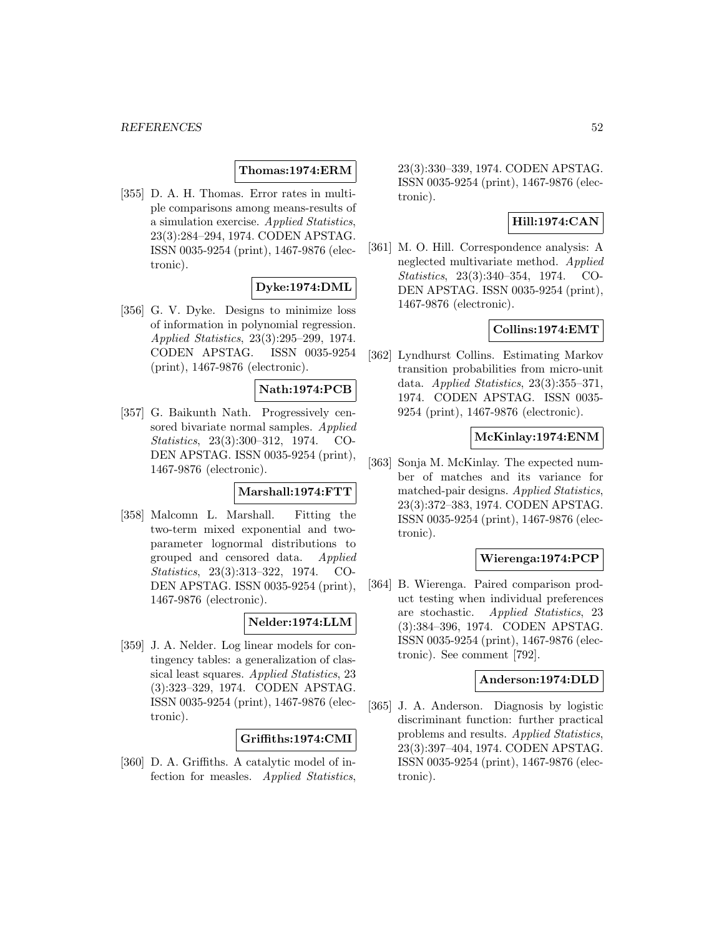### **Thomas:1974:ERM**

[355] D. A. H. Thomas. Error rates in multiple comparisons among means-results of a simulation exercise. Applied Statistics, 23(3):284–294, 1974. CODEN APSTAG. ISSN 0035-9254 (print), 1467-9876 (electronic).

# **Dyke:1974:DML**

[356] G. V. Dyke. Designs to minimize loss of information in polynomial regression. Applied Statistics, 23(3):295–299, 1974. CODEN APSTAG. ISSN 0035-9254 (print), 1467-9876 (electronic).

# **Nath:1974:PCB**

[357] G. Baikunth Nath. Progressively censored bivariate normal samples. Applied Statistics, 23(3):300–312, 1974. CO-DEN APSTAG. ISSN 0035-9254 (print), 1467-9876 (electronic).

# **Marshall:1974:FTT**

[358] Malcomn L. Marshall. Fitting the two-term mixed exponential and twoparameter lognormal distributions to grouped and censored data. Applied Statistics, 23(3):313–322, 1974. CO-DEN APSTAG. ISSN 0035-9254 (print), 1467-9876 (electronic).

# **Nelder:1974:LLM**

[359] J. A. Nelder. Log linear models for contingency tables: a generalization of classical least squares. Applied Statistics, 23 (3):323–329, 1974. CODEN APSTAG. ISSN 0035-9254 (print), 1467-9876 (electronic).

### **Griffiths:1974:CMI**

[360] D. A. Griffiths. A catalytic model of infection for measles. Applied Statistics,

23(3):330–339, 1974. CODEN APSTAG. ISSN 0035-9254 (print), 1467-9876 (electronic).

### **Hill:1974:CAN**

[361] M. O. Hill. Correspondence analysis: A neglected multivariate method. Applied Statistics, 23(3):340–354, 1974. CO-DEN APSTAG. ISSN 0035-9254 (print), 1467-9876 (electronic).

## **Collins:1974:EMT**

[362] Lyndhurst Collins. Estimating Markov transition probabilities from micro-unit data. Applied Statistics,  $23(3):355-371$ , 1974. CODEN APSTAG. ISSN 0035- 9254 (print), 1467-9876 (electronic).

#### **McKinlay:1974:ENM**

[363] Sonja M. McKinlay. The expected number of matches and its variance for matched-pair designs. Applied Statistics, 23(3):372–383, 1974. CODEN APSTAG. ISSN 0035-9254 (print), 1467-9876 (electronic).

#### **Wierenga:1974:PCP**

[364] B. Wierenga. Paired comparison product testing when individual preferences are stochastic. Applied Statistics, 23 (3):384–396, 1974. CODEN APSTAG. ISSN 0035-9254 (print), 1467-9876 (electronic). See comment [792].

#### **Anderson:1974:DLD**

[365] J. A. Anderson. Diagnosis by logistic discriminant function: further practical problems and results. Applied Statistics, 23(3):397–404, 1974. CODEN APSTAG. ISSN 0035-9254 (print), 1467-9876 (electronic).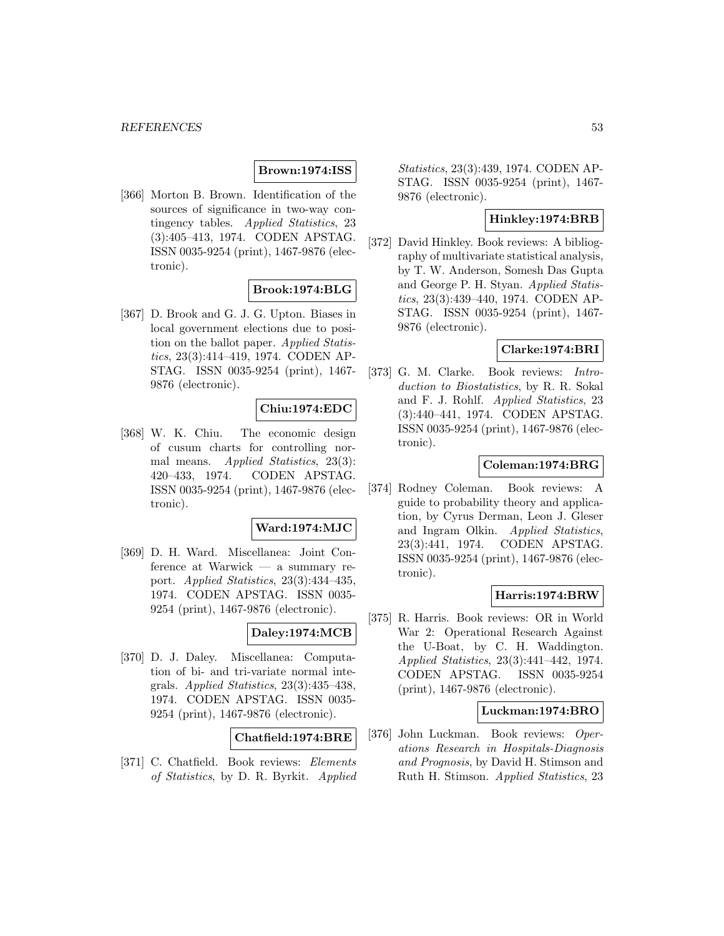## **Brown:1974:ISS**

[366] Morton B. Brown. Identification of the sources of significance in two-way contingency tables. Applied Statistics, 23 (3):405–413, 1974. CODEN APSTAG. ISSN 0035-9254 (print), 1467-9876 (electronic).

### **Brook:1974:BLG**

[367] D. Brook and G. J. G. Upton. Biases in local government elections due to position on the ballot paper. Applied Statistics, 23(3):414–419, 1974. CODEN AP-STAG. ISSN 0035-9254 (print), 1467- 9876 (electronic).

# **Chiu:1974:EDC**

[368] W. K. Chiu. The economic design of cusum charts for controlling normal means. Applied Statistics, 23(3): 420–433, 1974. CODEN APSTAG. ISSN 0035-9254 (print), 1467-9876 (electronic).

# **Ward:1974:MJC**

[369] D. H. Ward. Miscellanea: Joint Conference at Warwick — a summary report. Applied Statistics, 23(3):434–435, 1974. CODEN APSTAG. ISSN 0035- 9254 (print), 1467-9876 (electronic).

### **Daley:1974:MCB**

[370] D. J. Daley. Miscellanea: Computation of bi- and tri-variate normal integrals. Applied Statistics, 23(3):435–438, 1974. CODEN APSTAG. ISSN 0035- 9254 (print), 1467-9876 (electronic).

#### **Chatfield:1974:BRE**

[371] C. Chatfield. Book reviews: Elements of Statistics, by D. R. Byrkit. Applied Statistics, 23(3):439, 1974. CODEN AP-STAG. ISSN 0035-9254 (print), 1467- 9876 (electronic).

# **Hinkley:1974:BRB**

[372] David Hinkley. Book reviews: A bibliography of multivariate statistical analysis, by T. W. Anderson, Somesh Das Gupta and George P. H. Styan. Applied Statistics, 23(3):439–440, 1974. CODEN AP-STAG. ISSN 0035-9254 (print), 1467- 9876 (electronic).

# **Clarke:1974:BRI**

[373] G. M. Clarke. Book reviews: Introduction to Biostatistics, by R. R. Sokal and F. J. Rohlf. Applied Statistics, 23 (3):440–441, 1974. CODEN APSTAG. ISSN 0035-9254 (print), 1467-9876 (electronic).

## **Coleman:1974:BRG**

[374] Rodney Coleman. Book reviews: A guide to probability theory and application, by Cyrus Derman, Leon J. Gleser and Ingram Olkin. Applied Statistics, 23(3):441, 1974. CODEN APSTAG. ISSN 0035-9254 (print), 1467-9876 (electronic).

### **Harris:1974:BRW**

[375] R. Harris. Book reviews: OR in World War 2: Operational Research Against the U-Boat, by C. H. Waddington. Applied Statistics, 23(3):441–442, 1974. CODEN APSTAG. ISSN 0035-9254 (print), 1467-9876 (electronic).

### **Luckman:1974:BRO**

[376] John Luckman. Book reviews: Operations Research in Hospitals-Diagnosis and Prognosis, by David H. Stimson and Ruth H. Stimson. Applied Statistics, 23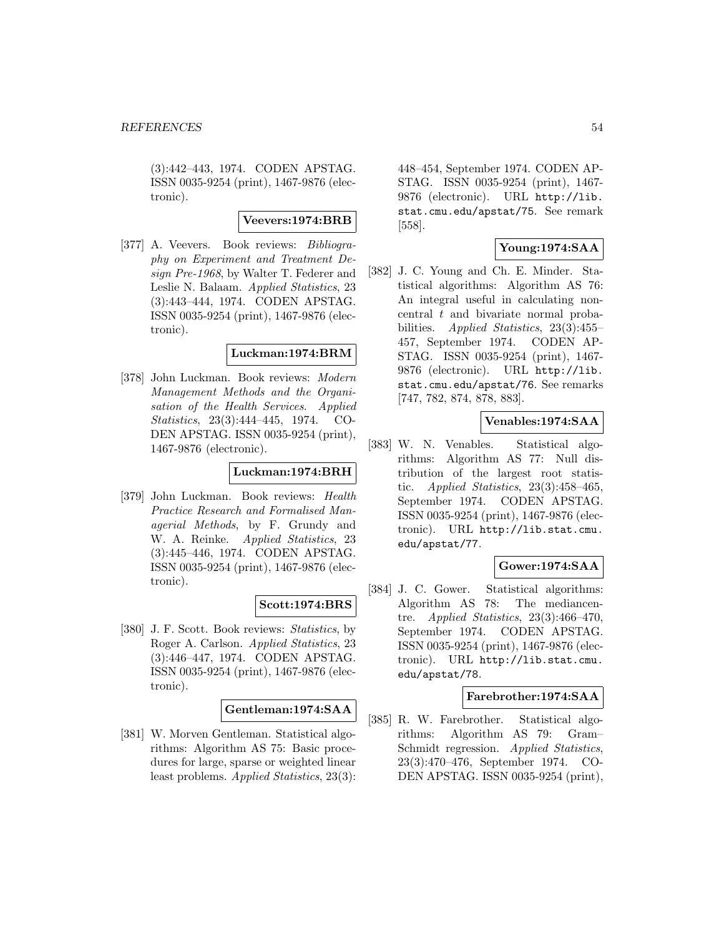(3):442–443, 1974. CODEN APSTAG. ISSN 0035-9254 (print), 1467-9876 (electronic).

#### **Veevers:1974:BRB**

[377] A. Veevers. Book reviews: Bibliography on Experiment and Treatment Design Pre-1968, by Walter T. Federer and Leslie N. Balaam. Applied Statistics, 23 (3):443–444, 1974. CODEN APSTAG. ISSN 0035-9254 (print), 1467-9876 (electronic).

#### **Luckman:1974:BRM**

[378] John Luckman. Book reviews: Modern Management Methods and the Organisation of the Health Services. Applied Statistics, 23(3):444–445, 1974. CO-DEN APSTAG. ISSN 0035-9254 (print), 1467-9876 (electronic).

## **Luckman:1974:BRH**

[379] John Luckman. Book reviews: Health Practice Research and Formalised Managerial Methods, by F. Grundy and W. A. Reinke. Applied Statistics, 23 (3):445–446, 1974. CODEN APSTAG. ISSN 0035-9254 (print), 1467-9876 (electronic).

### **Scott:1974:BRS**

[380] J. F. Scott. Book reviews: Statistics, by Roger A. Carlson. Applied Statistics, 23 (3):446–447, 1974. CODEN APSTAG. ISSN 0035-9254 (print), 1467-9876 (electronic).

### **Gentleman:1974:SAA**

[381] W. Morven Gentleman. Statistical algorithms: Algorithm AS 75: Basic procedures for large, sparse or weighted linear least problems. Applied Statistics, 23(3): 448–454, September 1974. CODEN AP-STAG. ISSN 0035-9254 (print), 1467- 9876 (electronic). URL http://lib. stat.cmu.edu/apstat/75. See remark [558].

# **Young:1974:SAA**

[382] J. C. Young and Ch. E. Minder. Statistical algorithms: Algorithm AS 76: An integral useful in calculating noncentral t and bivariate normal probabilities. *Applied Statistics*, 23(3):455– 457, September 1974. CODEN AP-STAG. ISSN 0035-9254 (print), 1467- 9876 (electronic). URL http://lib. stat.cmu.edu/apstat/76. See remarks [747, 782, 874, 878, 883].

### **Venables:1974:SAA**

[383] W. N. Venables. Statistical algorithms: Algorithm AS 77: Null distribution of the largest root statistic. Applied Statistics,  $23(3):458-465$ , September 1974. CODEN APSTAG. ISSN 0035-9254 (print), 1467-9876 (electronic). URL http://lib.stat.cmu. edu/apstat/77.

## **Gower:1974:SAA**

[384] J. C. Gower. Statistical algorithms: Algorithm AS 78: The mediancentre. Applied Statistics,  $23(3):466-470$ , September 1974. CODEN APSTAG. ISSN 0035-9254 (print), 1467-9876 (electronic). URL http://lib.stat.cmu. edu/apstat/78.

### **Farebrother:1974:SAA**

[385] R. W. Farebrother. Statistical algorithms: Algorithm AS 79: Gram– Schmidt regression. Applied Statistics, 23(3):470–476, September 1974. CO-DEN APSTAG. ISSN 0035-9254 (print),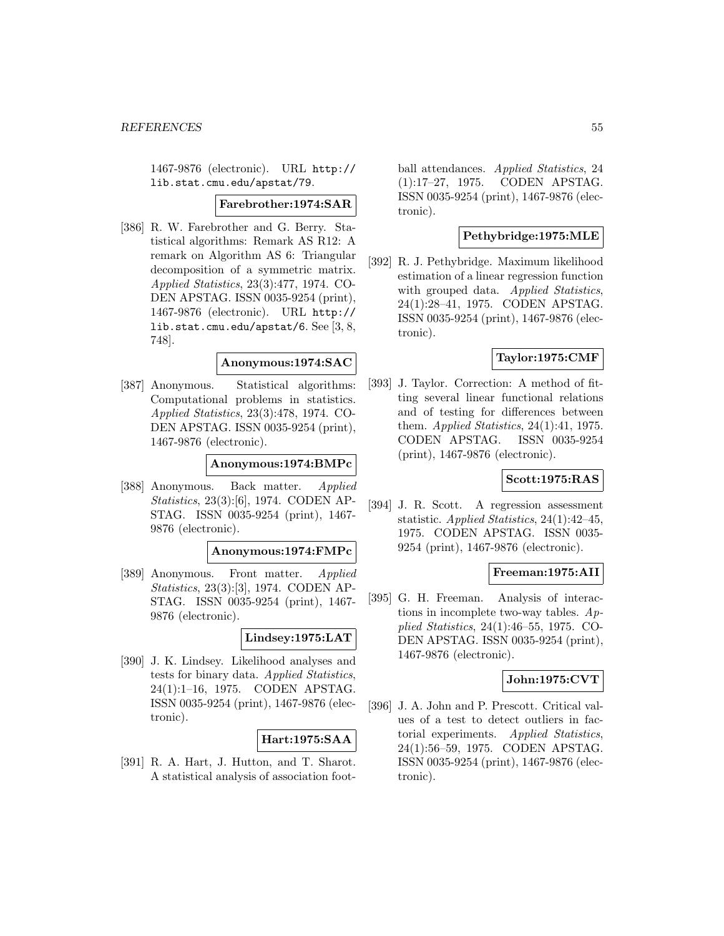1467-9876 (electronic). URL http:// lib.stat.cmu.edu/apstat/79.

#### **Farebrother:1974:SAR**

[386] R. W. Farebrother and G. Berry. Statistical algorithms: Remark AS R12: A remark on Algorithm AS 6: Triangular decomposition of a symmetric matrix. Applied Statistics, 23(3):477, 1974. CO-DEN APSTAG. ISSN 0035-9254 (print), 1467-9876 (electronic). URL http:// lib.stat.cmu.edu/apstat/6. See [3, 8, 748].

#### **Anonymous:1974:SAC**

[387] Anonymous. Statistical algorithms: Computational problems in statistics. Applied Statistics, 23(3):478, 1974. CO-DEN APSTAG. ISSN 0035-9254 (print), 1467-9876 (electronic).

#### **Anonymous:1974:BMPc**

[388] Anonymous. Back matter. Applied Statistics, 23(3):[6], 1974. CODEN AP-STAG. ISSN 0035-9254 (print), 1467- 9876 (electronic).

#### **Anonymous:1974:FMPc**

[389] Anonymous. Front matter. Applied Statistics, 23(3):[3], 1974. CODEN AP-STAG. ISSN 0035-9254 (print), 1467- 9876 (electronic).

### **Lindsey:1975:LAT**

[390] J. K. Lindsey. Likelihood analyses and tests for binary data. Applied Statistics, 24(1):1–16, 1975. CODEN APSTAG. ISSN 0035-9254 (print), 1467-9876 (electronic).

### **Hart:1975:SAA**

[391] R. A. Hart, J. Hutton, and T. Sharot. A statistical analysis of association football attendances. Applied Statistics, 24 (1):17–27, 1975. CODEN APSTAG. ISSN 0035-9254 (print), 1467-9876 (electronic).

#### **Pethybridge:1975:MLE**

[392] R. J. Pethybridge. Maximum likelihood estimation of a linear regression function with grouped data. Applied Statistics, 24(1):28–41, 1975. CODEN APSTAG. ISSN 0035-9254 (print), 1467-9876 (electronic).

### **Taylor:1975:CMF**

[393] J. Taylor. Correction: A method of fitting several linear functional relations and of testing for differences between them. Applied Statistics,  $24(1):41$ , 1975. CODEN APSTAG. ISSN 0035-9254 (print), 1467-9876 (electronic).

# **Scott:1975:RAS**

[394] J. R. Scott. A regression assessment statistic. Applied Statistics, 24(1):42–45, 1975. CODEN APSTAG. ISSN 0035- 9254 (print), 1467-9876 (electronic).

### **Freeman:1975:AII**

[395] G. H. Freeman. Analysis of interactions in incomplete two-way tables. Applied Statistics, 24(1):46–55, 1975. CO-DEN APSTAG. ISSN 0035-9254 (print), 1467-9876 (electronic).

### **John:1975:CVT**

[396] J. A. John and P. Prescott. Critical values of a test to detect outliers in factorial experiments. Applied Statistics, 24(1):56–59, 1975. CODEN APSTAG. ISSN 0035-9254 (print), 1467-9876 (electronic).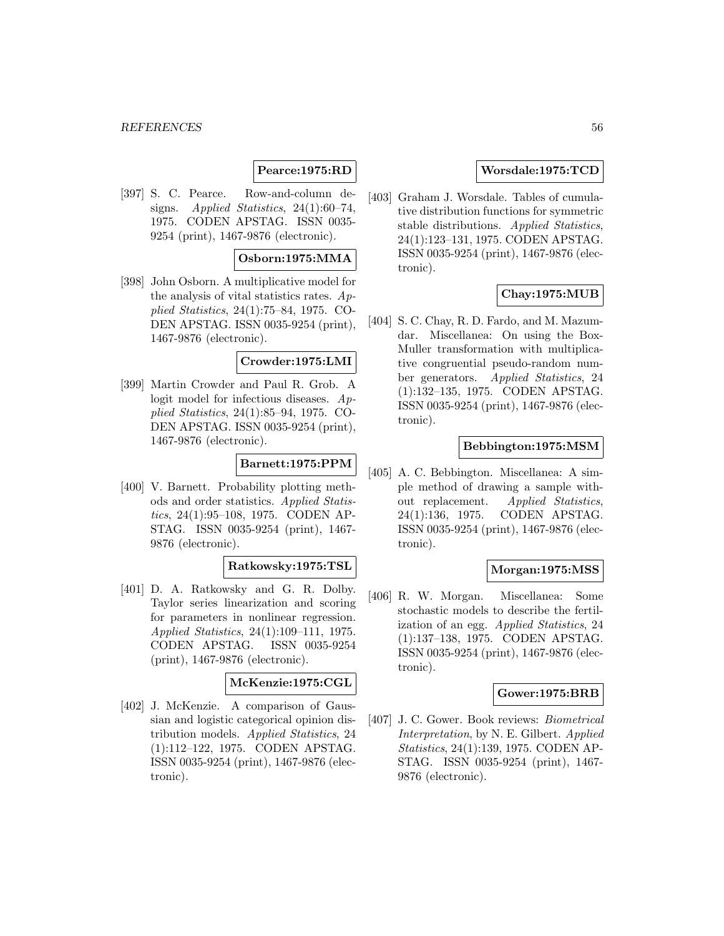# **Pearce:1975:RD**

[397] S. C. Pearce. Row-and-column designs. Applied Statistics,  $24(1):60-74$ , 1975. CODEN APSTAG. ISSN 0035- 9254 (print), 1467-9876 (electronic).

### **Osborn:1975:MMA**

[398] John Osborn. A multiplicative model for the analysis of vital statistics rates. Applied Statistics, 24(1):75–84, 1975. CO-DEN APSTAG. ISSN 0035-9254 (print), 1467-9876 (electronic).

#### **Crowder:1975:LMI**

[399] Martin Crowder and Paul R. Grob. A logit model for infectious diseases. Applied Statistics, 24(1):85–94, 1975. CO-DEN APSTAG. ISSN 0035-9254 (print), 1467-9876 (electronic).

#### **Barnett:1975:PPM**

[400] V. Barnett. Probability plotting methods and order statistics. Applied Statistics, 24(1):95–108, 1975. CODEN AP-STAG. ISSN 0035-9254 (print), 1467- 9876 (electronic).

## **Ratkowsky:1975:TSL**

[401] D. A. Ratkowsky and G. R. Dolby. Taylor series linearization and scoring for parameters in nonlinear regression. Applied Statistics, 24(1):109–111, 1975. CODEN APSTAG. ISSN 0035-9254 (print), 1467-9876 (electronic).

# **McKenzie:1975:CGL**

[402] J. McKenzie. A comparison of Gaussian and logistic categorical opinion distribution models. Applied Statistics, 24 (1):112–122, 1975. CODEN APSTAG. ISSN 0035-9254 (print), 1467-9876 (electronic).

### **Worsdale:1975:TCD**

[403] Graham J. Worsdale. Tables of cumulative distribution functions for symmetric stable distributions. Applied Statistics, 24(1):123–131, 1975. CODEN APSTAG. ISSN 0035-9254 (print), 1467-9876 (electronic).

## **Chay:1975:MUB**

[404] S. C. Chay, R. D. Fardo, and M. Mazumdar. Miscellanea: On using the Box-Muller transformation with multiplicative congruential pseudo-random number generators. Applied Statistics, 24 (1):132–135, 1975. CODEN APSTAG. ISSN 0035-9254 (print), 1467-9876 (electronic).

#### **Bebbington:1975:MSM**

[405] A. C. Bebbington. Miscellanea: A simple method of drawing a sample without replacement. Applied Statistics, 24(1):136, 1975. CODEN APSTAG. ISSN 0035-9254 (print), 1467-9876 (electronic).

### **Morgan:1975:MSS**

[406] R. W. Morgan. Miscellanea: Some stochastic models to describe the fertilization of an egg. Applied Statistics, 24 (1):137–138, 1975. CODEN APSTAG. ISSN 0035-9254 (print), 1467-9876 (electronic).

#### **Gower:1975:BRB**

[407] J. C. Gower. Book reviews: Biometrical Interpretation, by N. E. Gilbert. Applied Statistics, 24(1):139, 1975. CODEN AP-STAG. ISSN 0035-9254 (print), 1467- 9876 (electronic).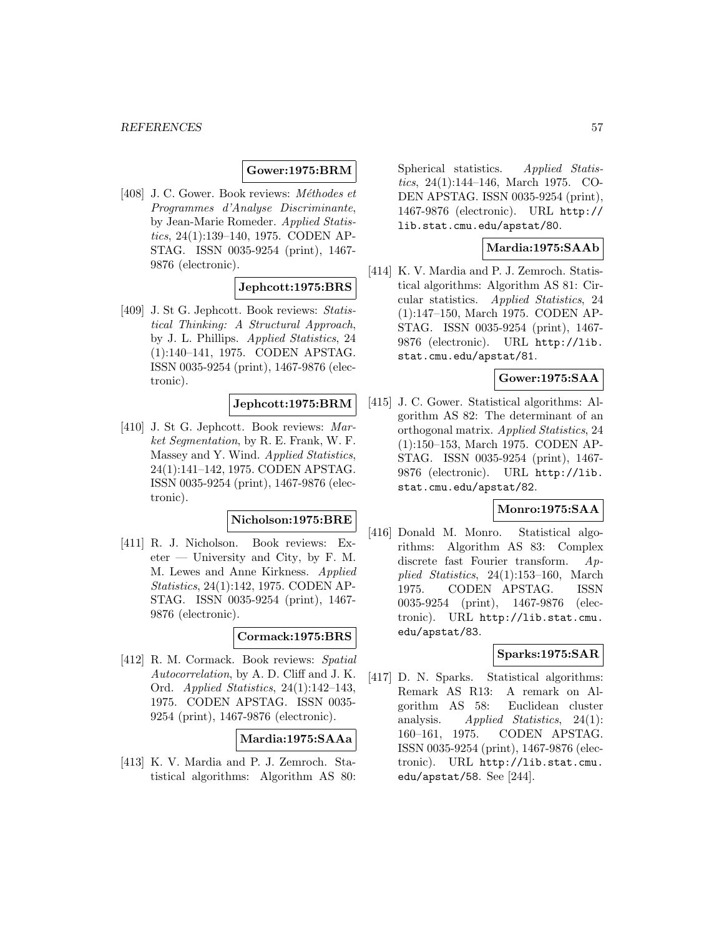# **Gower:1975:BRM**

[408] J. C. Gower. Book reviews:  $Méthodes$  et Programmes d'Analyse Discriminante, by Jean-Marie Romeder. Applied Statistics, 24(1):139–140, 1975. CODEN AP-STAG. ISSN 0035-9254 (print), 1467- 9876 (electronic).

# **Jephcott:1975:BRS**

[409] J. St G. Jephcott. Book reviews: Statistical Thinking: A Structural Approach, by J. L. Phillips. Applied Statistics, 24 (1):140–141, 1975. CODEN APSTAG. ISSN 0035-9254 (print), 1467-9876 (electronic).

# **Jephcott:1975:BRM**

[410] J. St G. Jephcott. Book reviews: Market Segmentation, by R. E. Frank, W. F. Massey and Y. Wind. Applied Statistics, 24(1):141–142, 1975. CODEN APSTAG. ISSN 0035-9254 (print), 1467-9876 (electronic).

#### **Nicholson:1975:BRE**

[411] R. J. Nicholson. Book reviews: Ex- $\text{eter}$  — University and City, by F. M. M. Lewes and Anne Kirkness. Applied Statistics, 24(1):142, 1975. CODEN AP-STAG. ISSN 0035-9254 (print), 1467- 9876 (electronic).

### **Cormack:1975:BRS**

[412] R. M. Cormack. Book reviews: Spatial Autocorrelation, by A. D. Cliff and J. K. Ord. Applied Statistics, 24(1):142–143, 1975. CODEN APSTAG. ISSN 0035- 9254 (print), 1467-9876 (electronic).

### **Mardia:1975:SAAa**

[413] K. V. Mardia and P. J. Zemroch. Statistical algorithms: Algorithm AS 80: Spherical statistics. Applied Statistics, 24(1):144–146, March 1975. CO-DEN APSTAG. ISSN 0035-9254 (print), 1467-9876 (electronic). URL http:// lib.stat.cmu.edu/apstat/80.

### **Mardia:1975:SAAb**

[414] K. V. Mardia and P. J. Zemroch. Statistical algorithms: Algorithm AS 81: Circular statistics. Applied Statistics, 24 (1):147–150, March 1975. CODEN AP-STAG. ISSN 0035-9254 (print), 1467- 9876 (electronic). URL http://lib. stat.cmu.edu/apstat/81.

## **Gower:1975:SAA**

[415] J. C. Gower. Statistical algorithms: Algorithm AS 82: The determinant of an orthogonal matrix. Applied Statistics, 24 (1):150–153, March 1975. CODEN AP-STAG. ISSN 0035-9254 (print), 1467- 9876 (electronic). URL http://lib. stat.cmu.edu/apstat/82.

#### **Monro:1975:SAA**

[416] Donald M. Monro. Statistical algorithms: Algorithm AS 83: Complex discrete fast Fourier transform. Applied Statistics, 24(1):153–160, March 1975. CODEN APSTAG. ISSN 0035-9254 (print), 1467-9876 (electronic). URL http://lib.stat.cmu. edu/apstat/83.

### **Sparks:1975:SAR**

[417] D. N. Sparks. Statistical algorithms: Remark AS R13: A remark on Algorithm AS 58: Euclidean cluster analysis. Applied Statistics, 24(1): 160–161, 1975. CODEN APSTAG. ISSN 0035-9254 (print), 1467-9876 (electronic). URL http://lib.stat.cmu. edu/apstat/58. See [244].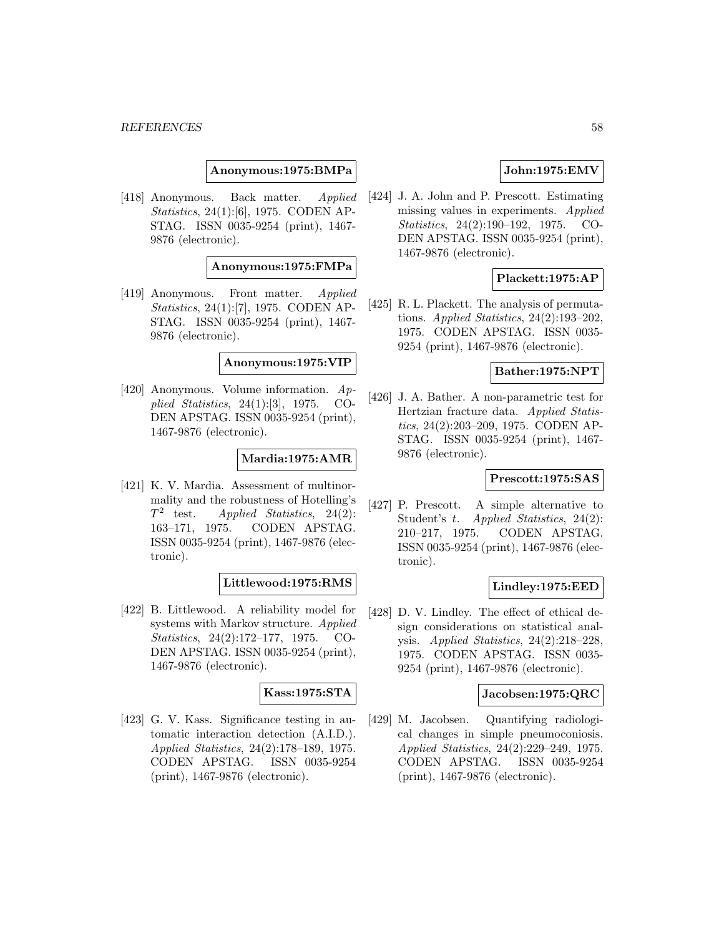**Anonymous:1975:BMPa**

[418] Anonymous. Back matter. Applied Statistics, 24(1):[6], 1975. CODEN AP-STAG. ISSN 0035-9254 (print), 1467- 9876 (electronic).

**Anonymous:1975:FMPa**

[419] Anonymous. Front matter. Applied Statistics, 24(1):[7], 1975. CODEN AP-STAG. ISSN 0035-9254 (print), 1467- 9876 (electronic).

### **Anonymous:1975:VIP**

[420] Anonymous. Volume information. Applied Statistics, 24(1):[3], 1975. CO-DEN APSTAG. ISSN 0035-9254 (print), 1467-9876 (electronic).

### **Mardia:1975:AMR**

[421] K. V. Mardia. Assessment of multinormality and the robustness of Hotelling's  $T^2$  test. Applied Statistics, 24(2): 163–171, 1975. CODEN APSTAG. ISSN 0035-9254 (print), 1467-9876 (electronic).

### **Littlewood:1975:RMS**

[422] B. Littlewood. A reliability model for systems with Markov structure. Applied Statistics, 24(2):172–177, 1975. CO-DEN APSTAG. ISSN 0035-9254 (print), 1467-9876 (electronic).

### **Kass:1975:STA**

[423] G. V. Kass. Significance testing in automatic interaction detection (A.I.D.). Applied Statistics, 24(2):178–189, 1975. CODEN APSTAG. ISSN 0035-9254 (print), 1467-9876 (electronic).

# **John:1975:EMV**

[424] J. A. John and P. Prescott. Estimating missing values in experiments. Applied Statistics, 24(2):190–192, 1975. CO-DEN APSTAG. ISSN 0035-9254 (print), 1467-9876 (electronic).

### **Plackett:1975:AP**

[425] R. L. Plackett. The analysis of permutations. Applied Statistics,  $24(2):193-202$ , 1975. CODEN APSTAG. ISSN 0035- 9254 (print), 1467-9876 (electronic).

# **Bather:1975:NPT**

[426] J. A. Bather. A non-parametric test for Hertzian fracture data. Applied Statistics, 24(2):203–209, 1975. CODEN AP-STAG. ISSN 0035-9254 (print), 1467- 9876 (electronic).

#### **Prescott:1975:SAS**

[427] P. Prescott. A simple alternative to Student's t. Applied Statistics, 24(2): 210–217, 1975. CODEN APSTAG. ISSN 0035-9254 (print), 1467-9876 (electronic).

### **Lindley:1975:EED**

[428] D. V. Lindley. The effect of ethical design considerations on statistical analysis. Applied Statistics, 24(2):218–228, 1975. CODEN APSTAG. ISSN 0035- 9254 (print), 1467-9876 (electronic).

### **Jacobsen:1975:QRC**

[429] M. Jacobsen. Quantifying radiological changes in simple pneumoconiosis. Applied Statistics, 24(2):229–249, 1975. CODEN APSTAG. ISSN 0035-9254 (print), 1467-9876 (electronic).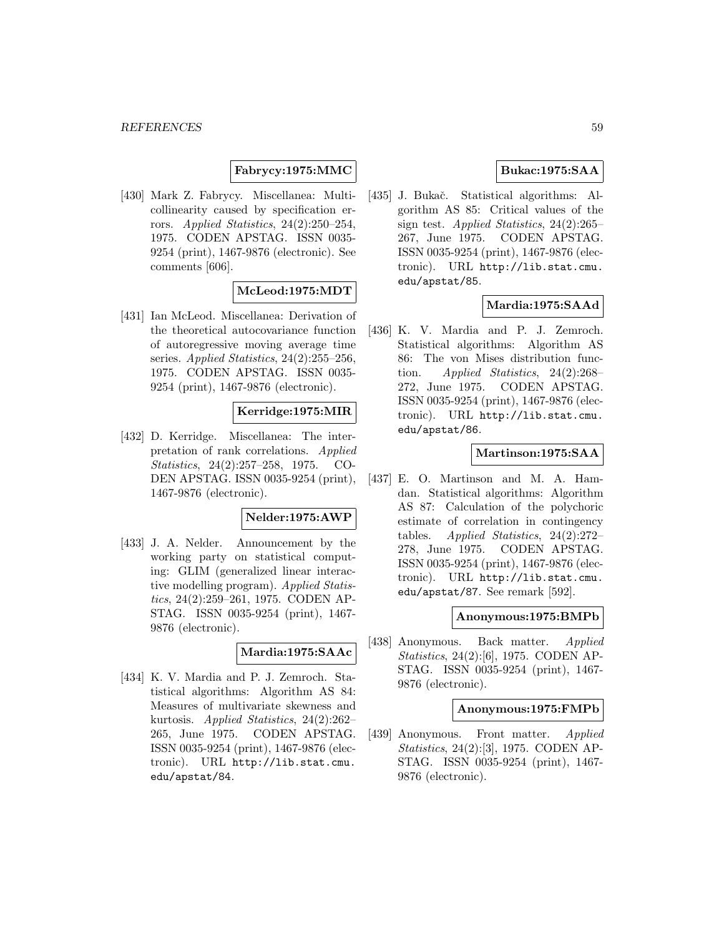**Fabrycy:1975:MMC**

[430] Mark Z. Fabrycy. Miscellanea: Multicollinearity caused by specification errors. Applied Statistics, 24(2):250–254, 1975. CODEN APSTAG. ISSN 0035- 9254 (print), 1467-9876 (electronic). See comments [606].

# **McLeod:1975:MDT**

[431] Ian McLeod. Miscellanea: Derivation of the theoretical autocovariance function of autoregressive moving average time series. Applied Statistics, 24(2):255–256, 1975. CODEN APSTAG. ISSN 0035- 9254 (print), 1467-9876 (electronic).

# **Kerridge:1975:MIR**

[432] D. Kerridge. Miscellanea: The interpretation of rank correlations. Applied Statistics, 24(2):257–258, 1975. CO-DEN APSTAG. ISSN 0035-9254 (print), 1467-9876 (electronic).

### **Nelder:1975:AWP**

[433] J. A. Nelder. Announcement by the working party on statistical computing: GLIM (generalized linear interactive modelling program). Applied Statistics, 24(2):259–261, 1975. CODEN AP-STAG. ISSN 0035-9254 (print), 1467- 9876 (electronic).

#### **Mardia:1975:SAAc**

[434] K. V. Mardia and P. J. Zemroch. Statistical algorithms: Algorithm AS 84: Measures of multivariate skewness and kurtosis. Applied Statistics, 24(2):262– 265, June 1975. CODEN APSTAG. ISSN 0035-9254 (print), 1467-9876 (electronic). URL http://lib.stat.cmu. edu/apstat/84.

### **Bukac:1975:SAA**

[435] J. Bukač. Statistical algorithms: Algorithm AS 85: Critical values of the sign test. Applied Statistics, 24(2):265– 267, June 1975. CODEN APSTAG. ISSN 0035-9254 (print), 1467-9876 (electronic). URL http://lib.stat.cmu. edu/apstat/85.

### **Mardia:1975:SAAd**

[436] K. V. Mardia and P. J. Zemroch. Statistical algorithms: Algorithm AS 86: The von Mises distribution function. Applied Statistics,  $24(2):268-$ 272, June 1975. CODEN APSTAG. ISSN 0035-9254 (print), 1467-9876 (electronic). URL http://lib.stat.cmu. edu/apstat/86.

### **Martinson:1975:SAA**

[437] E. O. Martinson and M. A. Hamdan. Statistical algorithms: Algorithm AS 87: Calculation of the polychoric estimate of correlation in contingency tables. Applied Statistics,  $24(2):272-$ 278, June 1975. CODEN APSTAG. ISSN 0035-9254 (print), 1467-9876 (electronic). URL http://lib.stat.cmu. edu/apstat/87. See remark [592].

#### **Anonymous:1975:BMPb**

[438] Anonymous. Back matter. Applied Statistics, 24(2):[6], 1975. CODEN AP-STAG. ISSN 0035-9254 (print), 1467- 9876 (electronic).

### **Anonymous:1975:FMPb**

[439] Anonymous. Front matter. Applied Statistics, 24(2):[3], 1975. CODEN AP-STAG. ISSN 0035-9254 (print), 1467- 9876 (electronic).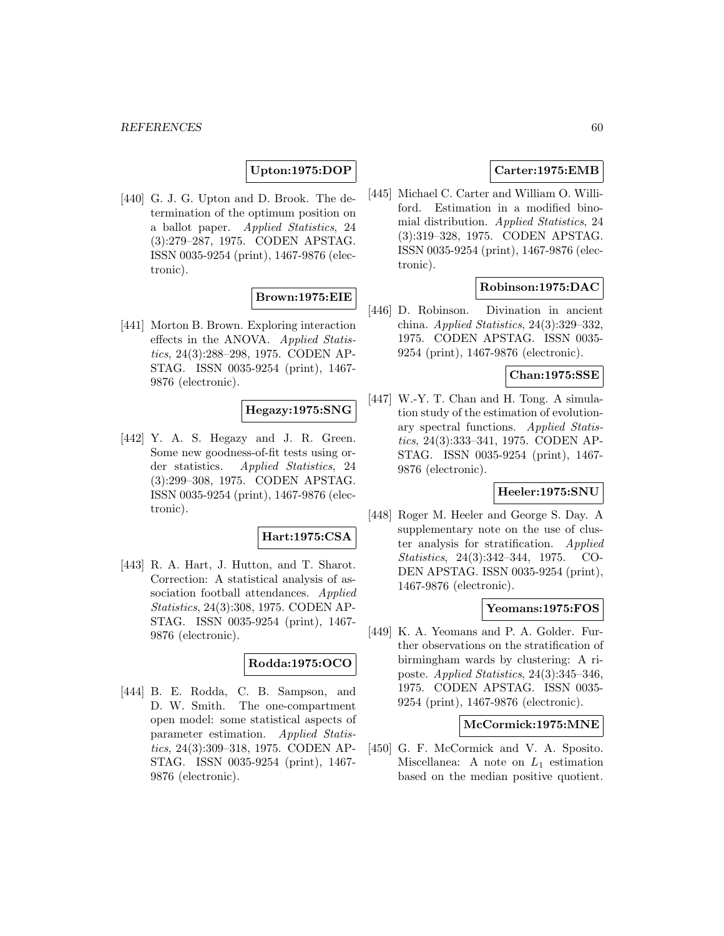# **Upton:1975:DOP**

[440] G. J. G. Upton and D. Brook. The determination of the optimum position on a ballot paper. Applied Statistics, 24 (3):279–287, 1975. CODEN APSTAG. ISSN 0035-9254 (print), 1467-9876 (electronic).

# **Brown:1975:EIE**

[441] Morton B. Brown. Exploring interaction effects in the ANOVA. Applied Statistics, 24(3):288–298, 1975. CODEN AP-STAG. ISSN 0035-9254 (print), 1467- 9876 (electronic).

# **Hegazy:1975:SNG**

[442] Y. A. S. Hegazy and J. R. Green. Some new goodness-of-fit tests using order statistics. Applied Statistics, 24 (3):299–308, 1975. CODEN APSTAG. ISSN 0035-9254 (print), 1467-9876 (electronic).

#### **Hart:1975:CSA**

[443] R. A. Hart, J. Hutton, and T. Sharot. Correction: A statistical analysis of association football attendances. Applied Statistics, 24(3):308, 1975. CODEN AP-STAG. ISSN 0035-9254 (print), 1467- 9876 (electronic).

### **Rodda:1975:OCO**

[444] B. E. Rodda, C. B. Sampson, and D. W. Smith. The one-compartment open model: some statistical aspects of parameter estimation. Applied Statistics, 24(3):309–318, 1975. CODEN AP-STAG. ISSN 0035-9254 (print), 1467- 9876 (electronic).

# **Carter:1975:EMB**

[445] Michael C. Carter and William O. Williford. Estimation in a modified binomial distribution. Applied Statistics, 24 (3):319–328, 1975. CODEN APSTAG. ISSN 0035-9254 (print), 1467-9876 (electronic).

### **Robinson:1975:DAC**

[446] D. Robinson. Divination in ancient china. Applied Statistics, 24(3):329–332, 1975. CODEN APSTAG. ISSN 0035- 9254 (print), 1467-9876 (electronic).

# **Chan:1975:SSE**

[447] W.-Y. T. Chan and H. Tong. A simulation study of the estimation of evolutionary spectral functions. Applied Statistics, 24(3):333–341, 1975. CODEN AP-STAG. ISSN 0035-9254 (print), 1467- 9876 (electronic).

#### **Heeler:1975:SNU**

[448] Roger M. Heeler and George S. Day. A supplementary note on the use of cluster analysis for stratification. Applied Statistics, 24(3):342–344, 1975. CO-DEN APSTAG. ISSN 0035-9254 (print), 1467-9876 (electronic).

# **Yeomans:1975:FOS**

[449] K. A. Yeomans and P. A. Golder. Further observations on the stratification of birmingham wards by clustering: A riposte. Applied Statistics, 24(3):345–346, 1975. CODEN APSTAG. ISSN 0035- 9254 (print), 1467-9876 (electronic).

### **McCormick:1975:MNE**

[450] G. F. McCormick and V. A. Sposito. Miscellanea: A note on  $L_1$  estimation based on the median positive quotient.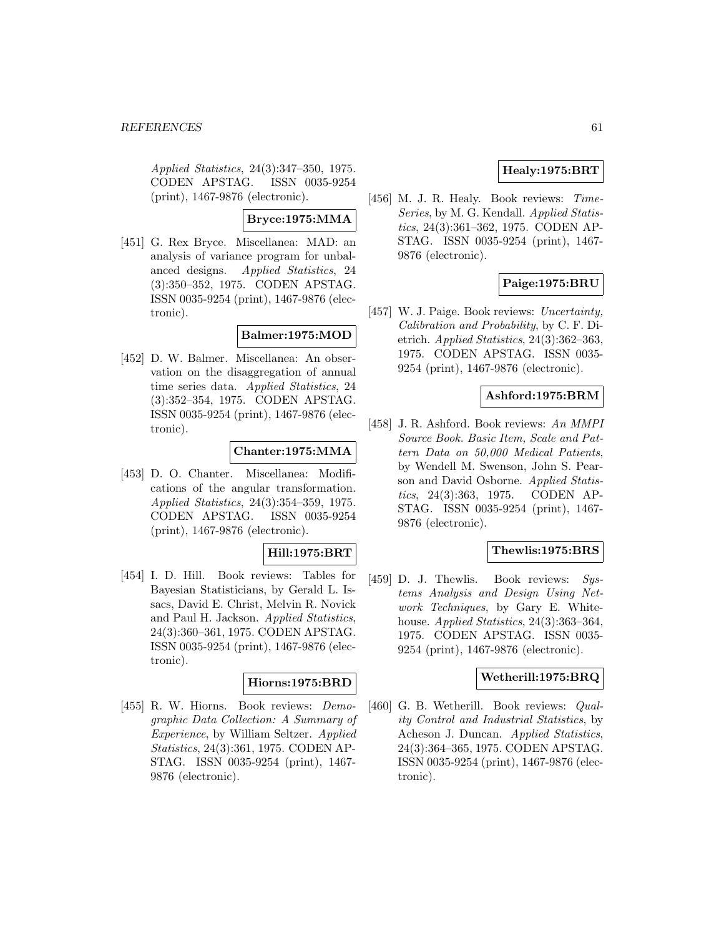Applied Statistics, 24(3):347–350, 1975. CODEN APSTAG. ISSN 0035-9254 (print), 1467-9876 (electronic).

# **Bryce:1975:MMA**

[451] G. Rex Bryce. Miscellanea: MAD: an analysis of variance program for unbalanced designs. Applied Statistics, 24 (3):350–352, 1975. CODEN APSTAG. ISSN 0035-9254 (print), 1467-9876 (electronic).

### **Balmer:1975:MOD**

[452] D. W. Balmer. Miscellanea: An observation on the disaggregation of annual time series data. Applied Statistics, 24 (3):352–354, 1975. CODEN APSTAG. ISSN 0035-9254 (print), 1467-9876 (electronic).

### **Chanter:1975:MMA**

[453] D. O. Chanter. Miscellanea: Modifications of the angular transformation. Applied Statistics, 24(3):354–359, 1975. CODEN APSTAG. ISSN 0035-9254 (print), 1467-9876 (electronic).

### **Hill:1975:BRT**

[454] I. D. Hill. Book reviews: Tables for Bayesian Statisticians, by Gerald L. Issacs, David E. Christ, Melvin R. Novick and Paul H. Jackson. Applied Statistics, 24(3):360–361, 1975. CODEN APSTAG. ISSN 0035-9254 (print), 1467-9876 (electronic).

# **Hiorns:1975:BRD**

[455] R. W. Hiorns. Book reviews: Demographic Data Collection: A Summary of Experience, by William Seltzer. Applied Statistics, 24(3):361, 1975. CODEN AP-STAG. ISSN 0035-9254 (print), 1467- 9876 (electronic).

# **Healy:1975:BRT**

[456] M. J. R. Healy. Book reviews: Time-Series, by M. G. Kendall. Applied Statistics, 24(3):361–362, 1975. CODEN AP-STAG. ISSN 0035-9254 (print), 1467- 9876 (electronic).

# **Paige:1975:BRU**

[457] W. J. Paige. Book reviews: Uncertainty, Calibration and Probability, by C. F. Dietrich. Applied Statistics,  $24(3):362-363$ , 1975. CODEN APSTAG. ISSN 0035- 9254 (print), 1467-9876 (electronic).

### **Ashford:1975:BRM**

[458] J. R. Ashford. Book reviews: An MMPI Source Book. Basic Item, Scale and Pattern Data on 50,000 Medical Patients, by Wendell M. Swenson, John S. Pearson and David Osborne. Applied Statistics, 24(3):363, 1975. CODEN AP-STAG. ISSN 0035-9254 (print), 1467- 9876 (electronic).

### **Thewlis:1975:BRS**

[459] D. J. Thewlis. Book reviews: Systems Analysis and Design Using Network Techniques, by Gary E. Whitehouse. Applied Statistics, 24(3):363-364, 1975. CODEN APSTAG. ISSN 0035- 9254 (print), 1467-9876 (electronic).

#### **Wetherill:1975:BRQ**

[460] G. B. Wetherill. Book reviews: *Qual*ity Control and Industrial Statistics, by Acheson J. Duncan. Applied Statistics, 24(3):364–365, 1975. CODEN APSTAG. ISSN 0035-9254 (print), 1467-9876 (electronic).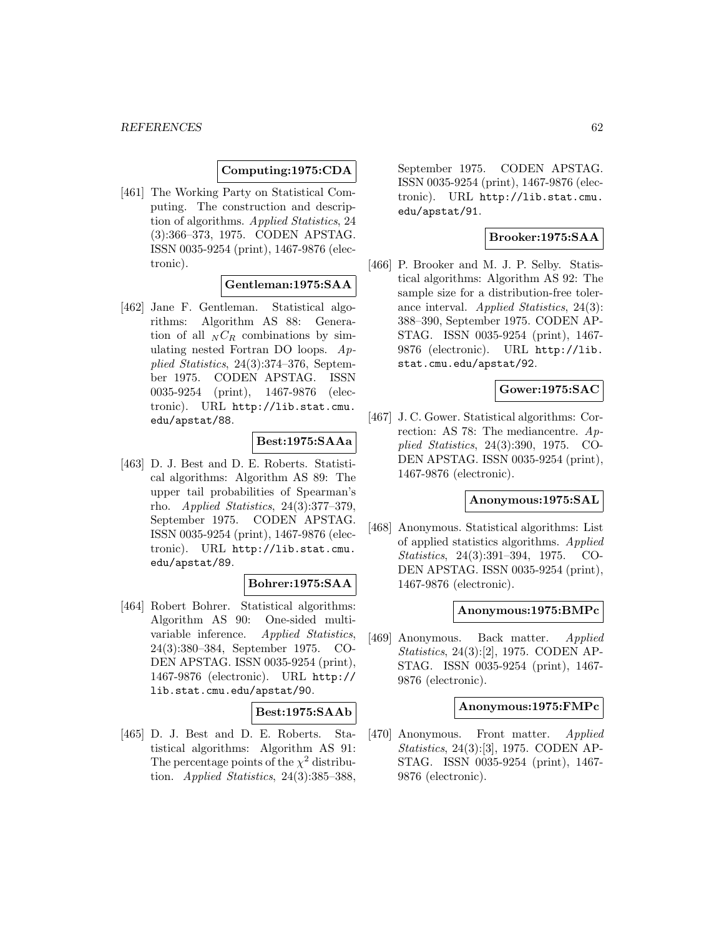### **Computing:1975:CDA**

[461] The Working Party on Statistical Computing. The construction and description of algorithms. Applied Statistics, 24 (3):366–373, 1975. CODEN APSTAG. ISSN 0035-9254 (print), 1467-9876 (electronic).

# **Gentleman:1975:SAA**

[462] Jane F. Gentleman. Statistical algorithms: Algorithm AS 88: Generation of all  $_N C_R$  combinations by simulating nested Fortran DO loops. Applied Statistics, 24(3):374–376, September 1975. CODEN APSTAG. ISSN 0035-9254 (print), 1467-9876 (electronic). URL http://lib.stat.cmu. edu/apstat/88.

# **Best:1975:SAAa**

[463] D. J. Best and D. E. Roberts. Statistical algorithms: Algorithm AS 89: The upper tail probabilities of Spearman's rho. Applied Statistics, 24(3):377–379, September 1975. CODEN APSTAG. ISSN 0035-9254 (print), 1467-9876 (electronic). URL http://lib.stat.cmu. edu/apstat/89.

### **Bohrer:1975:SAA**

[464] Robert Bohrer. Statistical algorithms: Algorithm AS 90: One-sided multivariable inference. Applied Statistics, 24(3):380–384, September 1975. CO-DEN APSTAG. ISSN 0035-9254 (print), 1467-9876 (electronic). URL http:// lib.stat.cmu.edu/apstat/90.

### **Best:1975:SAAb**

[465] D. J. Best and D. E. Roberts. Statistical algorithms: Algorithm AS 91: The percentage points of the  $\chi^2$  distribution. Applied Statistics, 24(3):385–388,

September 1975. CODEN APSTAG. ISSN 0035-9254 (print), 1467-9876 (electronic). URL http://lib.stat.cmu. edu/apstat/91.

# **Brooker:1975:SAA**

[466] P. Brooker and M. J. P. Selby. Statistical algorithms: Algorithm AS 92: The sample size for a distribution-free tolerance interval. Applied Statistics, 24(3): 388–390, September 1975. CODEN AP-STAG. ISSN 0035-9254 (print), 1467- 9876 (electronic). URL http://lib. stat.cmu.edu/apstat/92.

### **Gower:1975:SAC**

[467] J. C. Gower. Statistical algorithms: Correction: AS 78: The mediancentre. Applied Statistics, 24(3):390, 1975. CO-DEN APSTAG. ISSN 0035-9254 (print), 1467-9876 (electronic).

### **Anonymous:1975:SAL**

[468] Anonymous. Statistical algorithms: List of applied statistics algorithms. Applied Statistics, 24(3):391–394, 1975. CO-DEN APSTAG. ISSN 0035-9254 (print), 1467-9876 (electronic).

#### **Anonymous:1975:BMPc**

[469] Anonymous. Back matter. Applied Statistics, 24(3):[2], 1975. CODEN AP-STAG. ISSN 0035-9254 (print), 1467- 9876 (electronic).

#### **Anonymous:1975:FMPc**

[470] Anonymous. Front matter. Applied Statistics, 24(3):[3], 1975. CODEN AP-STAG. ISSN 0035-9254 (print), 1467- 9876 (electronic).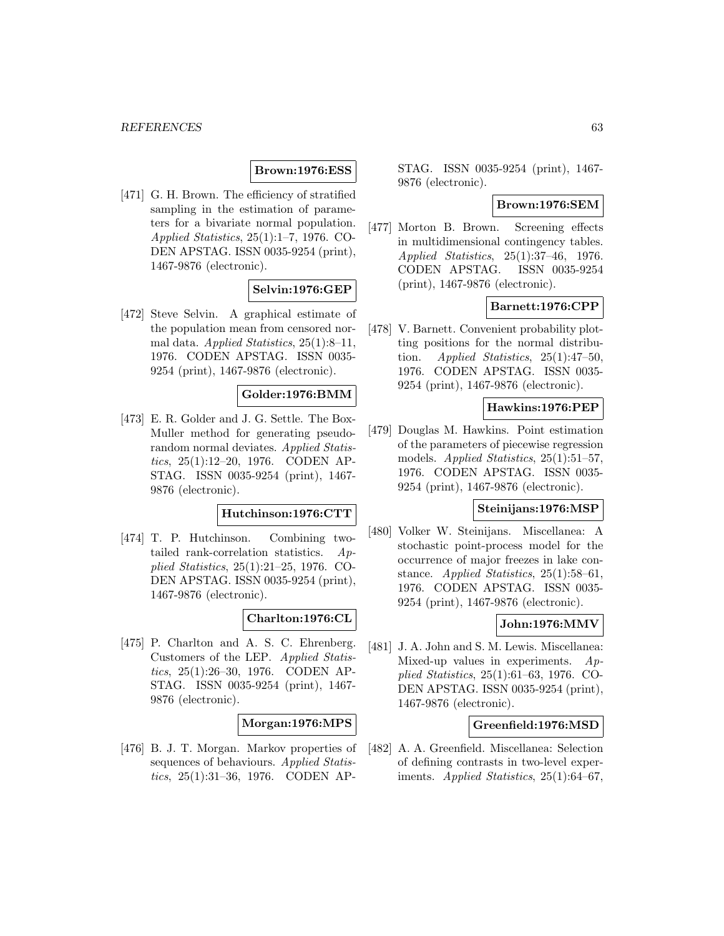# **Brown:1976:ESS**

[471] G. H. Brown. The efficiency of stratified sampling in the estimation of parameters for a bivariate normal population. Applied Statistics, 25(1):1–7, 1976. CO-DEN APSTAG. ISSN 0035-9254 (print), 1467-9876 (electronic).

# **Selvin:1976:GEP**

[472] Steve Selvin. A graphical estimate of the population mean from censored normal data. Applied Statistics, 25(1):8–11, 1976. CODEN APSTAG. ISSN 0035- 9254 (print), 1467-9876 (electronic).

### **Golder:1976:BMM**

[473] E. R. Golder and J. G. Settle. The Box-Muller method for generating pseudorandom normal deviates. Applied Statistics, 25(1):12–20, 1976. CODEN AP-STAG. ISSN 0035-9254 (print), 1467- 9876 (electronic).

#### **Hutchinson:1976:CTT**

[474] T. P. Hutchinson. Combining twotailed rank-correlation statistics. Applied Statistics, 25(1):21–25, 1976. CO-DEN APSTAG. ISSN 0035-9254 (print), 1467-9876 (electronic).

### **Charlton:1976:CL**

[475] P. Charlton and A. S. C. Ehrenberg. Customers of the LEP. Applied Statistics, 25(1):26–30, 1976. CODEN AP-STAG. ISSN 0035-9254 (print), 1467- 9876 (electronic).

### **Morgan:1976:MPS**

[476] B. J. T. Morgan. Markov properties of sequences of behaviours. Applied Statistics, 25(1):31–36, 1976. CODEN AP-

STAG. ISSN 0035-9254 (print), 1467- 9876 (electronic).

#### **Brown:1976:SEM**

[477] Morton B. Brown. Screening effects in multidimensional contingency tables. Applied Statistics, 25(1):37–46, 1976. CODEN APSTAG. ISSN 0035-9254 (print), 1467-9876 (electronic).

### **Barnett:1976:CPP**

[478] V. Barnett. Convenient probability plotting positions for the normal distribution. Applied Statistics,  $25(1):47-50$ , 1976. CODEN APSTAG. ISSN 0035- 9254 (print), 1467-9876 (electronic).

### **Hawkins:1976:PEP**

[479] Douglas M. Hawkins. Point estimation of the parameters of piecewise regression models. Applied Statistics, 25(1):51–57, 1976. CODEN APSTAG. ISSN 0035- 9254 (print), 1467-9876 (electronic).

## **Steinijans:1976:MSP**

[480] Volker W. Steinijans. Miscellanea: A stochastic point-process model for the occurrence of major freezes in lake constance. Applied Statistics, 25(1):58–61, 1976. CODEN APSTAG. ISSN 0035- 9254 (print), 1467-9876 (electronic).

# **John:1976:MMV**

[481] J. A. John and S. M. Lewis. Miscellanea: Mixed-up values in experiments.  $Ap$ plied Statistics, 25(1):61–63, 1976. CO-DEN APSTAG. ISSN 0035-9254 (print), 1467-9876 (electronic).

#### **Greenfield:1976:MSD**

[482] A. A. Greenfield. Miscellanea: Selection of defining contrasts in two-level experiments. Applied Statistics, 25(1):64–67,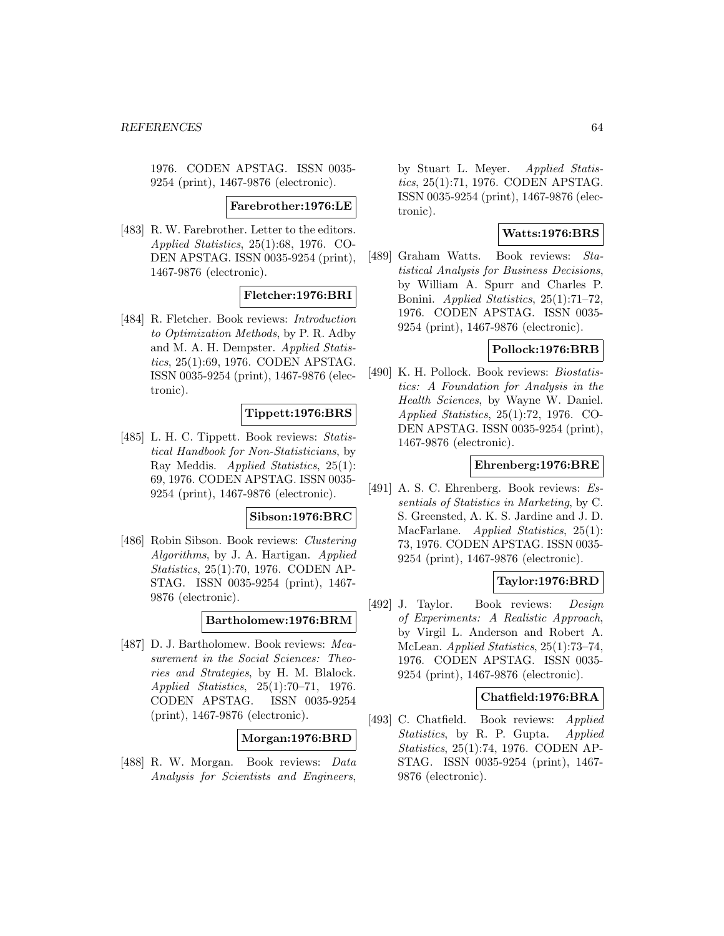1976. CODEN APSTAG. ISSN 0035- 9254 (print), 1467-9876 (electronic).

#### **Farebrother:1976:LE**

[483] R. W. Farebrother. Letter to the editors. Applied Statistics, 25(1):68, 1976. CO-DEN APSTAG. ISSN 0035-9254 (print), 1467-9876 (electronic).

#### **Fletcher:1976:BRI**

[484] R. Fletcher. Book reviews: Introduction to Optimization Methods, by P. R. Adby and M. A. H. Dempster. Applied Statistics, 25(1):69, 1976. CODEN APSTAG. ISSN 0035-9254 (print), 1467-9876 (electronic).

### **Tippett:1976:BRS**

[485] L. H. C. Tippett. Book reviews: Statistical Handbook for Non-Statisticians, by Ray Meddis. Applied Statistics, 25(1): 69, 1976. CODEN APSTAG. ISSN 0035- 9254 (print), 1467-9876 (electronic).

#### **Sibson:1976:BRC**

[486] Robin Sibson. Book reviews: Clustering Algorithms, by J. A. Hartigan. Applied Statistics, 25(1):70, 1976. CODEN AP-STAG. ISSN 0035-9254 (print), 1467- 9876 (electronic).

#### **Bartholomew:1976:BRM**

[487] D. J. Bartholomew. Book reviews: Measurement in the Social Sciences: Theories and Strategies, by H. M. Blalock. Applied Statistics, 25(1):70–71, 1976. CODEN APSTAG. ISSN 0035-9254 (print), 1467-9876 (electronic).

### **Morgan:1976:BRD**

[488] R. W. Morgan. Book reviews: Data Analysis for Scientists and Engineers,

by Stuart L. Meyer. Applied Statistics, 25(1):71, 1976. CODEN APSTAG. ISSN 0035-9254 (print), 1467-9876 (electronic).

## **Watts:1976:BRS**

[489] Graham Watts. Book reviews: Statistical Analysis for Business Decisions, by William A. Spurr and Charles P. Bonini. Applied Statistics, 25(1):71–72, 1976. CODEN APSTAG. ISSN 0035- 9254 (print), 1467-9876 (electronic).

# **Pollock:1976:BRB**

[490] K. H. Pollock. Book reviews: Biostatistics: A Foundation for Analysis in the Health Sciences, by Wayne W. Daniel. Applied Statistics, 25(1):72, 1976. CO-DEN APSTAG. ISSN 0035-9254 (print), 1467-9876 (electronic).

### **Ehrenberg:1976:BRE**

[491] A. S. C. Ehrenberg. Book reviews: Essentials of Statistics in Marketing, by C. S. Greensted, A. K. S. Jardine and J. D. MacFarlane. *Applied Statistics*, 25(1): 73, 1976. CODEN APSTAG. ISSN 0035- 9254 (print), 1467-9876 (electronic).

#### **Taylor:1976:BRD**

[492] J. Taylor. Book reviews: Design of Experiments: A Realistic Approach, by Virgil L. Anderson and Robert A. McLean. Applied Statistics, 25(1):73–74, 1976. CODEN APSTAG. ISSN 0035- 9254 (print), 1467-9876 (electronic).

### **Chatfield:1976:BRA**

[493] C. Chatfield. Book reviews: Applied Statistics, by R. P. Gupta. Applied Statistics, 25(1):74, 1976. CODEN AP-STAG. ISSN 0035-9254 (print), 1467- 9876 (electronic).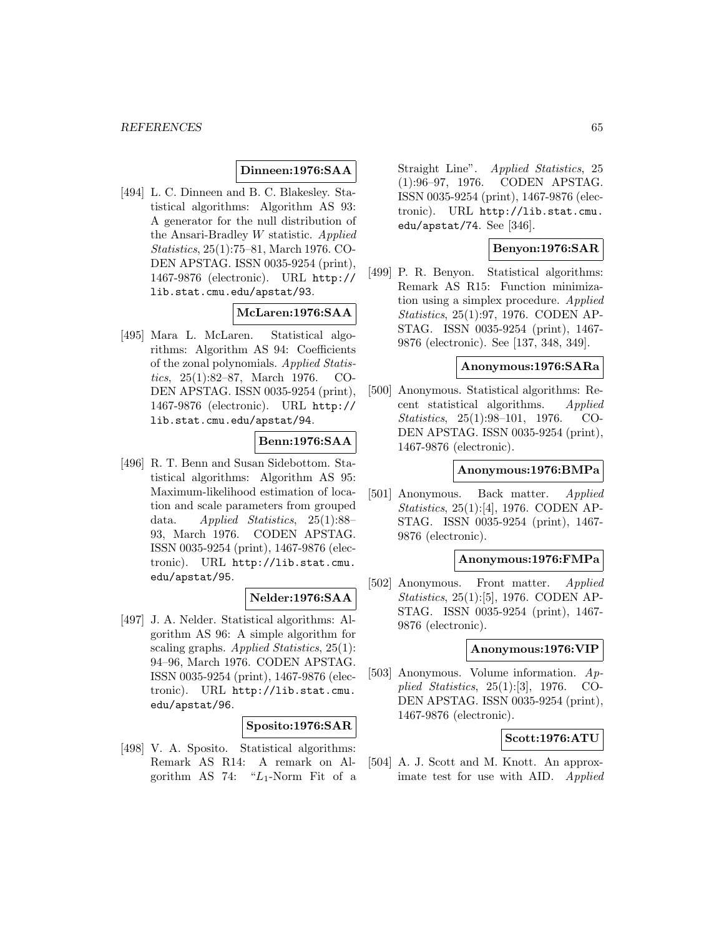## **Dinneen:1976:SAA**

[494] L. C. Dinneen and B. C. Blakesley. Statistical algorithms: Algorithm AS 93: A generator for the null distribution of the Ansari-Bradley W statistic. Applied Statistics, 25(1):75–81, March 1976. CO-DEN APSTAG. ISSN 0035-9254 (print), 1467-9876 (electronic). URL http:// lib.stat.cmu.edu/apstat/93.

# **McLaren:1976:SAA**

[495] Mara L. McLaren. Statistical algorithms: Algorithm AS 94: Coefficients of the zonal polynomials. Applied Statistics, 25(1):82–87, March 1976. CO-DEN APSTAG. ISSN 0035-9254 (print), 1467-9876 (electronic). URL http:// lib.stat.cmu.edu/apstat/94.

### **Benn:1976:SAA**

[496] R. T. Benn and Susan Sidebottom. Statistical algorithms: Algorithm AS 95: Maximum-likelihood estimation of location and scale parameters from grouped data. Applied Statistics, 25(1):88– 93, March 1976. CODEN APSTAG. ISSN 0035-9254 (print), 1467-9876 (electronic). URL http://lib.stat.cmu. edu/apstat/95.

# **Nelder:1976:SAA**

[497] J. A. Nelder. Statistical algorithms: Algorithm AS 96: A simple algorithm for scaling graphs. Applied Statistics, 25(1): 94–96, March 1976. CODEN APSTAG. ISSN 0035-9254 (print), 1467-9876 (electronic). URL http://lib.stat.cmu. edu/apstat/96.

### **Sposito:1976:SAR**

[498] V. A. Sposito. Statistical algorithms: Remark AS R14: A remark on Algorithm AS 74: " $L_1$ -Norm Fit of a Straight Line". Applied Statistics, 25 (1):96–97, 1976. CODEN APSTAG. ISSN 0035-9254 (print), 1467-9876 (electronic). URL http://lib.stat.cmu. edu/apstat/74. See [346].

### **Benyon:1976:SAR**

[499] P. R. Benyon. Statistical algorithms: Remark AS R15: Function minimization using a simplex procedure. Applied Statistics, 25(1):97, 1976. CODEN AP-STAG. ISSN 0035-9254 (print), 1467- 9876 (electronic). See [137, 348, 349].

### **Anonymous:1976:SARa**

[500] Anonymous. Statistical algorithms: Recent statistical algorithms. Applied Statistics, 25(1):98–101, 1976. CO-DEN APSTAG. ISSN 0035-9254 (print), 1467-9876 (electronic).

#### **Anonymous:1976:BMPa**

[501] Anonymous. Back matter. Applied Statistics, 25(1):[4], 1976. CODEN AP-STAG. ISSN 0035-9254 (print), 1467- 9876 (electronic).

# **Anonymous:1976:FMPa**

[502] Anonymous. Front matter. Applied Statistics, 25(1):[5], 1976. CODEN AP-STAG. ISSN 0035-9254 (print), 1467- 9876 (electronic).

### **Anonymous:1976:VIP**

[503] Anonymous. Volume information. Applied Statistics, 25(1):[3], 1976. CO-DEN APSTAG. ISSN 0035-9254 (print), 1467-9876 (electronic).

### **Scott:1976:ATU**

[504] A. J. Scott and M. Knott. An approximate test for use with AID. Applied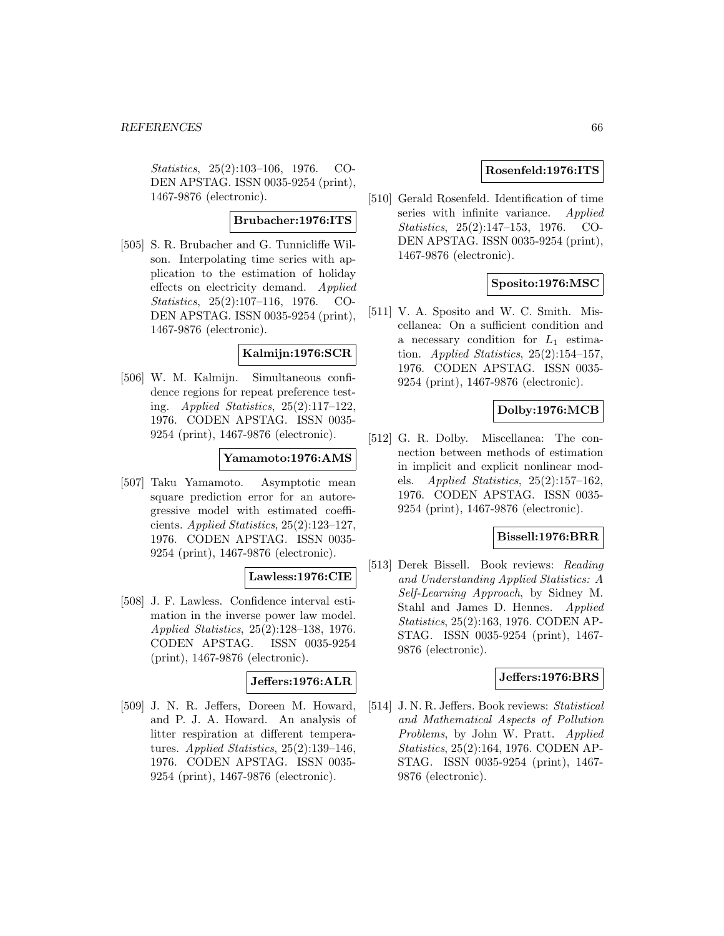Statistics, 25(2):103–106, 1976. CO-DEN APSTAG. ISSN 0035-9254 (print), 1467-9876 (electronic).

#### **Brubacher:1976:ITS**

[505] S. R. Brubacher and G. Tunnicliffe Wilson. Interpolating time series with application to the estimation of holiday effects on electricity demand. Applied Statistics, 25(2):107–116, 1976. CO-DEN APSTAG. ISSN 0035-9254 (print), 1467-9876 (electronic).

# **Kalmijn:1976:SCR**

[506] W. M. Kalmijn. Simultaneous confidence regions for repeat preference testing. Applied Statistics, 25(2):117–122, 1976. CODEN APSTAG. ISSN 0035- 9254 (print), 1467-9876 (electronic).

### **Yamamoto:1976:AMS**

[507] Taku Yamamoto. Asymptotic mean square prediction error for an autoregressive model with estimated coefficients. Applied Statistics, 25(2):123–127, 1976. CODEN APSTAG. ISSN 0035- 9254 (print), 1467-9876 (electronic).

### **Lawless:1976:CIE**

[508] J. F. Lawless. Confidence interval estimation in the inverse power law model. Applied Statistics, 25(2):128–138, 1976. CODEN APSTAG. ISSN 0035-9254 (print), 1467-9876 (electronic).

# **Jeffers:1976:ALR**

[509] J. N. R. Jeffers, Doreen M. Howard, and P. J. A. Howard. An analysis of litter respiration at different temperatures. Applied Statistics,  $25(2):139-146$ , 1976. CODEN APSTAG. ISSN 0035- 9254 (print), 1467-9876 (electronic).

### **Rosenfeld:1976:ITS**

[510] Gerald Rosenfeld. Identification of time series with infinite variance. Applied Statistics, 25(2):147–153, 1976. CO-DEN APSTAG. ISSN 0035-9254 (print), 1467-9876 (electronic).

# **Sposito:1976:MSC**

[511] V. A. Sposito and W. C. Smith. Miscellanea: On a sufficient condition and a necessary condition for  $L_1$  estimation. Applied Statistics,  $25(2):154-157$ , 1976. CODEN APSTAG. ISSN 0035- 9254 (print), 1467-9876 (electronic).

# **Dolby:1976:MCB**

[512] G. R. Dolby. Miscellanea: The connection between methods of estimation in implicit and explicit nonlinear models. Applied Statistics, 25(2):157–162, 1976. CODEN APSTAG. ISSN 0035- 9254 (print), 1467-9876 (electronic).

## **Bissell:1976:BRR**

[513] Derek Bissell. Book reviews: Reading and Understanding Applied Statistics: A Self-Learning Approach, by Sidney M. Stahl and James D. Hennes. Applied Statistics, 25(2):163, 1976. CODEN AP-STAG. ISSN 0035-9254 (print), 1467- 9876 (electronic).

#### **Jeffers:1976:BRS**

[514] J. N. R. Jeffers. Book reviews: Statistical and Mathematical Aspects of Pollution Problems, by John W. Pratt. Applied Statistics, 25(2):164, 1976. CODEN AP-STAG. ISSN 0035-9254 (print), 1467- 9876 (electronic).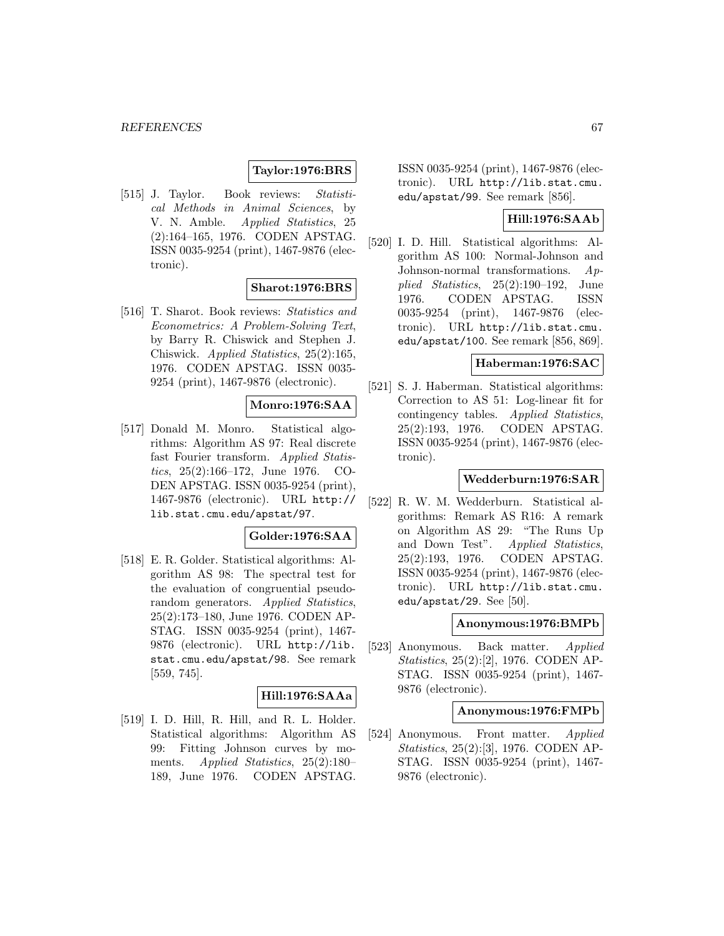# **Taylor:1976:BRS**

[515] J. Taylor. Book reviews: Statistical Methods in Animal Sciences, by V. N. Amble. Applied Statistics, 25 (2):164–165, 1976. CODEN APSTAG. ISSN 0035-9254 (print), 1467-9876 (electronic).

### **Sharot:1976:BRS**

[516] T. Sharot. Book reviews: Statistics and Econometrics: A Problem-Solving Text, by Barry R. Chiswick and Stephen J. Chiswick. Applied Statistics, 25(2):165, 1976. CODEN APSTAG. ISSN 0035- 9254 (print), 1467-9876 (electronic).

# **Monro:1976:SAA**

[517] Donald M. Monro. Statistical algorithms: Algorithm AS 97: Real discrete fast Fourier transform. Applied Statistics, 25(2):166–172, June 1976. CO-DEN APSTAG. ISSN 0035-9254 (print), 1467-9876 (electronic). URL http:// lib.stat.cmu.edu/apstat/97.

### **Golder:1976:SAA**

[518] E. R. Golder. Statistical algorithms: Algorithm AS 98: The spectral test for the evaluation of congruential pseudorandom generators. Applied Statistics, 25(2):173–180, June 1976. CODEN AP-STAG. ISSN 0035-9254 (print), 1467- 9876 (electronic). URL http://lib. stat.cmu.edu/apstat/98. See remark [559, 745].

### **Hill:1976:SAAa**

[519] I. D. Hill, R. Hill, and R. L. Holder. Statistical algorithms: Algorithm AS 99: Fitting Johnson curves by moments. Applied Statistics, 25(2):180– 189, June 1976. CODEN APSTAG.

ISSN 0035-9254 (print), 1467-9876 (electronic). URL http://lib.stat.cmu. edu/apstat/99. See remark [856].

# **Hill:1976:SAAb**

[520] I. D. Hill. Statistical algorithms: Algorithm AS 100: Normal-Johnson and Johnson-normal transformations. Applied Statistics, 25(2):190–192, June 1976. CODEN APSTAG. ISSN 0035-9254 (print), 1467-9876 (electronic). URL http://lib.stat.cmu. edu/apstat/100. See remark [856, 869].

### **Haberman:1976:SAC**

[521] S. J. Haberman. Statistical algorithms: Correction to AS 51: Log-linear fit for contingency tables. Applied Statistics, 25(2):193, 1976. CODEN APSTAG. ISSN 0035-9254 (print), 1467-9876 (electronic).

### **Wedderburn:1976:SAR**

[522] R. W. M. Wedderburn. Statistical algorithms: Remark AS R16: A remark on Algorithm AS 29: "The Runs Up and Down Test". Applied Statistics, 25(2):193, 1976. CODEN APSTAG. ISSN 0035-9254 (print), 1467-9876 (electronic). URL http://lib.stat.cmu. edu/apstat/29. See  $[50]$ .

#### **Anonymous:1976:BMPb**

[523] Anonymous. Back matter. Applied Statistics, 25(2):[2], 1976. CODEN AP-STAG. ISSN 0035-9254 (print), 1467- 9876 (electronic).

#### **Anonymous:1976:FMPb**

[524] Anonymous. Front matter. Applied Statistics, 25(2):[3], 1976. CODEN AP-STAG. ISSN 0035-9254 (print), 1467- 9876 (electronic).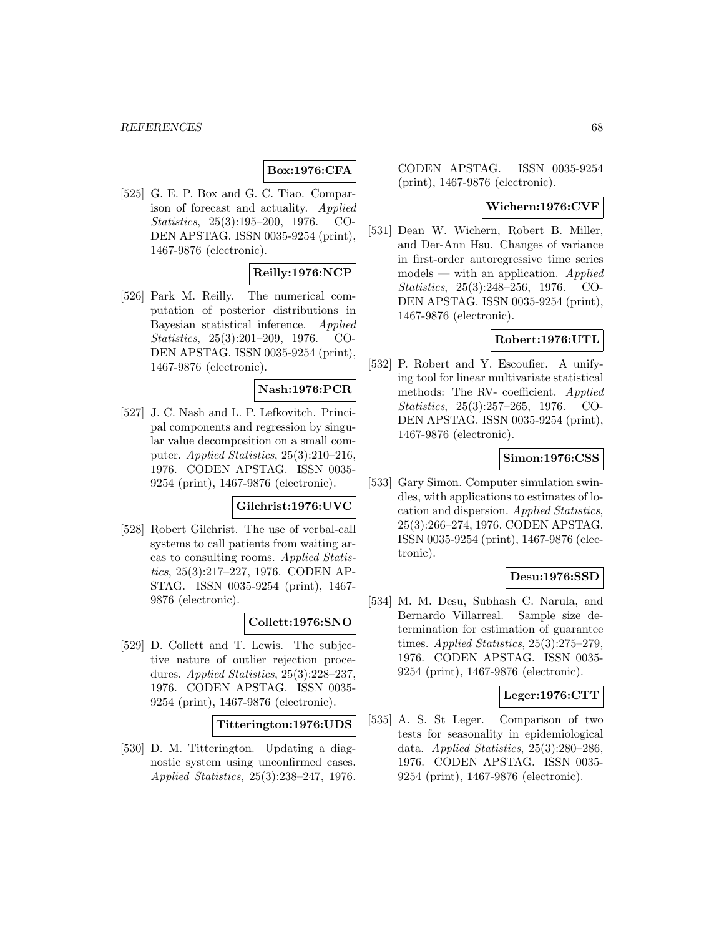# **Box:1976:CFA**

[525] G. E. P. Box and G. C. Tiao. Comparison of forecast and actuality. Applied Statistics, 25(3):195–200, 1976. CO-DEN APSTAG. ISSN 0035-9254 (print), 1467-9876 (electronic).

# **Reilly:1976:NCP**

[526] Park M. Reilly. The numerical computation of posterior distributions in Bayesian statistical inference. Applied Statistics, 25(3):201–209, 1976. CO-DEN APSTAG. ISSN 0035-9254 (print), 1467-9876 (electronic).

# **Nash:1976:PCR**

[527] J. C. Nash and L. P. Lefkovitch. Principal components and regression by singular value decomposition on a small computer. Applied Statistics, 25(3):210–216, 1976. CODEN APSTAG. ISSN 0035- 9254 (print), 1467-9876 (electronic).

# **Gilchrist:1976:UVC**

[528] Robert Gilchrist. The use of verbal-call systems to call patients from waiting areas to consulting rooms. Applied Statistics, 25(3):217–227, 1976. CODEN AP-STAG. ISSN 0035-9254 (print), 1467- 9876 (electronic).

### **Collett:1976:SNO**

[529] D. Collett and T. Lewis. The subjective nature of outlier rejection procedures. Applied Statistics, 25(3):228-237, 1976. CODEN APSTAG. ISSN 0035- 9254 (print), 1467-9876 (electronic).

### **Titterington:1976:UDS**

[530] D. M. Titterington. Updating a diagnostic system using unconfirmed cases. Applied Statistics, 25(3):238–247, 1976. CODEN APSTAG. ISSN 0035-9254 (print), 1467-9876 (electronic).

### **Wichern:1976:CVF**

[531] Dean W. Wichern, Robert B. Miller, and Der-Ann Hsu. Changes of variance in first-order autoregressive time series  $models$  — with an application. Applied Statistics, 25(3):248–256, 1976. CO-DEN APSTAG. ISSN 0035-9254 (print), 1467-9876 (electronic).

# **Robert:1976:UTL**

[532] P. Robert and Y. Escoufier. A unifying tool for linear multivariate statistical methods: The RV- coefficient. Applied Statistics, 25(3):257–265, 1976. CO-DEN APSTAG. ISSN 0035-9254 (print), 1467-9876 (electronic).

### **Simon:1976:CSS**

[533] Gary Simon. Computer simulation swindles, with applications to estimates of location and dispersion. Applied Statistics, 25(3):266–274, 1976. CODEN APSTAG. ISSN 0035-9254 (print), 1467-9876 (electronic).

### **Desu:1976:SSD**

[534] M. M. Desu, Subhash C. Narula, and Bernardo Villarreal. Sample size determination for estimation of guarantee times. Applied Statistics, 25(3):275–279, 1976. CODEN APSTAG. ISSN 0035- 9254 (print), 1467-9876 (electronic).

### **Leger:1976:CTT**

[535] A. S. St Leger. Comparison of two tests for seasonality in epidemiological data. Applied Statistics, 25(3):280–286, 1976. CODEN APSTAG. ISSN 0035- 9254 (print), 1467-9876 (electronic).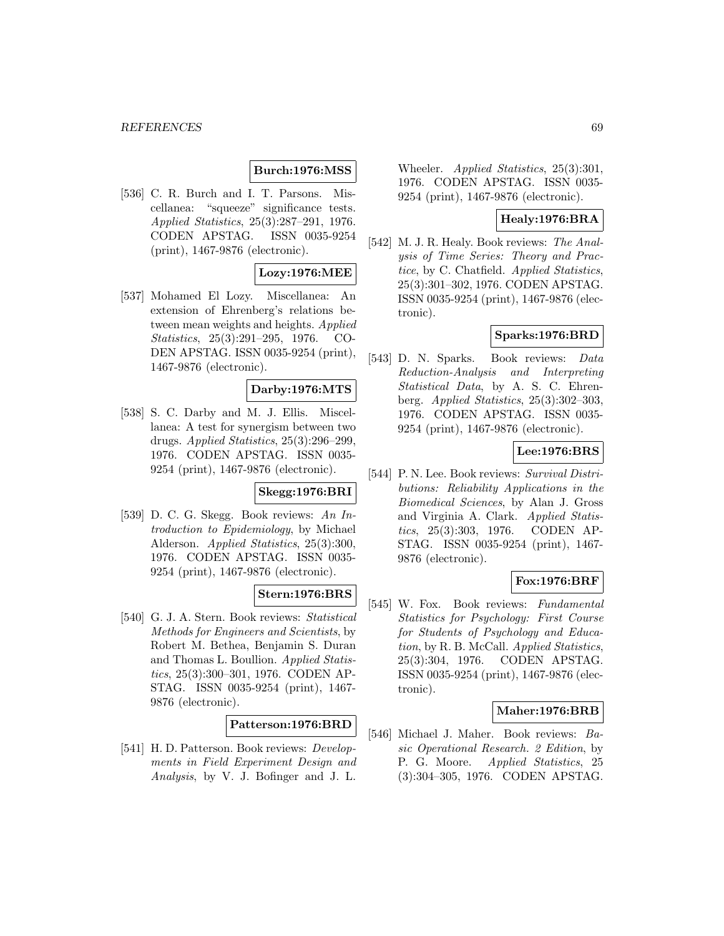# **Burch:1976:MSS**

[536] C. R. Burch and I. T. Parsons. Miscellanea: "squeeze" significance tests. Applied Statistics, 25(3):287–291, 1976. CODEN APSTAG. ISSN 0035-9254 (print), 1467-9876 (electronic).

### **Lozy:1976:MEE**

[537] Mohamed El Lozy. Miscellanea: An extension of Ehrenberg's relations between mean weights and heights. Applied Statistics, 25(3):291–295, 1976. CO-DEN APSTAG. ISSN 0035-9254 (print), 1467-9876 (electronic).

# **Darby:1976:MTS**

[538] S. C. Darby and M. J. Ellis. Miscellanea: A test for synergism between two drugs. Applied Statistics, 25(3):296–299, 1976. CODEN APSTAG. ISSN 0035- 9254 (print), 1467-9876 (electronic).

# **Skegg:1976:BRI**

[539] D. C. G. Skegg. Book reviews: An Introduction to Epidemiology, by Michael Alderson. Applied Statistics, 25(3):300, 1976. CODEN APSTAG. ISSN 0035- 9254 (print), 1467-9876 (electronic).

### **Stern:1976:BRS**

[540] G. J. A. Stern. Book reviews: Statistical Methods for Engineers and Scientists, by Robert M. Bethea, Benjamin S. Duran and Thomas L. Boullion. Applied Statistics, 25(3):300–301, 1976. CODEN AP-STAG. ISSN 0035-9254 (print), 1467- 9876 (electronic).

# **Patterson:1976:BRD**

[541] H. D. Patterson. Book reviews: *Develop*ments in Field Experiment Design and Analysis, by V. J. Bofinger and J. L.

Wheeler. Applied Statistics, 25(3):301, 1976. CODEN APSTAG. ISSN 0035- 9254 (print), 1467-9876 (electronic).

# **Healy:1976:BRA**

[542] M. J. R. Healy. Book reviews: The Analysis of Time Series: Theory and Practice, by C. Chatfield. Applied Statistics, 25(3):301–302, 1976. CODEN APSTAG. ISSN 0035-9254 (print), 1467-9876 (electronic).

# **Sparks:1976:BRD**

[543] D. N. Sparks. Book reviews: Data Reduction-Analysis and Interpreting Statistical Data, by A. S. C. Ehrenberg. Applied Statistics, 25(3):302–303, 1976. CODEN APSTAG. ISSN 0035- 9254 (print), 1467-9876 (electronic).

## **Lee:1976:BRS**

[544] P. N. Lee. Book reviews: Survival Distributions: Reliability Applications in the Biomedical Sciences, by Alan J. Gross and Virginia A. Clark. Applied Statistics, 25(3):303, 1976. CODEN AP-STAG. ISSN 0035-9254 (print), 1467- 9876 (electronic).

#### **Fox:1976:BRF**

[545] W. Fox. Book reviews: Fundamental Statistics for Psychology: First Course for Students of Psychology and Education, by R. B. McCall. Applied Statistics, 25(3):304, 1976. CODEN APSTAG. ISSN 0035-9254 (print), 1467-9876 (electronic).

#### **Maher:1976:BRB**

[546] Michael J. Maher. Book reviews: Basic Operational Research. 2 Edition, by P. G. Moore. Applied Statistics, 25 (3):304–305, 1976. CODEN APSTAG.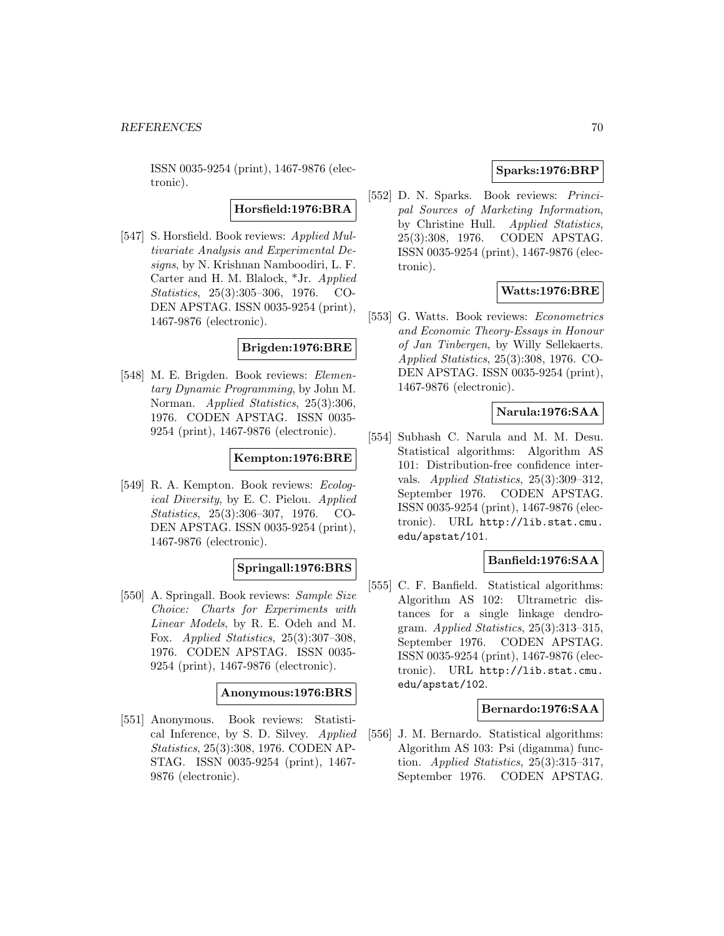ISSN 0035-9254 (print), 1467-9876 (electronic).

**Horsfield:1976:BRA**

[547] S. Horsfield. Book reviews: Applied Multivariate Analysis and Experimental Designs, by N. Krishnan Namboodiri, L. F. Carter and H. M. Blalock, \*Jr. Applied Statistics, 25(3):305–306, 1976. CO-DEN APSTAG. ISSN 0035-9254 (print), 1467-9876 (electronic).

### **Brigden:1976:BRE**

[548] M. E. Brigden. Book reviews: Elementary Dynamic Programming, by John M. Norman. *Applied Statistics*, 25(3):306, 1976. CODEN APSTAG. ISSN 0035- 9254 (print), 1467-9876 (electronic).

# **Kempton:1976:BRE**

[549] R. A. Kempton. Book reviews: Ecological Diversity, by E. C. Pielou. Applied Statistics, 25(3):306–307, 1976. CO-DEN APSTAG. ISSN 0035-9254 (print), 1467-9876 (electronic).

# **Springall:1976:BRS**

[550] A. Springall. Book reviews: Sample Size Choice: Charts for Experiments with Linear Models, by R. E. Odeh and M. Fox. Applied Statistics, 25(3):307–308, 1976. CODEN APSTAG. ISSN 0035- 9254 (print), 1467-9876 (electronic).

#### **Anonymous:1976:BRS**

[551] Anonymous. Book reviews: Statistical Inference, by S. D. Silvey. Applied Statistics, 25(3):308, 1976. CODEN AP-STAG. ISSN 0035-9254 (print), 1467- 9876 (electronic).

# **Sparks:1976:BRP**

[552] D. N. Sparks. Book reviews: Principal Sources of Marketing Information, by Christine Hull. Applied Statistics, 25(3):308, 1976. CODEN APSTAG. ISSN 0035-9254 (print), 1467-9876 (electronic).

# **Watts:1976:BRE**

[553] G. Watts. Book reviews: Econometrics and Economic Theory-Essays in Honour of Jan Tinbergen, by Willy Sellekaerts. Applied Statistics, 25(3):308, 1976. CO-DEN APSTAG. ISSN 0035-9254 (print), 1467-9876 (electronic).

# **Narula:1976:SAA**

[554] Subhash C. Narula and M. M. Desu. Statistical algorithms: Algorithm AS 101: Distribution-free confidence intervals. Applied Statistics, 25(3):309–312, September 1976. CODEN APSTAG. ISSN 0035-9254 (print), 1467-9876 (electronic). URL http://lib.stat.cmu. edu/apstat/101.

### **Banfield:1976:SAA**

[555] C. F. Banfield. Statistical algorithms: Algorithm AS 102: Ultrametric distances for a single linkage dendrogram. Applied Statistics, 25(3):313–315, September 1976. CODEN APSTAG. ISSN 0035-9254 (print), 1467-9876 (electronic). URL http://lib.stat.cmu. edu/apstat/102.

### **Bernardo:1976:SAA**

[556] J. M. Bernardo. Statistical algorithms: Algorithm AS 103: Psi (digamma) function. Applied Statistics,  $25(3):315-317$ , September 1976. CODEN APSTAG.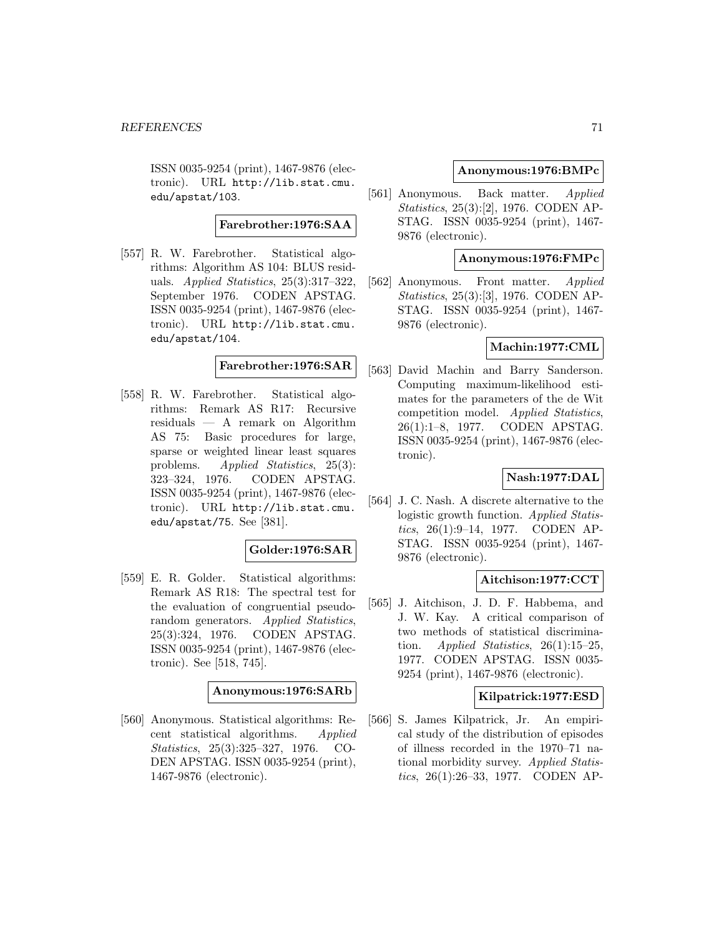ISSN 0035-9254 (print), 1467-9876 (electronic). URL http://lib.stat.cmu. edu/apstat/103.

# **Farebrother:1976:SAA**

[557] R. W. Farebrother. Statistical algorithms: Algorithm AS 104: BLUS residuals. Applied Statistics, 25(3):317–322, September 1976. CODEN APSTAG. ISSN 0035-9254 (print), 1467-9876 (electronic). URL http://lib.stat.cmu. edu/apstat/104.

## **Farebrother:1976:SAR**

[558] R. W. Farebrother. Statistical algorithms: Remark AS R17: Recursive residuals — A remark on Algorithm AS 75: Basic procedures for large, sparse or weighted linear least squares problems. Applied Statistics, 25(3): 323–324, 1976. CODEN APSTAG. ISSN 0035-9254 (print), 1467-9876 (electronic). URL http://lib.stat.cmu. edu/apstat/75. See [381].

# **Golder:1976:SAR**

[559] E. R. Golder. Statistical algorithms: Remark AS R18: The spectral test for the evaluation of congruential pseudorandom generators. Applied Statistics, 25(3):324, 1976. CODEN APSTAG. ISSN 0035-9254 (print), 1467-9876 (electronic). See [518, 745].

#### **Anonymous:1976:SARb**

[560] Anonymous. Statistical algorithms: Recent statistical algorithms. Applied Statistics, 25(3):325–327, 1976. CO-DEN APSTAG. ISSN 0035-9254 (print), 1467-9876 (electronic).

## **Anonymous:1976:BMPc**

[561] Anonymous. Back matter. Applied Statistics, 25(3):[2], 1976. CODEN AP-STAG. ISSN 0035-9254 (print), 1467- 9876 (electronic).

### **Anonymous:1976:FMPc**

[562] Anonymous. Front matter. Applied Statistics, 25(3):[3], 1976. CODEN AP-STAG. ISSN 0035-9254 (print), 1467- 9876 (electronic).

## **Machin:1977:CML**

[563] David Machin and Barry Sanderson. Computing maximum-likelihood estimates for the parameters of the de Wit competition model. Applied Statistics, 26(1):1–8, 1977. CODEN APSTAG. ISSN 0035-9254 (print), 1467-9876 (electronic).

### **Nash:1977:DAL**

[564] J. C. Nash. A discrete alternative to the logistic growth function. Applied Statistics, 26(1):9–14, 1977. CODEN AP-STAG. ISSN 0035-9254 (print), 1467- 9876 (electronic).

### **Aitchison:1977:CCT**

[565] J. Aitchison, J. D. F. Habbema, and J. W. Kay. A critical comparison of two methods of statistical discrimination. Applied Statistics,  $26(1):15-25$ , 1977. CODEN APSTAG. ISSN 0035- 9254 (print), 1467-9876 (electronic).

### **Kilpatrick:1977:ESD**

[566] S. James Kilpatrick, Jr. An empirical study of the distribution of episodes of illness recorded in the 1970–71 national morbidity survey. Applied Statistics, 26(1):26–33, 1977. CODEN AP-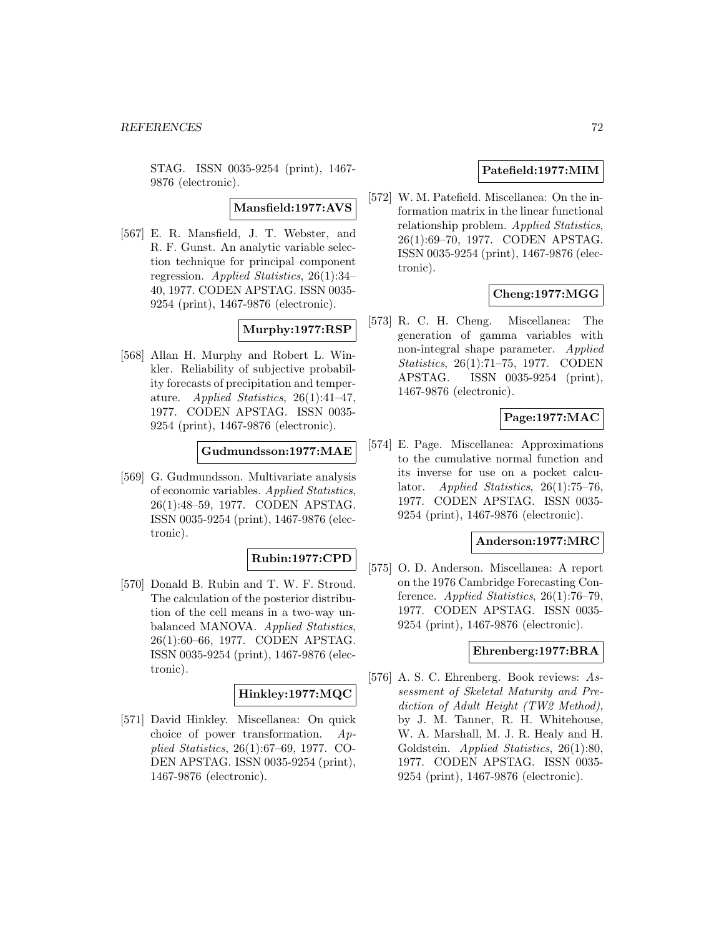STAG. ISSN 0035-9254 (print), 1467- 9876 (electronic).

**Mansfield:1977:AVS**

[567] E. R. Mansfield, J. T. Webster, and R. F. Gunst. An analytic variable selection technique for principal component regression. Applied Statistics, 26(1):34– 40, 1977. CODEN APSTAG. ISSN 0035- 9254 (print), 1467-9876 (electronic).

### **Murphy:1977:RSP**

[568] Allan H. Murphy and Robert L. Winkler. Reliability of subjective probability forecasts of precipitation and temperature. Applied Statistics, 26(1):41–47, 1977. CODEN APSTAG. ISSN 0035- 9254 (print), 1467-9876 (electronic).

**Gudmundsson:1977:MAE**

[569] G. Gudmundsson. Multivariate analysis of economic variables. Applied Statistics, 26(1):48–59, 1977. CODEN APSTAG. ISSN 0035-9254 (print), 1467-9876 (electronic).

### **Rubin:1977:CPD**

[570] Donald B. Rubin and T. W. F. Stroud. The calculation of the posterior distribution of the cell means in a two-way unbalanced MANOVA. Applied Statistics, 26(1):60–66, 1977. CODEN APSTAG. ISSN 0035-9254 (print), 1467-9876 (electronic).

#### **Hinkley:1977:MQC**

[571] David Hinkley. Miscellanea: On quick choice of power transformation. Applied Statistics, 26(1):67–69, 1977. CO-DEN APSTAG. ISSN 0035-9254 (print), 1467-9876 (electronic).

### **Patefield:1977:MIM**

[572] W. M. Patefield. Miscellanea: On the information matrix in the linear functional relationship problem. Applied Statistics, 26(1):69–70, 1977. CODEN APSTAG. ISSN 0035-9254 (print), 1467-9876 (electronic).

# **Cheng:1977:MGG**

[573] R. C. H. Cheng. Miscellanea: The generation of gamma variables with non-integral shape parameter. *Applied* Statistics, 26(1):71–75, 1977. CODEN APSTAG. ISSN 0035-9254 (print), 1467-9876 (electronic).

# **Page:1977:MAC**

[574] E. Page. Miscellanea: Approximations to the cumulative normal function and its inverse for use on a pocket calculator. Applied Statistics, 26(1):75–76, 1977. CODEN APSTAG. ISSN 0035- 9254 (print), 1467-9876 (electronic).

### **Anderson:1977:MRC**

[575] O. D. Anderson. Miscellanea: A report on the 1976 Cambridge Forecasting Conference. Applied Statistics,  $26(1)$ :76-79, 1977. CODEN APSTAG. ISSN 0035- 9254 (print), 1467-9876 (electronic).

#### **Ehrenberg:1977:BRA**

[576] A. S. C. Ehrenberg. Book reviews: Assessment of Skeletal Maturity and Prediction of Adult Height (TW2 Method), by J. M. Tanner, R. H. Whitehouse, W. A. Marshall, M. J. R. Healy and H. Goldstein. Applied Statistics, 26(1):80, 1977. CODEN APSTAG. ISSN 0035- 9254 (print), 1467-9876 (electronic).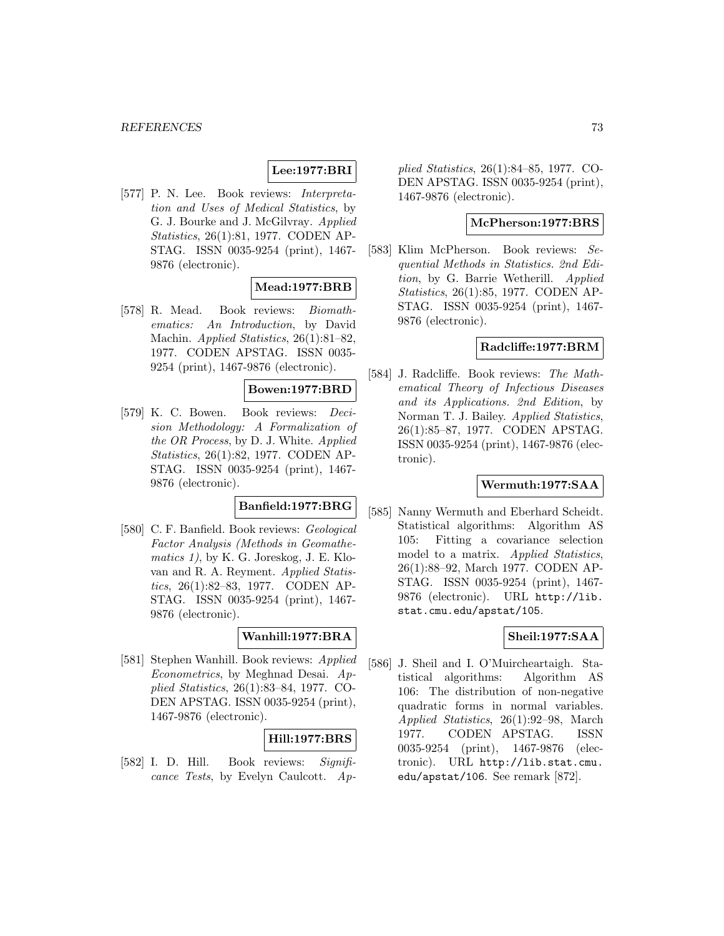# **Lee:1977:BRI**

[577] P. N. Lee. Book reviews: Interpretation and Uses of Medical Statistics, by G. J. Bourke and J. McGilvray. Applied Statistics, 26(1):81, 1977. CODEN AP-STAG. ISSN 0035-9254 (print), 1467- 9876 (electronic).

# **Mead:1977:BRB**

[578] R. Mead. Book reviews: Biomathematics: An Introduction, by David Machin. Applied Statistics, 26(1):81–82, 1977. CODEN APSTAG. ISSN 0035- 9254 (print), 1467-9876 (electronic).

# **Bowen:1977:BRD**

[579] K. C. Bowen. Book reviews: Decision Methodology: A Formalization of the OR Process, by D. J. White. Applied Statistics, 26(1):82, 1977. CODEN AP-STAG. ISSN 0035-9254 (print), 1467- 9876 (electronic).

# **Banfield:1977:BRG**

[580] C. F. Banfield. Book reviews: Geological Factor Analysis (Methods in Geomathematics 1), by K. G. Joreskog, J. E. Klovan and R. A. Reyment. Applied Statistics, 26(1):82–83, 1977. CODEN AP-STAG. ISSN 0035-9254 (print), 1467- 9876 (electronic).

# **Wanhill:1977:BRA**

[581] Stephen Wanhill. Book reviews: Applied Econometrics, by Meghnad Desai. Applied Statistics, 26(1):83–84, 1977. CO-DEN APSTAG. ISSN 0035-9254 (print), 1467-9876 (electronic).

# **Hill:1977:BRS**

[582] I. D. Hill. Book reviews: Significance Tests, by Evelyn Caulcott. Applied Statistics, 26(1):84–85, 1977. CO-DEN APSTAG. ISSN 0035-9254 (print), 1467-9876 (electronic).

### **McPherson:1977:BRS**

[583] Klim McPherson. Book reviews: Sequential Methods in Statistics. 2nd Edition, by G. Barrie Wetherill. Applied Statistics, 26(1):85, 1977. CODEN AP-STAG. ISSN 0035-9254 (print), 1467- 9876 (electronic).

## **Radcliffe:1977:BRM**

[584] J. Radcliffe. Book reviews: The Mathematical Theory of Infectious Diseases and its Applications. 2nd Edition, by Norman T. J. Bailey. Applied Statistics, 26(1):85–87, 1977. CODEN APSTAG. ISSN 0035-9254 (print), 1467-9876 (electronic).

### **Wermuth:1977:SAA**

[585] Nanny Wermuth and Eberhard Scheidt. Statistical algorithms: Algorithm AS 105: Fitting a covariance selection model to a matrix. Applied Statistics, 26(1):88–92, March 1977. CODEN AP-STAG. ISSN 0035-9254 (print), 1467- 9876 (electronic). URL http://lib. stat.cmu.edu/apstat/105.

## **Sheil:1977:SAA**

[586] J. Sheil and I. O'Muircheartaigh. Statistical algorithms: Algorithm AS 106: The distribution of non-negative quadratic forms in normal variables. Applied Statistics, 26(1):92–98, March 1977. CODEN APSTAG. ISSN 0035-9254 (print), 1467-9876 (electronic). URL http://lib.stat.cmu. edu/apstat/106. See remark [872].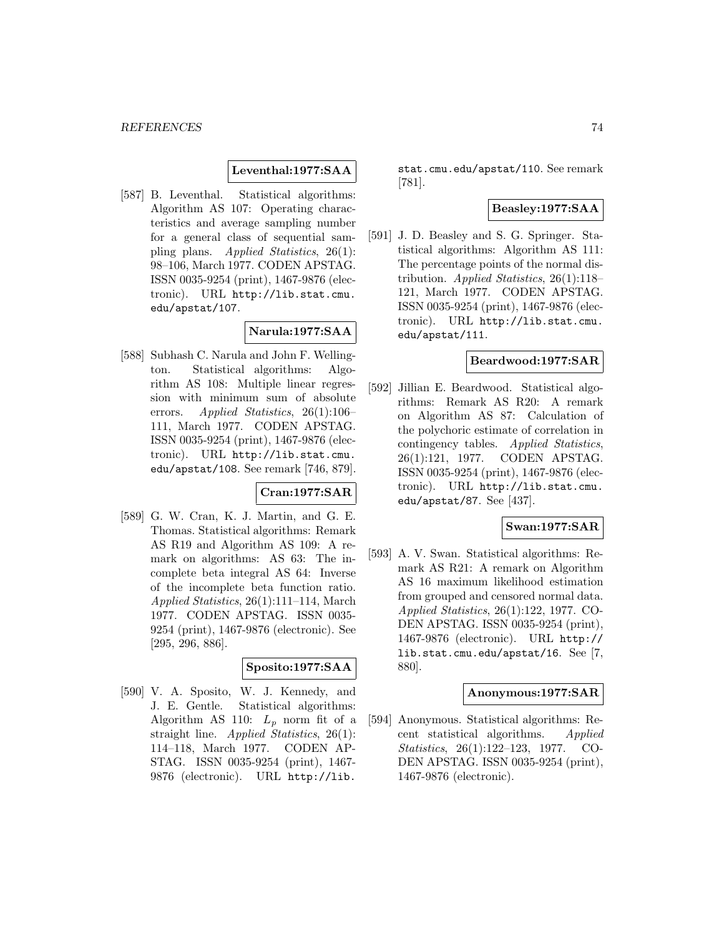# **Leventhal:1977:SAA**

[587] B. Leventhal. Statistical algorithms: Algorithm AS 107: Operating characteristics and average sampling number for a general class of sequential sampling plans. Applied Statistics, 26(1): 98–106, March 1977. CODEN APSTAG. ISSN 0035-9254 (print), 1467-9876 (electronic). URL http://lib.stat.cmu. edu/apstat/107.

# **Narula:1977:SAA**

[588] Subhash C. Narula and John F. Wellington. Statistical algorithms: Algorithm AS 108: Multiple linear regression with minimum sum of absolute errors. Applied Statistics, 26(1):106– 111, March 1977. CODEN APSTAG. ISSN 0035-9254 (print), 1467-9876 (electronic). URL http://lib.stat.cmu. edu/apstat/108. See remark [746, 879].

## **Cran:1977:SAR**

[589] G. W. Cran, K. J. Martin, and G. E. Thomas. Statistical algorithms: Remark AS R19 and Algorithm AS 109: A remark on algorithms: AS 63: The incomplete beta integral AS 64: Inverse of the incomplete beta function ratio. Applied Statistics, 26(1):111–114, March 1977. CODEN APSTAG. ISSN 0035- 9254 (print), 1467-9876 (electronic). See [295, 296, 886].

## **Sposito:1977:SAA**

[590] V. A. Sposito, W. J. Kennedy, and J. E. Gentle. Statistical algorithms: Algorithm AS 110:  $L_p$  norm fit of a straight line. Applied Statistics, 26(1): 114–118, March 1977. CODEN AP-STAG. ISSN 0035-9254 (print), 1467- 9876 (electronic). URL http://lib.

stat.cmu.edu/apstat/110. See remark [781].

# **Beasley:1977:SAA**

[591] J. D. Beasley and S. G. Springer. Statistical algorithms: Algorithm AS 111: The percentage points of the normal distribution. Applied Statistics, 26(1):118– 121, March 1977. CODEN APSTAG. ISSN 0035-9254 (print), 1467-9876 (electronic). URL http://lib.stat.cmu. edu/apstat/111.

### **Beardwood:1977:SAR**

[592] Jillian E. Beardwood. Statistical algorithms: Remark AS R20: A remark on Algorithm AS 87: Calculation of the polychoric estimate of correlation in contingency tables. Applied Statistics, 26(1):121, 1977. CODEN APSTAG. ISSN 0035-9254 (print), 1467-9876 (electronic). URL http://lib.stat.cmu. edu/apstat/87. See [437].

# **Swan:1977:SAR**

[593] A. V. Swan. Statistical algorithms: Remark AS R21: A remark on Algorithm AS 16 maximum likelihood estimation from grouped and censored normal data. Applied Statistics, 26(1):122, 1977. CO-DEN APSTAG. ISSN 0035-9254 (print), 1467-9876 (electronic). URL http:// lib.stat.cmu.edu/apstat/16. See [7, 880].

## **Anonymous:1977:SAR**

[594] Anonymous. Statistical algorithms: Recent statistical algorithms. Applied Statistics, 26(1):122–123, 1977. CO-DEN APSTAG. ISSN 0035-9254 (print), 1467-9876 (electronic).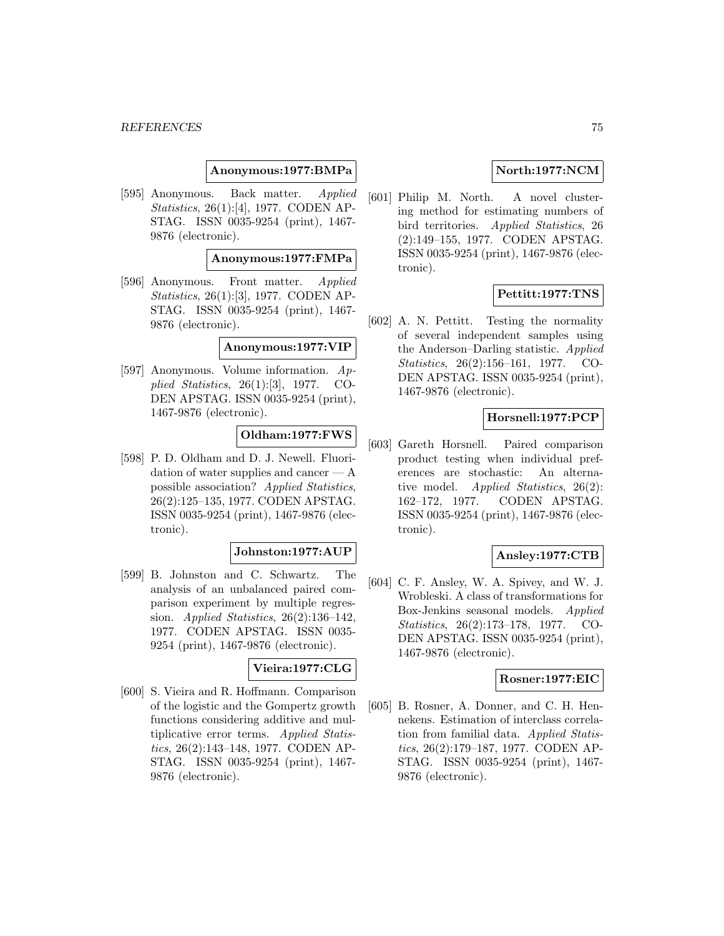### **Anonymous:1977:BMPa**

[595] Anonymous. Back matter. Applied Statistics, 26(1):[4], 1977. CODEN AP-STAG. ISSN 0035-9254 (print), 1467- 9876 (electronic).

### **Anonymous:1977:FMPa**

[596] Anonymous. Front matter. Applied Statistics, 26(1):[3], 1977. CODEN AP-STAG. ISSN 0035-9254 (print), 1467- 9876 (electronic).

### **Anonymous:1977:VIP**

[597] Anonymous. Volume information. Applied Statistics, 26(1):[3], 1977. CO-DEN APSTAG. ISSN 0035-9254 (print), 1467-9876 (electronic).

## **Oldham:1977:FWS**

[598] P. D. Oldham and D. J. Newell. Fluoridation of water supplies and cancer — A possible association? Applied Statistics, 26(2):125–135, 1977. CODEN APSTAG. ISSN 0035-9254 (print), 1467-9876 (electronic).

### **Johnston:1977:AUP**

[599] B. Johnston and C. Schwartz. The analysis of an unbalanced paired comparison experiment by multiple regression. Applied Statistics, 26(2):136–142, 1977. CODEN APSTAG. ISSN 0035- 9254 (print), 1467-9876 (electronic).

### **Vieira:1977:CLG**

[600] S. Vieira and R. Hoffmann. Comparison of the logistic and the Gompertz growth functions considering additive and multiplicative error terms. Applied Statistics, 26(2):143–148, 1977. CODEN AP-STAG. ISSN 0035-9254 (print), 1467- 9876 (electronic).

# **North:1977:NCM**

[601] Philip M. North. A novel clustering method for estimating numbers of bird territories. Applied Statistics, 26 (2):149–155, 1977. CODEN APSTAG. ISSN 0035-9254 (print), 1467-9876 (electronic).

# **Pettitt:1977:TNS**

[602] A. N. Pettitt. Testing the normality of several independent samples using the Anderson–Darling statistic. Applied Statistics, 26(2):156–161, 1977. CO-DEN APSTAG. ISSN 0035-9254 (print), 1467-9876 (electronic).

### **Horsnell:1977:PCP**

[603] Gareth Horsnell. Paired comparison product testing when individual preferences are stochastic: An alternative model. Applied Statistics, 26(2): 162–172, 1977. CODEN APSTAG. ISSN 0035-9254 (print), 1467-9876 (electronic).

# **Ansley:1977:CTB**

[604] C. F. Ansley, W. A. Spivey, and W. J. Wrobleski. A class of transformations for Box-Jenkins seasonal models. Applied Statistics, 26(2):173–178, 1977. CO-DEN APSTAG. ISSN 0035-9254 (print), 1467-9876 (electronic).

### **Rosner:1977:EIC**

[605] B. Rosner, A. Donner, and C. H. Hennekens. Estimation of interclass correlation from familial data. Applied Statistics, 26(2):179–187, 1977. CODEN AP-STAG. ISSN 0035-9254 (print), 1467- 9876 (electronic).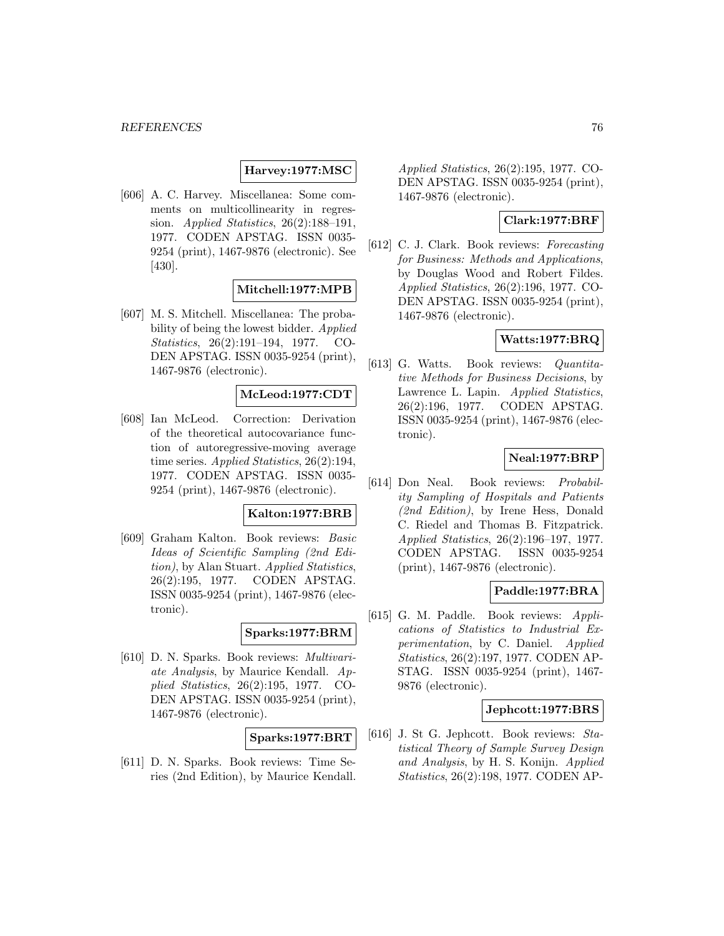### **Harvey:1977:MSC**

[606] A. C. Harvey. Miscellanea: Some comments on multicollinearity in regression. Applied Statistics, 26(2):188–191, 1977. CODEN APSTAG. ISSN 0035- 9254 (print), 1467-9876 (electronic). See [430].

### **Mitchell:1977:MPB**

[607] M. S. Mitchell. Miscellanea: The probability of being the lowest bidder. Applied Statistics, 26(2):191–194, 1977. CO-DEN APSTAG. ISSN 0035-9254 (print), 1467-9876 (electronic).

### **McLeod:1977:CDT**

[608] Ian McLeod. Correction: Derivation of the theoretical autocovariance function of autoregressive-moving average time series. Applied Statistics, 26(2):194, 1977. CODEN APSTAG. ISSN 0035- 9254 (print), 1467-9876 (electronic).

### **Kalton:1977:BRB**

[609] Graham Kalton. Book reviews: Basic Ideas of Scientific Sampling (2nd Edition), by Alan Stuart. Applied Statistics, 26(2):195, 1977. CODEN APSTAG. ISSN 0035-9254 (print), 1467-9876 (electronic).

## **Sparks:1977:BRM**

[610] D. N. Sparks. Book reviews: Multivariate Analysis, by Maurice Kendall. Applied Statistics, 26(2):195, 1977. CO-DEN APSTAG. ISSN 0035-9254 (print), 1467-9876 (electronic).

# **Sparks:1977:BRT**

[611] D. N. Sparks. Book reviews: Time Series (2nd Edition), by Maurice Kendall. Applied Statistics, 26(2):195, 1977. CO-DEN APSTAG. ISSN 0035-9254 (print), 1467-9876 (electronic).

### **Clark:1977:BRF**

[612] C. J. Clark. Book reviews: Forecasting for Business: Methods and Applications, by Douglas Wood and Robert Fildes. Applied Statistics, 26(2):196, 1977. CO-DEN APSTAG. ISSN 0035-9254 (print), 1467-9876 (electronic).

# **Watts:1977:BRQ**

[613] G. Watts. Book reviews: Quantitative Methods for Business Decisions, by Lawrence L. Lapin. *Applied Statistics*, 26(2):196, 1977. CODEN APSTAG. ISSN 0035-9254 (print), 1467-9876 (electronic).

## **Neal:1977:BRP**

[614] Don Neal. Book reviews: Probability Sampling of Hospitals and Patients (2nd Edition), by Irene Hess, Donald C. Riedel and Thomas B. Fitzpatrick. Applied Statistics, 26(2):196–197, 1977. CODEN APSTAG. ISSN 0035-9254 (print), 1467-9876 (electronic).

# **Paddle:1977:BRA**

[615] G. M. Paddle. Book reviews: Applications of Statistics to Industrial Experimentation, by C. Daniel. Applied Statistics, 26(2):197, 1977. CODEN AP-STAG. ISSN 0035-9254 (print), 1467- 9876 (electronic).

### **Jephcott:1977:BRS**

[616] J. St G. Jephcott. Book reviews: Statistical Theory of Sample Survey Design and Analysis, by H. S. Konijn. Applied Statistics, 26(2):198, 1977. CODEN AP-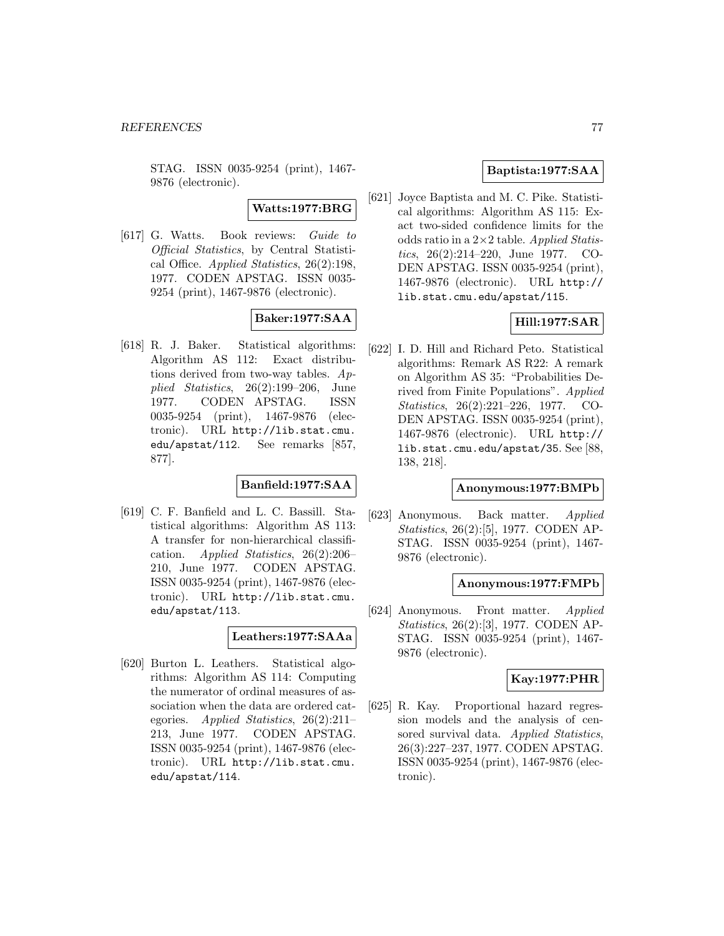STAG. ISSN 0035-9254 (print), 1467- 9876 (electronic).

**Watts:1977:BRG**

[617] G. Watts. Book reviews: Guide to Official Statistics, by Central Statistical Office. Applied Statistics, 26(2):198, 1977. CODEN APSTAG. ISSN 0035- 9254 (print), 1467-9876 (electronic).

**Baker:1977:SAA**

[618] R. J. Baker. Statistical algorithms: Algorithm AS 112: Exact distributions derived from two-way tables. Applied Statistics, 26(2):199–206, June 1977. CODEN APSTAG. ISSN 0035-9254 (print), 1467-9876 (electronic). URL http://lib.stat.cmu. edu/apstat/112. See remarks [857, 877].

# **Banfield:1977:SAA**

[619] C. F. Banfield and L. C. Bassill. Statistical algorithms: Algorithm AS 113: A transfer for non-hierarchical classification. Applied Statistics, 26(2):206– 210, June 1977. CODEN APSTAG. ISSN 0035-9254 (print), 1467-9876 (electronic). URL http://lib.stat.cmu. edu/apstat/113.

## **Leathers:1977:SAAa**

[620] Burton L. Leathers. Statistical algorithms: Algorithm AS 114: Computing the numerator of ordinal measures of association when the data are ordered categories. Applied Statistics, 26(2):211– 213, June 1977. CODEN APSTAG. ISSN 0035-9254 (print), 1467-9876 (electronic). URL http://lib.stat.cmu. edu/apstat/114.

# **Baptista:1977:SAA**

[621] Joyce Baptista and M. C. Pike. Statistical algorithms: Algorithm AS 115: Exact two-sided confidence limits for the odds ratio in a  $2\times 2$  table. Applied Statistics, 26(2):214–220, June 1977. CO-DEN APSTAG. ISSN 0035-9254 (print), 1467-9876 (electronic). URL http:// lib.stat.cmu.edu/apstat/115.

## **Hill:1977:SAR**

[622] I. D. Hill and Richard Peto. Statistical algorithms: Remark AS R22: A remark on Algorithm AS 35: "Probabilities Derived from Finite Populations". Applied Statistics, 26(2):221–226, 1977. CO-DEN APSTAG. ISSN 0035-9254 (print), 1467-9876 (electronic). URL http:// lib.stat.cmu.edu/apstat/35. See [88, 138, 218].

## **Anonymous:1977:BMPb**

[623] Anonymous. Back matter. Applied Statistics, 26(2):[5], 1977. CODEN AP-STAG. ISSN 0035-9254 (print), 1467- 9876 (electronic).

## **Anonymous:1977:FMPb**

[624] Anonymous. Front matter. Applied Statistics, 26(2):[3], 1977. CODEN AP-STAG. ISSN 0035-9254 (print), 1467- 9876 (electronic).

## **Kay:1977:PHR**

[625] R. Kay. Proportional hazard regression models and the analysis of censored survival data. Applied Statistics, 26(3):227–237, 1977. CODEN APSTAG. ISSN 0035-9254 (print), 1467-9876 (electronic).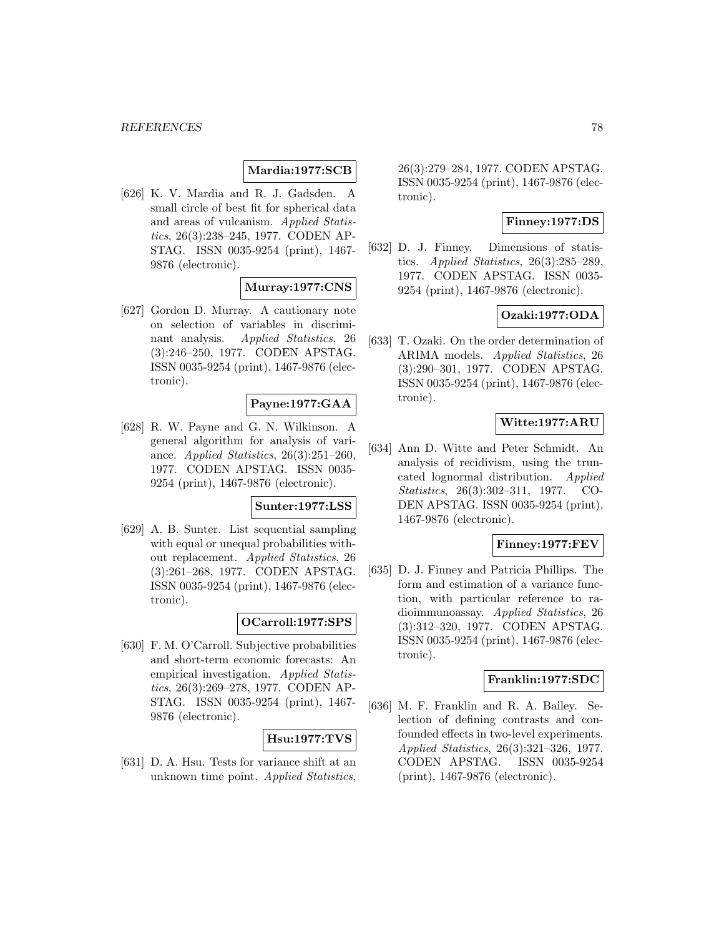# **Mardia:1977:SCB**

[626] K. V. Mardia and R. J. Gadsden. A small circle of best fit for spherical data and areas of vulcanism. Applied Statistics, 26(3):238–245, 1977. CODEN AP-STAG. ISSN 0035-9254 (print), 1467- 9876 (electronic).

### **Murray:1977:CNS**

[627] Gordon D. Murray. A cautionary note on selection of variables in discriminant analysis. Applied Statistics, 26 (3):246–250, 1977. CODEN APSTAG. ISSN 0035-9254 (print), 1467-9876 (electronic).

# **Payne:1977:GAA**

[628] R. W. Payne and G. N. Wilkinson. A general algorithm for analysis of variance. Applied Statistics, 26(3):251–260, 1977. CODEN APSTAG. ISSN 0035- 9254 (print), 1467-9876 (electronic).

### **Sunter:1977:LSS**

[629] A. B. Sunter. List sequential sampling with equal or unequal probabilities without replacement. Applied Statistics, 26 (3):261–268, 1977. CODEN APSTAG. ISSN 0035-9254 (print), 1467-9876 (electronic).

# **OCarroll:1977:SPS**

[630] F. M. O'Carroll. Subjective probabilities and short-term economic forecasts: An empirical investigation. Applied Statistics, 26(3):269–278, 1977. CODEN AP-STAG. ISSN 0035-9254 (print), 1467- 9876 (electronic).

# **Hsu:1977:TVS**

[631] D. A. Hsu. Tests for variance shift at an unknown time point. Applied Statistics, 26(3):279–284, 1977. CODEN APSTAG. ISSN 0035-9254 (print), 1467-9876 (electronic).

## **Finney:1977:DS**

[632] D. J. Finney. Dimensions of statistics. Applied Statistics,  $26(3):285-289$ , 1977. CODEN APSTAG. ISSN 0035- 9254 (print), 1467-9876 (electronic).

# **Ozaki:1977:ODA**

[633] T. Ozaki. On the order determination of ARIMA models. Applied Statistics, 26 (3):290–301, 1977. CODEN APSTAG. ISSN 0035-9254 (print), 1467-9876 (electronic).

# **Witte:1977:ARU**

[634] Ann D. Witte and Peter Schmidt. An analysis of recidivism, using the truncated lognormal distribution. Applied Statistics, 26(3):302–311, 1977. CO-DEN APSTAG. ISSN 0035-9254 (print), 1467-9876 (electronic).

# **Finney:1977:FEV**

[635] D. J. Finney and Patricia Phillips. The form and estimation of a variance function, with particular reference to radioimmunoassay. Applied Statistics, 26 (3):312–320, 1977. CODEN APSTAG. ISSN 0035-9254 (print), 1467-9876 (electronic).

### **Franklin:1977:SDC**

[636] M. F. Franklin and R. A. Bailey. Selection of defining contrasts and confounded effects in two-level experiments. Applied Statistics, 26(3):321–326, 1977. CODEN APSTAG. ISSN 0035-9254 (print), 1467-9876 (electronic).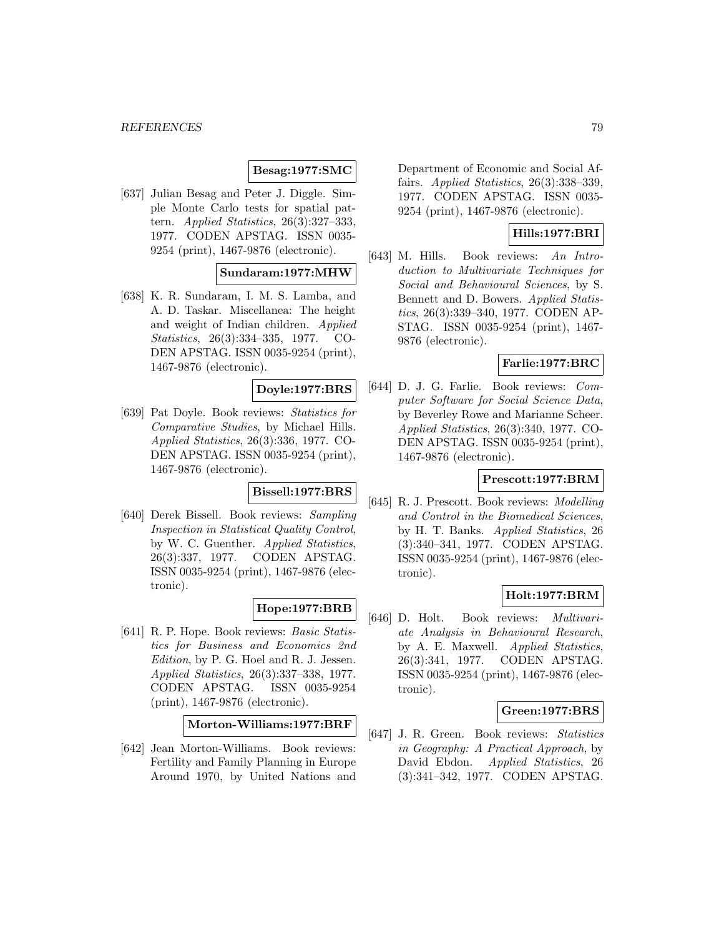# **Besag:1977:SMC**

[637] Julian Besag and Peter J. Diggle. Simple Monte Carlo tests for spatial pattern. Applied Statistics, 26(3):327–333, 1977. CODEN APSTAG. ISSN 0035- 9254 (print), 1467-9876 (electronic).

## **Sundaram:1977:MHW**

[638] K. R. Sundaram, I. M. S. Lamba, and A. D. Taskar. Miscellanea: The height and weight of Indian children. Applied Statistics, 26(3):334–335, 1977. CO-DEN APSTAG. ISSN 0035-9254 (print), 1467-9876 (electronic).

# **Doyle:1977:BRS**

[639] Pat Doyle. Book reviews: Statistics for Comparative Studies, by Michael Hills. Applied Statistics, 26(3):336, 1977. CO-DEN APSTAG. ISSN 0035-9254 (print), 1467-9876 (electronic).

# **Bissell:1977:BRS**

[640] Derek Bissell. Book reviews: Sampling Inspection in Statistical Quality Control, by W. C. Guenther. Applied Statistics, 26(3):337, 1977. CODEN APSTAG. ISSN 0035-9254 (print), 1467-9876 (electronic).

# **Hope:1977:BRB**

[641] R. P. Hope. Book reviews: Basic Statistics for Business and Economics 2nd Edition, by P. G. Hoel and R. J. Jessen. Applied Statistics, 26(3):337–338, 1977. CODEN APSTAG. ISSN 0035-9254 (print), 1467-9876 (electronic).

**Morton-Williams:1977:BRF**

[642] Jean Morton-Williams. Book reviews: Fertility and Family Planning in Europe Around 1970, by United Nations and

Department of Economic and Social Affairs. Applied Statistics, 26(3):338–339, 1977. CODEN APSTAG. ISSN 0035- 9254 (print), 1467-9876 (electronic).

# **Hills:1977:BRI**

[643] M. Hills. Book reviews: An Introduction to Multivariate Techniques for Social and Behavioural Sciences, by S. Bennett and D. Bowers. Applied Statistics, 26(3):339–340, 1977. CODEN AP-STAG. ISSN 0035-9254 (print), 1467- 9876 (electronic).

## **Farlie:1977:BRC**

[644] D. J. G. Farlie. Book reviews: Computer Software for Social Science Data, by Beverley Rowe and Marianne Scheer. Applied Statistics, 26(3):340, 1977. CO-DEN APSTAG. ISSN 0035-9254 (print), 1467-9876 (electronic).

### **Prescott:1977:BRM**

[645] R. J. Prescott. Book reviews: Modelling and Control in the Biomedical Sciences, by H. T. Banks. Applied Statistics, 26 (3):340–341, 1977. CODEN APSTAG. ISSN 0035-9254 (print), 1467-9876 (electronic).

## **Holt:1977:BRM**

[646] D. Holt. Book reviews: Multivariate Analysis in Behavioural Research, by A. E. Maxwell. Applied Statistics, 26(3):341, 1977. CODEN APSTAG. ISSN 0035-9254 (print), 1467-9876 (electronic).

### **Green:1977:BRS**

[647] J. R. Green. Book reviews: Statistics in Geography: A Practical Approach, by David Ebdon. Applied Statistics, 26 (3):341–342, 1977. CODEN APSTAG.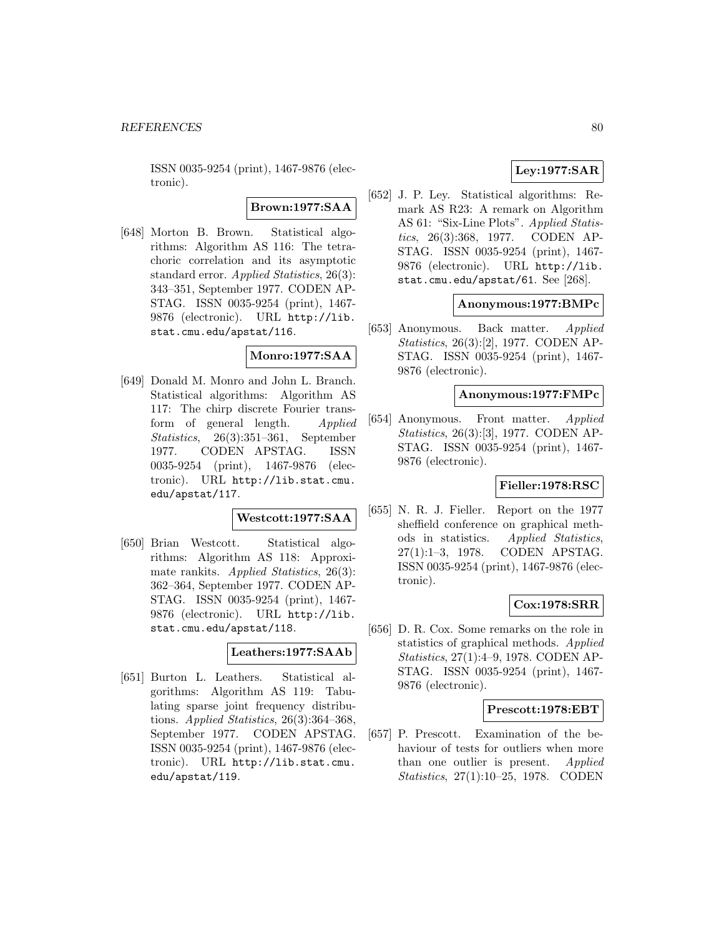ISSN 0035-9254 (print), 1467-9876 (electronic).

# **Brown:1977:SAA**

[648] Morton B. Brown. Statistical algorithms: Algorithm AS 116: The tetrachoric correlation and its asymptotic standard error. Applied Statistics, 26(3): 343–351, September 1977. CODEN AP-STAG. ISSN 0035-9254 (print), 1467- 9876 (electronic). URL http://lib. stat.cmu.edu/apstat/116.

### **Monro:1977:SAA**

[649] Donald M. Monro and John L. Branch. Statistical algorithms: Algorithm AS 117: The chirp discrete Fourier transform of general length. Applied Statistics, 26(3):351–361, September 1977. CODEN APSTAG. ISSN 0035-9254 (print), 1467-9876 (electronic). URL http://lib.stat.cmu. edu/apstat/117.

### **Westcott:1977:SAA**

[650] Brian Westcott. Statistical algorithms: Algorithm AS 118: Approximate rankits. Applied Statistics, 26(3): 362–364, September 1977. CODEN AP-STAG. ISSN 0035-9254 (print), 1467- 9876 (electronic). URL http://lib. stat.cmu.edu/apstat/118.

### **Leathers:1977:SAAb**

[651] Burton L. Leathers. Statistical algorithms: Algorithm AS 119: Tabulating sparse joint frequency distributions. Applied Statistics, 26(3):364–368, September 1977. CODEN APSTAG. ISSN 0035-9254 (print), 1467-9876 (electronic). URL http://lib.stat.cmu. edu/apstat/119.

# **Ley:1977:SAR**

[652] J. P. Ley. Statistical algorithms: Remark AS R23: A remark on Algorithm AS 61: "Six-Line Plots". Applied Statistics, 26(3):368, 1977. CODEN AP-STAG. ISSN 0035-9254 (print), 1467- 9876 (electronic). URL http://lib. stat.cmu.edu/apstat/61. See [268].

### **Anonymous:1977:BMPc**

[653] Anonymous. Back matter. Applied Statistics, 26(3):[2], 1977. CODEN AP-STAG. ISSN 0035-9254 (print), 1467- 9876 (electronic).

### **Anonymous:1977:FMPc**

[654] Anonymous. Front matter. Applied Statistics, 26(3):[3], 1977. CODEN AP-STAG. ISSN 0035-9254 (print), 1467- 9876 (electronic).

# **Fieller:1978:RSC**

[655] N. R. J. Fieller. Report on the 1977 sheffield conference on graphical methods in statistics. Applied Statistics, 27(1):1–3, 1978. CODEN APSTAG. ISSN 0035-9254 (print), 1467-9876 (electronic).

# **Cox:1978:SRR**

[656] D. R. Cox. Some remarks on the role in statistics of graphical methods. Applied Statistics, 27(1):4–9, 1978. CODEN AP-STAG. ISSN 0035-9254 (print), 1467- 9876 (electronic).

## **Prescott:1978:EBT**

[657] P. Prescott. Examination of the behaviour of tests for outliers when more than one outlier is present. Applied Statistics, 27(1):10–25, 1978. CODEN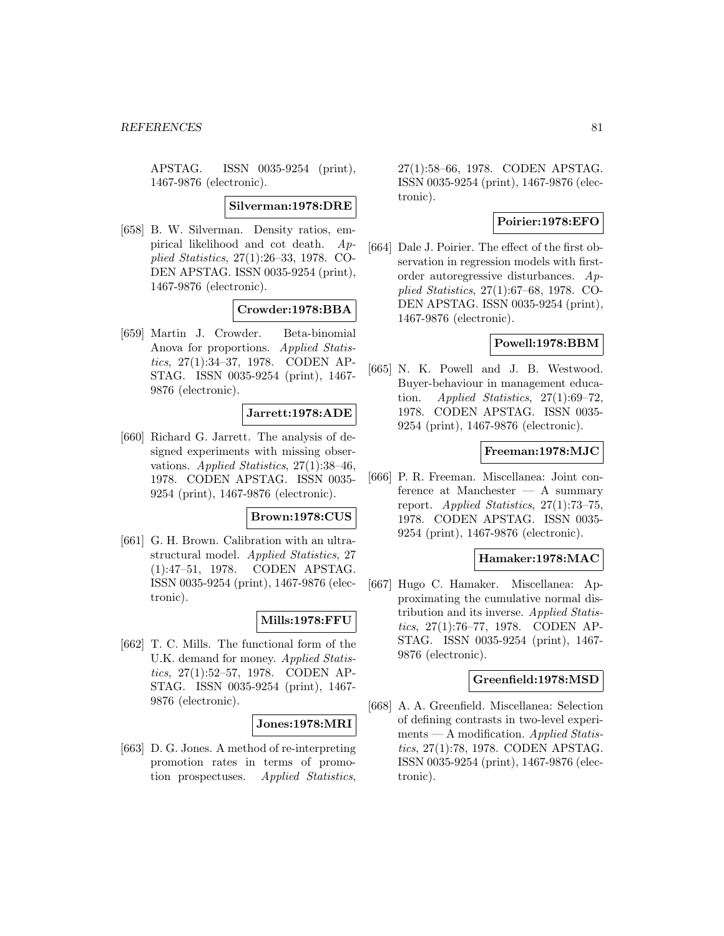APSTAG. ISSN 0035-9254 (print), 1467-9876 (electronic).

#### **Silverman:1978:DRE**

[658] B. W. Silverman. Density ratios, empirical likelihood and cot death. Applied Statistics, 27(1):26–33, 1978. CO-DEN APSTAG. ISSN 0035-9254 (print), 1467-9876 (electronic).

### **Crowder:1978:BBA**

[659] Martin J. Crowder. Beta-binomial Anova for proportions. Applied Statistics, 27(1):34–37, 1978. CODEN AP-STAG. ISSN 0035-9254 (print), 1467- 9876 (electronic).

### **Jarrett:1978:ADE**

[660] Richard G. Jarrett. The analysis of designed experiments with missing observations. Applied Statistics, 27(1):38–46, 1978. CODEN APSTAG. ISSN 0035- 9254 (print), 1467-9876 (electronic).

### **Brown:1978:CUS**

[661] G. H. Brown. Calibration with an ultrastructural model. Applied Statistics, 27 (1):47–51, 1978. CODEN APSTAG. ISSN 0035-9254 (print), 1467-9876 (electronic).

### **Mills:1978:FFU**

[662] T. C. Mills. The functional form of the U.K. demand for money. Applied Statistics, 27(1):52–57, 1978. CODEN AP-STAG. ISSN 0035-9254 (print), 1467- 9876 (electronic).

### **Jones:1978:MRI**

[663] D. G. Jones. A method of re-interpreting promotion rates in terms of promotion prospectuses. Applied Statistics,

27(1):58–66, 1978. CODEN APSTAG. ISSN 0035-9254 (print), 1467-9876 (electronic).

## **Poirier:1978:EFO**

[664] Dale J. Poirier. The effect of the first observation in regression models with firstorder autoregressive disturbances. Applied Statistics, 27(1):67–68, 1978. CO-DEN APSTAG. ISSN 0035-9254 (print), 1467-9876 (electronic).

# **Powell:1978:BBM**

[665] N. K. Powell and J. B. Westwood. Buyer-behaviour in management education. Applied Statistics,  $27(1):69-72$ . 1978. CODEN APSTAG. ISSN 0035- 9254 (print), 1467-9876 (electronic).

### **Freeman:1978:MJC**

[666] P. R. Freeman. Miscellanea: Joint conference at Manchester — A summary report. Applied Statistics,  $27(1)$ :73-75, 1978. CODEN APSTAG. ISSN 0035- 9254 (print), 1467-9876 (electronic).

### **Hamaker:1978:MAC**

[667] Hugo C. Hamaker. Miscellanea: Approximating the cumulative normal distribution and its inverse. Applied Statistics, 27(1):76–77, 1978. CODEN AP-STAG. ISSN 0035-9254 (print), 1467- 9876 (electronic).

### **Greenfield:1978:MSD**

[668] A. A. Greenfield. Miscellanea: Selection of defining contrasts in two-level experiments — A modification. Applied Statistics, 27(1):78, 1978. CODEN APSTAG. ISSN 0035-9254 (print), 1467-9876 (electronic).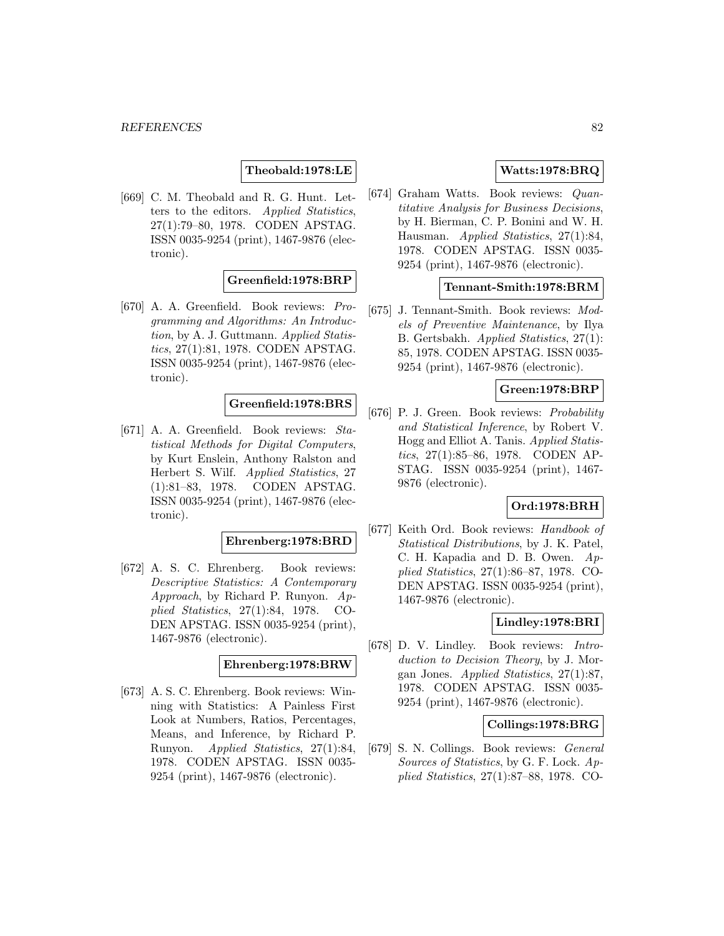# **Theobald:1978:LE**

[669] C. M. Theobald and R. G. Hunt. Letters to the editors. Applied Statistics, 27(1):79–80, 1978. CODEN APSTAG. ISSN 0035-9254 (print), 1467-9876 (electronic).

## **Greenfield:1978:BRP**

[670] A. A. Greenfield. Book reviews: Programming and Algorithms: An Introduction, by A. J. Guttmann. Applied Statistics, 27(1):81, 1978. CODEN APSTAG. ISSN 0035-9254 (print), 1467-9876 (electronic).

# **Greenfield:1978:BRS**

[671] A. A. Greenfield. Book reviews: Statistical Methods for Digital Computers, by Kurt Enslein, Anthony Ralston and Herbert S. Wilf. Applied Statistics, 27 (1):81–83, 1978. CODEN APSTAG. ISSN 0035-9254 (print), 1467-9876 (electronic).

### **Ehrenberg:1978:BRD**

[672] A. S. C. Ehrenberg. Book reviews: Descriptive Statistics: A Contemporary Approach, by Richard P. Runyon. Applied Statistics, 27(1):84, 1978. CO-DEN APSTAG. ISSN 0035-9254 (print), 1467-9876 (electronic).

### **Ehrenberg:1978:BRW**

[673] A. S. C. Ehrenberg. Book reviews: Winning with Statistics: A Painless First Look at Numbers, Ratios, Percentages, Means, and Inference, by Richard P. Runyon. Applied Statistics, 27(1):84, 1978. CODEN APSTAG. ISSN 0035- 9254 (print), 1467-9876 (electronic).

# **Watts:1978:BRQ**

[674] Graham Watts. Book reviews: Quantitative Analysis for Business Decisions, by H. Bierman, C. P. Bonini and W. H. Hausman. Applied Statistics, 27(1):84, 1978. CODEN APSTAG. ISSN 0035- 9254 (print), 1467-9876 (electronic).

## **Tennant-Smith:1978:BRM**

[675] J. Tennant-Smith. Book reviews: Models of Preventive Maintenance, by Ilya B. Gertsbakh. Applied Statistics, 27(1): 85, 1978. CODEN APSTAG. ISSN 0035- 9254 (print), 1467-9876 (electronic).

## **Green:1978:BRP**

[676] P. J. Green. Book reviews: Probability and Statistical Inference, by Robert V. Hogg and Elliot A. Tanis. Applied Statistics, 27(1):85–86, 1978. CODEN AP-STAG. ISSN 0035-9254 (print), 1467- 9876 (electronic).

# **Ord:1978:BRH**

[677] Keith Ord. Book reviews: Handbook of Statistical Distributions, by J. K. Patel, C. H. Kapadia and D. B. Owen. Applied Statistics, 27(1):86–87, 1978. CO-DEN APSTAG. ISSN 0035-9254 (print), 1467-9876 (electronic).

## **Lindley:1978:BRI**

[678] D. V. Lindley. Book reviews: Introduction to Decision Theory, by J. Morgan Jones. Applied Statistics, 27(1):87, 1978. CODEN APSTAG. ISSN 0035- 9254 (print), 1467-9876 (electronic).

# **Collings:1978:BRG**

[679] S. N. Collings. Book reviews: General Sources of Statistics, by G. F. Lock. Applied Statistics, 27(1):87–88, 1978. CO-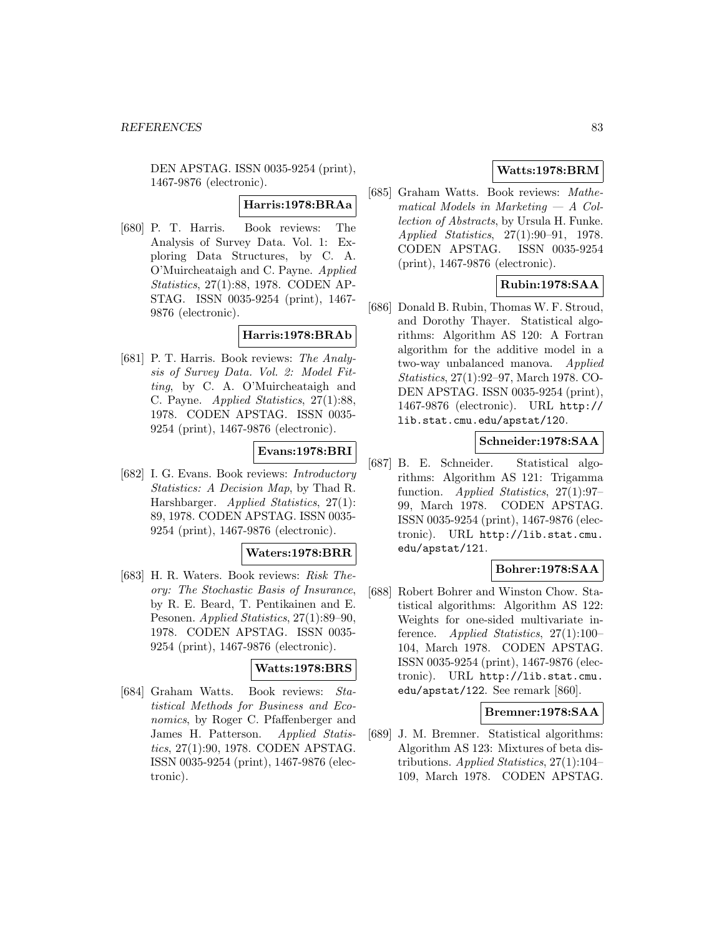DEN APSTAG. ISSN 0035-9254 (print), 1467-9876 (electronic).

## **Harris:1978:BRAa**

[680] P. T. Harris. Book reviews: The Analysis of Survey Data. Vol. 1: Exploring Data Structures, by C. A. O'Muircheataigh and C. Payne. Applied Statistics, 27(1):88, 1978. CODEN AP-STAG. ISSN 0035-9254 (print), 1467- 9876 (electronic).

## **Harris:1978:BRAb**

[681] P. T. Harris. Book reviews: The Analysis of Survey Data. Vol. 2: Model Fitting, by C. A. O'Muircheataigh and C. Payne. Applied Statistics, 27(1):88, 1978. CODEN APSTAG. ISSN 0035- 9254 (print), 1467-9876 (electronic).

## **Evans:1978:BRI**

[682] I. G. Evans. Book reviews: Introductory Statistics: A Decision Map, by Thad R. Harshbarger. Applied Statistics, 27(1): 89, 1978. CODEN APSTAG. ISSN 0035- 9254 (print), 1467-9876 (electronic).

### **Waters:1978:BRR**

[683] H. R. Waters. Book reviews: Risk Theory: The Stochastic Basis of Insurance, by R. E. Beard, T. Pentikainen and E. Pesonen. Applied Statistics, 27(1):89–90, 1978. CODEN APSTAG. ISSN 0035- 9254 (print), 1467-9876 (electronic).

### **Watts:1978:BRS**

[684] Graham Watts. Book reviews: Statistical Methods for Business and Economics, by Roger C. Pfaffenberger and James H. Patterson. Applied Statistics, 27(1):90, 1978. CODEN APSTAG. ISSN 0035-9254 (print), 1467-9876 (electronic).

# **Watts:1978:BRM**

[685] Graham Watts. Book reviews: Mathematical Models in Marketing  $- A$  Collection of Abstracts, by Ursula H. Funke. Applied Statistics, 27(1):90–91, 1978. CODEN APSTAG. ISSN 0035-9254 (print), 1467-9876 (electronic).

# **Rubin:1978:SAA**

[686] Donald B. Rubin, Thomas W. F. Stroud, and Dorothy Thayer. Statistical algorithms: Algorithm AS 120: A Fortran algorithm for the additive model in a two-way unbalanced manova. Applied Statistics, 27(1):92–97, March 1978. CO-DEN APSTAG. ISSN 0035-9254 (print), 1467-9876 (electronic). URL http:// lib.stat.cmu.edu/apstat/120.

# **Schneider:1978:SAA**

[687] B. E. Schneider. Statistical algorithms: Algorithm AS 121: Trigamma function. Applied Statistics, 27(1):97– 99, March 1978. CODEN APSTAG. ISSN 0035-9254 (print), 1467-9876 (electronic). URL http://lib.stat.cmu. edu/apstat/121.

# **Bohrer:1978:SAA**

[688] Robert Bohrer and Winston Chow. Statistical algorithms: Algorithm AS 122: Weights for one-sided multivariate inference. Applied Statistics, 27(1):100– 104, March 1978. CODEN APSTAG. ISSN 0035-9254 (print), 1467-9876 (electronic). URL http://lib.stat.cmu. edu/apstat/122. See remark [860].

# **Bremner:1978:SAA**

[689] J. M. Bremner. Statistical algorithms: Algorithm AS 123: Mixtures of beta distributions. Applied Statistics, 27(1):104– 109, March 1978. CODEN APSTAG.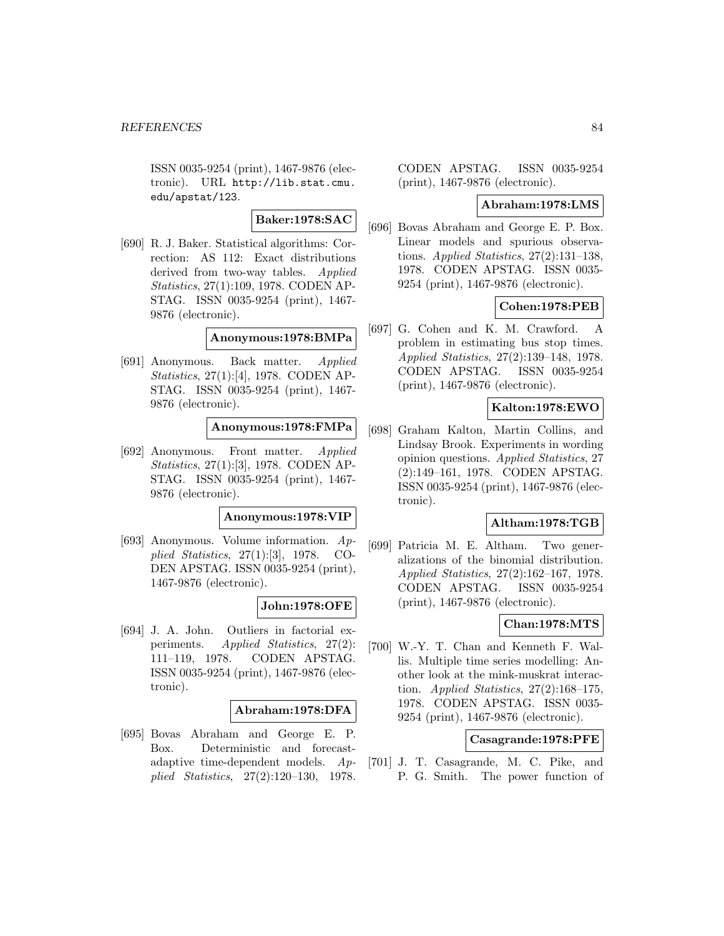ISSN 0035-9254 (print), 1467-9876 (electronic). URL http://lib.stat.cmu. edu/apstat/123.

# **Baker:1978:SAC**

[690] R. J. Baker. Statistical algorithms: Correction: AS 112: Exact distributions derived from two-way tables. Applied Statistics, 27(1):109, 1978. CODEN AP-STAG. ISSN 0035-9254 (print), 1467- 9876 (electronic).

### **Anonymous:1978:BMPa**

[691] Anonymous. Back matter. Applied Statistics, 27(1):[4], 1978. CODEN AP-STAG. ISSN 0035-9254 (print), 1467- 9876 (electronic).

# **Anonymous:1978:FMPa**

[692] Anonymous. Front matter. Applied Statistics, 27(1):[3], 1978. CODEN AP-STAG. ISSN 0035-9254 (print), 1467- 9876 (electronic).

### **Anonymous:1978:VIP**

[693] Anonymous. Volume information. Applied Statistics, 27(1):[3], 1978. CO-DEN APSTAG. ISSN 0035-9254 (print), 1467-9876 (electronic).

## **John:1978:OFE**

[694] J. A. John. Outliers in factorial experiments. Applied Statistics, 27(2): 111–119, 1978. CODEN APSTAG. ISSN 0035-9254 (print), 1467-9876 (electronic).

## **Abraham:1978:DFA**

[695] Bovas Abraham and George E. P. Box. Deterministic and forecastadaptive time-dependent models. Applied Statistics, 27(2):120–130, 1978.

CODEN APSTAG. ISSN 0035-9254 (print), 1467-9876 (electronic).

### **Abraham:1978:LMS**

[696] Bovas Abraham and George E. P. Box. Linear models and spurious observations. Applied Statistics,  $27(2):131-138$ , 1978. CODEN APSTAG. ISSN 0035- 9254 (print), 1467-9876 (electronic).

## **Cohen:1978:PEB**

[697] G. Cohen and K. M. Crawford. A problem in estimating bus stop times. Applied Statistics, 27(2):139–148, 1978. CODEN APSTAG. ISSN 0035-9254 (print), 1467-9876 (electronic).

# **Kalton:1978:EWO**

[698] Graham Kalton, Martin Collins, and Lindsay Brook. Experiments in wording opinion questions. Applied Statistics, 27 (2):149–161, 1978. CODEN APSTAG. ISSN 0035-9254 (print), 1467-9876 (electronic).

### **Altham:1978:TGB**

[699] Patricia M. E. Altham. Two generalizations of the binomial distribution. Applied Statistics, 27(2):162–167, 1978. CODEN APSTAG. ISSN 0035-9254 (print), 1467-9876 (electronic).

# **Chan:1978:MTS**

[700] W.-Y. T. Chan and Kenneth F. Wallis. Multiple time series modelling: Another look at the mink-muskrat interaction. Applied Statistics,  $27(2):168-175$ , 1978. CODEN APSTAG. ISSN 0035- 9254 (print), 1467-9876 (electronic).

## **Casagrande:1978:PFE**

[701] J. T. Casagrande, M. C. Pike, and P. G. Smith. The power function of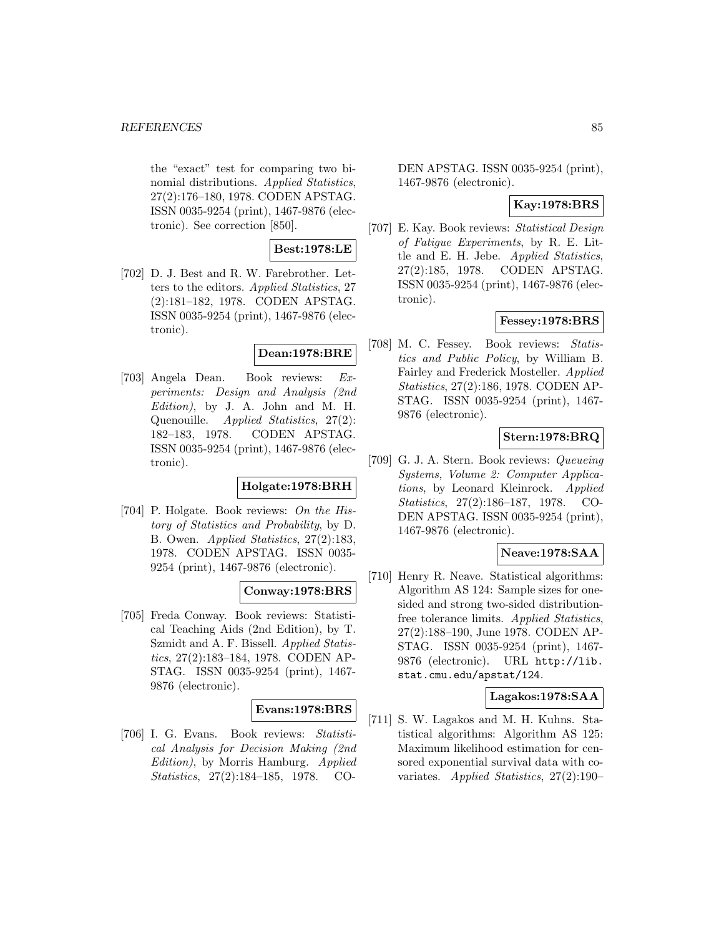#### *REFERENCES* 85

the "exact" test for comparing two binomial distributions. Applied Statistics, 27(2):176–180, 1978. CODEN APSTAG. ISSN 0035-9254 (print), 1467-9876 (electronic). See correction [850].

## **Best:1978:LE**

[702] D. J. Best and R. W. Farebrother. Letters to the editors. Applied Statistics, 27 (2):181–182, 1978. CODEN APSTAG. ISSN 0035-9254 (print), 1467-9876 (electronic).

## **Dean:1978:BRE**

[703] Angela Dean. Book reviews: Experiments: Design and Analysis (2nd Edition), by J. A. John and M. H. Quenouille. Applied Statistics, 27(2): 182–183, 1978. CODEN APSTAG. ISSN 0035-9254 (print), 1467-9876 (electronic).

# **Holgate:1978:BRH**

[704] P. Holgate. Book reviews: On the History of Statistics and Probability, by D. B. Owen. Applied Statistics, 27(2):183, 1978. CODEN APSTAG. ISSN 0035- 9254 (print), 1467-9876 (electronic).

## **Conway:1978:BRS**

[705] Freda Conway. Book reviews: Statistical Teaching Aids (2nd Edition), by T. Szmidt and A. F. Bissell. Applied Statistics, 27(2):183–184, 1978. CODEN AP-STAG. ISSN 0035-9254 (print), 1467- 9876 (electronic).

# **Evans:1978:BRS**

[706] I. G. Evans. Book reviews: Statistical Analysis for Decision Making (2nd Edition), by Morris Hamburg. Applied Statistics, 27(2):184–185, 1978. CO-

DEN APSTAG. ISSN 0035-9254 (print), 1467-9876 (electronic).

## **Kay:1978:BRS**

[707] E. Kay. Book reviews: Statistical Design of Fatigue Experiments, by R. E. Little and E. H. Jebe. Applied Statistics, 27(2):185, 1978. CODEN APSTAG. ISSN 0035-9254 (print), 1467-9876 (electronic).

### **Fessey:1978:BRS**

[708] M. C. Fessey. Book reviews: Statistics and Public Policy, by William B. Fairley and Frederick Mosteller. Applied Statistics, 27(2):186, 1978. CODEN AP-STAG. ISSN 0035-9254 (print), 1467- 9876 (electronic).

# **Stern:1978:BRQ**

[709] G. J. A. Stern. Book reviews: Queueing Systems, Volume 2: Computer Applications, by Leonard Kleinrock. Applied Statistics, 27(2):186–187, 1978. CO-DEN APSTAG. ISSN 0035-9254 (print), 1467-9876 (electronic).

## **Neave:1978:SAA**

[710] Henry R. Neave. Statistical algorithms: Algorithm AS 124: Sample sizes for onesided and strong two-sided distributionfree tolerance limits. Applied Statistics, 27(2):188–190, June 1978. CODEN AP-STAG. ISSN 0035-9254 (print), 1467- 9876 (electronic). URL http://lib. stat.cmu.edu/apstat/124.

# **Lagakos:1978:SAA**

[711] S. W. Lagakos and M. H. Kuhns. Statistical algorithms: Algorithm AS 125: Maximum likelihood estimation for censored exponential survival data with covariates. Applied Statistics, 27(2):190–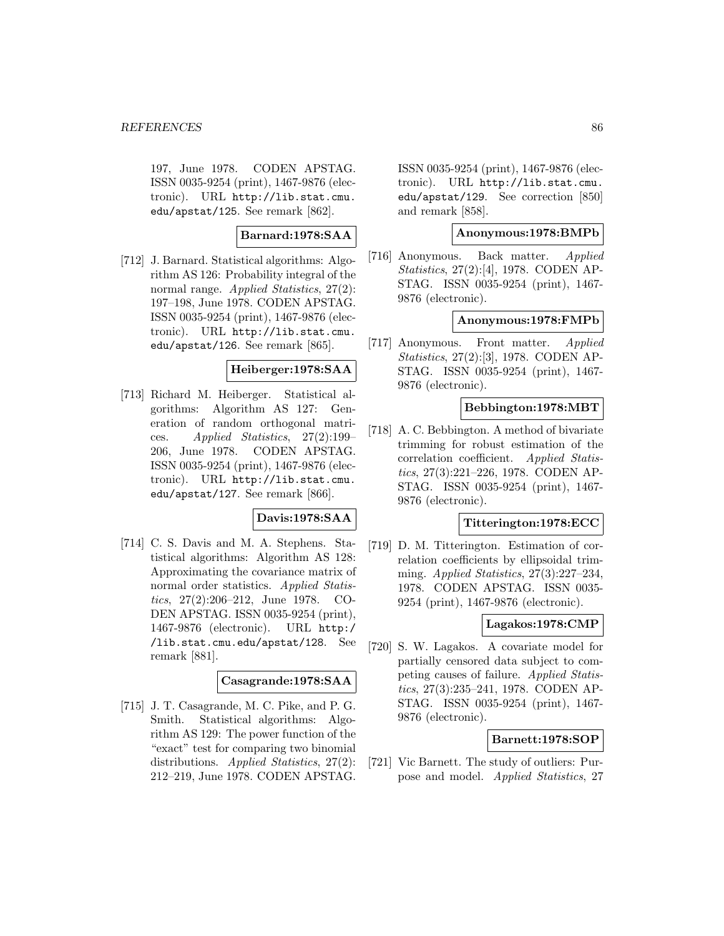197, June 1978. CODEN APSTAG. ISSN 0035-9254 (print), 1467-9876 (electronic). URL http://lib.stat.cmu. edu/apstat/125. See remark [862].

# **Barnard:1978:SAA**

[712] J. Barnard. Statistical algorithms: Algorithm AS 126: Probability integral of the normal range. *Applied Statistics*, 27(2): 197–198, June 1978. CODEN APSTAG. ISSN 0035-9254 (print), 1467-9876 (electronic). URL http://lib.stat.cmu. edu/apstat/126. See remark [865].

# **Heiberger:1978:SAA**

[713] Richard M. Heiberger. Statistical algorithms: Algorithm AS 127: Generation of random orthogonal matrices. Applied Statistics, 27(2):199– 206, June 1978. CODEN APSTAG. ISSN 0035-9254 (print), 1467-9876 (electronic). URL http://lib.stat.cmu. edu/apstat/127. See remark [866].

## **Davis:1978:SAA**

[714] C. S. Davis and M. A. Stephens. Statistical algorithms: Algorithm AS 128: Approximating the covariance matrix of normal order statistics. Applied Statistics, 27(2):206–212, June 1978. CO-DEN APSTAG. ISSN 0035-9254 (print), 1467-9876 (electronic). URL http:/ /lib.stat.cmu.edu/apstat/128. See remark [881].

# **Casagrande:1978:SAA**

[715] J. T. Casagrande, M. C. Pike, and P. G. Smith. Statistical algorithms: Algorithm AS 129: The power function of the "exact" test for comparing two binomial distributions. Applied Statistics, 27(2): 212–219, June 1978. CODEN APSTAG.

ISSN 0035-9254 (print), 1467-9876 (electronic). URL http://lib.stat.cmu. edu/apstat/129. See correction [850] and remark [858].

# **Anonymous:1978:BMPb**

[716] Anonymous. Back matter. Applied Statistics, 27(2):[4], 1978. CODEN AP-STAG. ISSN 0035-9254 (print), 1467- 9876 (electronic).

### **Anonymous:1978:FMPb**

[717] Anonymous. Front matter. Applied Statistics, 27(2):[3], 1978. CODEN AP-STAG. ISSN 0035-9254 (print), 1467- 9876 (electronic).

## **Bebbington:1978:MBT**

[718] A. C. Bebbington. A method of bivariate trimming for robust estimation of the correlation coefficient. Applied Statistics, 27(3):221–226, 1978. CODEN AP-STAG. ISSN 0035-9254 (print), 1467- 9876 (electronic).

### **Titterington:1978:ECC**

[719] D. M. Titterington. Estimation of correlation coefficients by ellipsoidal trimming. Applied Statistics, 27(3):227–234, 1978. CODEN APSTAG. ISSN 0035- 9254 (print), 1467-9876 (electronic).

# **Lagakos:1978:CMP**

[720] S. W. Lagakos. A covariate model for partially censored data subject to competing causes of failure. Applied Statistics, 27(3):235–241, 1978. CODEN AP-STAG. ISSN 0035-9254 (print), 1467- 9876 (electronic).

## **Barnett:1978:SOP**

[721] Vic Barnett. The study of outliers: Purpose and model. Applied Statistics, 27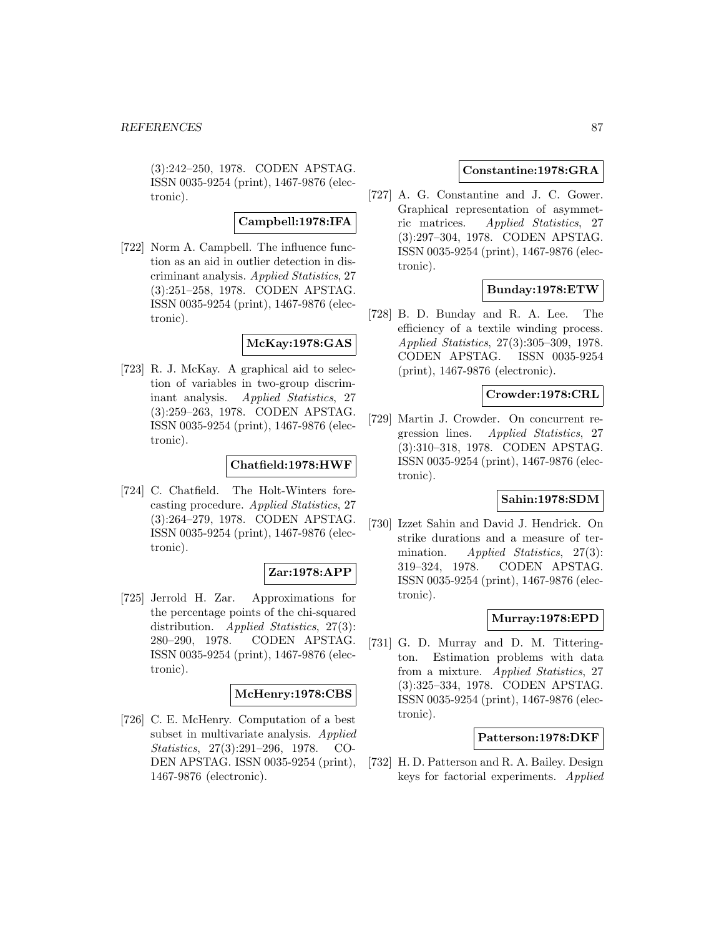(3):242–250, 1978. CODEN APSTAG. ISSN 0035-9254 (print), 1467-9876 (electronic).

## **Campbell:1978:IFA**

[722] Norm A. Campbell. The influence function as an aid in outlier detection in discriminant analysis. Applied Statistics, 27 (3):251–258, 1978. CODEN APSTAG. ISSN 0035-9254 (print), 1467-9876 (electronic).

# **McKay:1978:GAS**

[723] R. J. McKay. A graphical aid to selection of variables in two-group discriminant analysis. Applied Statistics, 27 (3):259–263, 1978. CODEN APSTAG. ISSN 0035-9254 (print), 1467-9876 (electronic).

## **Chatfield:1978:HWF**

[724] C. Chatfield. The Holt-Winters forecasting procedure. Applied Statistics, 27 (3):264–279, 1978. CODEN APSTAG. ISSN 0035-9254 (print), 1467-9876 (electronic).

## **Zar:1978:APP**

[725] Jerrold H. Zar. Approximations for the percentage points of the chi-squared distribution. *Applied Statistics*, 27(3): 280–290, 1978. CODEN APSTAG. ISSN 0035-9254 (print), 1467-9876 (electronic).

### **McHenry:1978:CBS**

[726] C. E. McHenry. Computation of a best subset in multivariate analysis. Applied Statistics, 27(3):291–296, 1978. CO-DEN APSTAG. ISSN 0035-9254 (print), 1467-9876 (electronic).

### **Constantine:1978:GRA**

[727] A. G. Constantine and J. C. Gower. Graphical representation of asymmetric matrices. Applied Statistics, 27 (3):297–304, 1978. CODEN APSTAG. ISSN 0035-9254 (print), 1467-9876 (electronic).

# **Bunday:1978:ETW**

[728] B. D. Bunday and R. A. Lee. The efficiency of a textile winding process. Applied Statistics, 27(3):305–309, 1978. CODEN APSTAG. ISSN 0035-9254 (print), 1467-9876 (electronic).

# **Crowder:1978:CRL**

[729] Martin J. Crowder. On concurrent regression lines. Applied Statistics, 27 (3):310–318, 1978. CODEN APSTAG. ISSN 0035-9254 (print), 1467-9876 (electronic).

# **Sahin:1978:SDM**

[730] Izzet Sahin and David J. Hendrick. On strike durations and a measure of termination. Applied Statistics, 27(3): 319–324, 1978. CODEN APSTAG. ISSN 0035-9254 (print), 1467-9876 (electronic).

## **Murray:1978:EPD**

[731] G. D. Murray and D. M. Titterington. Estimation problems with data from a mixture. Applied Statistics, 27 (3):325–334, 1978. CODEN APSTAG. ISSN 0035-9254 (print), 1467-9876 (electronic).

### **Patterson:1978:DKF**

[732] H. D. Patterson and R. A. Bailey. Design keys for factorial experiments. Applied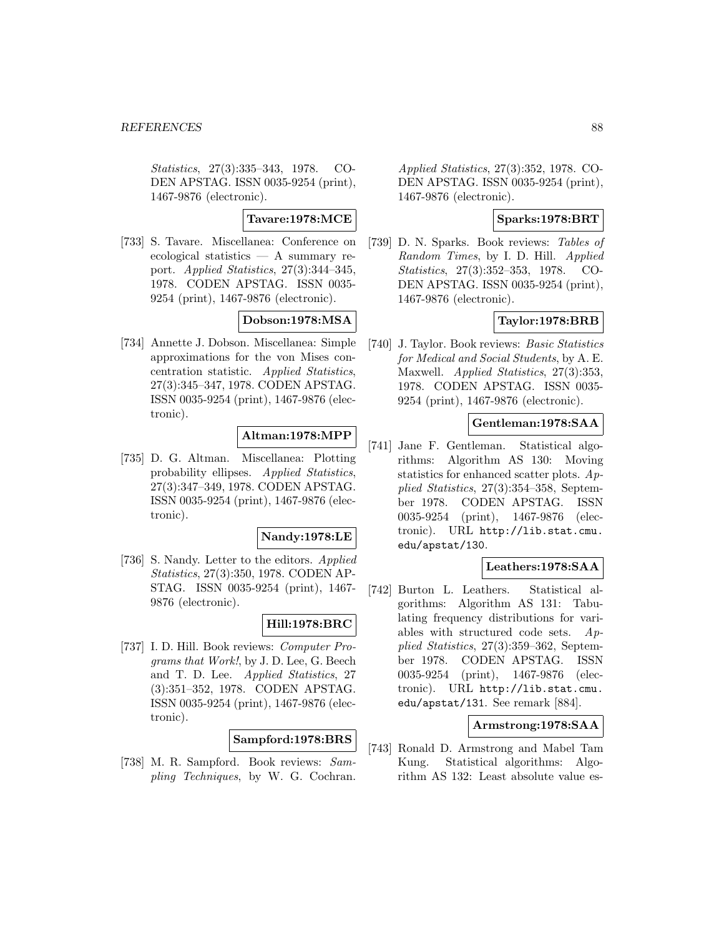Statistics, 27(3):335–343, 1978. CO-DEN APSTAG. ISSN 0035-9254 (print), 1467-9876 (electronic).

**Tavare:1978:MCE**

[733] S. Tavare. Miscellanea: Conference on ecological statistics — A summary report. Applied Statistics, 27(3):344–345, 1978. CODEN APSTAG. ISSN 0035- 9254 (print), 1467-9876 (electronic).

## **Dobson:1978:MSA**

[734] Annette J. Dobson. Miscellanea: Simple approximations for the von Mises concentration statistic. Applied Statistics, 27(3):345–347, 1978. CODEN APSTAG. ISSN 0035-9254 (print), 1467-9876 (electronic).

# **Altman:1978:MPP**

[735] D. G. Altman. Miscellanea: Plotting probability ellipses. Applied Statistics, 27(3):347–349, 1978. CODEN APSTAG. ISSN 0035-9254 (print), 1467-9876 (electronic).

## **Nandy:1978:LE**

[736] S. Nandy. Letter to the editors. Applied Statistics, 27(3):350, 1978. CODEN AP-STAG. ISSN 0035-9254 (print), 1467- 9876 (electronic).

## **Hill:1978:BRC**

[737] I. D. Hill. Book reviews: Computer Programs that Work!, by J. D. Lee, G. Beech and T. D. Lee. Applied Statistics, 27 (3):351–352, 1978. CODEN APSTAG. ISSN 0035-9254 (print), 1467-9876 (electronic).

# **Sampford:1978:BRS**

[738] M. R. Sampford. Book reviews: Sampling Techniques, by W. G. Cochran.

Applied Statistics, 27(3):352, 1978. CO-DEN APSTAG. ISSN 0035-9254 (print), 1467-9876 (electronic).

# **Sparks:1978:BRT**

[739] D. N. Sparks. Book reviews: Tables of Random Times, by I. D. Hill. Applied Statistics, 27(3):352–353, 1978. CO-DEN APSTAG. ISSN 0035-9254 (print), 1467-9876 (electronic).

# **Taylor:1978:BRB**

[740] J. Taylor. Book reviews: Basic Statistics for Medical and Social Students, by A. E. Maxwell. Applied Statistics, 27(3):353, 1978. CODEN APSTAG. ISSN 0035- 9254 (print), 1467-9876 (electronic).

## **Gentleman:1978:SAA**

[741] Jane F. Gentleman. Statistical algorithms: Algorithm AS 130: Moving statistics for enhanced scatter plots. Applied Statistics, 27(3):354–358, September 1978. CODEN APSTAG. ISSN 0035-9254 (print), 1467-9876 (electronic). URL http://lib.stat.cmu. edu/apstat/130.

### **Leathers:1978:SAA**

[742] Burton L. Leathers. Statistical algorithms: Algorithm AS 131: Tabulating frequency distributions for variables with structured code sets. Applied Statistics, 27(3):359–362, September 1978. CODEN APSTAG. ISSN 0035-9254 (print), 1467-9876 (electronic). URL http://lib.stat.cmu. edu/apstat/131. See remark [884].

## **Armstrong:1978:SAA**

[743] Ronald D. Armstrong and Mabel Tam Kung. Statistical algorithms: Algorithm AS 132: Least absolute value es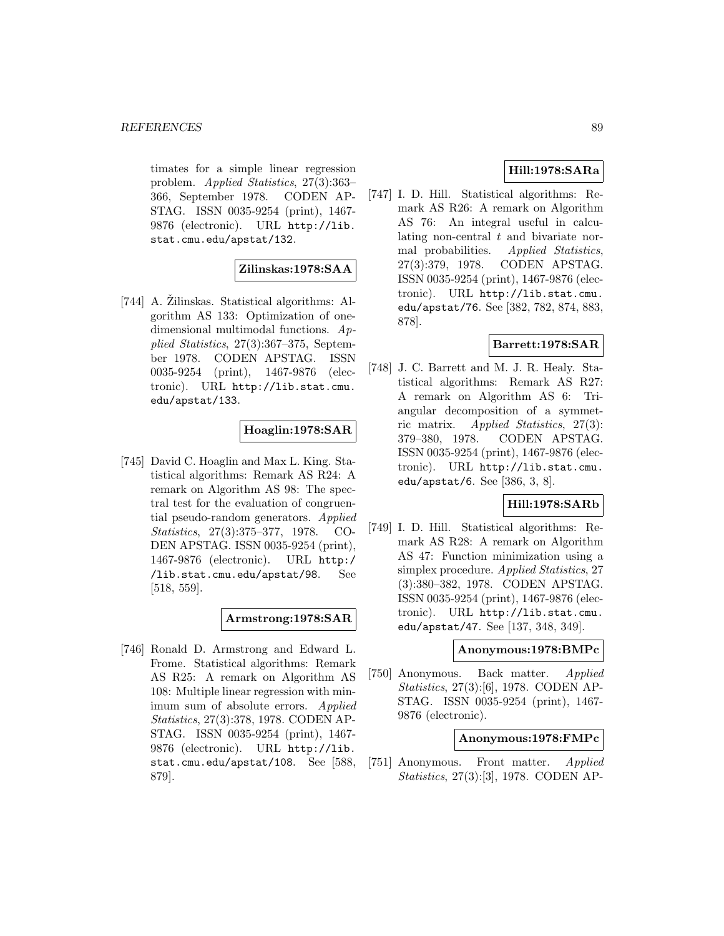timates for a simple linear regression problem. Applied Statistics, 27(3):363– 366, September 1978. CODEN AP-STAG. ISSN 0035-9254 (print), 1467- 9876 (electronic). URL http://lib. stat.cmu.edu/apstat/132.

## **Zilinskas:1978:SAA**

[744] A. Zilinskas. Statistical algorithms: Algorithm AS 133: Optimization of onedimensional multimodal functions. Applied Statistics, 27(3):367–375, September 1978. CODEN APSTAG. ISSN 0035-9254 (print), 1467-9876 (electronic). URL http://lib.stat.cmu. edu/apstat/133.

## **Hoaglin:1978:SAR**

[745] David C. Hoaglin and Max L. King. Statistical algorithms: Remark AS R24: A remark on Algorithm AS 98: The spectral test for the evaluation of congruential pseudo-random generators. Applied Statistics, 27(3):375–377, 1978. CO-DEN APSTAG. ISSN 0035-9254 (print), 1467-9876 (electronic). URL http:/ /lib.stat.cmu.edu/apstat/98. See [518, 559].

# **Armstrong:1978:SAR**

[746] Ronald D. Armstrong and Edward L. Frome. Statistical algorithms: Remark AS R25: A remark on Algorithm AS 108: Multiple linear regression with minimum sum of absolute errors. Applied Statistics, 27(3):378, 1978. CODEN AP-STAG. ISSN 0035-9254 (print), 1467- 9876 (electronic). URL http://lib. stat.cmu.edu/apstat/108. See [588, 879].

# **Hill:1978:SARa**

[747] I. D. Hill. Statistical algorithms: Remark AS R26: A remark on Algorithm AS 76: An integral useful in calculating non-central t and bivariate normal probabilities. Applied Statistics, 27(3):379, 1978. CODEN APSTAG. ISSN 0035-9254 (print), 1467-9876 (electronic). URL http://lib.stat.cmu. edu/apstat/76. See [382, 782, 874, 883, 878].

# **Barrett:1978:SAR**

[748] J. C. Barrett and M. J. R. Healy. Statistical algorithms: Remark AS R27: A remark on Algorithm AS 6: Triangular decomposition of a symmetric matrix. Applied Statistics, 27(3): 379–380, 1978. CODEN APSTAG. ISSN 0035-9254 (print), 1467-9876 (electronic). URL http://lib.stat.cmu. edu/apstat/6. See [386, 3, 8].

# **Hill:1978:SARb**

[749] I. D. Hill. Statistical algorithms: Remark AS R28: A remark on Algorithm AS 47: Function minimization using a simplex procedure. Applied Statistics, 27 (3):380–382, 1978. CODEN APSTAG. ISSN 0035-9254 (print), 1467-9876 (electronic). URL http://lib.stat.cmu. edu/apstat/47. See [137, 348, 349].

### **Anonymous:1978:BMPc**

[750] Anonymous. Back matter. *Applied* Statistics, 27(3):[6], 1978. CODEN AP-STAG. ISSN 0035-9254 (print), 1467- 9876 (electronic).

## **Anonymous:1978:FMPc**

[751] Anonymous. Front matter. Applied Statistics, 27(3):[3], 1978. CODEN AP-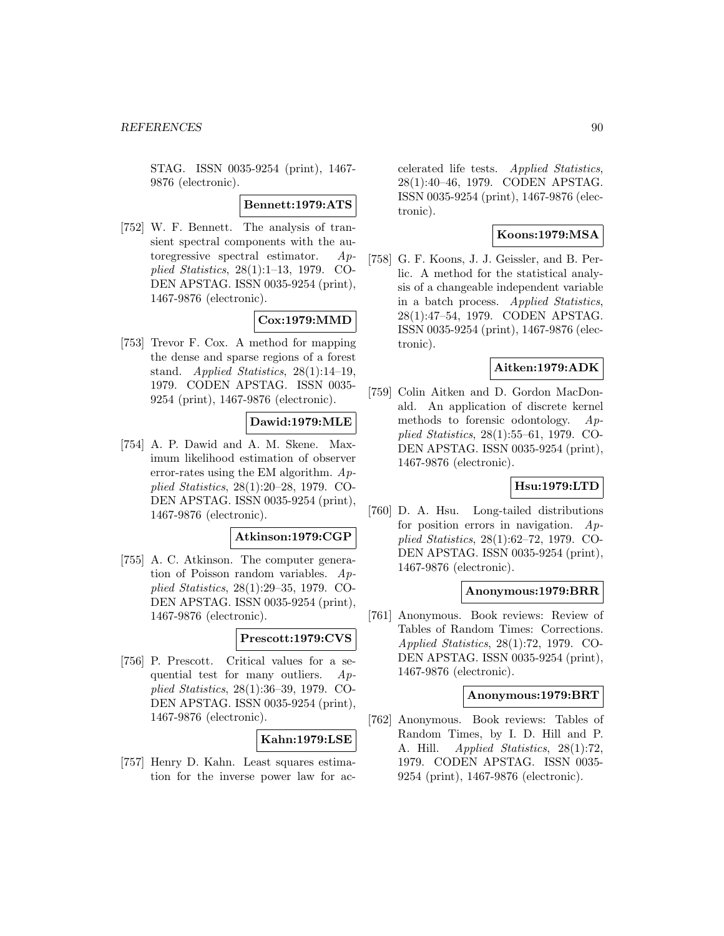STAG. ISSN 0035-9254 (print), 1467- 9876 (electronic).

**Bennett:1979:ATS**

[752] W. F. Bennett. The analysis of transient spectral components with the autoregressive spectral estimator. Applied Statistics, 28(1):1–13, 1979. CO-DEN APSTAG. ISSN 0035-9254 (print), 1467-9876 (electronic).

# **Cox:1979:MMD**

[753] Trevor F. Cox. A method for mapping the dense and sparse regions of a forest stand. Applied Statistics, 28(1):14–19, 1979. CODEN APSTAG. ISSN 0035- 9254 (print), 1467-9876 (electronic).

# **Dawid:1979:MLE**

[754] A. P. Dawid and A. M. Skene. Maximum likelihood estimation of observer error-rates using the EM algorithm.  $Ap$ plied Statistics, 28(1):20–28, 1979. CO-DEN APSTAG. ISSN 0035-9254 (print), 1467-9876 (electronic).

### **Atkinson:1979:CGP**

[755] A. C. Atkinson. The computer generation of Poisson random variables. Applied Statistics, 28(1):29–35, 1979. CO-DEN APSTAG. ISSN 0035-9254 (print), 1467-9876 (electronic).

## **Prescott:1979:CVS**

[756] P. Prescott. Critical values for a sequential test for many outliers. Applied Statistics, 28(1):36–39, 1979. CO-DEN APSTAG. ISSN 0035-9254 (print), 1467-9876 (electronic).

## **Kahn:1979:LSE**

[757] Henry D. Kahn. Least squares estimation for the inverse power law for accelerated life tests. Applied Statistics, 28(1):40–46, 1979. CODEN APSTAG. ISSN 0035-9254 (print), 1467-9876 (electronic).

# **Koons:1979:MSA**

[758] G. F. Koons, J. J. Geissler, and B. Perlic. A method for the statistical analysis of a changeable independent variable in a batch process. Applied Statistics, 28(1):47–54, 1979. CODEN APSTAG. ISSN 0035-9254 (print), 1467-9876 (electronic).

## **Aitken:1979:ADK**

[759] Colin Aitken and D. Gordon MacDonald. An application of discrete kernel methods to forensic odontology. Applied Statistics, 28(1):55–61, 1979. CO-DEN APSTAG. ISSN 0035-9254 (print), 1467-9876 (electronic).

# **Hsu:1979:LTD**

[760] D. A. Hsu. Long-tailed distributions for position errors in navigation.  $Ap$ plied Statistics, 28(1):62–72, 1979. CO-DEN APSTAG. ISSN 0035-9254 (print), 1467-9876 (electronic).

### **Anonymous:1979:BRR**

[761] Anonymous. Book reviews: Review of Tables of Random Times: Corrections. Applied Statistics, 28(1):72, 1979. CO-DEN APSTAG. ISSN 0035-9254 (print), 1467-9876 (electronic).

### **Anonymous:1979:BRT**

[762] Anonymous. Book reviews: Tables of Random Times, by I. D. Hill and P. A. Hill. *Applied Statistics*, 28(1):72, 1979. CODEN APSTAG. ISSN 0035- 9254 (print), 1467-9876 (electronic).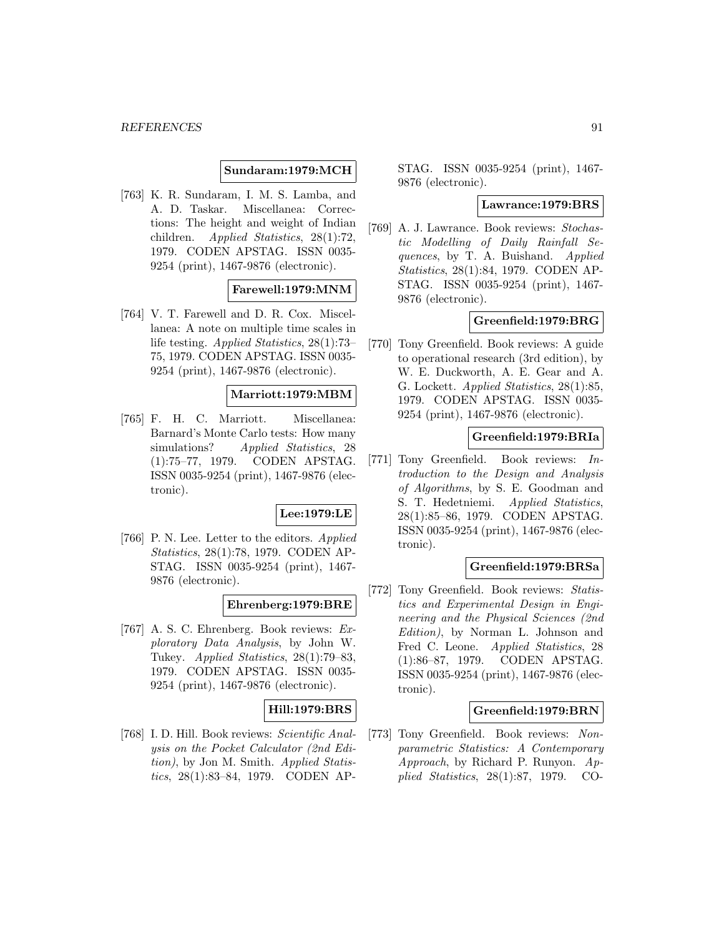## **Sundaram:1979:MCH**

[763] K. R. Sundaram, I. M. S. Lamba, and A. D. Taskar. Miscellanea: Corrections: The height and weight of Indian children. Applied Statistics, 28(1):72, 1979. CODEN APSTAG. ISSN 0035- 9254 (print), 1467-9876 (electronic).

### **Farewell:1979:MNM**

[764] V. T. Farewell and D. R. Cox. Miscellanea: A note on multiple time scales in life testing. Applied Statistics, 28(1):73– 75, 1979. CODEN APSTAG. ISSN 0035- 9254 (print), 1467-9876 (electronic).

### **Marriott:1979:MBM**

[765] F. H. C. Marriott. Miscellanea: Barnard's Monte Carlo tests: How many simulations? Applied Statistics, 28 (1):75–77, 1979. CODEN APSTAG. ISSN 0035-9254 (print), 1467-9876 (electronic).

### **Lee:1979:LE**

[766] P. N. Lee. Letter to the editors. Applied Statistics, 28(1):78, 1979. CODEN AP-STAG. ISSN 0035-9254 (print), 1467- 9876 (electronic).

**Ehrenberg:1979:BRE**

[767] A. S. C. Ehrenberg. Book reviews: Exploratory Data Analysis, by John W. Tukey. Applied Statistics, 28(1):79–83, 1979. CODEN APSTAG. ISSN 0035- 9254 (print), 1467-9876 (electronic).

## **Hill:1979:BRS**

[768] I. D. Hill. Book reviews: Scientific Analysis on the Pocket Calculator (2nd Edition), by Jon M. Smith. Applied Statistics, 28(1):83–84, 1979. CODEN AP-

STAG. ISSN 0035-9254 (print), 1467- 9876 (electronic).

#### **Lawrance:1979:BRS**

[769] A. J. Lawrance. Book reviews: Stochastic Modelling of Daily Rainfall Sequences, by T. A. Buishand. Applied Statistics, 28(1):84, 1979. CODEN AP-STAG. ISSN 0035-9254 (print), 1467- 9876 (electronic).

### **Greenfield:1979:BRG**

[770] Tony Greenfield. Book reviews: A guide to operational research (3rd edition), by W. E. Duckworth, A. E. Gear and A. G. Lockett. Applied Statistics, 28(1):85, 1979. CODEN APSTAG. ISSN 0035- 9254 (print), 1467-9876 (electronic).

### **Greenfield:1979:BRIa**

[771] Tony Greenfield. Book reviews: Introduction to the Design and Analysis of Algorithms, by S. E. Goodman and S. T. Hedetniemi. Applied Statistics, 28(1):85–86, 1979. CODEN APSTAG. ISSN 0035-9254 (print), 1467-9876 (electronic).

### **Greenfield:1979:BRSa**

[772] Tony Greenfield. Book reviews: Statistics and Experimental Design in Engineering and the Physical Sciences (2nd Edition), by Norman L. Johnson and Fred C. Leone. Applied Statistics, 28 (1):86–87, 1979. CODEN APSTAG. ISSN 0035-9254 (print), 1467-9876 (electronic).

### **Greenfield:1979:BRN**

[773] Tony Greenfield. Book reviews: Nonparametric Statistics: A Contemporary Approach, by Richard P. Runyon. Applied Statistics, 28(1):87, 1979. CO-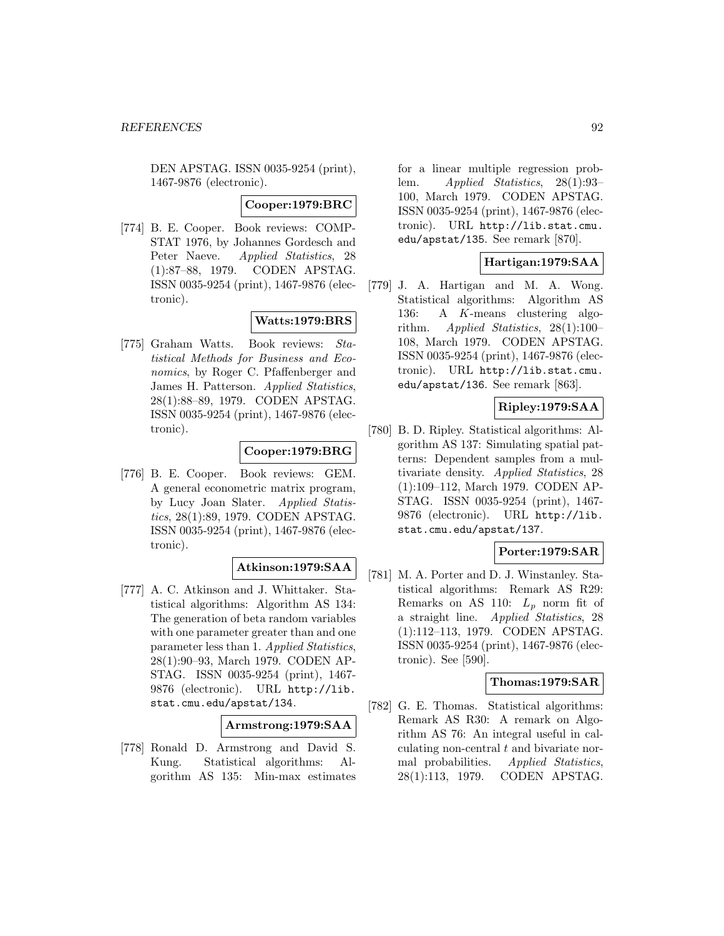DEN APSTAG. ISSN 0035-9254 (print), 1467-9876 (electronic).

### **Cooper:1979:BRC**

[774] B. E. Cooper. Book reviews: COMP-STAT 1976, by Johannes Gordesch and Peter Naeve. Applied Statistics, 28 (1):87–88, 1979. CODEN APSTAG. ISSN 0035-9254 (print), 1467-9876 (electronic).

# **Watts:1979:BRS**

[775] Graham Watts. Book reviews: Statistical Methods for Business and Economics, by Roger C. Pfaffenberger and James H. Patterson. Applied Statistics, 28(1):88–89, 1979. CODEN APSTAG. ISSN 0035-9254 (print), 1467-9876 (electronic).

# **Cooper:1979:BRG**

[776] B. E. Cooper. Book reviews: GEM. A general econometric matrix program, by Lucy Joan Slater. Applied Statistics, 28(1):89, 1979. CODEN APSTAG. ISSN 0035-9254 (print), 1467-9876 (electronic).

# **Atkinson:1979:SAA**

[777] A. C. Atkinson and J. Whittaker. Statistical algorithms: Algorithm AS 134: The generation of beta random variables with one parameter greater than and one parameter less than 1. Applied Statistics, 28(1):90–93, March 1979. CODEN AP-STAG. ISSN 0035-9254 (print), 1467- 9876 (electronic). URL http://lib. stat.cmu.edu/apstat/134.

## **Armstrong:1979:SAA**

[778] Ronald D. Armstrong and David S. Kung. Statistical algorithms: Algorithm AS 135: Min-max estimates for a linear multiple regression problem. Applied Statistics, 28(1):93– 100, March 1979. CODEN APSTAG. ISSN 0035-9254 (print), 1467-9876 (electronic). URL http://lib.stat.cmu. edu/apstat/135. See remark [870].

## **Hartigan:1979:SAA**

[779] J. A. Hartigan and M. A. Wong. Statistical algorithms: Algorithm AS 136: A K-means clustering algorithm. Applied Statistics,  $28(1):100-$ 108, March 1979. CODEN APSTAG. ISSN 0035-9254 (print), 1467-9876 (electronic). URL http://lib.stat.cmu. edu/apstat/136. See remark [863].

# **Ripley:1979:SAA**

[780] B. D. Ripley. Statistical algorithms: Algorithm AS 137: Simulating spatial patterns: Dependent samples from a multivariate density. Applied Statistics, 28 (1):109–112, March 1979. CODEN AP-STAG. ISSN 0035-9254 (print), 1467- 9876 (electronic). URL http://lib. stat.cmu.edu/apstat/137.

## **Porter:1979:SAR**

[781] M. A. Porter and D. J. Winstanley. Statistical algorithms: Remark AS R29: Remarks on AS 110:  $L_p$  norm fit of a straight line. Applied Statistics, 28 (1):112–113, 1979. CODEN APSTAG. ISSN 0035-9254 (print), 1467-9876 (electronic). See [590].

## **Thomas:1979:SAR**

[782] G. E. Thomas. Statistical algorithms: Remark AS R30: A remark on Algorithm AS 76: An integral useful in calculating non-central  $t$  and bivariate normal probabilities. Applied Statistics, 28(1):113, 1979. CODEN APSTAG.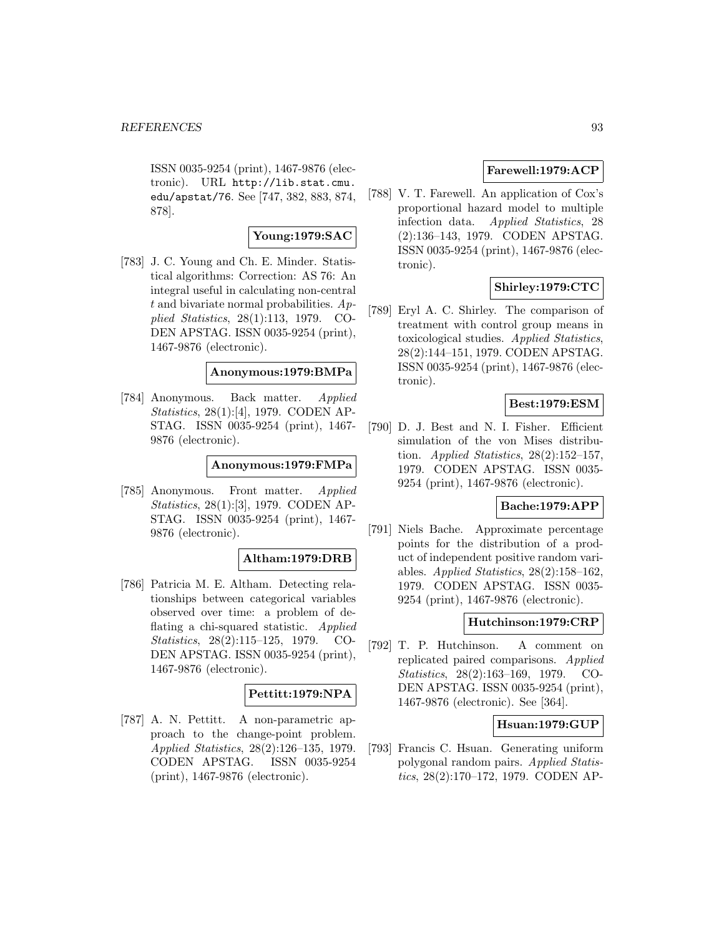ISSN 0035-9254 (print), 1467-9876 (electronic). URL http://lib.stat.cmu. edu/apstat/76. See [747, 382, 883, 874, 878].

# **Young:1979:SAC**

[783] J. C. Young and Ch. E. Minder. Statistical algorithms: Correction: AS 76: An integral useful in calculating non-central  $t$  and bivariate normal probabilities.  $Ap$ plied Statistics, 28(1):113, 1979. CO-DEN APSTAG. ISSN 0035-9254 (print), 1467-9876 (electronic).

# **Anonymous:1979:BMPa**

[784] Anonymous. Back matter. Applied Statistics, 28(1):[4], 1979. CODEN AP-STAG. ISSN 0035-9254 (print), 1467- 9876 (electronic).

# **Anonymous:1979:FMPa**

[785] Anonymous. Front matter. Applied Statistics, 28(1):[3], 1979. CODEN AP-STAG. ISSN 0035-9254 (print), 1467- 9876 (electronic).

### **Altham:1979:DRB**

[786] Patricia M. E. Altham. Detecting relationships between categorical variables observed over time: a problem of deflating a chi-squared statistic. Applied Statistics, 28(2):115–125, 1979. CO-DEN APSTAG. ISSN 0035-9254 (print), 1467-9876 (electronic).

## **Pettitt:1979:NPA**

[787] A. N. Pettitt. A non-parametric approach to the change-point problem. Applied Statistics, 28(2):126–135, 1979. CODEN APSTAG. ISSN 0035-9254 (print), 1467-9876 (electronic).

# **Farewell:1979:ACP**

[788] V. T. Farewell. An application of Cox's proportional hazard model to multiple infection data. Applied Statistics, 28 (2):136–143, 1979. CODEN APSTAG. ISSN 0035-9254 (print), 1467-9876 (electronic).

# **Shirley:1979:CTC**

[789] Eryl A. C. Shirley. The comparison of treatment with control group means in toxicological studies. Applied Statistics, 28(2):144–151, 1979. CODEN APSTAG. ISSN 0035-9254 (print), 1467-9876 (electronic).

## **Best:1979:ESM**

[790] D. J. Best and N. I. Fisher. Efficient simulation of the von Mises distribution. Applied Statistics,  $28(2):152-157$ , 1979. CODEN APSTAG. ISSN 0035- 9254 (print), 1467-9876 (electronic).

## **Bache:1979:APP**

[791] Niels Bache. Approximate percentage points for the distribution of a product of independent positive random variables. Applied Statistics,  $28(2):158-162$ , 1979. CODEN APSTAG. ISSN 0035- 9254 (print), 1467-9876 (electronic).

### **Hutchinson:1979:CRP**

[792] T. P. Hutchinson. A comment on replicated paired comparisons. Applied Statistics, 28(2):163–169, 1979. CO-DEN APSTAG. ISSN 0035-9254 (print), 1467-9876 (electronic). See [364].

## **Hsuan:1979:GUP**

[793] Francis C. Hsuan. Generating uniform polygonal random pairs. Applied Statistics, 28(2):170–172, 1979. CODEN AP-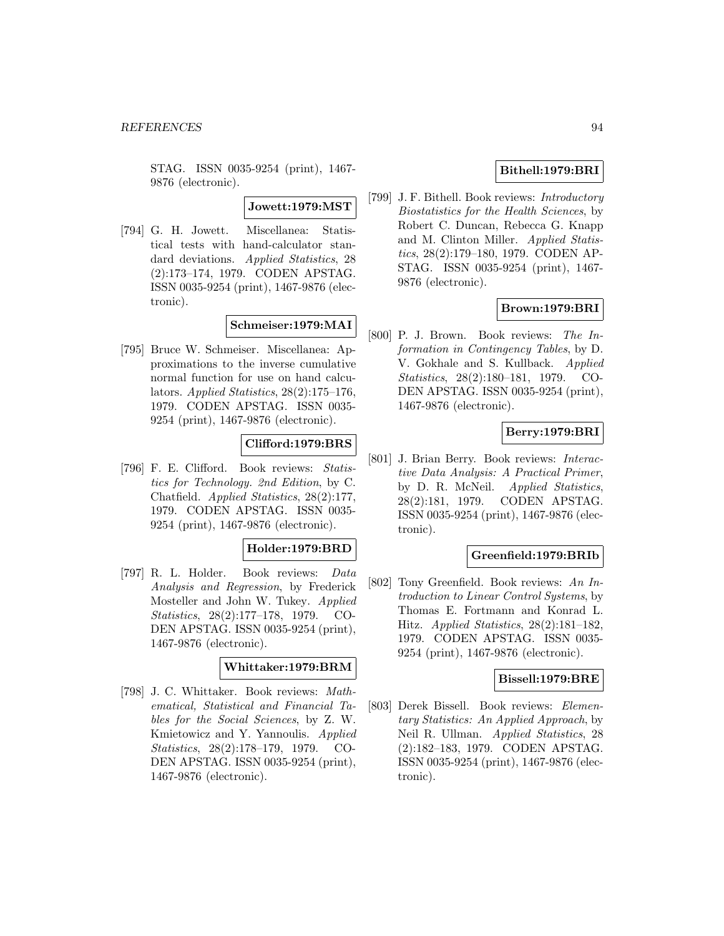STAG. ISSN 0035-9254 (print), 1467- 9876 (electronic).

### **Jowett:1979:MST**

[794] G. H. Jowett. Miscellanea: Statistical tests with hand-calculator standard deviations. Applied Statistics, 28 (2):173–174, 1979. CODEN APSTAG. ISSN 0035-9254 (print), 1467-9876 (electronic).

# **Schmeiser:1979:MAI**

[795] Bruce W. Schmeiser. Miscellanea: Approximations to the inverse cumulative normal function for use on hand calculators. Applied Statistics, 28(2):175–176, 1979. CODEN APSTAG. ISSN 0035- 9254 (print), 1467-9876 (electronic).

# **Clifford:1979:BRS**

[796] F. E. Clifford. Book reviews: Statistics for Technology. 2nd Edition, by C. Chatfield. Applied Statistics, 28(2):177, 1979. CODEN APSTAG. ISSN 0035- 9254 (print), 1467-9876 (electronic).

## **Holder:1979:BRD**

[797] R. L. Holder. Book reviews: Data Analysis and Regression, by Frederick Mosteller and John W. Tukey. Applied Statistics, 28(2):177–178, 1979. CO-DEN APSTAG. ISSN 0035-9254 (print), 1467-9876 (electronic).

### **Whittaker:1979:BRM**

[798] J. C. Whittaker. Book reviews: Mathematical, Statistical and Financial Tables for the Social Sciences, by Z. W. Kmietowicz and Y. Yannoulis. Applied Statistics, 28(2):178–179, 1979. CO-DEN APSTAG. ISSN 0035-9254 (print), 1467-9876 (electronic).

# **Bithell:1979:BRI**

[799] J. F. Bithell. Book reviews: Introductory Biostatistics for the Health Sciences, by Robert C. Duncan, Rebecca G. Knapp and M. Clinton Miller. Applied Statistics, 28(2):179–180, 1979. CODEN AP-STAG. ISSN 0035-9254 (print), 1467- 9876 (electronic).

### **Brown:1979:BRI**

[800] P. J. Brown. Book reviews: The Information in Contingency Tables, by D. V. Gokhale and S. Kullback. Applied Statistics, 28(2):180–181, 1979. CO-DEN APSTAG. ISSN 0035-9254 (print), 1467-9876 (electronic).

# **Berry:1979:BRI**

[801] J. Brian Berry. Book reviews: Interactive Data Analysis: A Practical Primer, by D. R. McNeil. Applied Statistics, 28(2):181, 1979. CODEN APSTAG. ISSN 0035-9254 (print), 1467-9876 (electronic).

### **Greenfield:1979:BRIb**

[802] Tony Greenfield. Book reviews: An Introduction to Linear Control Systems, by Thomas E. Fortmann and Konrad L. Hitz. Applied Statistics, 28(2):181–182, 1979. CODEN APSTAG. ISSN 0035- 9254 (print), 1467-9876 (electronic).

### **Bissell:1979:BRE**

[803] Derek Bissell. Book reviews: Elementary Statistics: An Applied Approach, by Neil R. Ullman. Applied Statistics, 28 (2):182–183, 1979. CODEN APSTAG. ISSN 0035-9254 (print), 1467-9876 (electronic).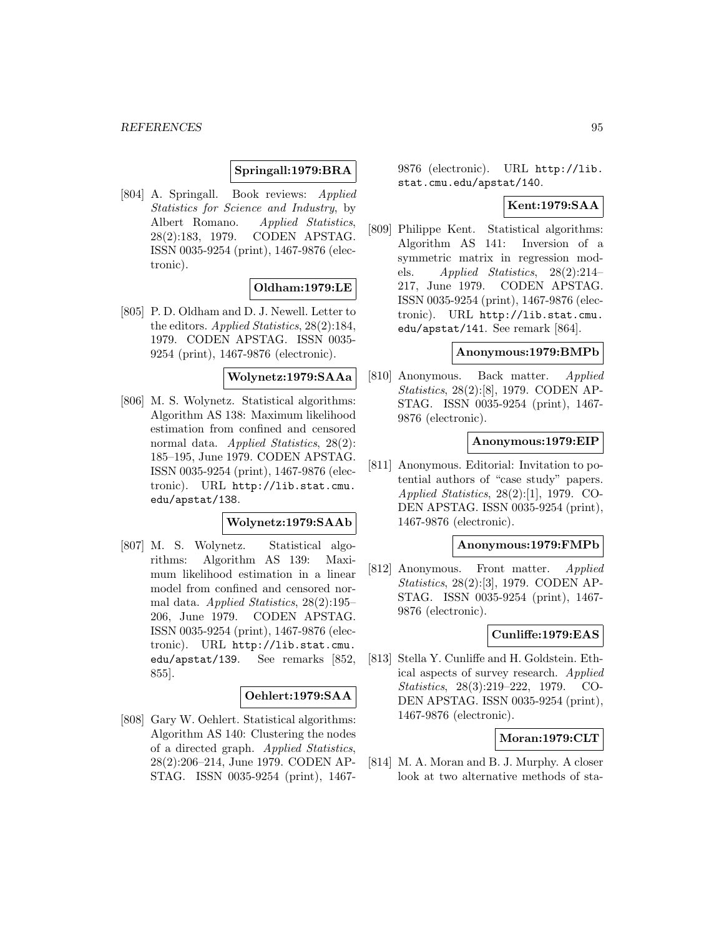# **Springall:1979:BRA**

[804] A. Springall. Book reviews: Applied Statistics for Science and Industry, by Albert Romano. Applied Statistics, 28(2):183, 1979. CODEN APSTAG. ISSN 0035-9254 (print), 1467-9876 (electronic).

# **Oldham:1979:LE**

[805] P. D. Oldham and D. J. Newell. Letter to the editors. Applied Statistics, 28(2):184, 1979. CODEN APSTAG. ISSN 0035- 9254 (print), 1467-9876 (electronic).

## **Wolynetz:1979:SAAa**

[806] M. S. Wolynetz. Statistical algorithms: Algorithm AS 138: Maximum likelihood estimation from confined and censored normal data. Applied Statistics, 28(2): 185–195, June 1979. CODEN APSTAG. ISSN 0035-9254 (print), 1467-9876 (electronic). URL http://lib.stat.cmu. edu/apstat/138.

### **Wolynetz:1979:SAAb**

[807] M. S. Wolynetz. Statistical algorithms: Algorithm AS 139: Maximum likelihood estimation in a linear model from confined and censored normal data. Applied Statistics, 28(2):195– 206, June 1979. CODEN APSTAG. ISSN 0035-9254 (print), 1467-9876 (electronic). URL http://lib.stat.cmu. edu/apstat/139. See remarks [852, 855].

### **Oehlert:1979:SAA**

[808] Gary W. Oehlert. Statistical algorithms: Algorithm AS 140: Clustering the nodes of a directed graph. Applied Statistics, 28(2):206–214, June 1979. CODEN AP-STAG. ISSN 0035-9254 (print), 14679876 (electronic). URL http://lib. stat.cmu.edu/apstat/140.

# **Kent:1979:SAA**

[809] Philippe Kent. Statistical algorithms: Algorithm AS 141: Inversion of a symmetric matrix in regression models. Applied Statistics, 28(2):214– 217, June 1979. CODEN APSTAG. ISSN 0035-9254 (print), 1467-9876 (electronic). URL http://lib.stat.cmu. edu/apstat/141. See remark [864].

# **Anonymous:1979:BMPb**

[810] Anonymous. Back matter. Applied Statistics, 28(2):[8], 1979. CODEN AP-STAG. ISSN 0035-9254 (print), 1467- 9876 (electronic).

### **Anonymous:1979:EIP**

[811] Anonymous. Editorial: Invitation to potential authors of "case study" papers. Applied Statistics, 28(2):[1], 1979. CO-DEN APSTAG. ISSN 0035-9254 (print), 1467-9876 (electronic).

### **Anonymous:1979:FMPb**

[812] Anonymous. Front matter. Applied Statistics, 28(2):[3], 1979. CODEN AP-STAG. ISSN 0035-9254 (print), 1467- 9876 (electronic).

## **Cunliffe:1979:EAS**

[813] Stella Y. Cunliffe and H. Goldstein. Ethical aspects of survey research. Applied Statistics, 28(3):219–222, 1979. CO-DEN APSTAG. ISSN 0035-9254 (print), 1467-9876 (electronic).

## **Moran:1979:CLT**

[814] M. A. Moran and B. J. Murphy. A closer look at two alternative methods of sta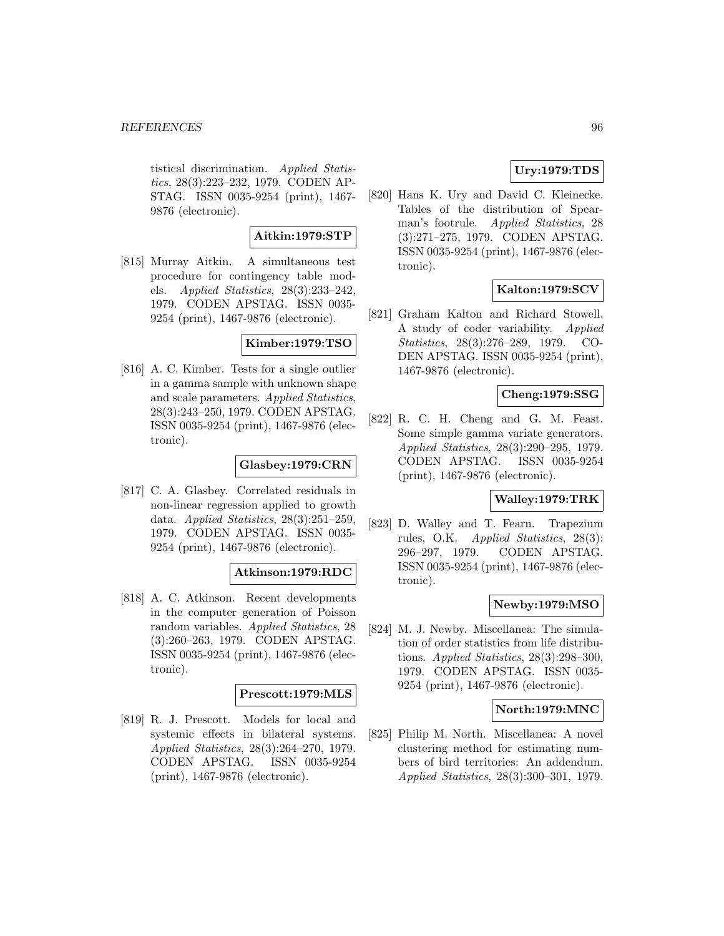tistical discrimination. Applied Statistics, 28(3):223–232, 1979. CODEN AP-STAG. ISSN 0035-9254 (print), 1467- 9876 (electronic).

## **Aitkin:1979:STP**

[815] Murray Aitkin. A simultaneous test procedure for contingency table models. Applied Statistics, 28(3):233–242, 1979. CODEN APSTAG. ISSN 0035- 9254 (print), 1467-9876 (electronic).

## **Kimber:1979:TSO**

[816] A. C. Kimber. Tests for a single outlier in a gamma sample with unknown shape and scale parameters. Applied Statistics, 28(3):243–250, 1979. CODEN APSTAG. ISSN 0035-9254 (print), 1467-9876 (electronic).

### **Glasbey:1979:CRN**

[817] C. A. Glasbey. Correlated residuals in non-linear regression applied to growth data. Applied Statistics, 28(3):251–259, 1979. CODEN APSTAG. ISSN 0035- 9254 (print), 1467-9876 (electronic).

## **Atkinson:1979:RDC**

[818] A. C. Atkinson. Recent developments in the computer generation of Poisson random variables. Applied Statistics, 28 (3):260–263, 1979. CODEN APSTAG. ISSN 0035-9254 (print), 1467-9876 (electronic).

### **Prescott:1979:MLS**

[819] R. J. Prescott. Models for local and systemic effects in bilateral systems. Applied Statistics, 28(3):264–270, 1979. CODEN APSTAG. ISSN 0035-9254 (print), 1467-9876 (electronic).

# **Ury:1979:TDS**

[820] Hans K. Ury and David C. Kleinecke. Tables of the distribution of Spearman's footrule. Applied Statistics, 28 (3):271–275, 1979. CODEN APSTAG. ISSN 0035-9254 (print), 1467-9876 (electronic).

# **Kalton:1979:SCV**

[821] Graham Kalton and Richard Stowell. A study of coder variability. Applied Statistics, 28(3):276–289, 1979. CO-DEN APSTAG. ISSN 0035-9254 (print), 1467-9876 (electronic).

# **Cheng:1979:SSG**

[822] R. C. H. Cheng and G. M. Feast. Some simple gamma variate generators. Applied Statistics, 28(3):290–295, 1979. CODEN APSTAG. ISSN 0035-9254 (print), 1467-9876 (electronic).

# **Walley:1979:TRK**

[823] D. Walley and T. Fearn. Trapezium rules, O.K. Applied Statistics, 28(3): 296–297, 1979. CODEN APSTAG. ISSN 0035-9254 (print), 1467-9876 (electronic).

# **Newby:1979:MSO**

[824] M. J. Newby. Miscellanea: The simulation of order statistics from life distributions. Applied Statistics, 28(3):298–300, 1979. CODEN APSTAG. ISSN 0035- 9254 (print), 1467-9876 (electronic).

### **North:1979:MNC**

[825] Philip M. North. Miscellanea: A novel clustering method for estimating numbers of bird territories: An addendum. Applied Statistics, 28(3):300–301, 1979.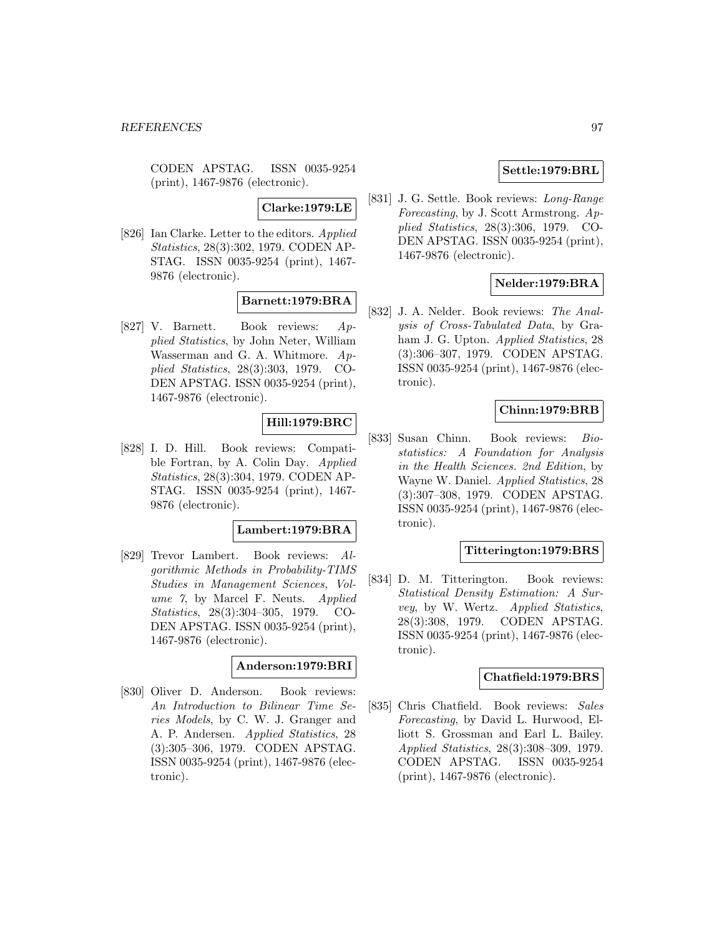CODEN APSTAG. ISSN 0035-9254 (print), 1467-9876 (electronic).

# **Clarke:1979:LE**

[826] Ian Clarke. Letter to the editors. Applied Statistics, 28(3):302, 1979. CODEN AP-STAG. ISSN 0035-9254 (print), 1467- 9876 (electronic).

# **Barnett:1979:BRA**

[827] V. Barnett. Book reviews: Applied Statistics, by John Neter, William Wasserman and G. A. Whitmore. Applied Statistics, 28(3):303, 1979. CO-DEN APSTAG. ISSN 0035-9254 (print), 1467-9876 (electronic).

# **Hill:1979:BRC**

[828] I. D. Hill. Book reviews: Compatible Fortran, by A. Colin Day. Applied Statistics, 28(3):304, 1979. CODEN AP-STAG. ISSN 0035-9254 (print), 1467- 9876 (electronic).

## **Lambert:1979:BRA**

[829] Trevor Lambert. Book reviews: Algorithmic Methods in Probability-TIMS Studies in Management Sciences, Volume 7, by Marcel F. Neuts. Applied Statistics, 28(3):304–305, 1979. CO-DEN APSTAG. ISSN 0035-9254 (print), 1467-9876 (electronic).

### **Anderson:1979:BRI**

[830] Oliver D. Anderson. Book reviews: An Introduction to Bilinear Time Series Models, by C. W. J. Granger and A. P. Andersen. Applied Statistics, 28 (3):305–306, 1979. CODEN APSTAG. ISSN 0035-9254 (print), 1467-9876 (electronic).

# **Settle:1979:BRL**

[831] J. G. Settle. Book reviews: Long-Range Forecasting, by J. Scott Armstrong. Applied Statistics, 28(3):306, 1979. CO-DEN APSTAG. ISSN 0035-9254 (print), 1467-9876 (electronic).

# **Nelder:1979:BRA**

[832] J. A. Nelder. Book reviews: The Analysis of Cross-Tabulated Data, by Graham J. G. Upton. Applied Statistics, 28 (3):306–307, 1979. CODEN APSTAG. ISSN 0035-9254 (print), 1467-9876 (electronic).

# **Chinn:1979:BRB**

[833] Susan Chinn. Book reviews: Biostatistics: A Foundation for Analysis in the Health Sciences. 2nd Edition, by Wayne W. Daniel. Applied Statistics, 28 (3):307–308, 1979. CODEN APSTAG. ISSN 0035-9254 (print), 1467-9876 (electronic).

### **Titterington:1979:BRS**

[834] D. M. Titterington. Book reviews: Statistical Density Estimation: A Survey, by W. Wertz. Applied Statistics, 28(3):308, 1979. CODEN APSTAG. ISSN 0035-9254 (print), 1467-9876 (electronic).

### **Chatfield:1979:BRS**

[835] Chris Chatfield. Book reviews: Sales Forecasting, by David L. Hurwood, Elliott S. Grossman and Earl L. Bailey. Applied Statistics, 28(3):308–309, 1979. CODEN APSTAG. ISSN 0035-9254 (print), 1467-9876 (electronic).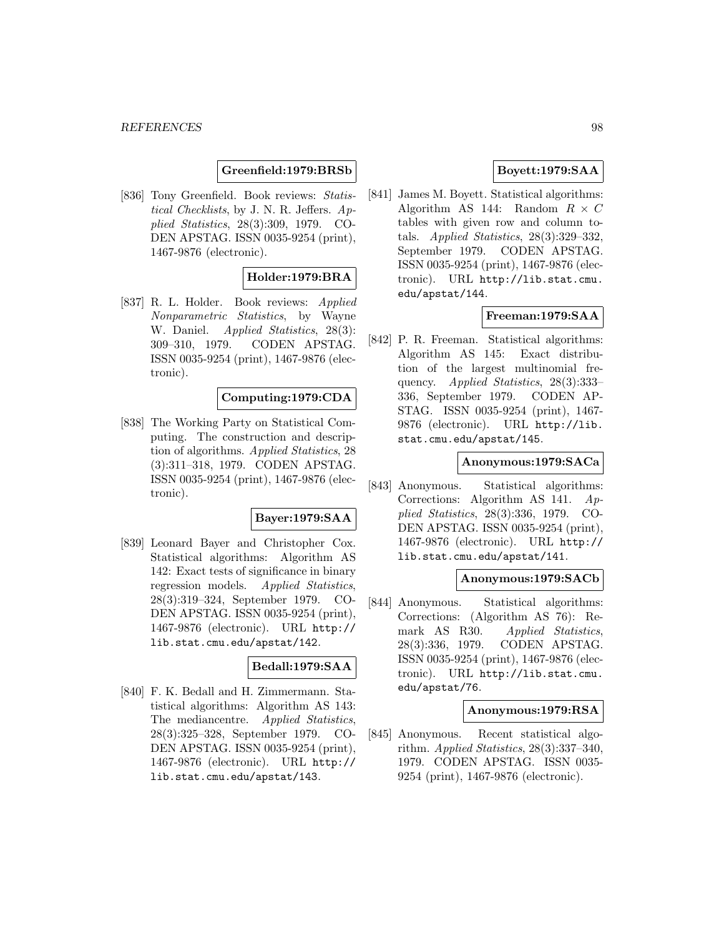### **Greenfield:1979:BRSb**

[836] Tony Greenfield. Book reviews: Statistical Checklists, by J. N. R. Jeffers. Applied Statistics, 28(3):309, 1979. CO-DEN APSTAG. ISSN 0035-9254 (print), 1467-9876 (electronic).

# **Holder:1979:BRA**

[837] R. L. Holder. Book reviews: Applied Nonparametric Statistics, by Wayne W. Daniel. Applied Statistics, 28(3): 309–310, 1979. CODEN APSTAG. ISSN 0035-9254 (print), 1467-9876 (electronic).

### **Computing:1979:CDA**

[838] The Working Party on Statistical Computing. The construction and description of algorithms. Applied Statistics, 28 (3):311–318, 1979. CODEN APSTAG. ISSN 0035-9254 (print), 1467-9876 (electronic).

### **Bayer:1979:SAA**

[839] Leonard Bayer and Christopher Cox. Statistical algorithms: Algorithm AS 142: Exact tests of significance in binary regression models. Applied Statistics, 28(3):319–324, September 1979. CO-DEN APSTAG. ISSN 0035-9254 (print), 1467-9876 (electronic). URL http:// lib.stat.cmu.edu/apstat/142.

### **Bedall:1979:SAA**

[840] F. K. Bedall and H. Zimmermann. Statistical algorithms: Algorithm AS 143: The mediancentre. Applied Statistics, 28(3):325–328, September 1979. CO-DEN APSTAG. ISSN 0035-9254 (print), 1467-9876 (electronic). URL http:// lib.stat.cmu.edu/apstat/143.

# **Boyett:1979:SAA**

[841] James M. Boyett. Statistical algorithms: Algorithm AS 144: Random  $R \times C$ tables with given row and column totals. Applied Statistics,  $28(3):329-332$ , September 1979. CODEN APSTAG. ISSN 0035-9254 (print), 1467-9876 (electronic). URL http://lib.stat.cmu. edu/apstat/144.

### **Freeman:1979:SAA**

[842] P. R. Freeman. Statistical algorithms: Algorithm AS 145: Exact distribution of the largest multinomial frequency. Applied Statistics, 28(3):333-336, September 1979. CODEN AP-STAG. ISSN 0035-9254 (print), 1467- 9876 (electronic). URL http://lib. stat.cmu.edu/apstat/145.

### **Anonymous:1979:SACa**

[843] Anonymous. Statistical algorithms: Corrections: Algorithm AS 141. Applied Statistics, 28(3):336, 1979. CO-DEN APSTAG. ISSN 0035-9254 (print), 1467-9876 (electronic). URL http:// lib.stat.cmu.edu/apstat/141.

### **Anonymous:1979:SACb**

[844] Anonymous. Statistical algorithms: Corrections: (Algorithm AS 76): Remark AS R30. Applied Statistics, 28(3):336, 1979. CODEN APSTAG. ISSN 0035-9254 (print), 1467-9876 (electronic). URL http://lib.stat.cmu. edu/apstat/76.

### **Anonymous:1979:RSA**

[845] Anonymous. Recent statistical algorithm. Applied Statistics, 28(3):337–340, 1979. CODEN APSTAG. ISSN 0035- 9254 (print), 1467-9876 (electronic).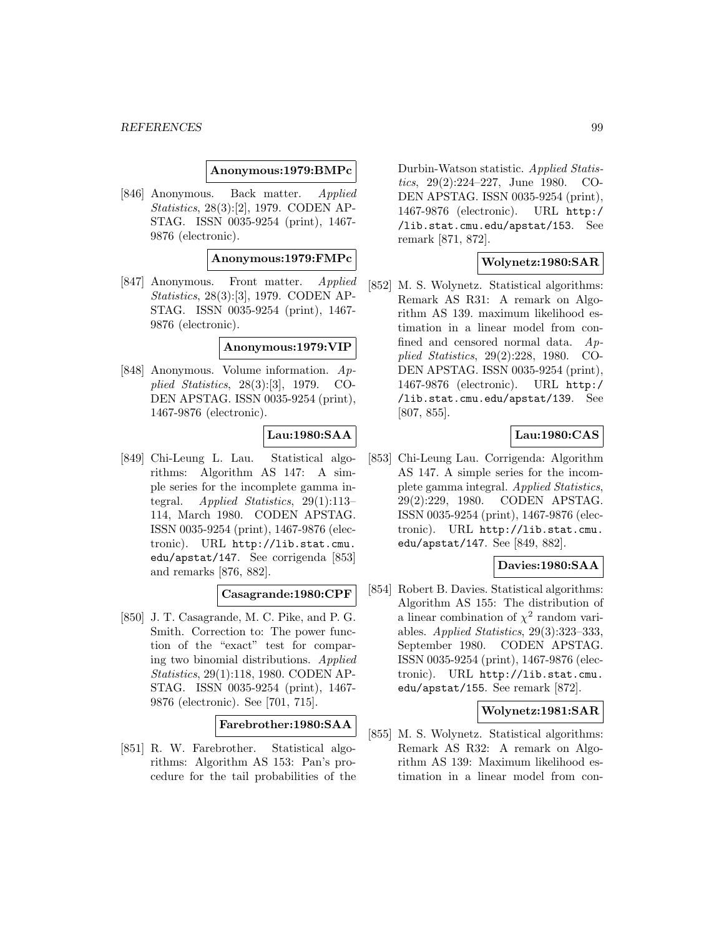### **Anonymous:1979:BMPc**

[846] Anonymous. Back matter. Applied Statistics, 28(3):[2], 1979. CODEN AP-STAG. ISSN 0035-9254 (print), 1467- 9876 (electronic).

# **Anonymous:1979:FMPc**

[847] Anonymous. Front matter. Applied Statistics, 28(3):[3], 1979. CODEN AP-STAG. ISSN 0035-9254 (print), 1467- 9876 (electronic).

### **Anonymous:1979:VIP**

[848] Anonymous. Volume information. Applied Statistics, 28(3):[3], 1979. CO-DEN APSTAG. ISSN 0035-9254 (print), 1467-9876 (electronic).

# **Lau:1980:SAA**

[849] Chi-Leung L. Lau. Statistical algorithms: Algorithm AS 147: A simple series for the incomplete gamma integral. Applied Statistics, 29(1):113– 114, March 1980. CODEN APSTAG. ISSN 0035-9254 (print), 1467-9876 (electronic). URL http://lib.stat.cmu. edu/apstat/147. See corrigenda [853] and remarks [876, 882].

## **Casagrande:1980:CPF**

[850] J. T. Casagrande, M. C. Pike, and P. G. Smith. Correction to: The power function of the "exact" test for comparing two binomial distributions. Applied Statistics, 29(1):118, 1980. CODEN AP-STAG. ISSN 0035-9254 (print), 1467- 9876 (electronic). See [701, 715].

## **Farebrother:1980:SAA**

[851] R. W. Farebrother. Statistical algorithms: Algorithm AS 153: Pan's procedure for the tail probabilities of the Durbin-Watson statistic. Applied Statistics, 29(2):224–227, June 1980. CO-DEN APSTAG. ISSN 0035-9254 (print), 1467-9876 (electronic). URL http:/ /lib.stat.cmu.edu/apstat/153. See remark [871, 872].

### **Wolynetz:1980:SAR**

[852] M. S. Wolynetz. Statistical algorithms: Remark AS R31: A remark on Algorithm AS 139. maximum likelihood estimation in a linear model from confined and censored normal data. Applied Statistics, 29(2):228, 1980. CO-DEN APSTAG. ISSN 0035-9254 (print), 1467-9876 (electronic). URL http:/ /lib.stat.cmu.edu/apstat/139. See [807, 855].

# **Lau:1980:CAS**

[853] Chi-Leung Lau. Corrigenda: Algorithm AS 147. A simple series for the incomplete gamma integral. Applied Statistics, 29(2):229, 1980. CODEN APSTAG. ISSN 0035-9254 (print), 1467-9876 (electronic). URL http://lib.stat.cmu. edu/apstat/147. See [849, 882].

# **Davies:1980:SAA**

[854] Robert B. Davies. Statistical algorithms: Algorithm AS 155: The distribution of a linear combination of  $\chi^2$  random variables. Applied Statistics, 29(3):323–333, September 1980. CODEN APSTAG. ISSN 0035-9254 (print), 1467-9876 (electronic). URL http://lib.stat.cmu. edu/apstat/155. See remark [872].

### **Wolynetz:1981:SAR**

[855] M. S. Wolynetz. Statistical algorithms: Remark AS R32: A remark on Algorithm AS 139: Maximum likelihood estimation in a linear model from con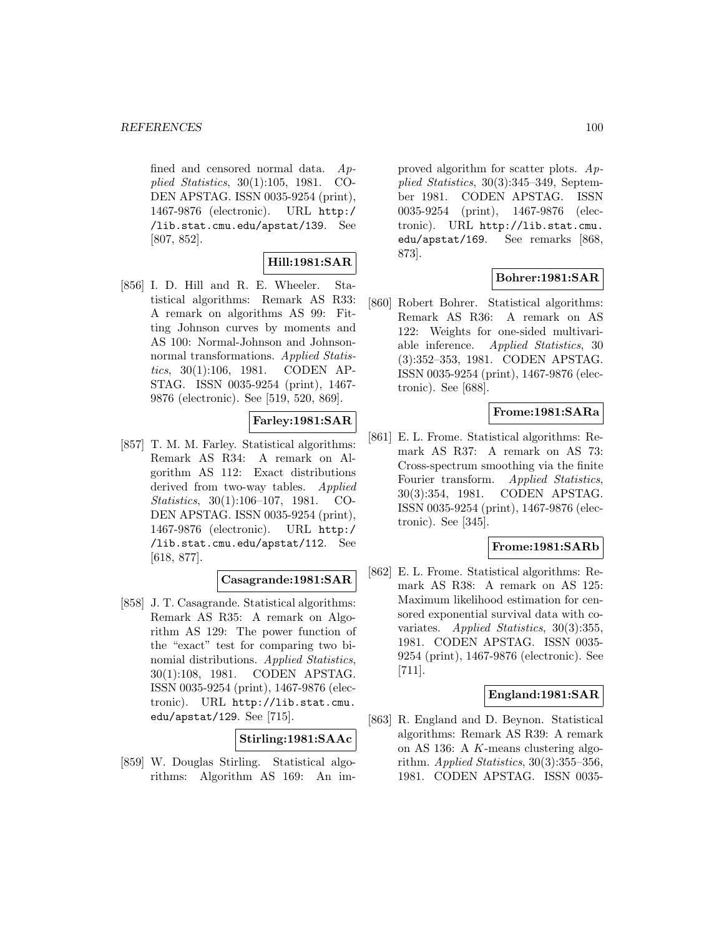fined and censored normal data. Applied Statistics, 30(1):105, 1981. CO-DEN APSTAG. ISSN 0035-9254 (print), 1467-9876 (electronic). URL http:/ /lib.stat.cmu.edu/apstat/139. See [807, 852].

# **Hill:1981:SAR**

[856] I. D. Hill and R. E. Wheeler. Statistical algorithms: Remark AS R33: A remark on algorithms AS 99: Fitting Johnson curves by moments and AS 100: Normal-Johnson and Johnsonnormal transformations. Applied Statistics, 30(1):106, 1981. CODEN AP-STAG. ISSN 0035-9254 (print), 1467- 9876 (electronic). See [519, 520, 869].

# **Farley:1981:SAR**

[857] T. M. M. Farley. Statistical algorithms: Remark AS R34: A remark on Algorithm AS 112: Exact distributions derived from two-way tables. Applied Statistics, 30(1):106–107, 1981. CO-DEN APSTAG. ISSN 0035-9254 (print), 1467-9876 (electronic). URL http:/ /lib.stat.cmu.edu/apstat/112. See [618, 877].

## **Casagrande:1981:SAR**

[858] J. T. Casagrande. Statistical algorithms: Remark AS R35: A remark on Algorithm AS 129: The power function of the "exact" test for comparing two binomial distributions. Applied Statistics, 30(1):108, 1981. CODEN APSTAG. ISSN 0035-9254 (print), 1467-9876 (electronic). URL http://lib.stat.cmu. edu/apstat/129. See [715].

**Stirling:1981:SAAc**

[859] W. Douglas Stirling. Statistical algorithms: Algorithm AS 169: An improved algorithm for scatter plots. Applied Statistics, 30(3):345–349, September 1981. CODEN APSTAG. ISSN 0035-9254 (print), 1467-9876 (electronic). URL http://lib.stat.cmu. edu/apstat/169. See remarks [868, 873].

# **Bohrer:1981:SAR**

[860] Robert Bohrer. Statistical algorithms: Remark AS R36: A remark on AS 122: Weights for one-sided multivariable inference. Applied Statistics, 30 (3):352–353, 1981. CODEN APSTAG. ISSN 0035-9254 (print), 1467-9876 (electronic). See [688].

## **Frome:1981:SARa**

[861] E. L. Frome. Statistical algorithms: Remark AS R37: A remark on AS 73: Cross-spectrum smoothing via the finite Fourier transform. Applied Statistics, 30(3):354, 1981. CODEN APSTAG. ISSN 0035-9254 (print), 1467-9876 (electronic). See [345].

## **Frome:1981:SARb**

[862] E. L. Frome. Statistical algorithms: Remark AS R38: A remark on AS 125: Maximum likelihood estimation for censored exponential survival data with covariates. Applied Statistics, 30(3):355, 1981. CODEN APSTAG. ISSN 0035- 9254 (print), 1467-9876 (electronic). See [711].

## **England:1981:SAR**

[863] R. England and D. Beynon. Statistical algorithms: Remark AS R39: A remark on AS 136: A K-means clustering algorithm. Applied Statistics, 30(3):355–356, 1981. CODEN APSTAG. ISSN 0035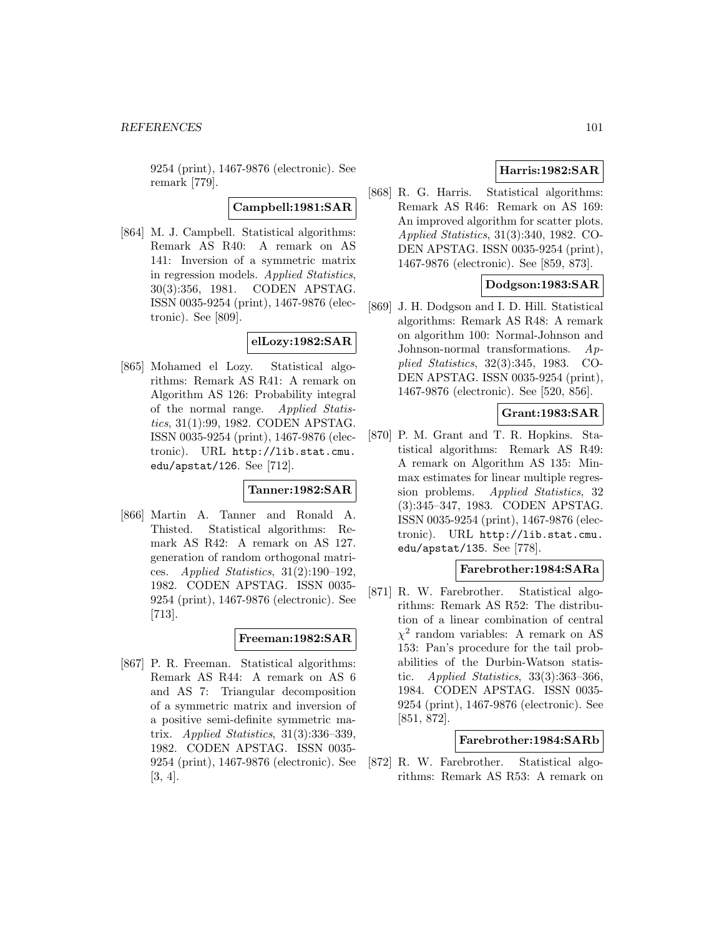9254 (print), 1467-9876 (electronic). See remark [779].

**Campbell:1981:SAR**

[864] M. J. Campbell. Statistical algorithms: Remark AS R40: A remark on AS 141: Inversion of a symmetric matrix in regression models. Applied Statistics, 30(3):356, 1981. CODEN APSTAG. ISSN 0035-9254 (print), 1467-9876 (electronic). See [809].

### **elLozy:1982:SAR**

[865] Mohamed el Lozy. Statistical algorithms: Remark AS R41: A remark on Algorithm AS 126: Probability integral of the normal range. Applied Statistics, 31(1):99, 1982. CODEN APSTAG. ISSN 0035-9254 (print), 1467-9876 (electronic). URL http://lib.stat.cmu. edu/apstat/126. See [712].

### **Tanner:1982:SAR**

[866] Martin A. Tanner and Ronald A. Thisted. Statistical algorithms: Remark AS R42: A remark on AS 127. generation of random orthogonal matrices. Applied Statistics, 31(2):190–192, 1982. CODEN APSTAG. ISSN 0035- 9254 (print), 1467-9876 (electronic). See [713].

## **Freeman:1982:SAR**

[867] P. R. Freeman. Statistical algorithms: Remark AS R44: A remark on AS 6 and AS 7: Triangular decomposition of a symmetric matrix and inversion of a positive semi-definite symmetric matrix. Applied Statistics, 31(3):336–339, 1982. CODEN APSTAG. ISSN 0035- 9254 (print), 1467-9876 (electronic). See [3, 4].

# **Harris:1982:SAR**

[868] R. G. Harris. Statistical algorithms: Remark AS R46: Remark on AS 169: An improved algorithm for scatter plots. Applied Statistics, 31(3):340, 1982. CO-DEN APSTAG. ISSN 0035-9254 (print), 1467-9876 (electronic). See [859, 873].

## **Dodgson:1983:SAR**

[869] J. H. Dodgson and I. D. Hill. Statistical algorithms: Remark AS R48: A remark on algorithm 100: Normal-Johnson and Johnson-normal transformations. Applied Statistics, 32(3):345, 1983. CO-DEN APSTAG. ISSN 0035-9254 (print), 1467-9876 (electronic). See [520, 856].

# **Grant:1983:SAR**

[870] P. M. Grant and T. R. Hopkins. Statistical algorithms: Remark AS R49: A remark on Algorithm AS 135: Minmax estimates for linear multiple regression problems. Applied Statistics, 32 (3):345–347, 1983. CODEN APSTAG. ISSN 0035-9254 (print), 1467-9876 (electronic). URL http://lib.stat.cmu. edu/apstat/135. See [778].

### **Farebrother:1984:SARa**

[871] R. W. Farebrother. Statistical algorithms: Remark AS R52: The distribution of a linear combination of central  $\chi^2$  random variables: A remark on AS 153: Pan's procedure for the tail probabilities of the Durbin-Watson statistic. Applied Statistics,  $33(3):363-366$ , 1984. CODEN APSTAG. ISSN 0035- 9254 (print), 1467-9876 (electronic). See [851, 872].

# **Farebrother:1984:SARb**

[872] R. W. Farebrother. Statistical algorithms: Remark AS R53: A remark on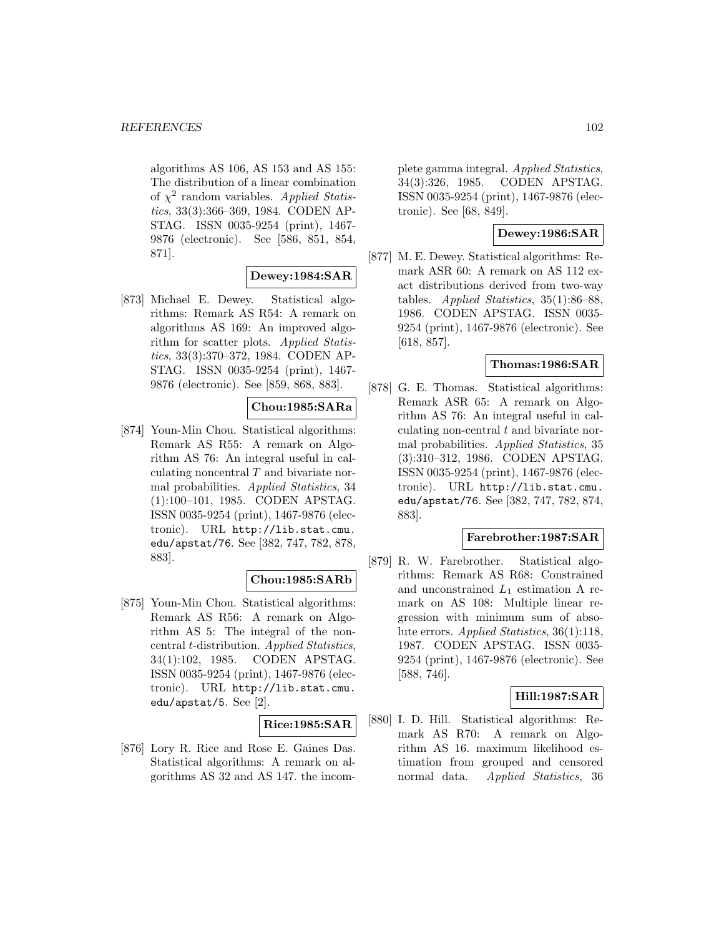algorithms AS 106, AS 153 and AS 155: The distribution of a linear combination of  $\chi^2$  random variables. Applied Statistics, 33(3):366–369, 1984. CODEN AP-STAG. ISSN 0035-9254 (print), 1467- 9876 (electronic). See [586, 851, 854, 871].

# **Dewey:1984:SAR**

[873] Michael E. Dewey. Statistical algorithms: Remark AS R54: A remark on algorithms AS 169: An improved algorithm for scatter plots. Applied Statistics, 33(3):370–372, 1984. CODEN AP-STAG. ISSN 0035-9254 (print), 1467- 9876 (electronic). See [859, 868, 883].

# **Chou:1985:SARa**

[874] Youn-Min Chou. Statistical algorithms: Remark AS R55: A remark on Algorithm AS 76: An integral useful in calculating noncentral  $T$  and bivariate normal probabilities. Applied Statistics, 34 (1):100–101, 1985. CODEN APSTAG. ISSN 0035-9254 (print), 1467-9876 (electronic). URL http://lib.stat.cmu. edu/apstat/76. See [382, 747, 782, 878, 883].

## **Chou:1985:SARb**

[875] Youn-Min Chou. Statistical algorithms: Remark AS R56: A remark on Algorithm AS 5: The integral of the noncentral t-distribution. Applied Statistics, 34(1):102, 1985. CODEN APSTAG. ISSN 0035-9254 (print), 1467-9876 (electronic). URL http://lib.stat.cmu. edu/apstat/5. See [2].

## **Rice:1985:SAR**

[876] Lory R. Rice and Rose E. Gaines Das. Statistical algorithms: A remark on algorithms AS 32 and AS 147. the incomplete gamma integral. Applied Statistics, 34(3):326, 1985. CODEN APSTAG. ISSN 0035-9254 (print), 1467-9876 (electronic). See [68, 849].

# **Dewey:1986:SAR**

[877] M. E. Dewey. Statistical algorithms: Remark ASR 60: A remark on AS 112 exact distributions derived from two-way tables. Applied Statistics, 35(1):86–88, 1986. CODEN APSTAG. ISSN 0035- 9254 (print), 1467-9876 (electronic). See [618, 857].

# **Thomas:1986:SAR**

[878] G. E. Thomas. Statistical algorithms: Remark ASR 65: A remark on Algorithm AS 76: An integral useful in calculating non-central  $t$  and bivariate normal probabilities. Applied Statistics, 35 (3):310–312, 1986. CODEN APSTAG. ISSN 0035-9254 (print), 1467-9876 (electronic). URL http://lib.stat.cmu. edu/apstat/76. See [382, 747, 782, 874, 883].

## **Farebrother:1987:SAR**

[879] R. W. Farebrother. Statistical algorithms: Remark AS R68: Constrained and unconstrained  $L_1$  estimation A remark on AS 108: Multiple linear regression with minimum sum of absolute errors. Applied Statistics, 36(1):118, 1987. CODEN APSTAG. ISSN 0035- 9254 (print), 1467-9876 (electronic). See [588, 746].

## **Hill:1987:SAR**

[880] I. D. Hill. Statistical algorithms: Remark AS R70: A remark on Algorithm AS 16. maximum likelihood estimation from grouped and censored normal data. Applied Statistics, 36